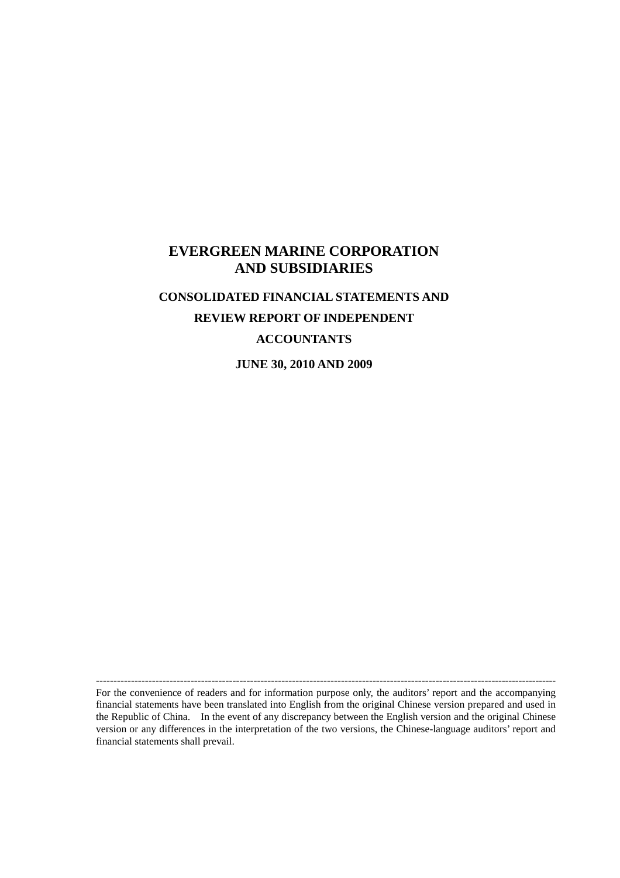# **EVERGREEN MARINE CORPORATION AND SUBSIDIARIES**

# **CONSOLIDATED FINANCIAL STATEMENTS AND REVIEW REPORT OF INDEPENDENT ACCOUNTANTS**

**JUNE 30, 2010 AND 2009**

------------------------------------------------------------------------------------------------------------------------------------

For the convenience of readers and for information purpose only, the auditors'report and the accompanying financial statements have been translated into English from the original Chinese version prepared and used in the Republic of China. In the event of any discrepancy between the English version and the original Chinese version or any differences in the interpretation of the two versions, the Chinese-language auditors'report and financial statements shall prevail.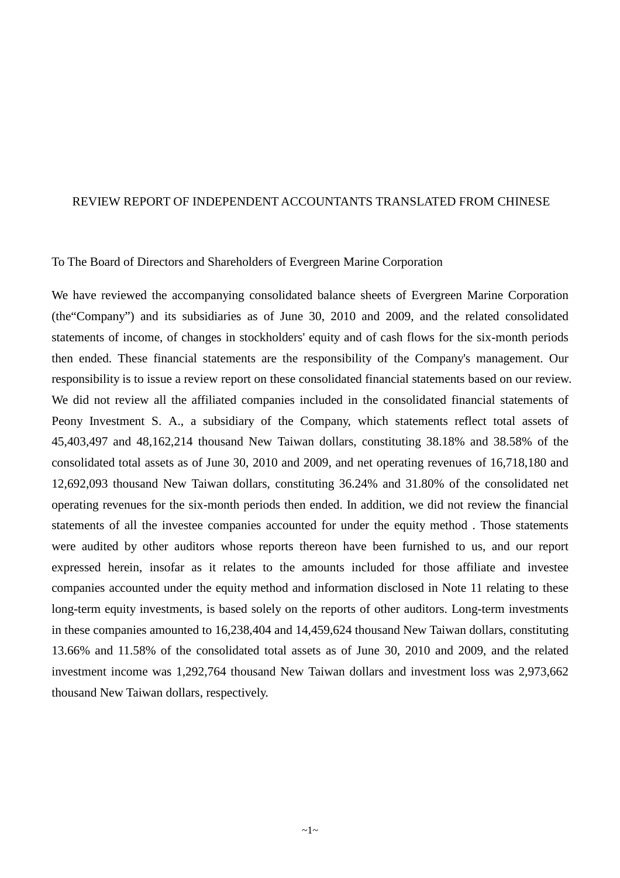#### REVIEW REPORT OF INDEPENDENT ACCOUNTANTS TRANSLATED FROM CHINESE

#### To The Board of Directors and Shareholders of Evergreen Marine Corporation

We have reviewed the accompanying consolidated balance sheets of Evergreen Marine Corporation (the"Company") and its subsidiaries as of June 30, 2010 and 2009, and the related consolidated statements of income, of changes in stockholders' equity and of cash flows for the six-month periods then ended. These financial statements are the responsibility of the Company's management. Our responsibility is to issue a review report on these consolidated financial statements based on our review. We did not review all the affiliated companies included in the consolidated financial statements of Peony Investment S. A., a subsidiary of the Company, which statements reflect total assets of 45,403,497 and 48,162,214 thousand New Taiwan dollars, constituting 38.18% and 38.58% of the consolidated total assets as of June 30, 2010 and 2009, and net operating revenues of 16,718,180 and 12,692,093 thousand New Taiwan dollars, constituting 36.24% and 31.80% of the consolidated net operating revenues for the six-month periods then ended. In addition, we did not review the financial statements of all the investee companies accounted for under the equity method . Those statements were audited by other auditors whose reports thereon have been furnished to us, and our report expressed herein, insofar as it relates to the amounts included for those affiliate and investee companies accounted under the equity method and information disclosed in Note 11 relating to these long-term equity investments, is based solely on the reports of other auditors. Long-term investments in these companies amounted to 16,238,404 and 14,459,624 thousand New Taiwan dollars, constituting 13.66% and 11.58% of the consolidated total assets as of June 30, 2010 and 2009, and the related investment income was 1,292,764 thousand New Taiwan dollars and investment loss was 2,973,662 thousand New Taiwan dollars, respectively.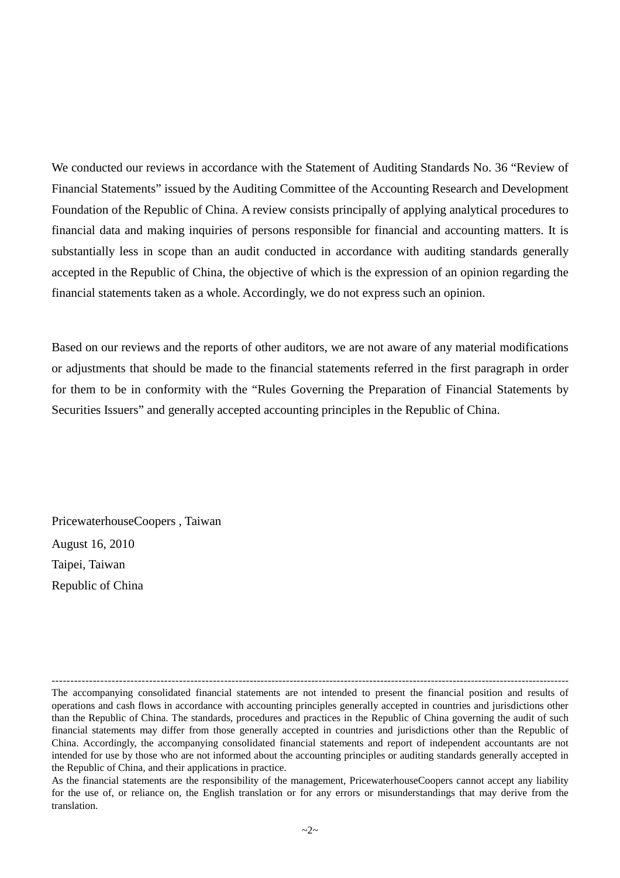We conducted our reviews in accordance with the Statement of Auditing Standards No. 36 "Review of Financial Statements" issued by the Auditing Committee of the Accounting Research and Development Foundation of the Republic of China. A review consists principally of applying analytical procedures to financial data and making inquiries of persons responsible for financial and accounting matters. It is substantially less in scope than an audit conducted in accordance with auditing standards generally accepted in the Republic of China, the objective of which is the expression of an opinion regarding the financial statements taken as a whole. Accordingly, we do not express such an opinion.

Based on our reviews and the reports of other auditors, we are not aware of any material modifications or adjustments that should be made to the financial statements referred in the first paragraph in order for them to be in conformity with the "Rules Governing the Preparation of Financial Statements by Securities Issuers" and generally accepted accounting principles in the Republic of China.

PricewaterhouseCoopers , Taiwan August 16, 2010 Taipei, Taiwan Republic of China

--------------------------------------------------------------------------------------------------------------------------------------------- The accompanying consolidated financial statements are not intended to present the financial position and results of operations and cash flows in accordance with accounting principles generally accepted in countries and jurisdictions other than the Republic of China. The standards, procedures and practices in the Republic of China governing the audit of such financial statements may differ from those generally accepted in countries and jurisdictions other than the Republic of China. Accordingly, the accompanying consolidated financial statements and report of independent accountants are not intended for use by those who are not informed about the accounting principles or auditing standards generally accepted in the Republic of China, and their applications in practice.

As the financial statements are the responsibility of the management, PricewaterhouseCoopers cannot accept any liability for the use of, or reliance on, the English translation or for any errors or misunderstandings that may derive from the translation.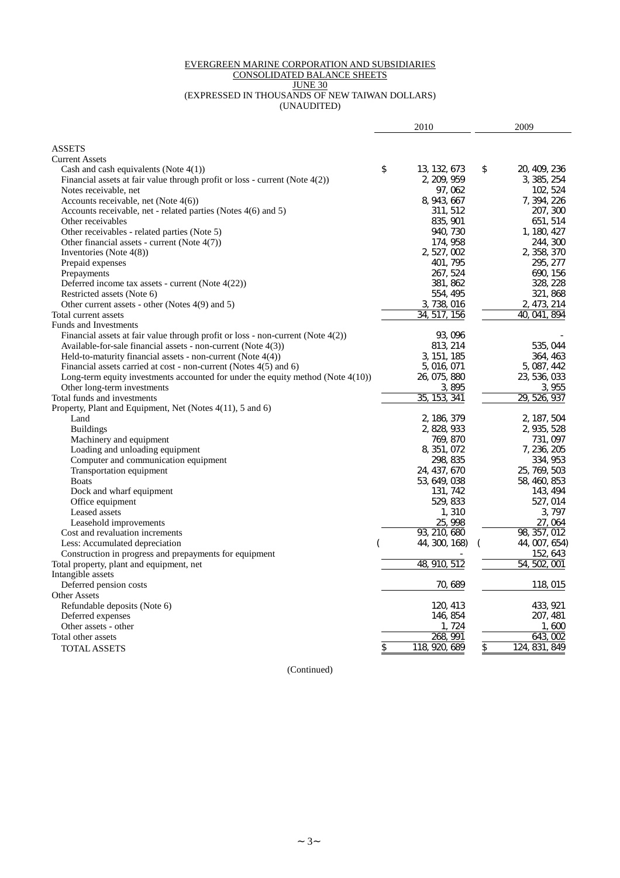#### EVERGREEN MARINE CORPORATION AND SUBSIDIARIES

#### CONSOLIDATED BALANCE SHEETS

JUNE 30

(EXPRESSED IN THOUSANDS OF NEW TAIWAN DOLLARS) (UNAUDITED)

|                                                                                    | 2010                | 2009                |
|------------------------------------------------------------------------------------|---------------------|---------------------|
| <b>ASSETS</b>                                                                      |                     |                     |
| <b>Current Assets</b>                                                              |                     |                     |
| Cash and cash equivalents (Note $4(1)$ )                                           | \$<br>13, 132, 673  | \$<br>20, 409, 236  |
| Financial assets at fair value through profit or loss - current (Note 4(2))        | 2, 209, 959         | 3, 385, 254         |
| Notes receivable, net                                                              | 97, 062             | 102, 524            |
| Accounts receivable, net (Note $4(6)$ )                                            | 8, 943, 667         | 7, 394, 226         |
| Accounts receivable, net - related parties (Notes 4(6) and 5)                      | 311, 512            | 207, 300            |
| Other receivables                                                                  | 835, 901            | 651, 514            |
| Other receivables - related parties (Note 5)                                       | 940, 730            | 1, 180, 427         |
| Other financial assets - current (Note 4(7))                                       | 174, 958            | 244, 300            |
| Inventories (Note $4(8)$ )                                                         | 2, 527, 002         | 2, 358, 370         |
| Prepaid expenses                                                                   | 401, 795            | 295, 277            |
| Prepayments                                                                        | 267, 524            | 690, 156            |
| Deferred income tax assets - current (Note $4(22)$ )                               | 381, 862            | 328, 228            |
| Restricted assets (Note 6)                                                         | 554, 495            | 321, 868            |
| Other current assets - other (Notes 4(9) and 5)                                    | 3, 738, 016         | 2, 473, 214         |
| Total current assets                                                               | 34, 517, 156        | 40, 041, 894        |
| <b>Funds and Investments</b>                                                       |                     |                     |
| Financial assets at fair value through profit or loss - non-current (Note $4(2)$ ) | 93, 096             |                     |
| Available-for-sale financial assets - non-current (Note 4(3))                      | 813, 214            | 535, 044            |
| Held-to-maturity financial assets - non-current (Note 4(4))                        | 3, 151, 185         | 364, 463            |
| Financial assets carried at cost - non-current (Notes $4(5)$ and 6)                | 5, 016, 071         | 5, 087, 442         |
| Long-term equity investments accounted for under the equity method (Note $4(10)$ ) | 26, 075, 880        | 23, 536, 033        |
| Other long-term investments                                                        | 3, 895              | 3, 955              |
| Total funds and investments                                                        | 35, 153, 341        | 29, 526, 937        |
| Property, Plant and Equipment, Net (Notes 4(11), 5 and 6)                          |                     |                     |
| Land                                                                               | 2, 186, 379         | 2, 187, 504         |
| <b>Buildings</b>                                                                   | 2, 828, 933         | 2, 935, 528         |
| Machinery and equipment                                                            | 769, 870            | 731, 097            |
| Loading and unloading equipment                                                    | 8, 351, 072         | 7, 236, 205         |
| Computer and communication equipment                                               | 298, 835            | 334, 953            |
| Transportation equipment                                                           | 24, 437, 670        | 25, 769, 503        |
| <b>Boats</b>                                                                       | 53, 649, 038        | 58, 460, 853        |
| Dock and wharf equipment                                                           | 131, 742            | 143, 494            |
| Office equipment                                                                   | 529, 833            | 527, 014            |
| Leased assets                                                                      | 1,310               | 3, 797              |
| Leasehold improvements                                                             | 25, 998             | 27,064              |
| Cost and revaluation increments                                                    | 93, 210, 680        | 98, 357, 012        |
| Less: Accumulated depreciation                                                     | 44, 300, 168)       | 44, 007, 654)       |
| Construction in progress and prepayments for equipment                             |                     | 152, 643            |
| Total property, plant and equipment, net                                           | 512<br>48, 910,     | 54, 502, 001        |
| Intangible assets                                                                  |                     |                     |
| Deferred pension costs                                                             | 70, 689             | 118, 015            |
| <b>Other Assets</b>                                                                |                     |                     |
| Refundable deposits (Note 6)                                                       | 120, 413            | 433, 921            |
| Deferred expenses                                                                  | 146, 854            | 207, 481            |
| Other assets - other                                                               | 1, 724              | 1.600               |
| Total other assets                                                                 | 268.<br>991         | 643, 002            |
| <b>TOTAL ASSETS</b>                                                                | \$<br>118, 920, 689 | \$<br>124, 831, 849 |

(Continued)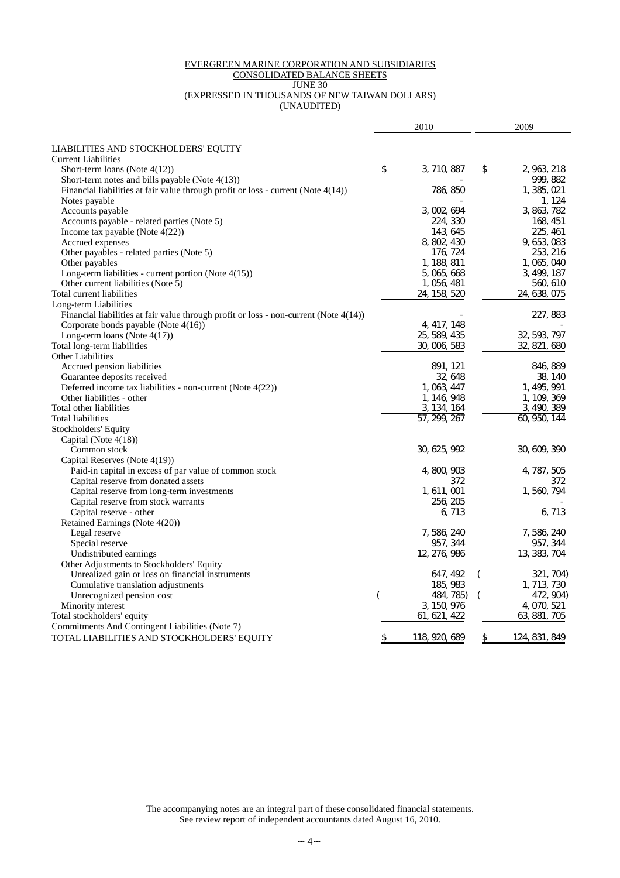#### EVERGREEN MARINE CORPORATION AND SUBSIDIARIES CONSOLIDATED BALANCE SHEETS

# JUNE 30

#### (EXPRESSED IN THOUSANDS OF NEW TAIWAN DOLLARS)

(UNAUDITED)

|                                                                                          | 2010                |          | 2009                  |
|------------------------------------------------------------------------------------------|---------------------|----------|-----------------------|
|                                                                                          |                     |          |                       |
| LIABILITIES AND STOCKHOLDERS' EQUITY<br><b>Current Liabilities</b>                       |                     |          |                       |
| Short-term loans (Note $4(12)$ )                                                         | \$<br>3, 710, 887   | \$       | 2, 963, 218           |
| Short-term notes and bills payable (Note 4(13))                                          |                     |          | 999, 882              |
|                                                                                          |                     |          |                       |
| Financial liabilities at fair value through profit or loss - current (Note 4(14))        | 786, 850            |          | 1, 385, 021<br>1, 124 |
| Notes payable                                                                            |                     |          |                       |
| Accounts payable                                                                         | 3, 002, 694         |          | 3, 863, 782           |
| Accounts payable - related parties (Note 5)                                              | 224, 330            |          | 168, 451              |
| Income tax payable (Note 4(22))                                                          | 143.645             |          | 225, 461              |
| Accrued expenses                                                                         | 8, 802, 430         |          | 9, 653, 083           |
| Other payables - related parties (Note 5)                                                | 176, 724            |          | 253, 216              |
| Other payables                                                                           | 1, 188, 811         |          | 1, 065, 040           |
| Long-term liabilities - current portion (Note $4(15)$ )                                  | 5, 065, 668         |          | 3, 499, 187           |
| Other current liabilities (Note 5)                                                       | 1, 056, 481         |          | 560, 610              |
| Total current liabilities                                                                | 24, 158, 520        |          | 24, 638, 075          |
| Long-term Liabilities                                                                    |                     |          |                       |
| Financial liabilities at fair value through profit or loss - non-current (Note $4(14)$ ) |                     |          | 227, 883              |
| Corporate bonds payable (Note $4(16)$ )                                                  | 4, 417, 148         |          |                       |
| Long-term loans (Note $4(17)$ )                                                          | 25, 589, 435        |          | 32, 593, 797          |
| Total long-term liabilities                                                              | 30, 006, 583        |          | 32, 821,<br>680       |
| <b>Other Liabilities</b>                                                                 |                     |          |                       |
| Accrued pension liabilities                                                              | 891, 121            |          | 846, 889              |
| Guarantee deposits received                                                              | 32, 648             |          | 38, 140               |
| Deferred income tax liabilities - non-current (Note 4(22))                               | 1, 063, 447         |          | 1, 495, 991           |
| Other liabilities - other                                                                | 1, 146, 948         |          | 1, 109, 369           |
| Total other liabilities                                                                  | 3, 134, 164         |          | 3, 490,<br>389        |
| Total liabilities                                                                        | 57, 299, 267        |          | 60, 950, 144          |
| Stockholders' Equity                                                                     |                     |          |                       |
| Capital (Note $4(18)$ )                                                                  |                     |          |                       |
| Common stock                                                                             | 30, 625, 992        |          | 30, 609, 390          |
| Capital Reserves (Note 4(19))                                                            |                     |          |                       |
| Paid-in capital in excess of par value of common stock                                   | 4, 800, 903         |          | 4, 787, 505           |
| Capital reserve from donated assets                                                      | 372.                |          | 372                   |
| Capital reserve from long-term investments                                               | 1, 611, 001         |          | 1, 560, 794           |
| Capital reserve from stock warrants                                                      | 256, 205            |          |                       |
| Capital reserve - other                                                                  | 6, 713              |          | 6, 713                |
| Retained Earnings (Note 4(20))                                                           |                     |          |                       |
| Legal reserve                                                                            | 7, 586, 240         |          | 7, 586, 240           |
| Special reserve                                                                          | 957, 344            |          | 957, 344              |
| Undistributed earnings                                                                   | 12, 276, 986        |          | 13, 383, 704          |
| Other Adjustments to Stockholders' Equity                                                |                     |          |                       |
| Unrealized gain or loss on financial instruments                                         | 647, 492            | $\left($ | 321, 704)             |
| Cumulative translation adjustments                                                       | 185, 983            |          | 1, 713, 730           |
| Unrecognized pension cost                                                                | 484, 785)           |          | 472, 904)             |
| Minority interest                                                                        | 3, 150, 976         |          | 4, 070, 521           |
| Total stockholders' equity                                                               | 621,<br>61.<br>422  |          | 63, 881, 705          |
| Commitments And Contingent Liabilities (Note 7)                                          |                     |          |                       |
| TOTAL LIABILITIES AND STOCKHOLDERS' EQUITY                                               | \$<br>118, 920, 689 | \$       | 124, 831, 849         |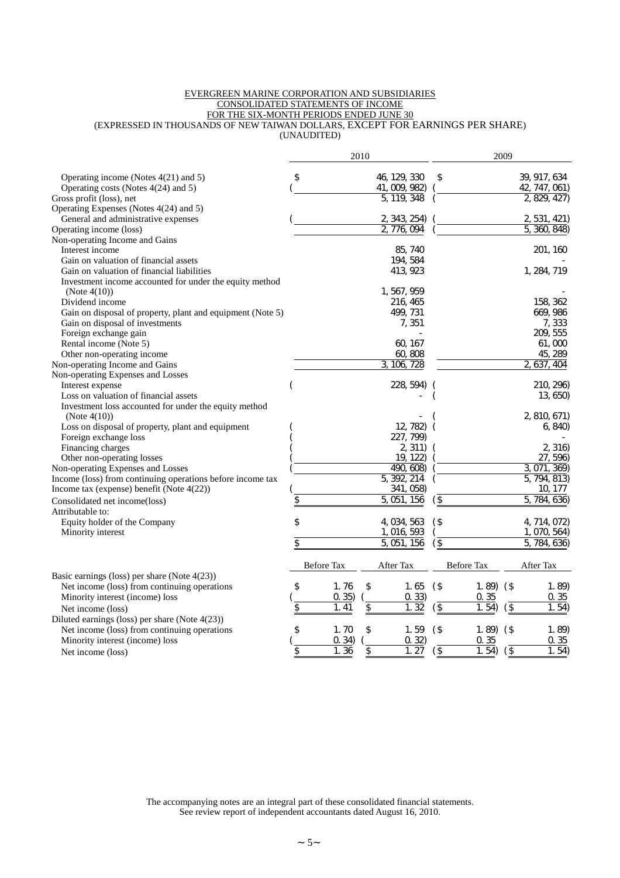#### EVERGREEN MARINE CORPORATION AND SUBSIDIARIES CONSOLIDATED STATEMENTS OF INCOME FOR THE SIX-MONTH PERIODS ENDED JUNE 30 (EXPRESSED IN THOUSANDS OF NEW TAIWAN DOLLARS, EXCEPT FOR EARNINGS PER SHARE)

(UNAUDITED)

|                                                                          |                   | 2010           |                      | 2009                           |
|--------------------------------------------------------------------------|-------------------|----------------|----------------------|--------------------------------|
| Operating income (Notes 4(21) and 5)                                     | \$                | 46, 129, 330   | \$                   | 39, 917, 634                   |
| Operating costs (Notes 4(24) and 5)                                      |                   | 41, 009, 982)  |                      | 42, 747, 061)                  |
| Gross profit (loss), net                                                 |                   | 119, 348<br>5. |                      | 2, 829, 427                    |
| Operating Expenses (Notes 4(24) and 5)                                   |                   |                |                      |                                |
| General and administrative expenses                                      |                   | 2, 343, 254)   |                      | 2, 531, 421)                   |
| Operating income (loss)                                                  |                   | 776,<br>094    |                      | 5,<br>360 <sub>1</sub><br>848) |
| Non-operating Income and Gains                                           |                   |                |                      |                                |
| Interest income                                                          |                   | 85, 740        |                      | 201, 160                       |
| Gain on valuation of financial assets                                    |                   | 194, 584       |                      |                                |
| Gain on valuation of financial liabilities                               |                   | 413, 923       |                      | 1, 284, 719                    |
| Investment income accounted for under the equity method                  |                   |                |                      |                                |
| (Note $4(10)$ )                                                          |                   | 1, 567, 959    |                      |                                |
| Dividend income                                                          |                   | 216, 465       |                      | 158, 362                       |
| Gain on disposal of property, plant and equipment (Note 5)               |                   | 499, 731       |                      | 669, 986                       |
| Gain on disposal of investments                                          |                   | 7,351          |                      | 7,333                          |
| Foreign exchange gain                                                    |                   |                |                      | 209, 555                       |
| Rental income (Note 5)                                                   |                   | 60, 167        |                      | 61,000                         |
| Other non-operating income                                               |                   | 60,808         |                      | 45, 289                        |
| Non-operating Income and Gains                                           |                   | 3, 106, 728    |                      | 2, 637,<br>404                 |
| Non-operating Expenses and Losses                                        |                   |                |                      |                                |
| Interest expense                                                         |                   | 228, 594)      |                      | 210, 296)                      |
| Loss on valuation of financial assets                                    |                   |                |                      | 13, 650)                       |
| Investment loss accounted for under the equity method<br>(Note $4(10)$ ) |                   |                |                      | 2, 810, 671)                   |
| Loss on disposal of property, plant and equipment                        |                   | 12, 782)       |                      | 6, 840)                        |
| Foreign exchange loss                                                    |                   | 227, 799)      |                      |                                |
| Financing charges                                                        |                   | 2, 311)        |                      | 2, 316)                        |
| Other non-operating losses                                               |                   | 19, 122)       |                      | 27, 596)                       |
| Non-operating Expenses and Losses                                        |                   | 490, 608)      |                      | 3, 071,<br>369)                |
| Income (loss) from continuing operations before income tax               |                   | 5, 392, 214    |                      | 5, 794, 813)                   |
| Income tax (expense) benefit (Note 4(22))                                |                   | 341, 058)      |                      | 10, 177                        |
| Consolidated net income(loss)                                            | $\overline{\$}$   | 5,051,<br>156  | $\sqrt{5}$           | 784, 636)<br>5,                |
| Attributable to:                                                         |                   |                |                      |                                |
| Equity holder of the Company                                             | \$                | 4, 034, 563    | $($ \$               | 4, 714, 072)                   |
| Minority interest                                                        |                   | 1, 016, 593    |                      | 1, 070, 564)                   |
|                                                                          | \$                | 5, 051,<br>156 | $($ \$               | 5.<br>784, 636)                |
|                                                                          | <b>Before Tax</b> | After Tax      | Before Tax           | After Tax                      |
| Basic earnings (loss) per share (Note 4(23))                             |                   |                |                      |                                |
| Net income (loss) from continuing operations                             | \$<br>1.76        | \$<br>1.65     | $($ \$<br>$1.89($ \$ | 1.89                           |
| Minority interest (income) loss                                          | 0.35)             | 0.33)          | 0.35                 | 0.35                           |
| Net income (loss)                                                        | \$<br>1.41        | 1.32<br>\$     | $\sqrt{3}$<br>1.54   | $\sqrt{3}$<br>1.54             |
| Diluted earnings (loss) per share (Note 4(23))                           |                   |                |                      |                                |
| Net income (loss) from continuing operations                             | \$<br>1.70        | \$<br>1.59     | $($ \$<br>1.89       | $($ \$<br>1.89)                |
| Minority interest (income) loss                                          | 0.34)             | 0.32           | 0.35                 | 0.35                           |
| Net income (loss)                                                        | 1.36<br>\$        | 1.27<br>\$     | $\sqrt{5}$<br>1.54   | $\sqrt{3}$<br>1.54             |
|                                                                          |                   |                |                      |                                |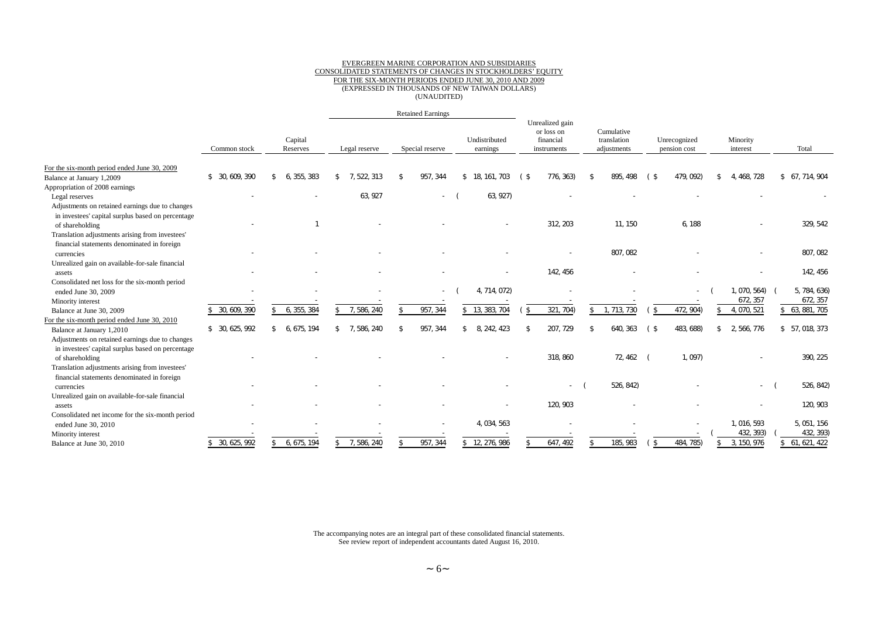#### EVERGREEN MARINE CORPORATION AND SUBSIDIARIES CONSOLIDATED STATEMENTS OF CHANGES IN STOCKHOLDERS' EQUITY FOR THE SIX-MONTH PERIODS ENDED JUNE 30, 2010 AND 2009 (EXPRESSED IN THOUSANDS OF NEW TAIWAN DOLLARS) (UNAUDITED)

|                                                   |                 |                     |                   | <b>Retained Earnings</b> |                           |                                                           |                                          |                              |                      |                 |
|---------------------------------------------------|-----------------|---------------------|-------------------|--------------------------|---------------------------|-----------------------------------------------------------|------------------------------------------|------------------------------|----------------------|-----------------|
|                                                   | Common stock    | Capital<br>Reserves | Legal reserve     | Special reserve          | Undistributed<br>earnings | Unrealized gain<br>or loss on<br>financial<br>instruments | Cumulative<br>translation<br>adjustments | Unrecognized<br>pension cost | Minority<br>interest | Total           |
| For the six-month period ended June 30, 2009      |                 |                     |                   |                          |                           |                                                           |                                          |                              |                      |                 |
| Balance at January 1,2009                         | \$ 30, 609, 390 | 6. 355, 383<br>\$   | 7.522.313<br>\$.  | 957, 344                 | \$18.161<br>. 703         | 776, 363)<br>(\$                                          | 895.<br>498                              | 479.092)                     | 468, 728<br>4.       | \$ 67, 714, 904 |
| Appropriation of 2008 earnings                    |                 |                     |                   |                          |                           |                                                           |                                          |                              |                      |                 |
| Legal reserves                                    |                 |                     | 63, 927           | $\sim$                   | 63, 927)                  |                                                           |                                          |                              |                      |                 |
| Adjustments on retained earnings due to changes   |                 |                     |                   |                          |                           |                                                           |                                          |                              |                      |                 |
| in investees' capital surplus based on percentage |                 |                     |                   |                          |                           |                                                           |                                          |                              |                      |                 |
| of shareholding                                   |                 |                     |                   |                          |                           | 312, 203                                                  | 11.150                                   | 6.188                        |                      | 329, 542        |
| Translation adjustments arising from investees'   |                 |                     |                   |                          |                           |                                                           |                                          |                              |                      |                 |
| financial statements denominated in foreign       |                 |                     |                   |                          |                           |                                                           |                                          |                              |                      |                 |
| currencies                                        |                 |                     |                   |                          |                           |                                                           | 807.082                                  |                              |                      | 807, 082        |
| Unrealized gain on available-for-sale financial   |                 |                     |                   |                          |                           |                                                           |                                          |                              |                      |                 |
| assets                                            |                 |                     |                   |                          |                           | 142, 456                                                  |                                          |                              |                      | 142, 456        |
| Consolidated net loss for the six-month period    |                 |                     |                   |                          |                           |                                                           |                                          |                              |                      |                 |
| ended June 30, 2009                               |                 |                     |                   |                          | 4, 714, 072)              |                                                           |                                          | $\overline{\phantom{a}}$     | , 070, 564)          | 5, 784, 636)    |
| Minority interest                                 |                 |                     |                   |                          |                           |                                                           |                                          |                              | 672, 357             | 672, 357        |
| Balance at June 30, 2009                          | 30, 609, 390    | 6, 355, 384<br>\$   | 7, 586, 240<br>\$ | 957, 344                 | 13, 383, 704<br>\$        | 321, 704)<br>$\mathfrak{L}$                               | 1, 713, 730<br>\$                        | 472, 904)<br>\$              | 4, 070, 521          | \$ 63, 881, 705 |
| For the six-month period ended June 30, 2010      |                 |                     |                   |                          |                           |                                                           |                                          |                              |                      |                 |
| Balance at January 1,2010                         | \$ 30, 625, 992 | 6, 675, 194<br>\$   | 7, 586, 240<br>\$ | 957, 344<br>\$           | 8, 242, 423<br>\$         | 207, 729                                                  | 640.<br>363                              | 483, 688)<br>(\$             | 2, 566, 776<br>\$    | \$ 57, 018, 373 |
| Adjustments on retained earnings due to changes   |                 |                     |                   |                          |                           |                                                           |                                          |                              |                      |                 |
| in investees' capital surplus based on percentage |                 |                     |                   |                          |                           |                                                           |                                          |                              |                      |                 |
| of shareholding                                   |                 |                     |                   |                          |                           | 318, 860                                                  | 72, 462                                  | 1,097)                       |                      | 390, 225        |
| Translation adjustments arising from investees'   |                 |                     |                   |                          |                           |                                                           |                                          |                              |                      |                 |
| financial statements denominated in foreign       |                 |                     |                   |                          |                           |                                                           |                                          |                              |                      |                 |
| currencies                                        |                 |                     |                   |                          |                           |                                                           | 526, 842)                                |                              | $\sim$               | 526, 842)       |
| Unrealized gain on available-for-sale financial   |                 |                     |                   |                          |                           |                                                           |                                          |                              |                      |                 |
| assets                                            |                 |                     |                   |                          |                           | 120, 903                                                  |                                          |                              |                      | 120, 903        |
| Consolidated net income for the six-month period  |                 |                     |                   |                          |                           |                                                           |                                          |                              |                      |                 |
| ended June 30, 2010                               |                 |                     |                   |                          | 4, 034, 563               |                                                           |                                          |                              | 1, 016, 593          | 5, 051, 156     |
| Minority interest                                 |                 |                     |                   |                          |                           |                                                           |                                          |                              | 432, 393)            | 432, 393)       |
| Balance at June 30, 2010                          | \$ 30, 625, 992 | 6, 675, 194         | 7, 586, 240       | 957, 344                 | 12, 276, 986<br>\$        | 647, 492                                                  | 185, 983                                 | 484, 785)<br>- \$            | 3, 150, 976          | \$61, 621, 422  |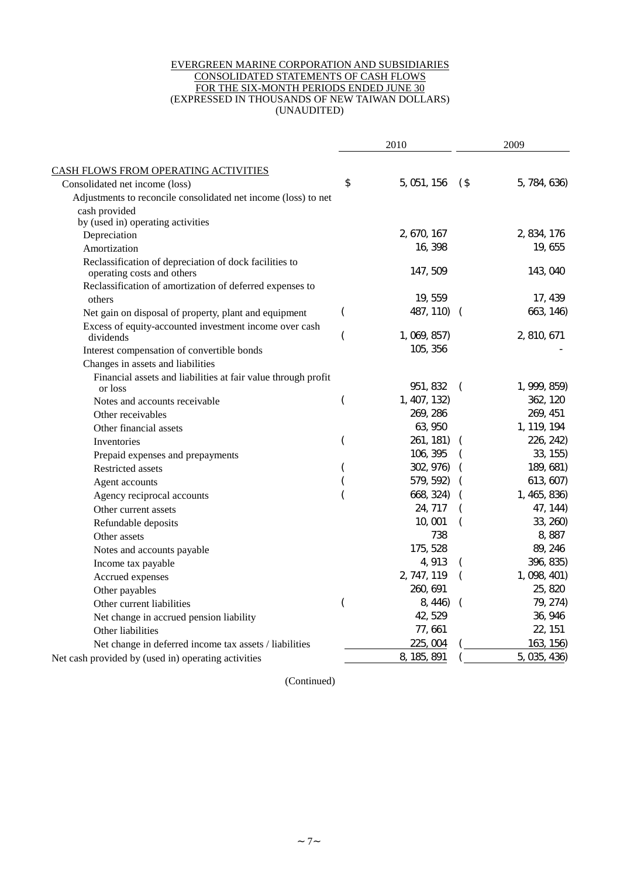#### EVERGREEN MARINE CORPORATION AND SUBSIDIARIES CONSOLIDATED STATEMENTS OF CASH FLOWS FOR THE SIX-MONTH PERIODS ENDED JUNE 30 (EXPRESSED IN THOUSANDS OF NEW TAIWAN DOLLARS) (UNAUDITED)

|                                                                                      |    | 2010         | 2009     |              |
|--------------------------------------------------------------------------------------|----|--------------|----------|--------------|
| CASH FLOWS FROM OPERATING ACTIVITIES                                                 |    |              |          |              |
| Consolidated net income (loss)                                                       | \$ | 5, 051, 156  | $($ \$   | 5, 784, 636) |
| Adjustments to reconcile consolidated net income (loss) to net                       |    |              |          |              |
| cash provided                                                                        |    |              |          |              |
| by (used in) operating activities                                                    |    |              |          |              |
| Depreciation                                                                         |    | 2, 670, 167  |          | 2, 834, 176  |
| Amortization                                                                         |    | 16, 398      |          | 19, 655      |
| Reclassification of depreciation of dock facilities to<br>operating costs and others |    | 147, 509     |          | 143, 040     |
| Reclassification of amortization of deferred expenses to                             |    |              |          |              |
| others                                                                               |    | 19, 559      |          | 17, 439      |
| Net gain on disposal of property, plant and equipment                                |    | 487, 110)    | $\left($ | 663, 146)    |
| Excess of equity-accounted investment income over cash                               |    |              |          |              |
| dividends                                                                            |    | 1, 069, 857) |          | 2, 810, 671  |
| Interest compensation of convertible bonds                                           |    | 105, 356     |          |              |
| Changes in assets and liabilities                                                    |    |              |          |              |
| Financial assets and liabilities at fair value through profit                        |    |              |          |              |
| or loss                                                                              |    | 951, 832     | $\left($ | 1, 999, 859) |
| Notes and accounts receivable.                                                       |    | 1, 407, 132) |          | 362, 120     |
| Other receivables                                                                    |    | 269, 286     |          | 269, 451     |
| Other financial assets                                                               |    | 63, 950      |          | 1, 119, 194  |
| Inventories                                                                          |    | 261, 181)    |          | 226, 242)    |
| Prepaid expenses and prepayments                                                     |    | 106, 395     |          | 33, 155)     |
| Restricted assets                                                                    |    | 302, 976)    |          | 189, 681)    |
| Agent accounts                                                                       |    | 579, 592)    |          | 613, 607)    |
| Agency reciprocal accounts                                                           |    | 668, 324)    |          | 1, 465, 836) |
| Other current assets                                                                 |    | 24, 717      |          | 47, 144)     |
| Refundable deposits                                                                  |    | 10,001       |          | 33, 260)     |
| Other assets                                                                         |    | 738          |          | 8,887        |
| Notes and accounts payable                                                           |    | 175, 528     |          | 89, 246      |
| Income tax payable                                                                   |    | 4, 913       |          | 396, 835)    |
| Accrued expenses                                                                     |    | 2, 747, 119  |          | 1, 098, 401) |
| Other payables                                                                       |    | 260, 691     |          | 25, 820      |
| Other current liabilities                                                            |    | 8, 446)      |          | 79, 274)     |
| Net change in accrued pension liability                                              |    | 42, 529      |          | 36, 946      |
| Other liabilities                                                                    |    | 77,661       |          | 22, 151      |
| Net change in deferred income tax assets / liabilities                               |    | 225,004      |          | 163, 156)    |
| Net cash provided by (used in) operating activities                                  |    | 8, 185, 891  |          | 5, 035, 436) |

(Continued)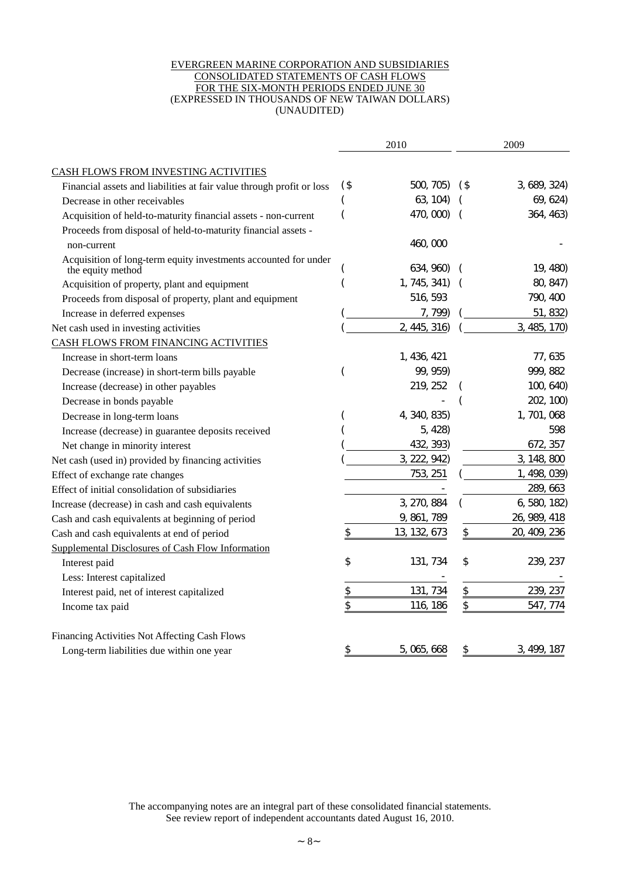#### EVERGREEN MARINE CORPORATION AND SUBSIDIARIES CONSOLIDATED STATEMENTS OF CASH FLOWS FOR THE SIX-MONTH PERIODS ENDED JUNE 30 (EXPRESSED IN THOUSANDS OF NEW TAIWAN DOLLARS) (UNAUDITED)

|                                                                                      | 2010          |                 |               | 2009         |
|--------------------------------------------------------------------------------------|---------------|-----------------|---------------|--------------|
| CASH FLOWS FROM INVESTING ACTIVITIES                                                 |               |                 |               |              |
| Financial assets and liabilities at fair value through profit or loss                | $($ \$        | 500, 705)       | $($ \$        | 3, 689, 324) |
| Decrease in other receivables                                                        |               | 63, 104)        |               | 69, 624)     |
| Acquisition of held-to-maturity financial assets - non-current                       |               | 470, 000)       |               | 364, 463)    |
| Proceeds from disposal of held-to-maturity financial assets -                        |               |                 |               |              |
| non-current                                                                          |               | 460,000         |               |              |
| Acquisition of long-term equity investments accounted for under<br>the equity method |               | 634, 960)       |               | 19, 480)     |
| Acquisition of property, plant and equipment                                         |               | 1, 745, 341)    |               | 80, 847)     |
| Proceeds from disposal of property, plant and equipment                              |               | 516, 593        |               | 790, 400     |
| Increase in deferred expenses                                                        |               | 7, 799)         |               | 51, 832)     |
| Net cash used in investing activities                                                |               | 2, 445, 316)    |               | 3, 485, 170) |
| CASH FLOWS FROM FINANCING ACTIVITIES                                                 |               |                 |               |              |
| Increase in short-term loans                                                         |               | 1, 436, 421     |               | 77, 635      |
| Decrease (increase) in short-term bills payable                                      |               | 99, 959)        |               | 999, 882     |
| Increase (decrease) in other payables                                                |               | 219, 252        |               | 100, 640     |
| Decrease in bonds payable                                                            |               |                 |               | 202, 100)    |
| Decrease in long-term loans                                                          |               | 4, 340, 835)    |               | 1, 701, 068  |
| Increase (decrease) in guarantee deposits received                                   |               | 5, 428)         |               | 598          |
| Net change in minority interest                                                      |               | 432, 393)       |               | 672, 357     |
| Net cash (used in) provided by financing activities                                  |               | 3, 222, 942)    |               | 3, 148, 800  |
| Effect of exchange rate changes                                                      |               | 753, 251        |               | 1, 498, 039) |
| Effect of initial consolidation of subsidiaries                                      |               |                 |               | 289, 663     |
| Increase (decrease) in cash and cash equivalents                                     |               | 3, 270, 884     |               | 6, 580, 182) |
| Cash and cash equivalents at beginning of period                                     |               | 9, 861, 789     |               | 26, 989, 418 |
| Cash and cash equivalents at end of period                                           | \$            | 13, 132, 673    | \$            | 20, 409, 236 |
| Supplemental Disclosures of Cash Flow Information                                    |               |                 |               |              |
| Interest paid                                                                        | \$            | 131, 734        | \$            | 239, 237     |
| Less: Interest capitalized                                                           |               |                 |               |              |
| Interest paid, net of interest capitalized                                           | $\frac{3}{2}$ | 131, 734        | $\frac{1}{2}$ | 239, 237     |
| Income tax paid                                                                      | \$            | <u>116, 186</u> | \$            | 547, 774     |
| Financing Activities Not Affecting Cash Flows                                        |               |                 |               |              |
| Long-term liabilities due within one year                                            | \$            | 5, 065, 668     | \$            | 3, 499, 187  |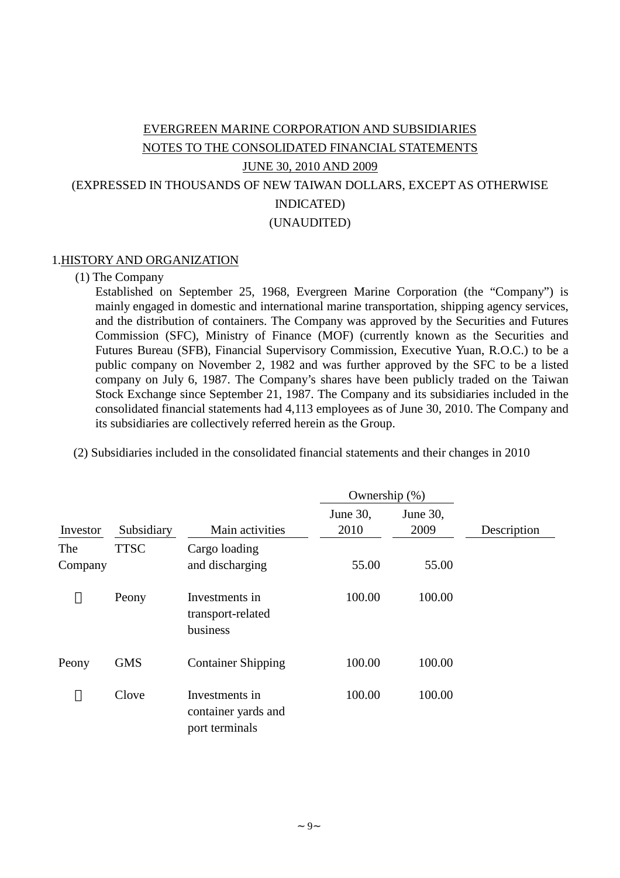# EVERGREEN MARINE CORPORATION AND SUBSIDIARIES NOTES TO THE CONSOLIDATED FINANCIAL STATEMENTS JUNE 30, 2010 AND 2009 (EXPRESSED IN THOUSANDS OF NEW TAIWAN DOLLARS, EXCEPT AS OTHERWISE INDICATED) (UNAUDITED)

#### 1.HISTORY AND ORGANIZATION

#### (1) The Company

Established on September 25, 1968, Evergreen Marine Corporation (the "Company") is mainly engaged in domestic and international marine transportation, shipping agency services, and the distribution of containers. The Company was approved by the Securities and Futures Commission (SFC), Ministry of Finance (MOF) (currently known as the Securities and Futures Bureau (SFB), Financial Supervisory Commission, Executive Yuan, R.O.C.) to be a public company on November 2, 1982 and was further approved by the SFC to be a listed company on July 6, 1987. The Company's shares have been publicly traded on the Taiwan Stock Exchange since September 21, 1987. The Company and its subsidiaries included in the consolidated financial statements had 4,113 employees as of June 30, 2010. The Company and its subsidiaries are collectively referred herein as the Group.

(2) Subsidiaries included in the consolidated financial statements and their changes in 2010

|                |             |                                                         | Ownership $(\%)$ |                  |             |
|----------------|-------------|---------------------------------------------------------|------------------|------------------|-------------|
| Investor       | Subsidiary  | Main activities                                         | June 30,<br>2010 | June 30,<br>2009 | Description |
| The<br>Company | <b>TTSC</b> | Cargo loading<br>and discharging                        | 55.00            | 55.00            |             |
|                | Peony       | Investments in<br>transport-related<br>business         | 100.00           | 100.00           |             |
| Peony          | <b>GMS</b>  | <b>Container Shipping</b>                               | 100.00           | 100.00           |             |
|                | Clove       | Investments in<br>container yards and<br>port terminals | 100.00           | 100.00           |             |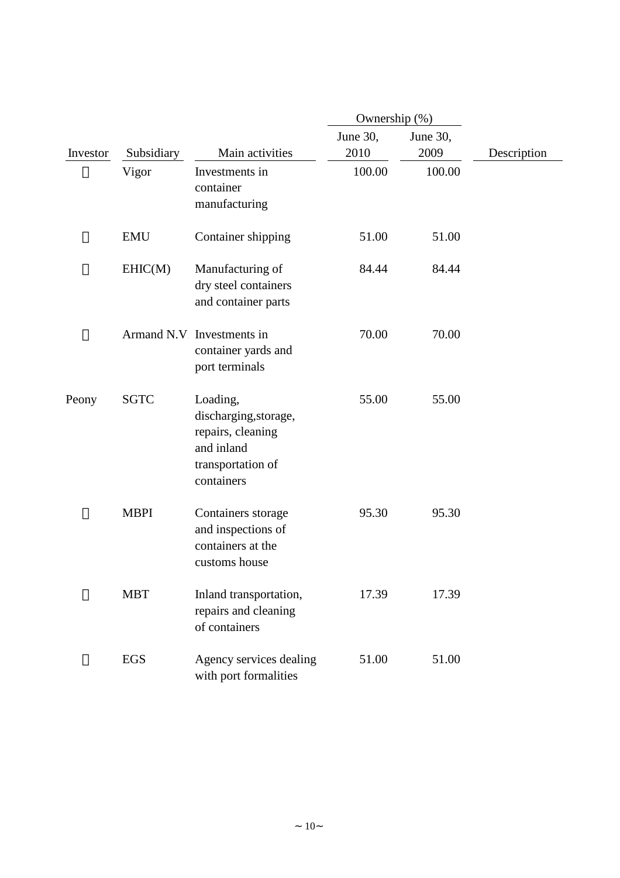|          |             | Ownership (%)                                                                                           |                  |                  |             |  |  |
|----------|-------------|---------------------------------------------------------------------------------------------------------|------------------|------------------|-------------|--|--|
| Investor | Subsidiary  | Main activities                                                                                         | June 30,<br>2010 | June 30,<br>2009 | Description |  |  |
|          | Vigor       | Investments in<br>container<br>manufacturing                                                            | 100.00           | 100.00           |             |  |  |
|          | <b>EMU</b>  | Container shipping                                                                                      | 51.00            | 51.00            |             |  |  |
|          | EHIC(M)     | Manufacturing of<br>dry steel containers<br>and container parts                                         | 84.44            | 84.44            |             |  |  |
|          |             | Armand N.V Investments in<br>container yards and<br>port terminals                                      | 70.00            | 70.00            |             |  |  |
| Peony    | <b>SGTC</b> | Loading,<br>discharging, storage,<br>repairs, cleaning<br>and inland<br>transportation of<br>containers | 55.00            | 55.00            |             |  |  |
|          | <b>MBPI</b> | Containers storage<br>and inspections of<br>containers at the<br>customs house                          | 95.30            | 95.30            |             |  |  |
|          | <b>MBT</b>  | Inland transportation,<br>repairs and cleaning<br>of containers                                         | 17.39            | 17.39            |             |  |  |
|          | EGS         | Agency services dealing<br>with port formalities                                                        | 51.00            | 51.00            |             |  |  |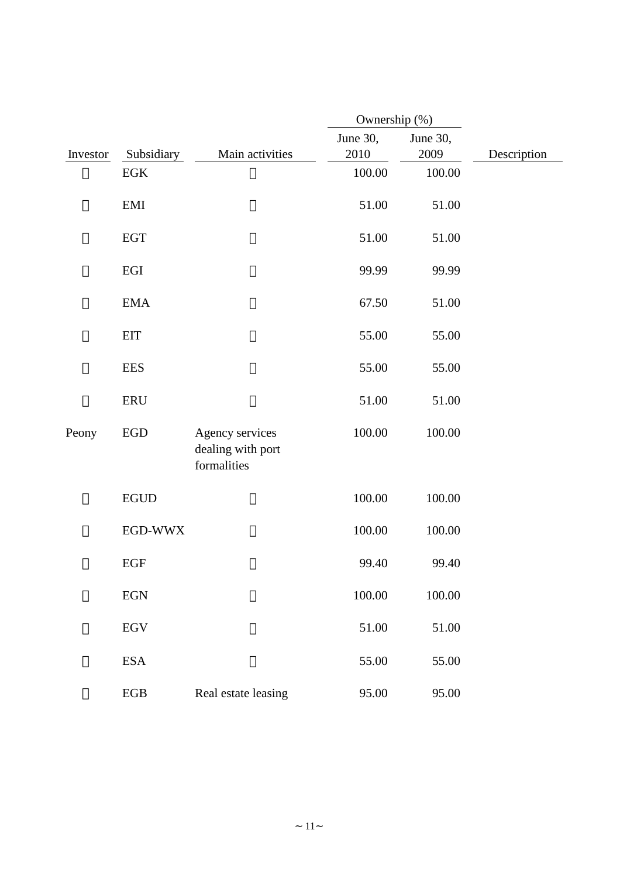|          |                             |                                                     |            | Ownership (%) |             |  |  |  |
|----------|-----------------------------|-----------------------------------------------------|------------|---------------|-------------|--|--|--|
|          |                             |                                                     | June 30,   | June 30,      |             |  |  |  |
| Investor | Subsidiary                  | Main activities                                     | 2010       | 2009          | Description |  |  |  |
|          | EGK                         |                                                     | 100.00     | 100.00        |             |  |  |  |
|          | EMI                         |                                                     | 51.00      | 51.00         |             |  |  |  |
|          | <b>EGT</b>                  |                                                     | 51.00      | 51.00         |             |  |  |  |
|          | EGI                         |                                                     | 99.99      | 99.99         |             |  |  |  |
|          | <b>EMA</b>                  |                                                     | 67.50      | 51.00         |             |  |  |  |
|          | <b>EIT</b>                  |                                                     | 55.00      | 55.00         |             |  |  |  |
|          | <b>EES</b>                  |                                                     | 55.00      | 55.00         |             |  |  |  |
|          | <b>ERU</b>                  |                                                     | 51.00      | 51.00         |             |  |  |  |
| Peony    | EGD                         | Agency services<br>dealing with port<br>formalities | 100.00     | 100.00        |             |  |  |  |
|          | <b>EGUD</b>                 |                                                     | 100.00     | 100.00        |             |  |  |  |
|          | EGD-WWX                     |                                                     | 100.00     | 100.00        |             |  |  |  |
|          | <b>EGF</b>                  |                                                     | 99.40      | 99.40         |             |  |  |  |
|          | $\ensuremath{\mathrm{EGN}}$ |                                                     | $100.00\,$ | 100.00        |             |  |  |  |
|          | $\ensuremath{\mathsf{EGV}}$ |                                                     | 51.00      | 51.00         |             |  |  |  |
|          | <b>ESA</b>                  |                                                     | 55.00      | 55.00         |             |  |  |  |
|          | ${\rm EGB}$                 | Real estate leasing                                 | 95.00      | 95.00         |             |  |  |  |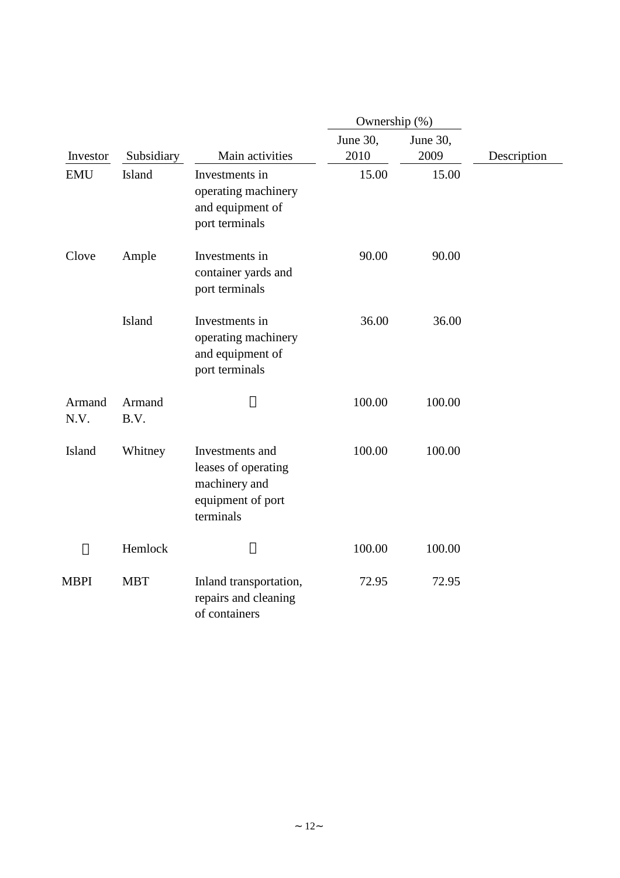|                |                |                                                                                           | Ownership (%)    |                  |             |
|----------------|----------------|-------------------------------------------------------------------------------------------|------------------|------------------|-------------|
| Investor       | Subsidiary     | Main activities                                                                           | June 30,<br>2010 | June 30,<br>2009 | Description |
| <b>EMU</b>     | <b>Island</b>  | Investments in<br>operating machinery<br>and equipment of<br>port terminals               | 15.00            | 15.00            |             |
| Clove          | Ample          | Investments in<br>container yards and<br>port terminals                                   | 90.00            | 90.00            |             |
|                | <b>Island</b>  | Investments in<br>operating machinery<br>and equipment of<br>port terminals               | 36.00            | 36.00            |             |
| Armand<br>N.V. | Armand<br>B.V. |                                                                                           | 100.00           | 100.00           |             |
| Island         | Whitney        | Investments and<br>leases of operating<br>machinery and<br>equipment of port<br>terminals | 100.00           | 100.00           |             |
|                | Hemlock        |                                                                                           | 100.00           | 100.00           |             |
| MBPI           | <b>MBT</b>     | Inland transportation,<br>repairs and cleaning<br>of containers                           | 72.95            | 72.95            |             |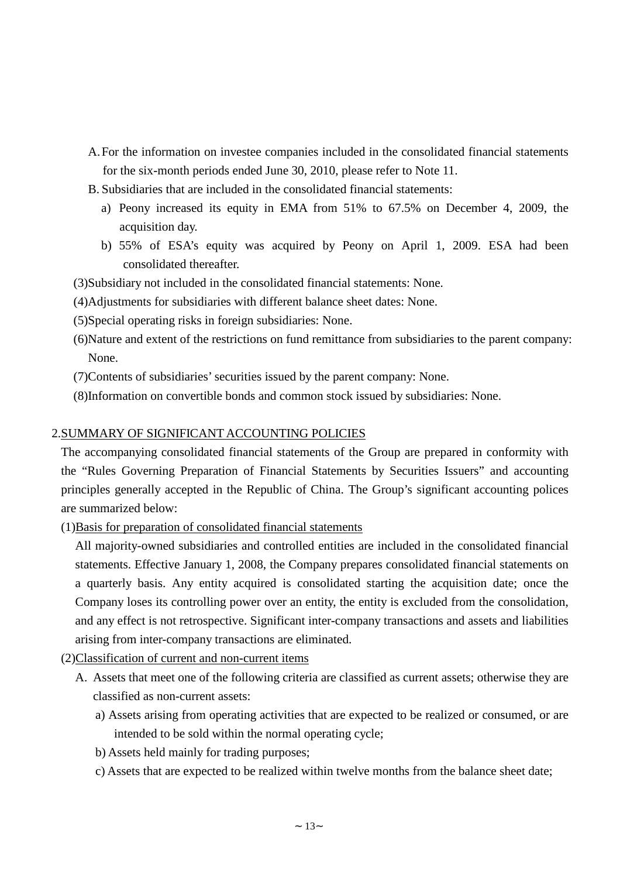- A.For the information on investee companies included in the consolidated financial statements for the six-month periods ended June 30, 2010, please refer to Note 11.
- B. Subsidiaries that are included in the consolidated financial statements:
	- a) Peony increased its equity in EMA from 51% to 67.5% on December 4, 2009, the acquisition day.
	- b) 55% of ESA's equity was acquired by Peony on April 1, 2009. ESA had been consolidated thereafter.
- (3)Subsidiary not included in the consolidated financial statements: None.
- (4)Adjustments for subsidiaries with different balance sheet dates: None.
- (5)Special operating risks in foreign subsidiaries: None.
- (6)Nature and extent of the restrictions on fund remittance from subsidiaries to the parent company: None.
- (7)Contents of subsidiaries'securities issued by the parent company: None.
- (8)Information on convertible bonds and common stock issued by subsidiaries: None.

#### 2.SUMMARY OF SIGNIFICANT ACCOUNTING POLICIES

The accompanying consolidated financial statements of the Group are prepared in conformity with the "Rules Governing Preparation of Financial Statements by Securities Issuers" and accounting principles generally accepted in the Republic of China. The Group's significant accounting polices are summarized below:

(1)Basis for preparation of consolidated financial statements

All majority-owned subsidiaries and controlled entities are included in the consolidated financial statements. Effective January 1, 2008, the Company prepares consolidated financial statements on a quarterly basis. Any entity acquired is consolidated starting the acquisition date; once the Company loses its controlling power over an entity, the entity is excluded from the consolidation, and any effect is not retrospective. Significant inter-company transactions and assets and liabilities arising from inter-company transactions are eliminated.

(2)Classification of current and non-current items

- A. Assets that meet one of the following criteria are classified as current assets; otherwise they are classified as non-current assets:
	- a) Assets arising from operating activities that are expected to be realized or consumed, or are intended to be sold within the normal operating cycle;
	- b) Assets held mainly for trading purposes;
	- c) Assets that are expected to be realized within twelve months from the balance sheet date;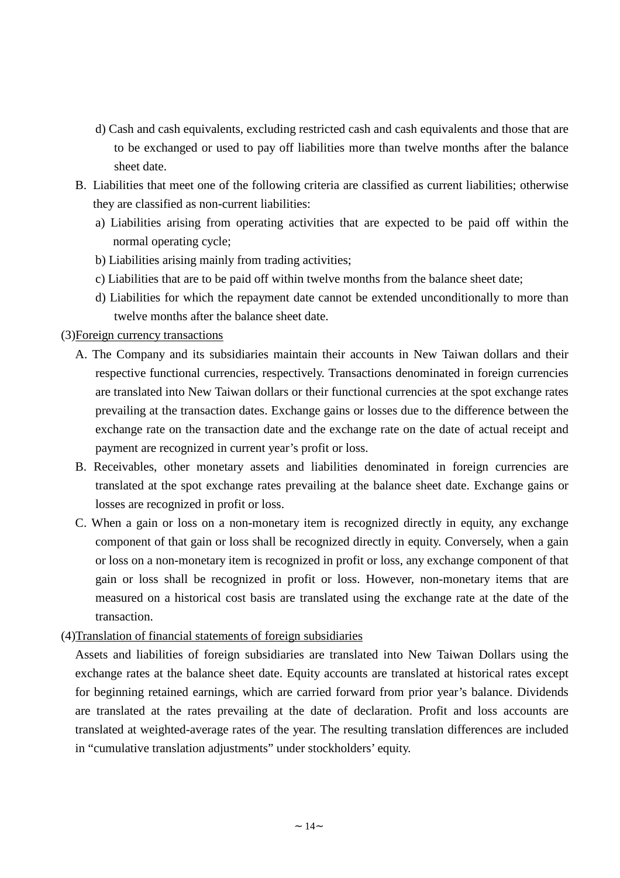- d) Cash and cash equivalents, excluding restricted cash and cash equivalents and those that are to be exchanged or used to pay off liabilities more than twelve months after the balance sheet date.
- B. Liabilities that meet one of the following criteria are classified as current liabilities; otherwise they are classified as non-current liabilities:
	- a) Liabilities arising from operating activities that are expected to be paid off within the normal operating cycle;
	- b) Liabilities arising mainly from trading activities;
	- c) Liabilities that are to be paid off within twelve months from the balance sheet date;
	- d) Liabilities for which the repayment date cannot be extended unconditionally to more than twelve months after the balance sheet date.

## (3)Foreign currency transactions

- A. The Company and its subsidiaries maintain their accounts in New Taiwan dollars and their respective functional currencies, respectively. Transactions denominated in foreign currencies are translated into New Taiwan dollars or their functional currencies at the spot exchange rates prevailing at the transaction dates. Exchange gains or losses due to the difference between the exchange rate on the transaction date and the exchange rate on the date of actual receipt and payment are recognized in current year's profit or loss.
- B. Receivables, other monetary assets and liabilities denominated in foreign currencies are translated at the spot exchange rates prevailing at the balance sheet date. Exchange gains or losses are recognized in profit or loss.
- C. When a gain or loss on a non-monetary item is recognized directly in equity, any exchange component of that gain or loss shall be recognized directly in equity. Conversely, when a gain or loss on a non-monetary item is recognized in profit or loss, any exchange component of that gain or loss shall be recognized in profit or loss. However, non-monetary items that are measured on a historical cost basis are translated using the exchange rate at the date of the transaction.

## (4)Translation of financial statements of foreign subsidiaries

Assets and liabilities of foreign subsidiaries are translated into New Taiwan Dollars using the exchange rates at the balance sheet date. Equity accounts are translated at historical rates except for beginning retained earnings, which are carried forward from prior year's balance. Dividends are translated at the rates prevailing at the date of declaration. Profit and loss accounts are translated at weighted-average rates of the year. The resulting translation differences are included in "cumulative translation adjustments" under stockholders'equity.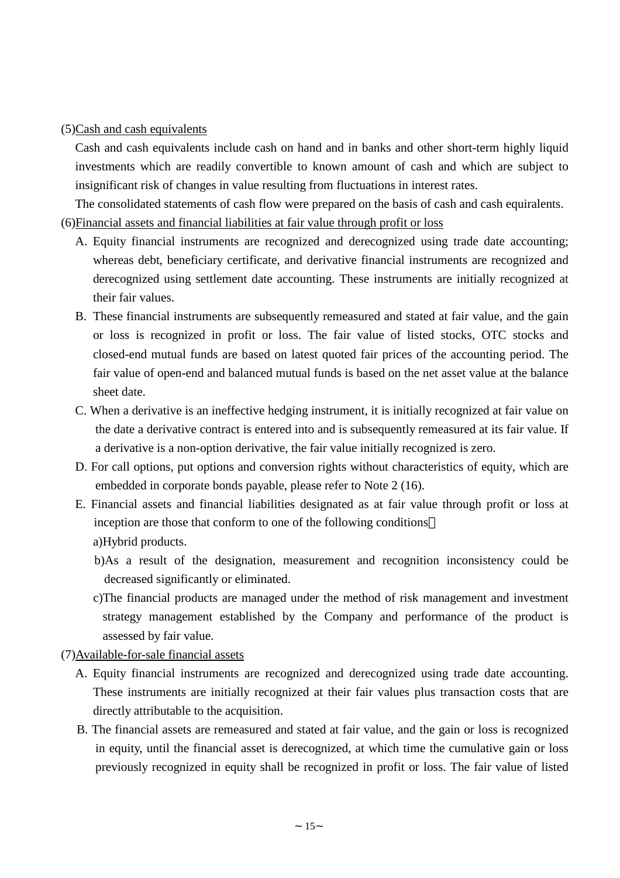(5)Cash and cash equivalents

Cash and cash equivalents include cash on hand and in banks and other short-term highly liquid investments which are readily convertible to known amount of cash and which are subject to insignificant risk of changes in value resulting from fluctuations in interest rates.

The consolidated statements of cash flow were prepared on the basis of cash and cash equiralents. (6)Financial assets and financial liabilities at fair value through profit or loss

- A. Equity financial instruments are recognized and derecognized using trade date accounting; whereas debt, beneficiary certificate, and derivative financial instruments are recognized and derecognized using settlement date accounting. These instruments are initially recognized at their fair values.
- B. These financial instruments are subsequently remeasured and stated at fair value, and the gain or loss is recognized in profit or loss. The fair value of listed stocks, OTC stocks and closed-end mutual funds are based on latest quoted fair prices of the accounting period. The fair value of open-end and balanced mutual funds is based on the net asset value at the balance sheet date.
- C. When a derivative is an ineffective hedging instrument, it is initially recognized at fair value on the date a derivative contract is entered into and is subsequently remeasured at its fair value. If a derivative is a non-option derivative, the fair value initially recognized is zero.
- D. For call options, put options and conversion rights without characteristics of equity, which are embedded in corporate bonds payable, please refer to Note 2 (16).
- E. Financial assets and financial liabilities designated as at fair value through profit or loss at inception are those that conform to one of the following conditions a)Hybrid products.
	- b)As a result of the designation, measurement and recognition inconsistency could be decreased significantly or eliminated.
	- c)The financial products are managed under the method of risk management and investment strategy management established by the Company and performance of the product is assessed by fair value.
- (7)Available-for-sale financial assets
	- A. Equity financial instruments are recognized and derecognized using trade date accounting. These instruments are initially recognized at their fair values plus transaction costs that are directly attributable to the acquisition.
	- B. The financial assets are remeasured and stated at fair value, and the gain or loss is recognized in equity, until the financial asset is derecognized, at which time the cumulative gain or loss previously recognized in equity shall be recognized in profit or loss. The fair value of listed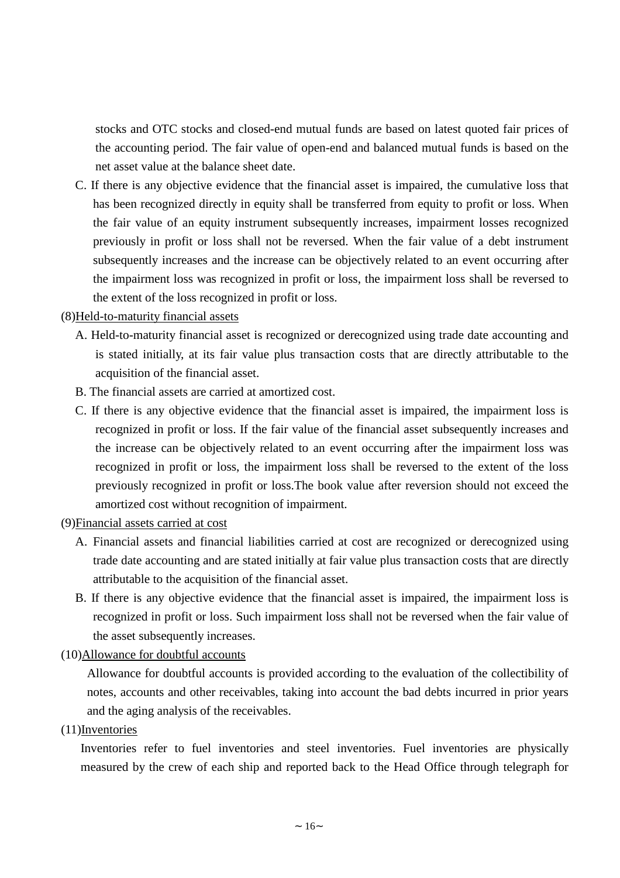stocks and OTC stocks and closed-end mutual funds are based on latest quoted fair prices of the accounting period. The fair value of open-end and balanced mutual funds is based on the net asset value at the balance sheet date.

C. If there is any objective evidence that the financial asset is impaired, the cumulative loss that has been recognized directly in equity shall be transferred from equity to profit or loss. When the fair value of an equity instrument subsequently increases, impairment losses recognized previously in profit or loss shall not be reversed. When the fair value of a debt instrument subsequently increases and the increase can be objectively related to an event occurring after the impairment loss was recognized in profit or loss, the impairment loss shall be reversed to the extent of the loss recognized in profit or loss.

## (8)Held-to-maturity financial assets

- A. Held-to-maturity financial asset is recognized or derecognized using trade date accounting and is stated initially, at its fair value plus transaction costs that are directly attributable to the acquisition of the financial asset.
- B. The financial assets are carried at amortized cost.
- C. If there is any objective evidence that the financial asset is impaired, the impairment loss is recognized in profit or loss. If the fair value of the financial asset subsequently increases and the increase can be objectively related to an event occurring after the impairment loss was recognized in profit or loss, the impairment loss shall be reversed to the extent of the loss previously recognized in profit or loss.The book value after reversion should not exceed the amortized cost without recognition of impairment.
- (9)Financial assets carried at cost
	- A. Financial assets and financial liabilities carried at cost are recognized or derecognized using trade date accounting and are stated initially at fair value plus transaction costs that are directly attributable to the acquisition of the financial asset.
	- B. If there is any objective evidence that the financial asset is impaired, the impairment loss is recognized in profit or loss. Such impairment loss shall not be reversed when the fair value of the asset subsequently increases.

#### (10)Allowance for doubtful accounts

Allowance for doubtful accounts is provided according to the evaluation of the collectibility of notes, accounts and other receivables, taking into account the bad debts incurred in prior years and the aging analysis of the receivables.

(11)Inventories

Inventories refer to fuel inventories and steel inventories. Fuel inventories are physically measured by the crew of each ship and reported back to the Head Office through telegraph for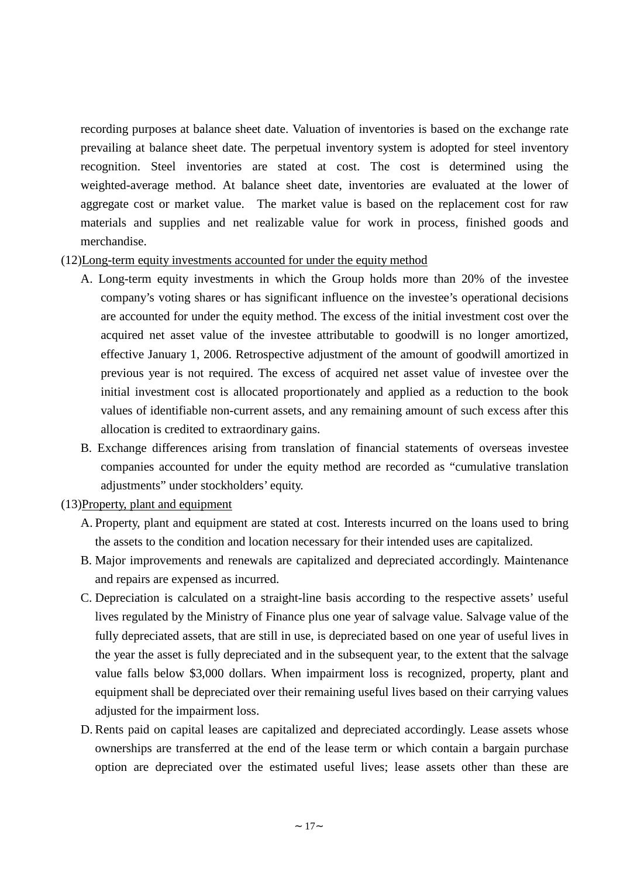recording purposes at balance sheet date. Valuation of inventories is based on the exchange rate prevailing at balance sheet date. The perpetual inventory system is adopted for steel inventory recognition. Steel inventories are stated at cost. The cost is determined using the weighted-average method. At balance sheet date, inventories are evaluated at the lower of aggregate cost or market value. The market value is based on the replacement cost for raw materials and supplies and net realizable value for work in process, finished goods and merchandise.

#### (12)Long-term equity investments accounted for under the equity method

- A. Long-term equity investments in which the Group holds more than 20% of the investee company's voting shares or has significant influence on the investee's operational decisions are accounted for under the equity method. The excess of the initial investment cost over the acquired net asset value of the investee attributable to goodwill is no longer amortized, effective January 1, 2006. Retrospective adjustment of the amount of goodwill amortized in previous year is not required. The excess of acquired net asset value of investee over the initial investment cost is allocated proportionately and applied as a reduction to the book values of identifiable non-current assets, and any remaining amount of such excess after this allocation is credited to extraordinary gains.
- B. Exchange differences arising from translation of financial statements of overseas investee companies accounted for under the equity method are recorded as "cumulative translation adjustments" under stockholders' equity.

#### (13)Property, plant and equipment

- A. Property, plant and equipment are stated at cost. Interests incurred on the loans used to bring the assets to the condition and location necessary for their intended uses are capitalized.
- B. Major improvements and renewals are capitalized and depreciated accordingly. Maintenance and repairs are expensed as incurred.
- C. Depreciation is calculated on a straight-line basis according to the respective assets' useful lives regulated by the Ministry of Finance plus one year of salvage value. Salvage value of the fully depreciated assets, that are still in use, is depreciated based on one year of useful lives in the year the asset is fully depreciated and in the subsequent year, to the extent that the salvage value falls below \$3,000 dollars. When impairment loss is recognized, property, plant and equipment shall be depreciated over their remaining useful lives based on their carrying values adjusted for the impairment loss.
- D. Rents paid on capital leases are capitalized and depreciated accordingly. Lease assets whose ownerships are transferred at the end of the lease term or which contain a bargain purchase option are depreciated over the estimated useful lives; lease assets other than these are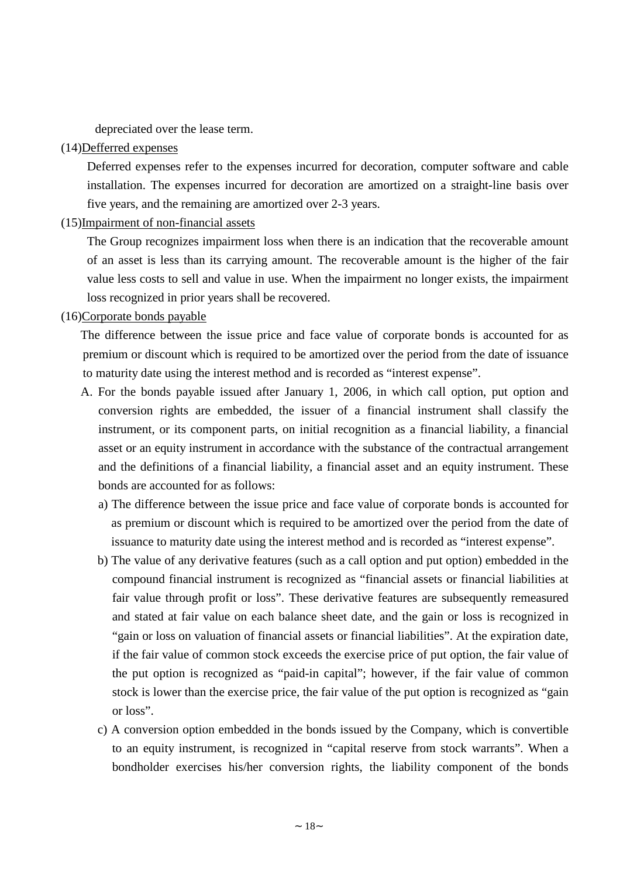depreciated over the lease term.

## (14)Defferred expenses

Deferred expenses refer to the expenses incurred for decoration, computer software and cable installation. The expenses incurred for decoration are amortized on a straight-line basis over five years, and the remaining are amortized over 2-3 years.

#### (15)Impairment of non-financial assets

The Group recognizes impairment loss when there is an indication that the recoverable amount of an asset is less than its carrying amount. The recoverable amount is the higher of the fair value less costs to sell and value in use. When the impairment no longer exists, the impairment loss recognized in prior years shall be recovered.

#### (16)Corporate bonds payable

The difference between the issue price and face value of corporate bonds is accounted for as premium or discount which is required to be amortized over the period from the date of issuance to maturity date using the interest method and is recorded as "interest expense".

- A. For the bonds payable issued after January 1, 2006, in which call option, put option and conversion rights are embedded, the issuer of a financial instrument shall classify the instrument, or its component parts, on initial recognition as a financial liability, a financial asset or an equity instrument in accordance with the substance of the contractual arrangement and the definitions of a financial liability, a financial asset and an equity instrument. These bonds are accounted for as follows:
	- a) The difference between the issue price and face value of corporate bonds is accounted for as premium or discount which is required to be amortized over the period from the date of issuance to maturity date using the interest method and is recorded as "interest expense".
	- b) The value of any derivative features (such as a call option and put option) embedded in the compound financial instrument is recognized as "financial assets or financial liabilities at fair value through profit or loss". These derivative features are subsequently remeasured and stated at fair value on each balance sheet date, and the gain or loss is recognized in "gain or loss on valuation of financial assets or financial liabilities". At the expiration date, if the fair value of common stock exceeds the exercise price of put option, the fair value of the put option is recognized as "paid-in capital"; however, if the fair value of common stock is lower than the exercise price, the fair value of the put option is recognized as "gain or loss".
	- c) A conversion option embedded in the bonds issued by the Company, which is convertible to an equity instrument, is recognized in "capital reserve from stock warrants". When a bondholder exercises his/her conversion rights, the liability component of the bonds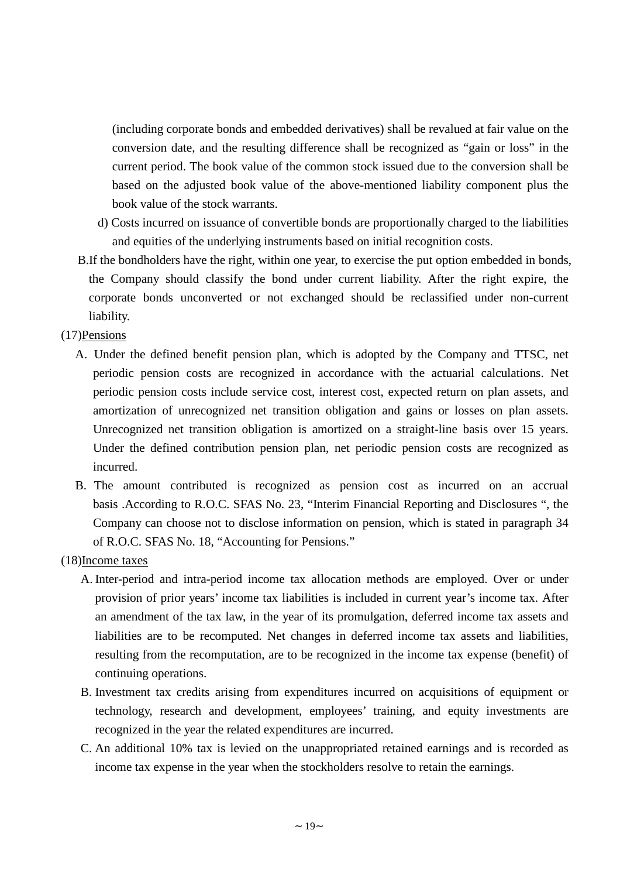(including corporate bonds and embedded derivatives) shall be revalued at fair value on the conversion date, and the resulting difference shall be recognized as "gain or loss" in the current period. The book value of the common stock issued due to the conversion shall be based on the adjusted book value of the above-mentioned liability component plus the book value of the stock warrants.

- d) Costs incurred on issuance of convertible bonds are proportionally charged to the liabilities and equities of the underlying instruments based on initial recognition costs.
- B.If the bondholders have the right, within one year, to exercise the put option embedded in bonds, the Company should classify the bond under current liability. After the right expire, the corporate bonds unconverted or not exchanged should be reclassified under non-current liability.
- (17)Pensions
	- A. Under the defined benefit pension plan, which is adopted by the Company and TTSC, net periodic pension costs are recognized in accordance with the actuarial calculations. Net periodic pension costs include service cost, interest cost, expected return on plan assets, and amortization of unrecognized net transition obligation and gains or losses on plan assets. Unrecognized net transition obligation is amortized on a straight-line basis over 15 years. Under the defined contribution pension plan, net periodic pension costs are recognized as incurred.
	- B. The amount contributed is recognized as pension cost as incurred on an accrual basis .According to R.O.C. SFAS No. 23, "Interim Financial Reporting and Disclosures ", the Company can choose not to disclose information on pension, which is stated in paragraph 34 of R.O.C. SFAS No. 18, "Accounting for Pensions."
- (18)Income taxes
	- A. Inter-period and intra-period income tax allocation methods are employed. Over or under provision of prior years'income tax liabilities is included in current year's income tax. After an amendment of the tax law, in the year of its promulgation, deferred income tax assets and liabilities are to be recomputed. Net changes in deferred income tax assets and liabilities, resulting from the recomputation, are to be recognized in the income tax expense (benefit) of continuing operations.
	- B. Investment tax credits arising from expenditures incurred on acquisitions of equipment or technology, research and development, employees' training, and equity investments are recognized in the year the related expenditures are incurred.
	- C. An additional 10% tax is levied on the unappropriated retained earnings and is recorded as income tax expense in the year when the stockholders resolve to retain the earnings.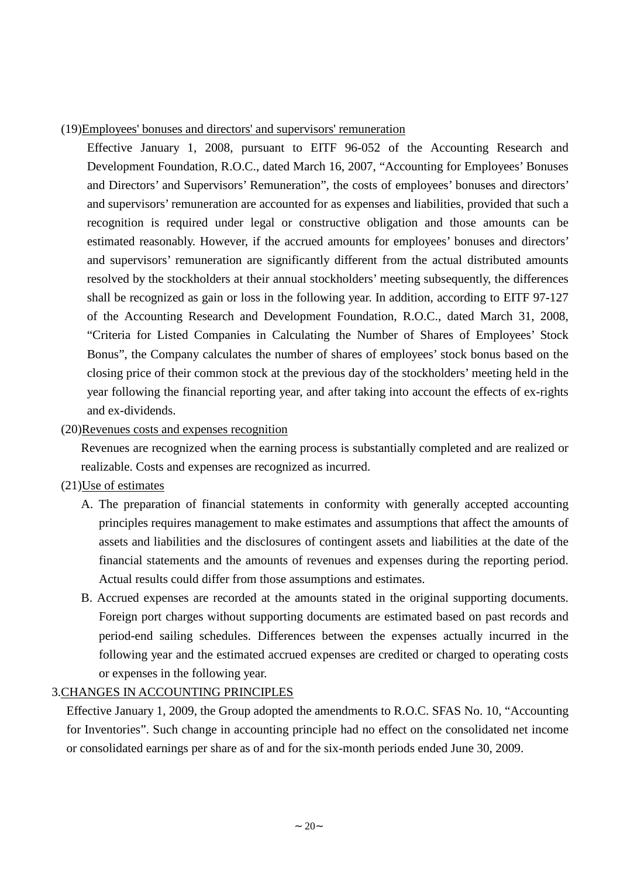#### (19)Employees' bonuses and directors' and supervisors' remuneration

Effective January 1, 2008, pursuant to EITF 96-052 of the Accounting Research and Development Foundation, R.O.C., dated March 16, 2007, "Accounting for Employees'Bonuses and Directors'and Supervisors'Remuneration", the costs of employees'bonuses and directors' and supervisors'remuneration are accounted for as expenses and liabilities, provided that such a recognition is required under legal or constructive obligation and those amounts can be estimated reasonably. However, if the accrued amounts for employees'bonuses and directors' and supervisors' remuneration are significantly different from the actual distributed amounts resolved by the stockholders at their annual stockholders'meeting subsequently, the differences shall be recognized as gain or loss in the following year. In addition, according to EITF 97-127 of the Accounting Research and Development Foundation, R.O.C., dated March 31, 2008, "Criteria for Listed Companies in Calculating the Number of Shares of Employees' Stock Bonus", the Company calculates the number of shares of employees' stock bonus based on the closing price of their common stock at the previous day of the stockholders'meeting held in the year following the financial reporting year, and after taking into account the effects of ex-rights and ex-dividends.

## (20)Revenues costs and expenses recognition

Revenues are recognized when the earning process is substantially completed and are realized or realizable. Costs and expenses are recognized as incurred.

## (21)Use of estimates

- A. The preparation of financial statements in conformity with generally accepted accounting principles requires management to make estimates and assumptions that affect the amounts of assets and liabilities and the disclosures of contingent assets and liabilities at the date of the financial statements and the amounts of revenues and expenses during the reporting period. Actual results could differ from those assumptions and estimates.
- B. Accrued expenses are recorded at the amounts stated in the original supporting documents. Foreign port charges without supporting documents are estimated based on past records and period-end sailing schedules. Differences between the expenses actually incurred in the following year and the estimated accrued expenses are credited or charged to operating costs or expenses in the following year.

## 3.CHANGES IN ACCOUNTING PRINCIPLES

Effective January 1, 2009, the Group adopted the amendments to R.O.C. SFAS No. 10, "Accounting for Inventories". Such change in accounting principle had no effect on the consolidated net income or consolidated earnings per share as of and for the six-month periods ended June 30, 2009.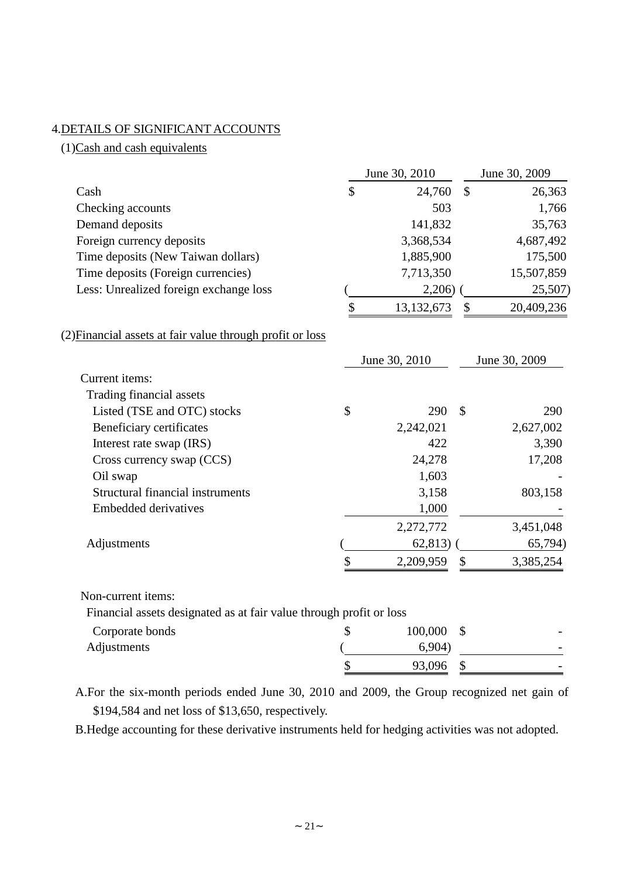# 4.DETAILS OF SIGNIFICANT ACCOUNTS

(1)Cash and cash equivalents

|                                                                     | June 30, 2010 |               | June 30, 2009 |               |
|---------------------------------------------------------------------|---------------|---------------|---------------|---------------|
| Cash                                                                | \$            | 24,760        | $\mathbb{S}$  | 26,363        |
| Checking accounts                                                   |               | 503           |               | 1,766         |
| Demand deposits                                                     |               | 141,832       |               | 35,763        |
| Foreign currency deposits                                           |               | 3,368,534     |               | 4,687,492     |
| Time deposits (New Taiwan dollars)                                  |               | 1,885,900     |               | 175,500       |
| Time deposits (Foreign currencies)                                  |               | 7,713,350     |               | 15,507,859    |
| Less: Unrealized foreign exchange loss                              |               | 2,206)        |               | 25,507)       |
|                                                                     | \$            | 13,132,673    | \$            | 20,409,236    |
| (2) Financial assets at fair value through profit or loss           |               |               |               |               |
|                                                                     |               | June 30, 2010 |               | June 30, 2009 |
| Current items:                                                      |               |               |               |               |
| Trading financial assets                                            |               |               |               |               |
| Listed (TSE and OTC) stocks                                         | \$            | 290           | $\mathcal{S}$ | 290           |
| Beneficiary certificates                                            |               | 2,242,021     |               | 2,627,002     |
| Interest rate swap (IRS)                                            |               | 422           |               | 3,390         |
| Cross currency swap (CCS)                                           |               | 24,278        |               | 17,208        |
| Oil swap                                                            |               | 1,603         |               |               |
| <b>Structural financial instruments</b>                             |               | 3,158         |               | 803,158       |
| <b>Embedded derivatives</b>                                         |               | 1,000         |               |               |
|                                                                     |               | 2,272,772     |               | 3,451,048     |
| Adjustments                                                         |               | 62,813)       |               | 65,794)       |
|                                                                     | \$            | 2,209,959     | \$            | 3,385,254     |
| Non-current items:                                                  |               |               |               |               |
| Financial assets designated as at fair value through profit or loss |               |               |               |               |
| Corporate bonds                                                     | \$            | 100,000       | \$            |               |
| Adjustments                                                         |               | 6,904)        |               |               |
|                                                                     | \$            | 93,096        | \$            |               |

A.For the six-month periods ended June 30, 2010 and 2009, the Group recognized net gain of \$194,584 and net loss of \$13,650, respectively.

B.Hedge accounting for these derivative instruments held for hedging activities was not adopted.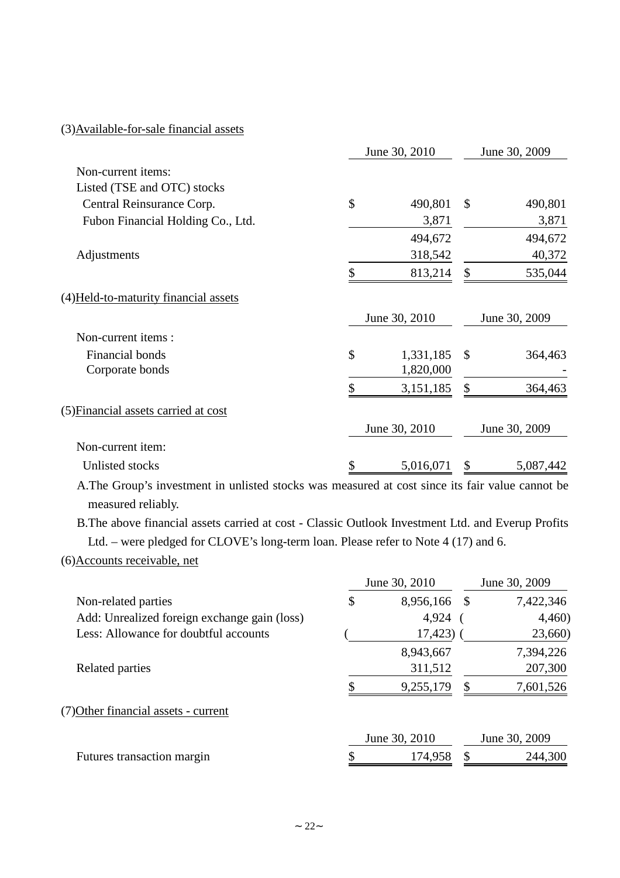# (3)Available-for-sale financial assets

|                                       | June 30, 2010 |               |               | June 30, 2009 |
|---------------------------------------|---------------|---------------|---------------|---------------|
| Non-current items:                    |               |               |               |               |
| Listed (TSE and OTC) stocks           |               |               |               |               |
| Central Reinsurance Corp.             | \$            | 490,801       | \$            | 490,801       |
| Fubon Financial Holding Co., Ltd.     |               | 3,871         |               | 3,871         |
|                                       |               | 494,672       |               | 494,672       |
| Adjustments                           |               | 318,542       |               | 40,372        |
|                                       | \$            | 813,214       | \$            | 535,044       |
| (4) Held-to-maturity financial assets |               |               |               |               |
|                                       |               | June 30, 2010 |               | June 30, 2009 |
| Non-current items:                    |               |               |               |               |
| Financial bonds                       | \$            | 1,331,185     | $\mathcal{S}$ | 364,463       |
| Corporate bonds                       |               | 1,820,000     |               |               |
|                                       | \$            | 3,151,185     | \$            | 364,463       |
| (5) Financial assets carried at cost  |               |               |               |               |
|                                       |               | June 30, 2010 |               | June 30, 2009 |
| Non-current item:                     |               |               |               |               |
| Unlisted stocks                       | \$            | 5,016,071     | \$            | 5,087,442     |

A.The Group's investment in unlisted stocks was measured at cost since its fair value cannot be measured reliably.

B.The above financial assets carried at cost - Classic Outlook Investment Ltd. and Everup Profits Ltd. – were pledged for CLOVE's long-term loan. Please refer to Note 4 (17) and 6.

## (6)Accounts receivable, net

|                                              | June 30, 2010 |               | June 30, 2009 |               |  |
|----------------------------------------------|---------------|---------------|---------------|---------------|--|
| Non-related parties                          | \$            | 8,956,166     | - \$          | 7,422,346     |  |
| Add: Unrealized foreign exchange gain (loss) |               | 4,924         |               | 4,460         |  |
| Less: Allowance for doubtful accounts        |               | 17,423)       |               | 23,660)       |  |
|                                              |               | 8,943,667     |               | 7,394,226     |  |
| Related parties                              |               | 311,512       |               | 207,300       |  |
|                                              |               | 9,255,179     | S             | 7,601,526     |  |
| (7) Other financial assets - current         |               |               |               |               |  |
|                                              |               | June 30, 2010 |               | June 30, 2009 |  |
| Futures transaction margin                   |               | 174,958       |               | 244,300       |  |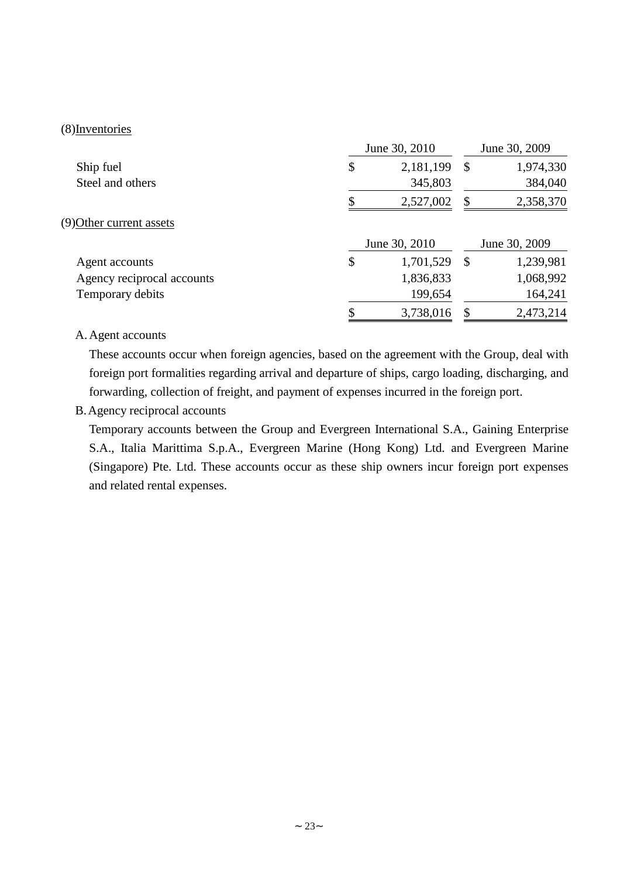#### (8)Inventories

|                            | June 30, 2010   |    |               |
|----------------------------|-----------------|----|---------------|
| Ship fuel                  | \$<br>2,181,199 | \$ | 1,974,330     |
| Steel and others           | 345,803         |    | 384,040       |
|                            | 2,527,002       | \$ | 2,358,370     |
| (9) Other current assets   |                 |    |               |
|                            | June 30, 2010   |    | June 30, 2009 |
| Agent accounts             | \$<br>1,701,529 | \$ | 1,239,981     |
| Agency reciprocal accounts | 1,836,833       |    | 1,068,992     |
| Temporary debits           | 199,654         |    | 164,241       |
|                            | 3,738,016       | \$ | 2,473,214     |

## A.Agent accounts

These accounts occur when foreign agencies, based on the agreement with the Group, deal with foreign port formalities regarding arrival and departure of ships, cargo loading, discharging, and forwarding, collection of freight, and payment of expenses incurred in the foreign port.

# B.Agency reciprocal accounts

Temporary accounts between the Group and Evergreen International S.A., Gaining Enterprise S.A., Italia Marittima S.p.A., Evergreen Marine (Hong Kong) Ltd. and Evergreen Marine (Singapore) Pte. Ltd. These accounts occur as these ship owners incur foreign port expenses and related rental expenses.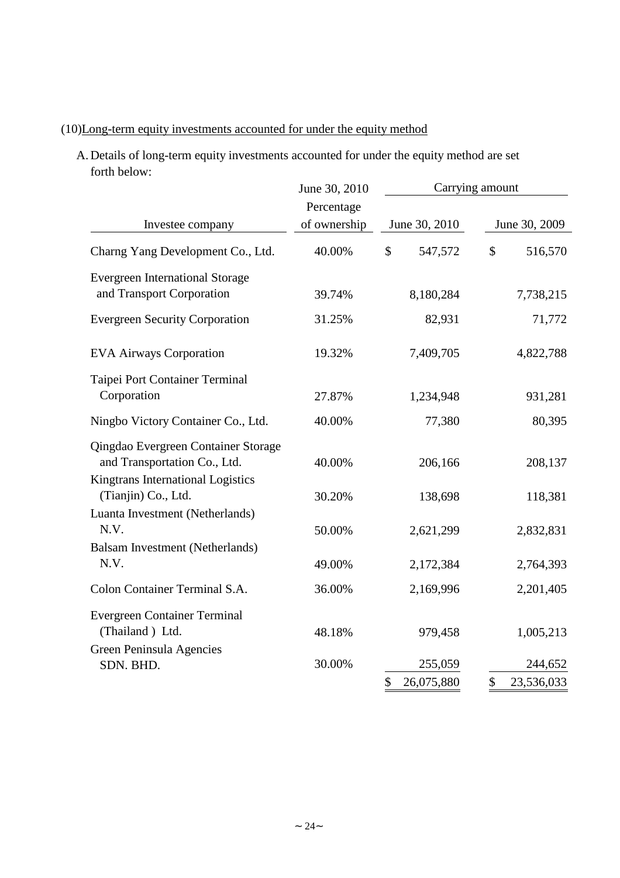# (10)Long-term equity investments accounted for under the equity method

A. Details of long-term equity investments accounted for under the equity method are setforth below:

|                                                                     | June 30, 2010 | Carrying amount  |                         |  |
|---------------------------------------------------------------------|---------------|------------------|-------------------------|--|
|                                                                     | Percentage    |                  |                         |  |
| Investee company                                                    | of ownership  | June 30, 2010    | June 30, 2009           |  |
| Charng Yang Development Co., Ltd.                                   | 40.00%        | \$<br>547,572    | $\mathbb{S}$<br>516,570 |  |
| <b>Evergreen International Storage</b><br>and Transport Corporation | 39.74%        | 8,180,284        | 7,738,215               |  |
|                                                                     | 31.25%        | 82,931           | 71,772                  |  |
| <b>Evergreen Security Corporation</b>                               |               |                  |                         |  |
| <b>EVA Airways Corporation</b>                                      | 19.32%        | 7,409,705        | 4,822,788               |  |
| Taipei Port Container Terminal                                      |               |                  |                         |  |
| Corporation                                                         | 27.87%        | 1,234,948        | 931,281                 |  |
| Ningbo Victory Container Co., Ltd.                                  | 40.00%        | 77,380           | 80,395                  |  |
| Qingdao Evergreen Container Storage<br>and Transportation Co., Ltd. | 40.00%        | 206,166          | 208,137                 |  |
| Kingtrans International Logistics<br>(Tianjin) Co., Ltd.            | 30.20%        | 138,698          | 118,381                 |  |
| Luanta Investment (Netherlands)                                     |               |                  |                         |  |
| N.V.                                                                | 50.00%        | 2,621,299        | 2,832,831               |  |
| Balsam Investment (Netherlands)<br>N.V.                             | 49.00%        | 2,172,384        | 2,764,393               |  |
| Colon Container Terminal S.A.                                       | 36.00%        | 2,169,996        | 2,201,405               |  |
| <b>Evergreen Container Terminal</b>                                 |               |                  |                         |  |
| (Thailand) Ltd.                                                     | 48.18%        | 979,458          | 1,005,213               |  |
| Green Peninsula Agencies<br>SDN. BHD.                               | 30.00%        | 255,059          | 244,652                 |  |
|                                                                     |               | \$<br>26,075,880 | \$<br>23,536,033        |  |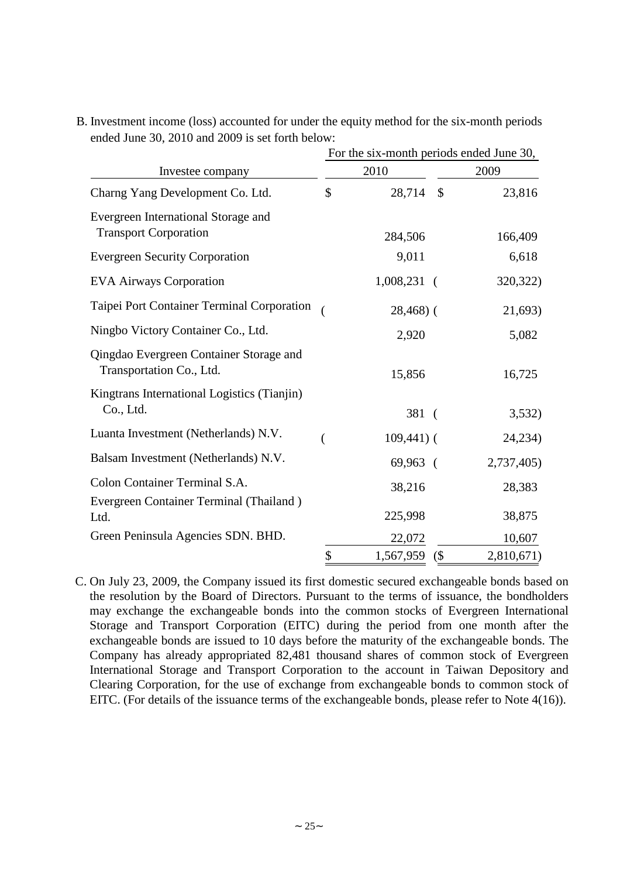|                                                                     | For the six-month periods ended June 30, |                         |            |  |  |  |  |
|---------------------------------------------------------------------|------------------------------------------|-------------------------|------------|--|--|--|--|
| Investee company                                                    |                                          | 2010                    | 2009       |  |  |  |  |
| Charng Yang Development Co. Ltd.                                    | \$                                       | $\mathcal{S}$<br>28,714 | 23,816     |  |  |  |  |
| Evergreen International Storage and<br><b>Transport Corporation</b> |                                          | 284,506                 | 166,409    |  |  |  |  |
| <b>Evergreen Security Corporation</b>                               |                                          | 9,011                   | 6,618      |  |  |  |  |
| <b>EVA Airways Corporation</b>                                      |                                          | $1,008,231$ (           | 320,322)   |  |  |  |  |
| Taipei Port Container Terminal Corporation                          |                                          | $28,468$ ) (            | 21,693)    |  |  |  |  |
| Ningbo Victory Container Co., Ltd.                                  |                                          | 2,920                   | 5,082      |  |  |  |  |
| Qingdao Evergreen Container Storage and<br>Transportation Co., Ltd. |                                          | 15,856                  | 16,725     |  |  |  |  |
| Kingtrans International Logistics (Tianjin)<br>Co., Ltd.            |                                          | 381(                    | 3,532)     |  |  |  |  |
| Luanta Investment (Netherlands) N.V.                                |                                          | $109,441$ ) (           | 24,234)    |  |  |  |  |
| Balsam Investment (Netherlands) N.V.                                |                                          | 69,963 (                | 2,737,405) |  |  |  |  |
| Colon Container Terminal S.A.                                       |                                          | 38,216                  | 28,383     |  |  |  |  |
| Evergreen Container Terminal (Thailand)<br>Ltd.                     |                                          | 225,998                 | 38,875     |  |  |  |  |
| Green Peninsula Agencies SDN. BHD.                                  |                                          | 22,072                  | 10,607     |  |  |  |  |
|                                                                     | \$                                       | 1,567,959<br>(          | 2,810,671) |  |  |  |  |

B. Investment income (loss) accounted for under the equity method for the six-month periods ended June 30, 2010 and 2009 is set forth below:

C. On July 23, 2009, the Company issued its first domestic secured exchangeable bonds based on the resolution by the Board of Directors. Pursuant to the terms of issuance, the bondholders may exchange the exchangeable bonds into the common stocks of Evergreen International Storage and Transport Corporation (EITC) during the period from one month after the exchangeable bonds are issued to 10 days before the maturity of the exchangeable bonds. The Company has already appropriated 82,481 thousand shares of common stock of Evergreen International Storage and Transport Corporation to the account in Taiwan Depository and Clearing Corporation, for the use of exchange from exchangeable bonds to common stock of EITC. (For details of the issuance terms of the exchangeable bonds, please refer to Note 4(16)).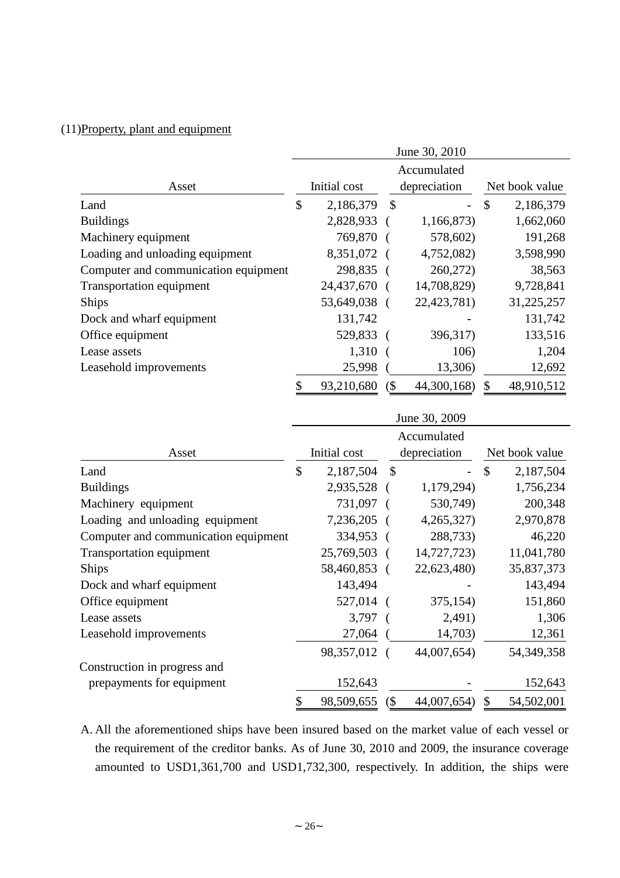# (11)Property, plant and equipment

|                                      | June 30, 2010 |            |               |             |    |                |  |
|--------------------------------------|---------------|------------|---------------|-------------|----|----------------|--|
|                                      | Accumulated   |            |               |             |    |                |  |
| Asset                                | Initial cost  |            | depreciation  |             |    | Net book value |  |
| Land                                 | \$            | 2,186,379  | $\mathcal{S}$ |             | \$ | 2,186,379      |  |
| <b>Buildings</b>                     |               | 2,828,933  |               | 1,166,873)  |    | 1,662,060      |  |
| Machinery equipment                  |               | 769,870    |               | 578,602)    |    | 191,268        |  |
| Loading and unloading equipment      |               | 8,351,072  |               | 4,752,082)  |    | 3,598,990      |  |
| Computer and communication equipment |               | 298,835    |               | 260,272)    |    | 38,563         |  |
| Transportation equipment             |               | 24,437,670 |               | 14,708,829) |    | 9,728,841      |  |
| <b>Ships</b>                         |               | 53,649,038 |               | 22,423,781) |    | 31,225,257     |  |
| Dock and wharf equipment             |               | 131,742    |               |             |    | 131,742        |  |
| Office equipment                     |               | 529,833    |               | 396,317)    |    | 133,516        |  |
| Lease assets                         |               | 1,310      | $\left($      | 106)        |    | 1,204          |  |
| Leasehold improvements               |               | 25,998     |               | 13,306)     |    | 12,692         |  |
|                                      |               | 93,210,680 | $($ \$        | 44,300,168) | \$ | 48,910,512     |  |

|                                      | June 30, 2009<br>Accumulated |              |               |              |                |              |  |
|--------------------------------------|------------------------------|--------------|---------------|--------------|----------------|--------------|--|
|                                      |                              |              |               |              |                |              |  |
| Asset                                |                              | Initial cost |               | depreciation | Net book value |              |  |
| Land                                 | \$                           | 2,187,504    | $\mathcal{S}$ |              | \$             | 2,187,504    |  |
| <b>Buildings</b>                     |                              | 2,935,528    |               | 1,179,294)   |                | 1,756,234    |  |
| Machinery equipment                  |                              | 731,097      |               | 530,749)     |                | 200,348      |  |
| Loading and unloading equipment      |                              | 7,236,205    |               | 4,265,327    |                | 2,970,878    |  |
| Computer and communication equipment |                              | 334,953      |               | 288,733)     |                | 46,220       |  |
| Transportation equipment             |                              | 25,769,503   |               | 14,727,723)  |                | 11,041,780   |  |
| <b>Ships</b>                         |                              | 58,460,853 ( |               | 22,623,480)  |                | 35,837,373   |  |
| Dock and wharf equipment             |                              | 143,494      |               |              |                | 143,494      |  |
| Office equipment                     |                              | 527,014      | $\sqrt{ }$    | 375,154)     |                | 151,860      |  |
| Lease assets                         |                              | 3,797        |               | 2,491)       |                | 1,306        |  |
| Leasehold improvements               |                              | 27,064       |               | 14,703)      |                | 12,361       |  |
|                                      |                              | 98,357,012   |               | 44,007,654)  |                | 54, 349, 358 |  |
| Construction in progress and         |                              |              |               |              |                |              |  |
| prepayments for equipment            |                              | 152,643      |               |              |                | 152,643      |  |
|                                      | \$                           | 98,509,655   | (             | 44,007,654)  | \$             | 54,502,001   |  |

A. All the aforementioned ships have been insured based on the market value of each vessel or the requirement of the creditor banks. As of June 30, 2010 and 2009, the insurance coverage amounted to USD1,361,700 and USD1,732,300, respectively. In addition, the ships were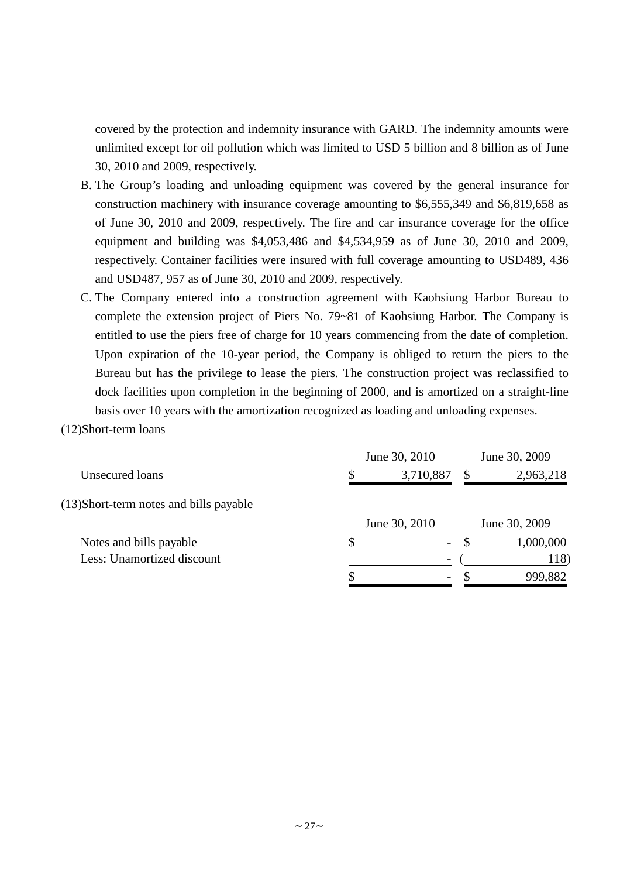covered by the protection and indemnity insurance with GARD. The indemnity amounts were unlimited except for oil pollution which was limited to USD 5 billion and 8 billion as of June 30, 2010 and 2009, respectively.

- B. The Group's loading and unloading equipment was covered by the general insurance for construction machinery with insurance coverage amounting to \$6,555,349 and \$6,819,658 as of June 30, 2010 and 2009, respectively. The fire and car insurance coverage for the office equipment and building was \$4,053,486 and \$4,534,959 as of June 30, 2010 and 2009, respectively. Container facilities were insured with full coverage amounting to USD489, 436 and USD487, 957 as of June 30, 2010 and 2009, respectively.
- C. The Company entered into a construction agreement with Kaohsiung Harbor Bureau to complete the extension project of Piers No. 79~81 of Kaohsiung Harbor. The Company is entitled to use the piers free of charge for 10 years commencing from the date of completion. Upon expiration of the 10-year period, the Company is obliged to return the piers to the Bureau but has the privilege to lease the piers. The construction project was reclassified to dock facilities upon completion in the beginning of 2000, and is amortized on a straight-line basis over 10 years with the amortization recognized as loading and unloading expenses.

#### (12)Short-term loans

|                                         | June 30, 2010            | June 30, 2009 |               |  |
|-----------------------------------------|--------------------------|---------------|---------------|--|
| Unsecured loans                         | 3,710,887                | S             | 2,963,218     |  |
| (13) Short-term notes and bills payable |                          |               |               |  |
|                                         | June 30, 2010            |               | June 30, 2009 |  |
| Notes and bills payable                 | \$<br>$\sim$             | -S            | 1,000,000     |  |
| Less: Unamortized discount              |                          |               | 118)          |  |
|                                         | $\overline{\phantom{a}}$ |               | 999,882       |  |
|                                         |                          |               |               |  |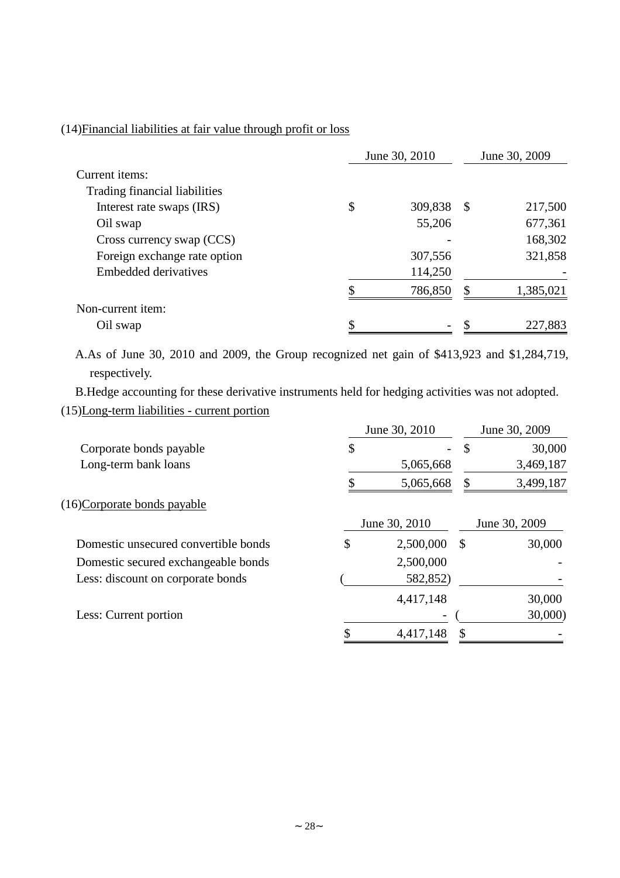# (14)Financial liabilities at fair value through profit or loss

|                               | June 30, 2010 |         |    | June 30, 2009 |  |
|-------------------------------|---------------|---------|----|---------------|--|
| Current items:                |               |         |    |               |  |
| Trading financial liabilities |               |         |    |               |  |
| Interest rate swaps (IRS)     | \$            | 309,838 | -S | 217,500       |  |
| Oil swap                      |               | 55,206  |    | 677,361       |  |
| Cross currency swap (CCS)     |               |         |    | 168,302       |  |
| Foreign exchange rate option  |               | 307,556 |    | 321,858       |  |
| Embedded derivatives          |               | 114,250 |    |               |  |
|                               |               | 786,850 | \$ | 1,385,021     |  |
| Non-current item:             |               |         |    |               |  |
| Oil swap                      |               |         |    | 227,883       |  |

A.As of June 30, 2010 and 2009, the Group recognized net gain of \$413,923 and \$1,284,719, respectively.

B.Hedge accounting for these derivative instruments held for hedging activities was not adopted.

# (15)Long-term liabilities - current portion

|                                      | June 30, 2010   | June 30, 2009 |               |  |
|--------------------------------------|-----------------|---------------|---------------|--|
| Corporate bonds payable              | \$              | $\mathcal{S}$ | 30,000        |  |
| Long-term bank loans                 | 5,065,668       |               | 3,469,187     |  |
|                                      | 5,065,668       | \$            | 3,499,187     |  |
| (16)Corporate bonds payable          |                 |               |               |  |
|                                      | June 30, 2010   |               | June 30, 2009 |  |
| Domestic unsecured convertible bonds | \$<br>2,500,000 | S             | 30,000        |  |
| Domestic secured exchangeable bonds  | 2,500,000       |               |               |  |
| Less: discount on corporate bonds    | 582,852)        |               |               |  |
|                                      | 4,417,148       |               | 30,000        |  |
| Less: Current portion                |                 |               | 30,000        |  |
|                                      | 4,417,148       |               |               |  |
|                                      |                 |               |               |  |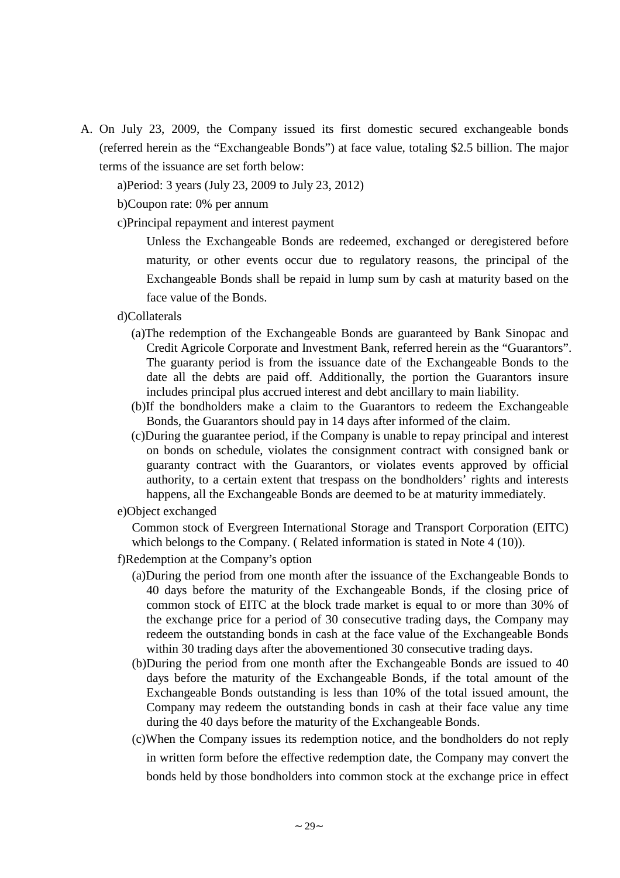A. On July 23, 2009, the Company issued its first domestic secured exchangeable bonds (referred herein as the "Exchangeable Bonds") at face value, totaling \$2.5 billion. The major terms of the issuance are set forth below:

a)Period: 3 years (July 23, 2009 to July 23, 2012)

b)Coupon rate: 0% per annum

c)Principal repayment and interest payment

Unless the Exchangeable Bonds are redeemed, exchanged or deregistered before maturity, or other events occur due to regulatory reasons, the principal of the Exchangeable Bonds shall be repaid in lump sum by cash at maturity based on the face value of the Bonds.

d)Collaterals

- (a)The redemption of the Exchangeable Bonds are guaranteed by Bank Sinopac and Credit Agricole Corporate and Investment Bank, referred herein as the "Guarantors". The guaranty period is from the issuance date of the Exchangeable Bonds to the date all the debts are paid off. Additionally, the portion the Guarantors insure includes principal plus accrued interest and debt ancillary to main liability.
- (b)If the bondholders make a claim to the Guarantors to redeem the Exchangeable Bonds, the Guarantors should pay in 14 days after informed of the claim.
- (c)During the guarantee period, if the Company is unable to repay principal and interest on bonds on schedule, violates the consignment contract with consigned bank or guaranty contract with the Guarantors, or violates events approved by official authority, to a certain extent that trespass on the bondholders' rights and interests happens, all the Exchangeable Bonds are deemed to be at maturity immediately.

#### e)Object exchanged

Common stock of Evergreen International Storage and Transport Corporation (EITC) which belongs to the Company. (Related information is stated in Note 4 (10)).

- f)Redemption at the Company's option
	- (a)During the period from one month after the issuance of the Exchangeable Bonds to 40 days before the maturity of the Exchangeable Bonds, if the closing price of common stock of EITC at the block trade market is equal to or more than 30% of the exchange price for a period of 30 consecutive trading days, the Company may redeem the outstanding bonds in cash at the face value of the Exchangeable Bonds within 30 trading days after the abovementioned 30 consecutive trading days.
	- (b)During the period from one month after the Exchangeable Bonds are issued to 40 days before the maturity of the Exchangeable Bonds, if the total amount of the Exchangeable Bonds outstanding is less than 10% of the total issued amount, the Company may redeem the outstanding bonds in cash at their face value any time during the 40 days before the maturity of the Exchangeable Bonds.
	- (c)When the Company issues its redemption notice, and the bondholders do not reply in written form before the effective redemption date, the Company may convert the bonds held by those bondholders into common stock at the exchange price in effect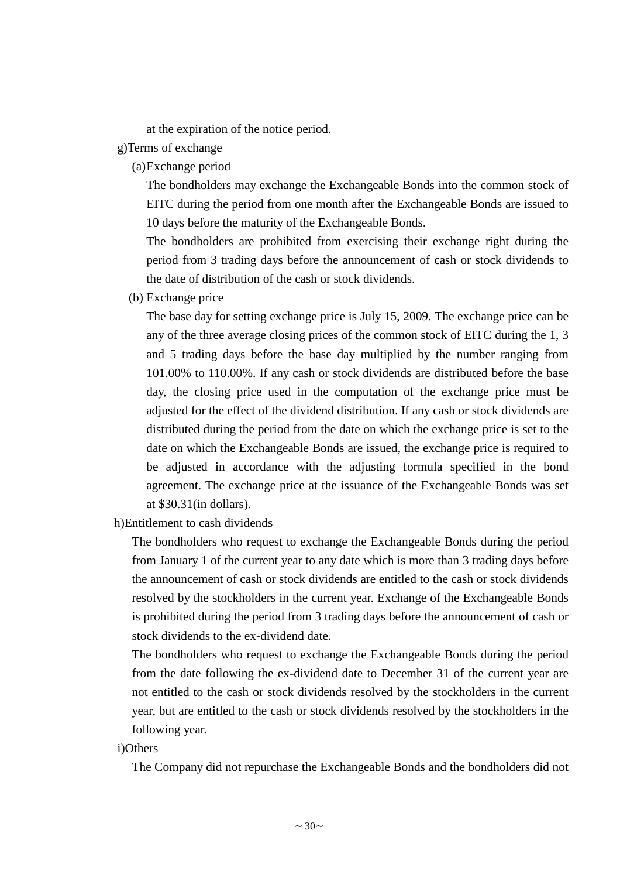at the expiration of the notice period.

- g)Terms of exchange
	- (a)Exchange period

The bondholders may exchange the Exchangeable Bonds into the common stock of EITC during the period from one month after the Exchangeable Bonds are issued to 10 days before the maturity of the Exchangeable Bonds.

The bondholders are prohibited from exercising their exchange right during the period from 3 trading days before the announcement of cash or stock dividends to the date of distribution of the cash or stock dividends.

(b) Exchange price

The base day for setting exchange price is July 15, 2009. The exchange price can be any of the three average closing prices of the common stock of EITC during the 1, 3 and 5 trading days before the base day multiplied by the number ranging from 101.00% to 110.00%. If any cash or stock dividends are distributed before the base day, the closing price used in the computation of the exchange price must be adjusted for the effect of the dividend distribution. If any cash or stock dividends are distributed during the period from the date on which the exchange price is set to the date on which the Exchangeable Bonds are issued, the exchange price is required to be adjusted in accordance with the adjusting formula specified in the bond agreement. The exchange price at the issuance of the Exchangeable Bonds was set at \$30.31(in dollars).

h)Entitlement to cash dividends

The bondholders who request to exchange the Exchangeable Bonds during the period from January 1 of the current year to any date which is more than 3 trading days before the announcement of cash or stock dividends are entitled to the cash or stock dividends resolved by the stockholders in the current year. Exchange of the Exchangeable Bonds is prohibited during the period from 3 trading days before the announcement of cash or stock dividends to the ex-dividend date.

The bondholders who request to exchange the Exchangeable Bonds during the period from the date following the ex-dividend date to December 31 of the current year are not entitled to the cash or stock dividends resolved by the stockholders in the current year, but are entitled to the cash or stock dividends resolved by the stockholders in the following year.

#### i)Others

The Company did not repurchase the Exchangeable Bonds and the bondholders did not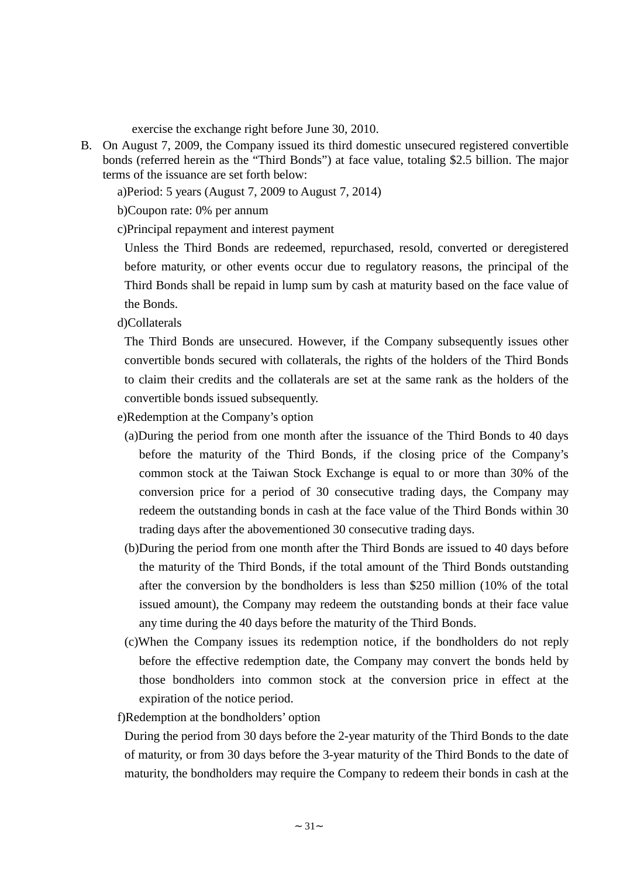exercise the exchange right before June 30, 2010.

B. On August 7, 2009, the Company issued its third domestic unsecured registered convertible bonds (referred herein as the "Third Bonds") at face value, totaling \$2.5 billion. The major terms of the issuance are set forth below:

a)Period: 5 years (August 7, 2009 to August 7, 2014)

b)Coupon rate: 0% per annum

c)Principal repayment and interest payment

Unless the Third Bonds are redeemed, repurchased, resold, converted or deregistered before maturity, or other events occur due to regulatory reasons, the principal of the Third Bonds shall be repaid in lump sum by cash at maturity based on the face value of the Bonds.

d)Collaterals

The Third Bonds are unsecured. However, if the Company subsequently issues other convertible bonds secured with collaterals, the rights of the holders of the Third Bonds to claim their credits and the collaterals are set at the same rank as the holders of the convertible bonds issued subsequently.

e)Redemption at the Company's option

- (a)During the period from one month after the issuance of the Third Bonds to 40 days before the maturity of the Third Bonds, if the closing price of the Company's common stock at the Taiwan Stock Exchange is equal to or more than 30% of the conversion price for a period of 30 consecutive trading days, the Company may redeem the outstanding bonds in cash at the face value of the Third Bonds within 30 trading days after the abovementioned 30 consecutive trading days.
- (b)During the period from one month after the Third Bonds are issued to 40 days before the maturity of the Third Bonds, if the total amount of the Third Bonds outstanding after the conversion by the bondholders is less than \$250 million (10% of the total issued amount), the Company may redeem the outstanding bonds at their face value any time during the 40 days before the maturity of the Third Bonds.
- (c)When the Company issues its redemption notice, if the bondholders do not reply before the effective redemption date, the Company may convert the bonds held by those bondholders into common stock at the conversion price in effect at the expiration of the notice period.

f)Redemption at the bondholders'option

During the period from 30 days before the 2-year maturity of the Third Bonds to the date of maturity, or from 30 days before the 3-year maturity of the Third Bonds to the date of maturity, the bondholders may require the Company to redeem their bonds in cash at the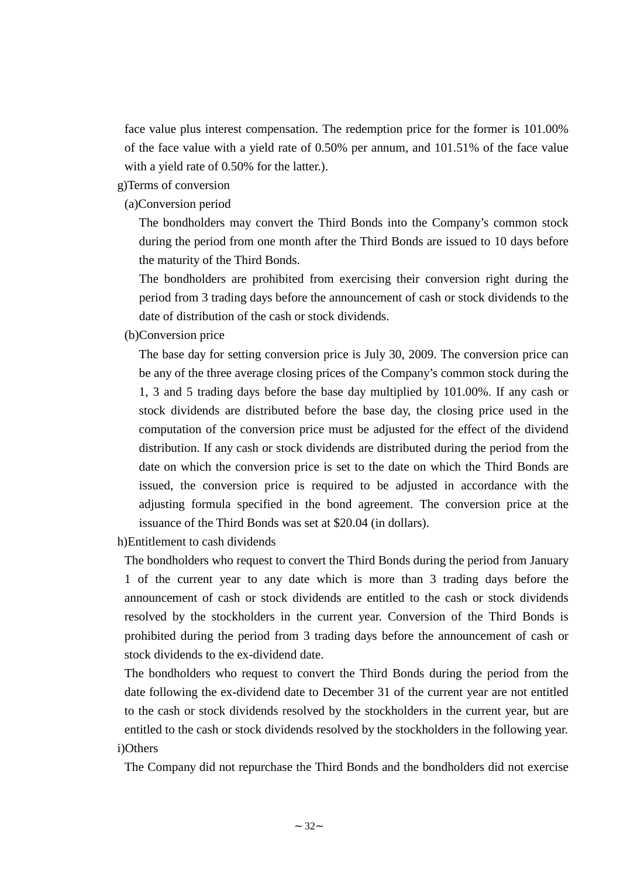face value plus interest compensation. The redemption price for the former is 101.00% of the face value with a yield rate of 0.50% per annum, and 101.51% of the face value with a yield rate of 0.50% for the latter.).

g)Terms of conversion

(a)Conversion period

The bondholders may convert the Third Bonds into the Company's common stock during the period from one month after the Third Bonds are issued to 10 days before the maturity of the Third Bonds.

The bondholders are prohibited from exercising their conversion right during the period from 3 trading days before the announcement of cash or stock dividends to the date of distribution of the cash or stock dividends.

(b)Conversion price

The base day for setting conversion price is July 30, 2009. The conversion price can be any of the three average closing prices of the Company's common stock during the 1, 3 and 5 trading days before the base day multiplied by 101.00%. If any cash or stock dividends are distributed before the base day, the closing price used in the computation of the conversion price must be adjusted for the effect of the dividend distribution. If any cash or stock dividends are distributed during the period from the date on which the conversion price is set to the date on which the Third Bonds are issued, the conversion price is required to be adjusted in accordance with the adjusting formula specified in the bond agreement. The conversion price at the issuance of the Third Bonds was set at \$20.04 (in dollars).

h)Entitlement to cash dividends

The bondholders who request to convert the Third Bonds during the period from January 1 of the current year to any date which is more than 3 trading days before the announcement of cash or stock dividends are entitled to the cash or stock dividends resolved by the stockholders in the current year. Conversion of the Third Bonds is prohibited during the period from 3 trading days before the announcement of cash or stock dividends to the ex-dividend date.

The bondholders who request to convert the Third Bonds during the period from the date following the ex-dividend date to December 31 of the current year are not entitled to the cash or stock dividends resolved by the stockholders in the current year, but are entitled to the cash or stock dividends resolved by the stockholders in the following year. i)Others

The Company did not repurchase the Third Bonds and the bondholders did not exercise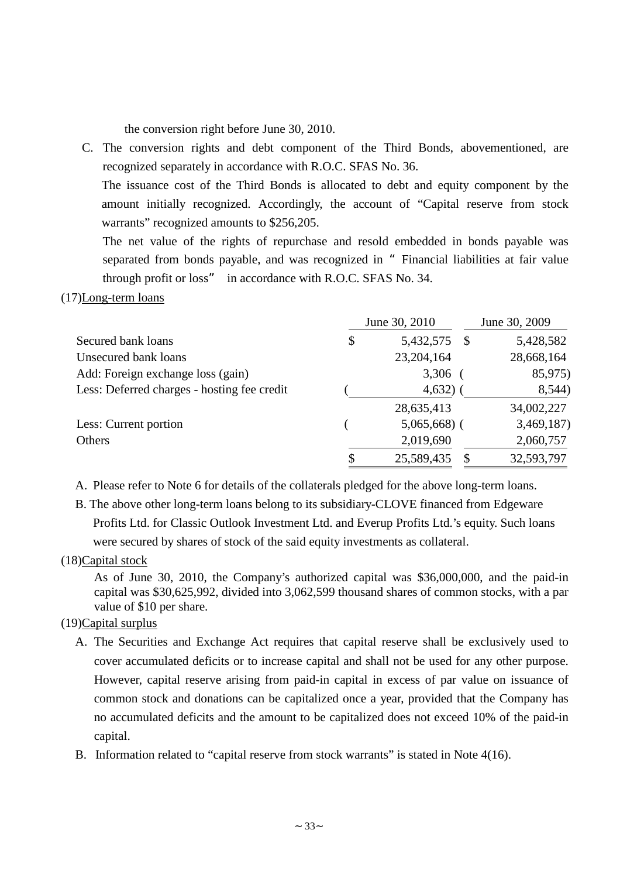the conversion right before June 30, 2010.

C. The conversion rights and debt component of the Third Bonds, abovementioned, are recognized separately in accordance with R.O.C. SFAS No. 36.

The issuance cost of the Third Bonds is allocated to debt and equity component by the amount initially recognized. Accordingly, the account of "Capital reserve from stock warrants" recognized amounts to \$256,205.

The net value of the rights of repurchase and resold embedded in bonds payable was separated from bonds payable, and was recognized in "Financial liabilities at fair value through profit or loss" in accordance with R.O.C. SFAS No. 34.

#### (17)Long-term loans

|                                             | June 30, 2010         | June 30, 2009 |
|---------------------------------------------|-----------------------|---------------|
| Secured bank loans                          | \$<br>5,432,575<br>-S | 5,428,582     |
| Unsecured bank loans                        | 23,204,164            | 28,668,164    |
| Add: Foreign exchange loss (gain)           | 3,306                 | 85,975)       |
| Less: Deferred charges - hosting fee credit | 4,632)                | 8,544)        |
|                                             | 28,635,413            | 34,002,227    |
| Less: Current portion                       | $5,065,668$ (         | 3,469,187     |
| Others                                      | 2,019,690             | 2,060,757     |
|                                             | 25,589,435            | 32,593,797    |

A. Please refer to Note 6 for details of the collaterals pledged for the above long-term loans.

B. The above other long-term loans belong to its subsidiary-CLOVE financed from Edgeware Profits Ltd. for Classic Outlook Investment Ltd. and Everup Profits Ltd.'s equity. Such loans were secured by shares of stock of the said equity investments as collateral.

## (18)Capital stock

As of June 30, 2010, the Company's authorized capital was \$36,000,000, and the paid-in capital was \$30,625,992, divided into 3,062,599 thousand shares of common stocks, with a par value of \$10 per share.

## (19)Capital surplus

- A. The Securities and Exchange Act requires that capital reserve shall be exclusively used to cover accumulated deficits or to increase capital and shall not be used for any other purpose. However, capital reserve arising from paid-in capital in excess of par value on issuance of common stock and donations can be capitalized once a year, provided that the Company has no accumulated deficits and the amount to be capitalized does not exceed 10% of the paid-in capital.
- B. Information related to "capital reserve from stock warrants" is stated in Note 4(16).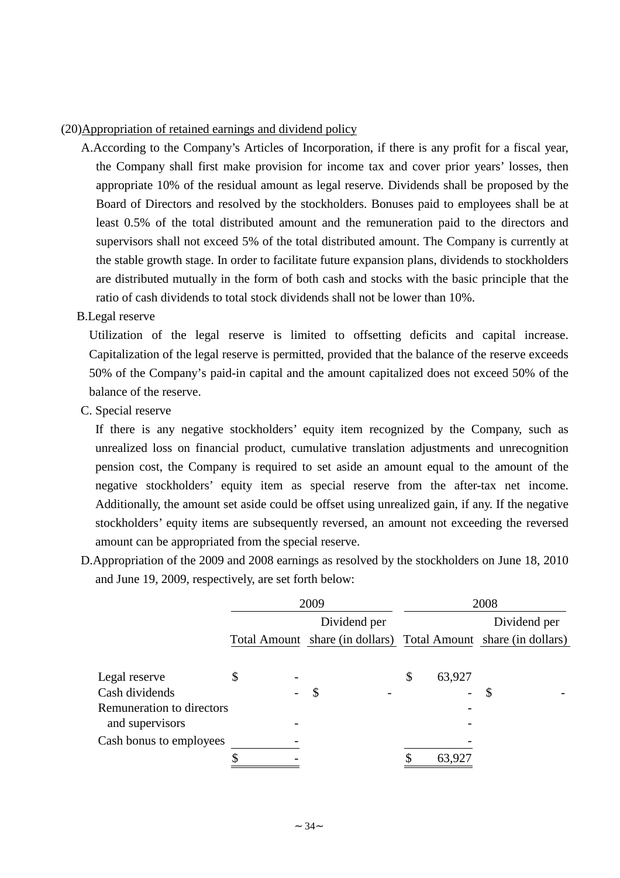#### (20)Appropriation of retained earnings and dividend policy

A.According to the Company's Articles of Incorporation, if there is any profit for a fiscal year, the Company shall first make provision for income tax and cover prior years' losses, then appropriate 10% of the residual amount as legal reserve. Dividends shall be proposed by the Board of Directors and resolved by the stockholders. Bonuses paid to employees shall be at least 0.5% of the total distributed amount and the remuneration paid to the directors and supervisors shall not exceed 5% of the total distributed amount. The Company is currently at the stable growth stage. In order to facilitate future expansion plans, dividends to stockholders are distributed mutually in the form of both cash and stocks with the basic principle that the ratio of cash dividends to total stock dividends shall not be lower than 10%.

#### B.Legal reserve

Utilization of the legal reserve is limited to offsetting deficits and capital increase. Capitalization of the legal reserve is permitted, provided that the balance of the reserve exceeds 50% of the Company's paid-in capital and the amount capitalized does not exceed 50% of the balance of the reserve.

C. Special reserve

If there is any negative stockholders' equity item recognized by the Company, such as unrealized loss on financial product, cumulative translation adjustments and unrecognition pension cost, the Company is required to set aside an amount equal to the amount of the negative stockholders' equity item as special reserve from the after-tax net income. Additionally, the amount set aside could be offset using unrealized gain, if any. If the negative stockholders'equity items are subsequently reversed, an amount not exceeding the reversed amount can be appropriated from the special reserve.

D.Appropriation of the 2009 and 2008 earnings as resolved by the stockholders on June 18, 2010 and June 19, 2009, respectively, are set forth below:

|                                  | 2009 |  |                                                                 | 2008 |              |   |              |
|----------------------------------|------|--|-----------------------------------------------------------------|------|--------------|---|--------------|
|                                  |      |  | Dividend per                                                    |      |              |   | Dividend per |
|                                  |      |  | Total Amount share (in dollars) Total Amount share (in dollars) |      |              |   |              |
|                                  |      |  |                                                                 |      |              |   |              |
| Legal reserve                    |      |  |                                                                 |      | \$<br>63,927 |   |              |
| Cash dividends                   |      |  | $\boldsymbol{\mathcal{S}}$                                      |      | -            | S |              |
| <b>Remuneration to directors</b> |      |  |                                                                 |      |              |   |              |
| and supervisors                  |      |  |                                                                 |      |              |   |              |
| Cash bonus to employees          |      |  |                                                                 |      |              |   |              |
|                                  |      |  |                                                                 |      | 63,927       |   |              |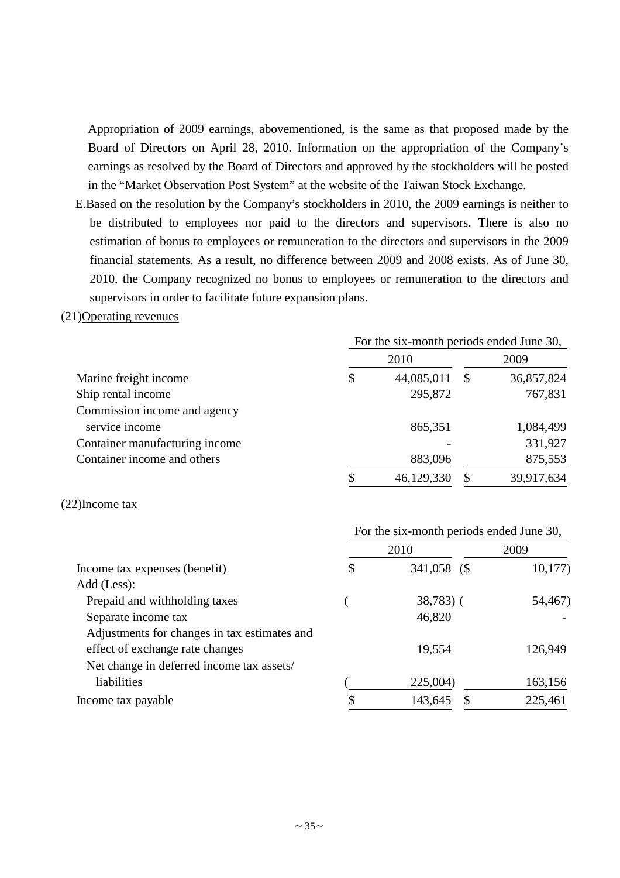Appropriation of 2009 earnings, abovementioned, is the same as that proposed made by the Board of Directors on April 28, 2010. Information on the appropriation of the Company's earnings as resolved by the Board of Directors and approved by the stockholders will be posted in the "Market Observation Post System" at the website of the Taiwan Stock Exchange.

E.Based on the resolution by the Company's stockholders in 2010, the 2009 earnings is neither to be distributed to employees nor paid to the directors and supervisors. There is also no estimation of bonus to employees or remuneration to the directors and supervisors in the 2009 financial statements. As a result, no difference between 2009 and 2008 exists. As of June 30, 2010, the Company recognized no bonus to employees or remuneration to the directors and supervisors in order to facilitate future expansion plans.

#### (21)Operating revenues

|                                | For the six-month periods ended June 30, |          |            |  |  |
|--------------------------------|------------------------------------------|----------|------------|--|--|
|                                | 2010                                     |          | 2009       |  |  |
| Marine freight income          | \$<br>44,085,011                         | -S       | 36,857,824 |  |  |
| Ship rental income             | 295,872                                  |          | 767,831    |  |  |
| Commission income and agency   |                                          |          |            |  |  |
| service income                 | 865,351                                  |          | 1,084,499  |  |  |
| Container manufacturing income |                                          |          | 331,927    |  |  |
| Container income and others    | 883,096                                  |          | 875,553    |  |  |
|                                | \$<br>46,129,330                         | <b>S</b> | 39,917,634 |  |  |

#### (22)Income tax

|                                              | For the six-month periods ended June 30, |             |         |
|----------------------------------------------|------------------------------------------|-------------|---------|
|                                              |                                          | 2010        | 2009    |
| Income tax expenses (benefit)                | \$                                       | 341,058 (\$ | 10,177  |
| Add (Less):                                  |                                          |             |         |
| Prepaid and withholding taxes                |                                          | $38,783$ (  | 54,467) |
| Separate income tax                          |                                          | 46,820      |         |
| Adjustments for changes in tax estimates and |                                          |             |         |
| effect of exchange rate changes              |                                          | 19,554      | 126,949 |
| Net change in deferred income tax assets/    |                                          |             |         |
| liabilities                                  |                                          | 225,004)    | 163,156 |
| Income tax payable                           |                                          | 143,645     | 225,461 |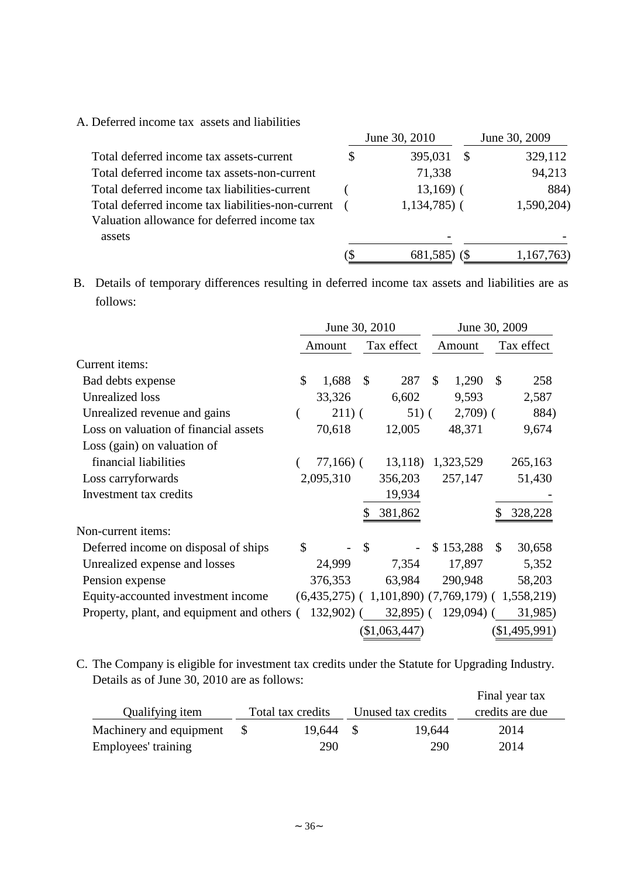A. Deferred income tax assets and liabilities

|                                                   |     | June 30, 2010 | June 30, 2009 |
|---------------------------------------------------|-----|---------------|---------------|
| Total deferred income tax assets-current          | S   | 395,031       | 329,112       |
| Total deferred income tax assets-non-current      |     | 71,338        | 94,213        |
| Total deferred income tax liabilities-current     |     | $13,169$ (    | 884)          |
| Total deferred income tax liabilities-non-current |     | $1,134,785$ ( | 1,590,204)    |
| Valuation allowance for deferred income tax       |     |               |               |
| assets                                            |     |               |               |
|                                                   | (\$ | 681,585) (\$  | 1,167,763)    |

B. Details of temporary differences resulting in deferred income tax assets and liabilities are as follows:

|                                             |                | June 30, 2010 |               |                                                   |               | June 30, 2009 |    |               |  |
|---------------------------------------------|----------------|---------------|---------------|---------------------------------------------------|---------------|---------------|----|---------------|--|
|                                             |                | Amount        |               | Tax effect                                        |               | Amount        |    | Tax effect    |  |
| Current items:                              |                |               |               |                                                   |               |               |    |               |  |
| Bad debts expense                           | $\mathcal{S}$  | 1,688         | \$            | 287                                               | $\mathcal{S}$ | 1,290         | \$ | 258           |  |
| <b>Unrealized</b> loss                      |                | 33,326        |               | 6,602                                             |               | 9,593         |    | 2,587         |  |
| Unrealized revenue and gains                | $\overline{ }$ | $211)$ (      |               | $51)$ (                                           |               | $2,709$ (     |    | 884)          |  |
| Loss on valuation of financial assets       |                | 70,618        |               | 12,005                                            |               | 48,371        |    | 9,674         |  |
| Loss (gain) on valuation of                 |                |               |               |                                                   |               |               |    |               |  |
| financial liabilities                       |                | $77,166$ ) (  |               | 13,118)                                           |               | 1,323,529     |    | 265,163       |  |
| Loss carryforwards                          |                | 2,095,310     |               | 356,203                                           |               | 257,147       |    | 51,430        |  |
| Investment tax credits                      |                |               |               | 19,934                                            |               |               |    |               |  |
|                                             |                |               | \$            | 381,862                                           |               |               |    | 328,228       |  |
| Non-current items:                          |                |               |               |                                                   |               |               |    |               |  |
| Deferred income on disposal of ships        | \$             |               | $\mathcal{S}$ |                                                   |               | \$153,288     | \$ | 30,658        |  |
| Unrealized expense and losses               |                | 24,999        |               | 7,354                                             |               | 17,897        |    | 5,352         |  |
| Pension expense                             |                | 376,353       |               | 63,984                                            |               | 290,948       |    | 58,203        |  |
| Equity-accounted investment income          |                |               |               | $(6,435,275)$ (1,101,890) (7,769,179) (1,558,219) |               |               |    |               |  |
| Property, plant, and equipment and others ( |                | $132,902$ (   |               | $32,895$ (                                        |               | $129,094$ (   |    | 31,985)       |  |
|                                             |                |               |               | (\$1,063,447)                                     |               |               |    | (\$1,495,991) |  |

C. The Company is eligible for investment tax credits under the Statute for Upgrading Industry. Details as of June 30, 2010 are as follows:

|                         |                   |                    | Final year tax  |  |
|-------------------------|-------------------|--------------------|-----------------|--|
| Qualifying item         | Total tax credits | Unused tax credits | credits are due |  |
| Machinery and equipment | 19.644 \$         | 19.644             | 2014            |  |
| Employees' training     | 290               | 290                | 2014            |  |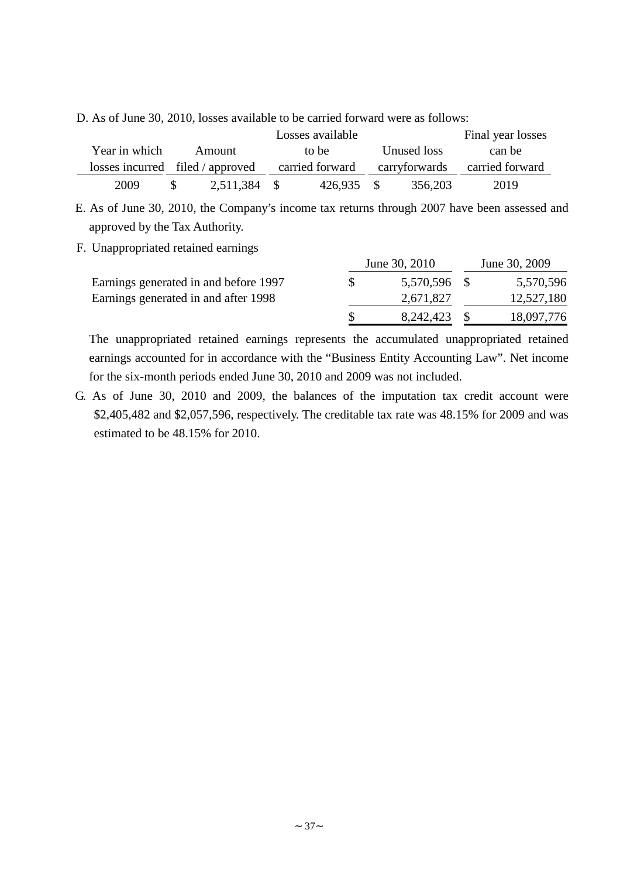D. As of June 30, 2010, losses available to be carried forward were as follows:

|               |                                  |              | Final year losses |         |             |               |                 |
|---------------|----------------------------------|--------------|-------------------|---------|-------------|---------------|-----------------|
| Year in which | Amount                           |              | to be             |         | Unused loss |               | can be          |
|               | losses incurred filed / approved |              | carried forward   |         |             | carryforwards | carried forward |
| 2009          |                                  | 2,511,384 \$ |                   | 426.935 | - \$        | 356,203       | 2019            |

E. As of June 30, 2010, the Company's income tax returns through 2007 have been assessed and approved by the Tax Authority.

## F. Unappropriated retained earnings

|                                       | June 30, 2010 | June 30, 2009 |            |  |
|---------------------------------------|---------------|---------------|------------|--|
| Earnings generated in and before 1997 | 5,570,596 \$  |               | 5,570,596  |  |
| Earnings generated in and after 1998  | 2,671,827     |               | 12,527,180 |  |
|                                       | 8,242,423     |               | 18,097,776 |  |

The unappropriated retained earnings represents the accumulated unappropriated retained earnings accounted for in accordance with the "Business Entity Accounting Law". Net income for the six-month periods ended June 30, 2010 and 2009 was not included.

G. As of June 30, 2010 and 2009, the balances of the imputation tax credit account were \$2,405,482 and \$2,057,596, respectively. The creditable tax rate was 48.15% for 2009 and was estimated to be 48.15% for 2010.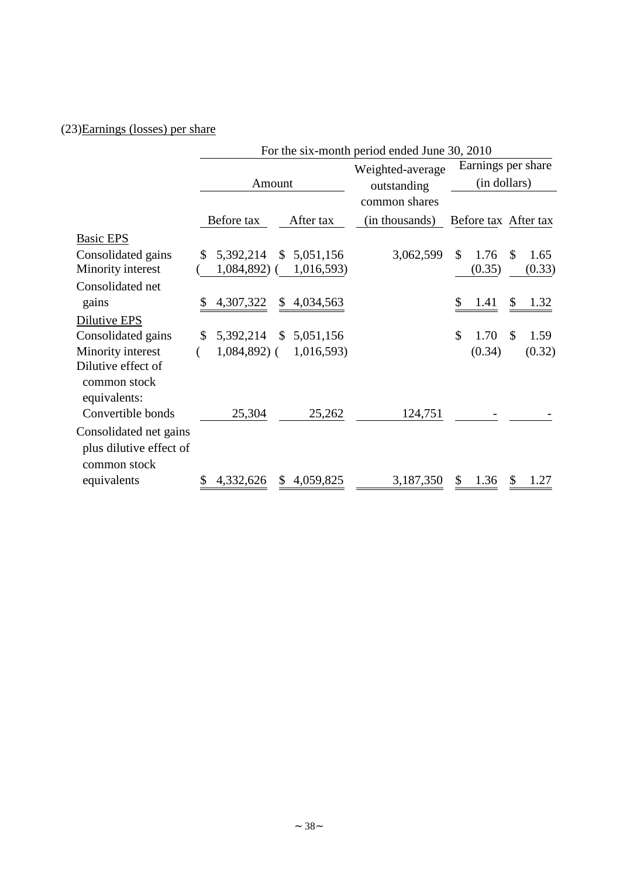# (23)Earnings (losses) per share

|                                                                   |                               | For the six-month period ended June 30, 2010 |                                 |                                    |                      |  |  |  |
|-------------------------------------------------------------------|-------------------------------|----------------------------------------------|---------------------------------|------------------------------------|----------------------|--|--|--|
|                                                                   | Amount                        |                                              | Weighted-average<br>outstanding | Earnings per share<br>(in dollars) |                      |  |  |  |
|                                                                   | Before tax                    | After tax                                    | common shares<br>(in thousands) | Before tax After tax               |                      |  |  |  |
| <b>Basic EPS</b>                                                  |                               |                                              |                                 |                                    |                      |  |  |  |
| Consolidated gains<br>Minority interest                           | 5,392,214<br>\$<br>1,084,892) | \$5,051,156<br>1,016,593)                    | 3,062,599                       | \$<br>1.76<br>(0.35)               | \$<br>1.65<br>(0.33) |  |  |  |
| Consolidated net                                                  |                               |                                              |                                 |                                    |                      |  |  |  |
| gains                                                             | 4,307,322                     | $\mathbb{S}$<br>4,034,563                    |                                 | \$<br>1.41                         | \$<br>1.32           |  |  |  |
| Dilutive EPS                                                      |                               |                                              |                                 |                                    |                      |  |  |  |
| Consolidated gains                                                | 5,392,214<br>\$               | $\mathcal{S}$<br>5,051,156                   |                                 | \$<br>1.70                         | \$<br>1.59           |  |  |  |
| Minority interest                                                 | $1,084,892$ (                 | 1,016,593)                                   |                                 | (0.34)                             | (0.32)               |  |  |  |
| Dilutive effect of<br>common stock<br>equivalents:                |                               |                                              |                                 |                                    |                      |  |  |  |
| Convertible bonds                                                 | 25,304                        | 25,262                                       | 124,751                         |                                    |                      |  |  |  |
| Consolidated net gains<br>plus dilutive effect of<br>common stock |                               |                                              |                                 |                                    |                      |  |  |  |
| equivalents                                                       | 4,332,626                     | 4,059,825<br><sup>\$</sup>                   | 3,187,350                       | 1.36<br>\$                         | 1.27                 |  |  |  |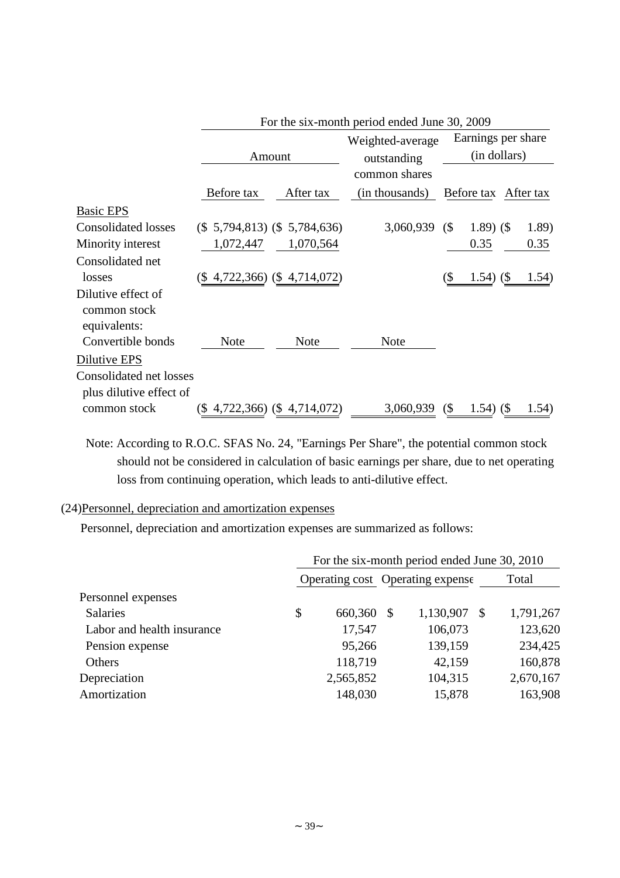|                                                    |            |                                   | For the six-month period ended June 30, 2009 |                            |                      |  |       |
|----------------------------------------------------|------------|-----------------------------------|----------------------------------------------|----------------------------|----------------------|--|-------|
|                                                    |            |                                   | Weighted-average                             |                            | Earnings per share   |  |       |
|                                                    |            | Amount                            | outstanding                                  | (in dollars)               |                      |  |       |
|                                                    |            |                                   | common shares                                |                            |                      |  |       |
|                                                    | Before tax | After tax                         | (in thousands)                               |                            | Before tax After tax |  |       |
| <b>Basic EPS</b>                                   |            |                                   |                                              |                            |                      |  |       |
| <b>Consolidated losses</b>                         |            | $(\$ 5,794,813)$ $(\$ 5,784,636)$ | 3,060,939                                    | $\left( \text{\$} \right)$ | $1.89)$ (\$)         |  | 1.89) |
| Minority interest                                  | 1,072,447  | 1,070,564                         |                                              |                            | 0.35                 |  | 0.35  |
| Consolidated net                                   |            |                                   |                                              |                            |                      |  |       |
| losses                                             | (S         | 4,722,366) (\$4,714,072)          |                                              | (\$                        | $1.54)$ (\$)         |  | 1.54) |
| Dilutive effect of<br>common stock<br>equivalents: |            |                                   |                                              |                            |                      |  |       |
| Convertible bonds                                  | Note       | <b>Note</b>                       | <b>Note</b>                                  |                            |                      |  |       |
| Dilutive EPS                                       |            |                                   |                                              |                            |                      |  |       |
| <b>Consolidated net losses</b>                     |            |                                   |                                              |                            |                      |  |       |
| plus dilutive effect of                            |            |                                   |                                              |                            |                      |  |       |
| common stock                                       |            | $(\$4,722,366)$ $(\$4,714,072)$   | 3,060,939                                    | $\left( \text{\$} \right)$ | $1.54)$ (\$)         |  | 1.54) |

Note: According to R.O.C. SFAS No. 24, "Earnings Per Share", the potential common stock should not be considered in calculation of basic earnings per share, due to net operating loss from continuing operation, which leads to anti-dilutive effect.

## (24)Personnel, depreciation and amortization expenses

Personnel, depreciation and amortization expenses are summarized as follows:

|                            | For the six-month period ended June 30, 2010 |            |  |           |   |           |  |
|----------------------------|----------------------------------------------|------------|--|-----------|---|-----------|--|
|                            | Operating cost Operating expense             |            |  |           |   | Total     |  |
| Personnel expenses         |                                              |            |  |           |   |           |  |
| <b>Salaries</b>            | \$                                           | 660,360 \$ |  | 1,130,907 | S | 1,791,267 |  |
| Labor and health insurance |                                              | 17,547     |  | 106,073   |   | 123,620   |  |
| Pension expense            |                                              | 95,266     |  | 139,159   |   | 234,425   |  |
| <b>Others</b>              |                                              | 118,719    |  | 42,159    |   | 160,878   |  |
| Depreciation               |                                              | 2,565,852  |  | 104,315   |   | 2,670,167 |  |
| Amortization               |                                              | 148,030    |  | 15,878    |   | 163,908   |  |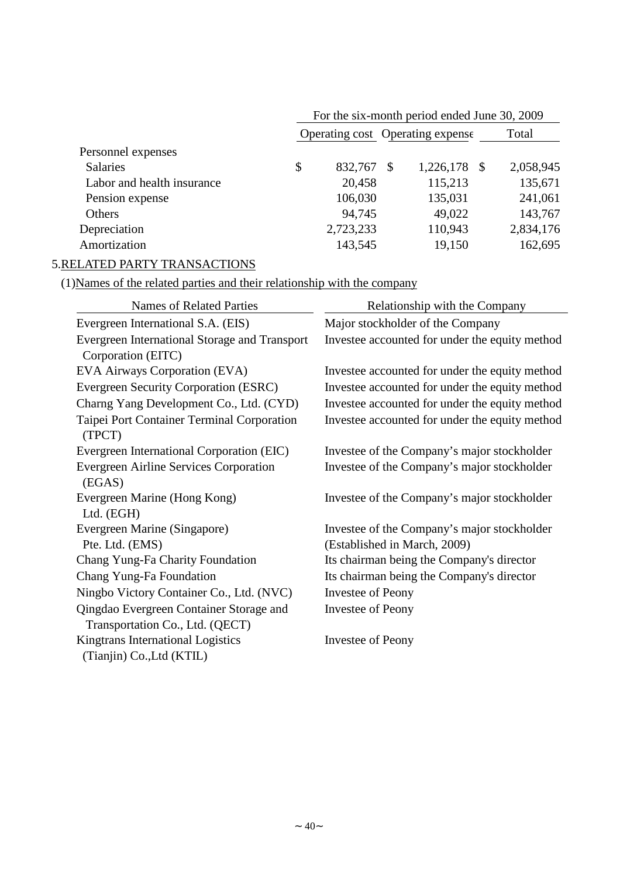|                            | For the six-month period ended June 30, 2009 |                            |                  |  |  |  |  |
|----------------------------|----------------------------------------------|----------------------------|------------------|--|--|--|--|
|                            | Operating cost Operating expense             | Total                      |                  |  |  |  |  |
| Personnel expenses         |                                              |                            |                  |  |  |  |  |
| <b>Salaries</b>            | \$<br>832,767                                | 1,226,178<br>$\mathcal{S}$ | 2,058,945<br>- S |  |  |  |  |
| Labor and health insurance | 20,458                                       | 115,213                    | 135,671          |  |  |  |  |
| Pension expense            | 106,030                                      | 135,031                    | 241,061          |  |  |  |  |
| Others                     | 94,745                                       | 49,022                     | 143,767          |  |  |  |  |
| Depreciation               | 2,723,233                                    | 110,943                    | 2,834,176        |  |  |  |  |
| Amortization               | 143,545                                      | 19,150                     | 162,695          |  |  |  |  |

# 5.RELATED PARTY TRANSACTIONS

## (1)Names of the related parties and their relationship with the company

| <b>Names of Related Parties</b>                         | Relationship with the Company                  |
|---------------------------------------------------------|------------------------------------------------|
| Evergreen International S.A. (EIS)                      | Major stockholder of the Company               |
| Evergreen International Storage and Transport           | Investee accounted for under the equity method |
| Corporation (EITC)                                      |                                                |
| EVA Airways Corporation (EVA)                           | Investee accounted for under the equity method |
| Evergreen Security Corporation (ESRC)                   | Investee accounted for under the equity method |
| Charng Yang Development Co., Ltd. (CYD)                 | Investee accounted for under the equity method |
| Taipei Port Container Terminal Corporation<br>(TPCT)    | Investee accounted for under the equity method |
| Evergreen International Corporation (EIC)               | Investee of the Company's major stockholder    |
| <b>Evergreen Airline Services Corporation</b><br>(EGAS) | Investee of the Company's major stockholder    |
| Evergreen Marine (Hong Kong)<br>Ltd. (EGH)              | Investee of the Company's major stockholder    |
| Evergreen Marine (Singapore)                            | Investee of the Company's major stockholder    |
| Pte. Ltd. (EMS)                                         | (Established in March, 2009)                   |
| Chang Yung-Fa Charity Foundation                        | Its chairman being the Company's director      |
| Chang Yung-Fa Foundation                                | Its chairman being the Company's director      |
| Ningbo Victory Container Co., Ltd. (NVC)                | <b>Investee of Peony</b>                       |
| Qingdao Evergreen Container Storage and                 | <b>Investee of Peony</b>                       |
| Transportation Co., Ltd. (QECT)                         |                                                |
| Kingtrans International Logistics                       | Investee of Peony                              |
| (Tianjin) Co., Ltd (KTIL)                               |                                                |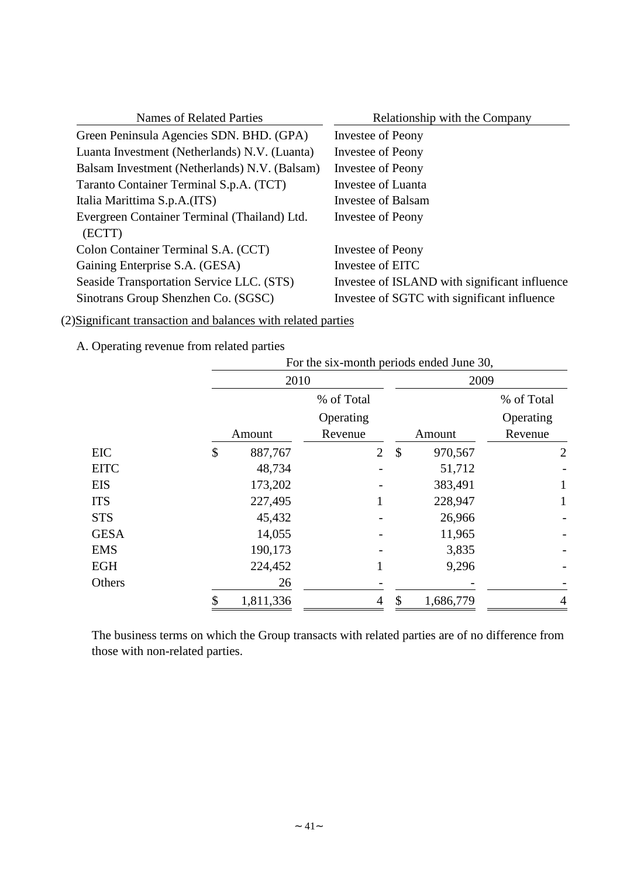| <b>Names of Related Parties</b>                        | Relationship with the Company                 |
|--------------------------------------------------------|-----------------------------------------------|
| Green Peninsula Agencies SDN. BHD. (GPA)               | Investee of Peony                             |
| Luanta Investment (Netherlands) N.V. (Luanta)          | Investee of Peony                             |
| Balsam Investment (Netherlands) N.V. (Balsam)          | <b>Investee of Peony</b>                      |
| Taranto Container Terminal S.p.A. (TCT)                | Investee of Luanta                            |
| Italia Marittima S.p.A.(ITS)                           | Investee of Balsam                            |
| Evergreen Container Terminal (Thailand) Ltd.<br>(ECTT) | Investee of Peony                             |
| Colon Container Terminal S.A. (CCT)                    | Investee of Peony                             |
| Gaining Enterprise S.A. (GESA)                         | Investee of EITC                              |
| Seaside Transportation Service LLC. (STS)              | Investee of ISLAND with significant influence |
| Sinotrans Group Shenzhen Co. (SGSC)                    | Investee of SGTC with significant influence   |

(2)Significant transaction and balances with related parties

A. Operating revenue from related parties

|             | For the six-month periods ended June 30, |                |                           |           |                |  |  |
|-------------|------------------------------------------|----------------|---------------------------|-----------|----------------|--|--|
|             | 2010                                     |                |                           | 2009      |                |  |  |
|             |                                          | % of Total     |                           |           | % of Total     |  |  |
|             |                                          | Operating      |                           |           | Operating      |  |  |
|             | Amount                                   | Revenue        |                           | Amount    | Revenue        |  |  |
| <b>EIC</b>  | \$<br>887,767                            | $\overline{2}$ | $\boldsymbol{\mathsf{S}}$ | 970,567   | $\overline{2}$ |  |  |
| <b>EITC</b> | 48,734                                   |                |                           | 51,712    |                |  |  |
| <b>EIS</b>  | 173,202                                  |                |                           | 383,491   | $\mathbf{1}$   |  |  |
| <b>ITS</b>  | 227,495                                  |                |                           | 228,947   | $\mathbf{1}$   |  |  |
| <b>STS</b>  | 45,432                                   |                |                           | 26,966    |                |  |  |
| <b>GESA</b> | 14,055                                   |                |                           | 11,965    |                |  |  |
| <b>EMS</b>  | 190,173                                  |                |                           | 3,835     |                |  |  |
| <b>EGH</b>  | 224,452                                  |                |                           | 9,296     |                |  |  |
| Others      | 26                                       |                |                           |           |                |  |  |
|             | 1,811,336                                | 4              | $\mathcal{S}$             | 1,686,779 | 4              |  |  |

The business terms on which the Group transacts with related parties are of no difference from those with non-related parties.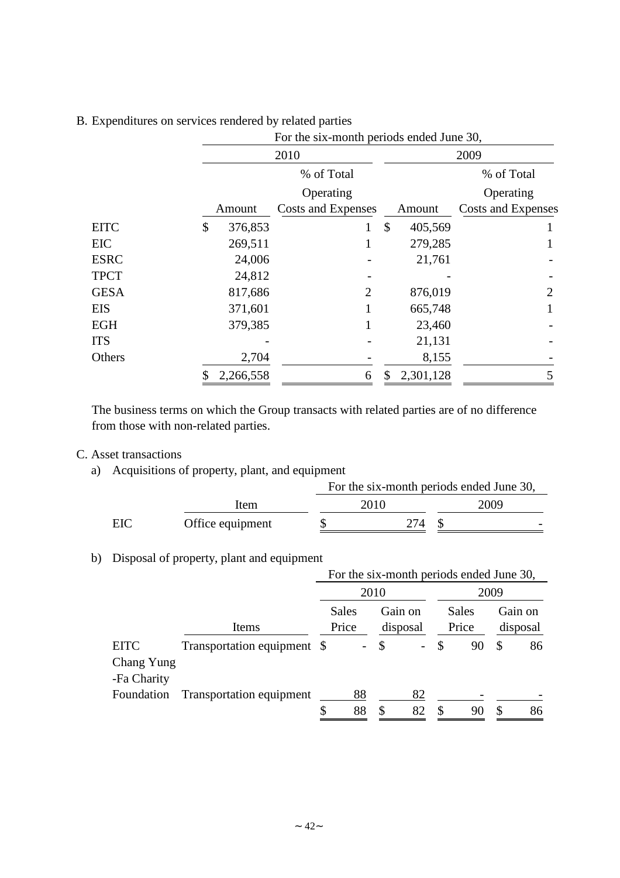|             |                 | For the six-month periods ended June 30, |                          |                    |  |  |  |  |
|-------------|-----------------|------------------------------------------|--------------------------|--------------------|--|--|--|--|
|             |                 | 2010                                     |                          | 2009               |  |  |  |  |
|             |                 | % of Total                               |                          | % of Total         |  |  |  |  |
|             |                 | Operating                                |                          | Operating          |  |  |  |  |
|             | Amount          | Costs and Expenses                       | Amount                   | Costs and Expenses |  |  |  |  |
| <b>EITC</b> | 376,853<br>\$   | 1                                        | $\mathcal{S}$<br>405,569 |                    |  |  |  |  |
| <b>EIC</b>  | 269,511         |                                          | 279,285                  |                    |  |  |  |  |
| <b>ESRC</b> | 24,006          |                                          | 21,761                   |                    |  |  |  |  |
| <b>TPCT</b> | 24,812          |                                          |                          |                    |  |  |  |  |
| <b>GESA</b> | 817,686         | 2                                        | 876,019                  | $\overline{2}$     |  |  |  |  |
| <b>EIS</b>  | 371,601         |                                          | 665,748                  |                    |  |  |  |  |
| <b>EGH</b>  | 379,385         |                                          | 23,460                   |                    |  |  |  |  |
| <b>ITS</b>  |                 |                                          | 21,131                   |                    |  |  |  |  |
| Others      | 2,704           |                                          | 8,155                    |                    |  |  |  |  |
|             | \$<br>2,266,558 | 6                                        | 2,301,128<br>\$          | 5                  |  |  |  |  |

## B. Expenditures on services rendered by related parties

The business terms on which the Group transacts with related parties are of no difference from those with non-related parties.

## C. Asset transactions

a) Acquisitions of property, plant, and equipment

|     |                  | For the six-month periods ended June 30, |      |      |  |  |  |  |
|-----|------------------|------------------------------------------|------|------|--|--|--|--|
|     | Item             |                                          | 2010 | 2009 |  |  |  |  |
| EIC | Office equipment |                                          | 274  |      |  |  |  |  |

## b) Disposal of property, plant and equipment

|             |                             | For the six-month periods ended June 30, |                          |               |          |    |       |    |          |
|-------------|-----------------------------|------------------------------------------|--------------------------|---------------|----------|----|-------|----|----------|
|             |                             |                                          | 2010                     |               |          |    | 2009  |    |          |
|             |                             |                                          | Sales<br>Gain on         |               |          |    | Sales |    | Gain on  |
|             | Items                       |                                          | Price                    |               | disposal |    | Price |    | disposal |
| <b>EITC</b> | Transportation equipment \$ |                                          | $\overline{\phantom{a}}$ | $\mathcal{S}$ |          | \$ | 90    | \$ | 86       |
| Chang Yung  |                             |                                          |                          |               |          |    |       |    |          |
| -Fa Charity |                             |                                          |                          |               |          |    |       |    |          |
| Foundation  | Transportation equipment    |                                          | 88                       |               | 82       |    |       |    |          |
|             |                             | \$                                       | 88                       | S             | 82       | S  |       |    |          |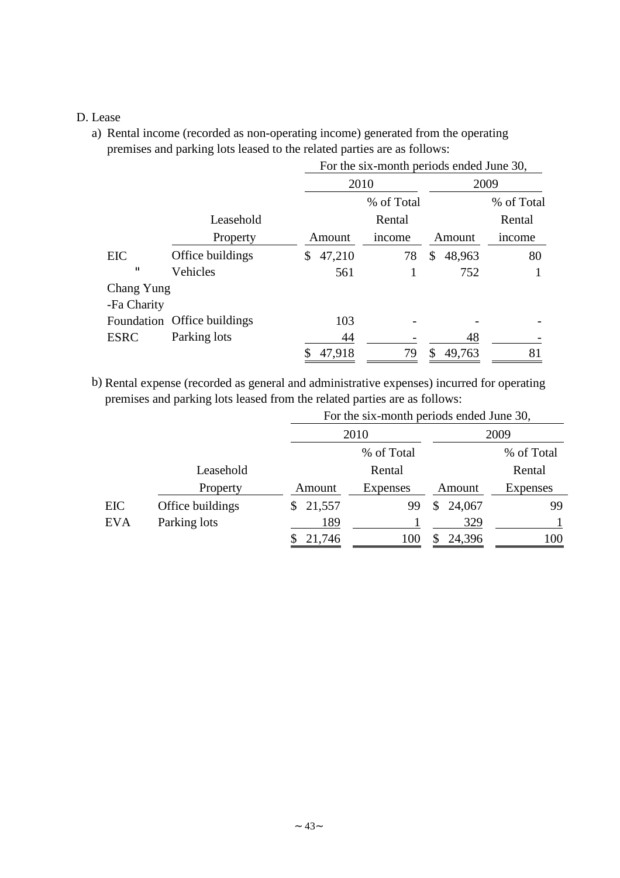## D. Lease

a) Rental income (recorded as non-operating income) generated from the operating premises and parking lots leased to the related parties are as follows:

|              |                             | For the six-month periods ended June 30, |        |            |   |        |            |  |  |
|--------------|-----------------------------|------------------------------------------|--------|------------|---|--------|------------|--|--|
|              |                             | 2010                                     |        |            |   | 2009   |            |  |  |
|              |                             |                                          |        | % of Total |   |        | % of Total |  |  |
|              | Leasehold                   |                                          |        | Rental     |   |        | Rental     |  |  |
|              | Property                    |                                          | Amount | income     |   | Amount | income     |  |  |
| EIC          | Office buildings            | \$                                       | 47,210 | 78         | S | 48,963 | 80         |  |  |
| $\mathbf{u}$ | Vehicles                    |                                          | 561    |            |   | 752    |            |  |  |
| Chang Yung   |                             |                                          |        |            |   |        |            |  |  |
| -Fa Charity  |                             |                                          |        |            |   |        |            |  |  |
|              | Foundation Office buildings |                                          | 103    |            |   |        |            |  |  |
| <b>ESRC</b>  | Parking lots                |                                          | 44     |            |   | 48     |            |  |  |
|              |                             |                                          | 47,918 | 79         | S | 49,763 | 81         |  |  |

b) Rental expense (recorded as general and administrative expenses) incurred for operating premises and parking lots leased from the related parties are as follows:

|            |                  | For the six-month periods ended June 30, |            |          |            |  |  |  |  |
|------------|------------------|------------------------------------------|------------|----------|------------|--|--|--|--|
|            |                  |                                          | 2010       |          | 2009       |  |  |  |  |
|            |                  |                                          | % of Total |          | % of Total |  |  |  |  |
|            | Leasehold        |                                          | Rental     |          | Rental     |  |  |  |  |
|            | Property         | Amount                                   | Expenses   | Amount   | Expenses   |  |  |  |  |
| EIC        | Office buildings | \$21,557                                 | 99         | \$24,067 | 99         |  |  |  |  |
| <b>EVA</b> | Parking lots     | 189                                      |            | 329      |            |  |  |  |  |
|            |                  | 21,746                                   | 100        | 24,396   | 100        |  |  |  |  |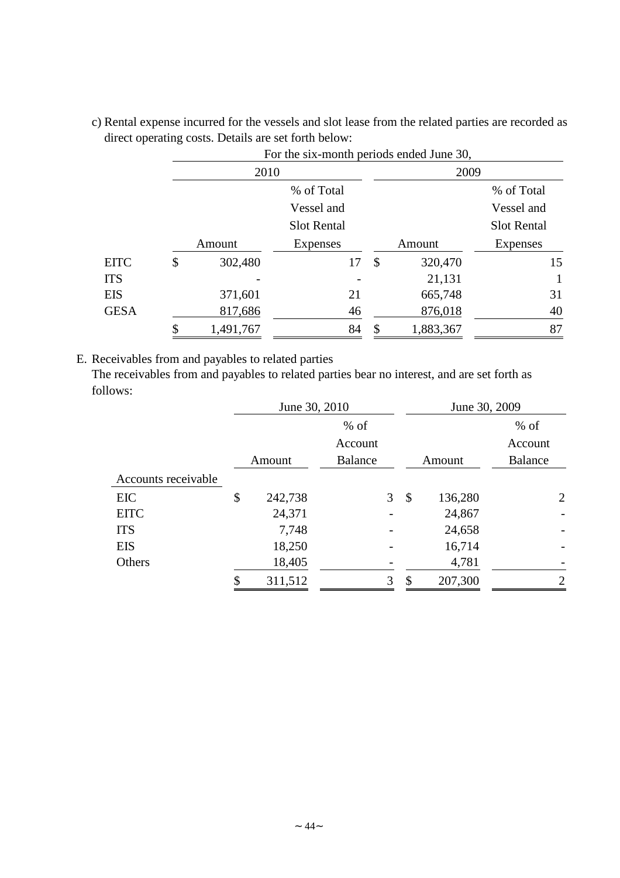|             |    |           |                    | For the six-month periods ended June 30, |           |                    |  |  |
|-------------|----|-----------|--------------------|------------------------------------------|-----------|--------------------|--|--|
|             |    | 2010      |                    |                                          | 2009      |                    |  |  |
|             |    |           | % of Total         |                                          |           | % of Total         |  |  |
|             |    |           | Vessel and         |                                          |           | Vessel and         |  |  |
|             |    |           | <b>Slot Rental</b> |                                          |           | <b>Slot Rental</b> |  |  |
|             |    | Amount    | <b>Expenses</b>    |                                          | Amount    | <b>Expenses</b>    |  |  |
| <b>EITC</b> | \$ | 302,480   | 17                 | \$                                       | 320,470   | 15                 |  |  |
| <b>ITS</b>  |    |           |                    |                                          | 21,131    |                    |  |  |
| EIS         |    | 371,601   | 21                 |                                          | 665,748   | 31                 |  |  |
| <b>GESA</b> |    | 817,686   | 46                 |                                          | 876,018   | 40                 |  |  |
|             | ¢  | 1,491,767 | 84                 | \$                                       | 1,883,367 | 87                 |  |  |

c) Rental expense incurred for the vessels and slot lease from the related parties are recorded as direct operating costs. Details are set forth below:  $\frac{1}{20}$ 

E. Receivables from and payables to related parties

The receivables from and payables to related parties bear no interest, and are set forth as follows:

|    | June 30, 2010 |                |   | June 30, 2009 |         |                |
|----|---------------|----------------|---|---------------|---------|----------------|
|    |               | $%$ of         |   |               |         | $%$ of         |
|    |               | Account        |   |               |         | Account        |
|    |               | <b>Balance</b> |   |               | Amount  | Balance        |
|    |               |                |   |               |         |                |
| \$ | 242,738       |                |   | \$            | 136,280 | $\overline{2}$ |
|    | 24,371        |                |   |               | 24,867  |                |
|    | 7,748         |                |   |               | 24,658  |                |
|    | 18,250        |                |   |               | 16,714  |                |
|    | 18,405        |                |   |               | 4,781   |                |
| ፍ  | 311,512       |                | 3 | S             | 207,300 | 2              |
|    |               | Amount         |   | 3             |         |                |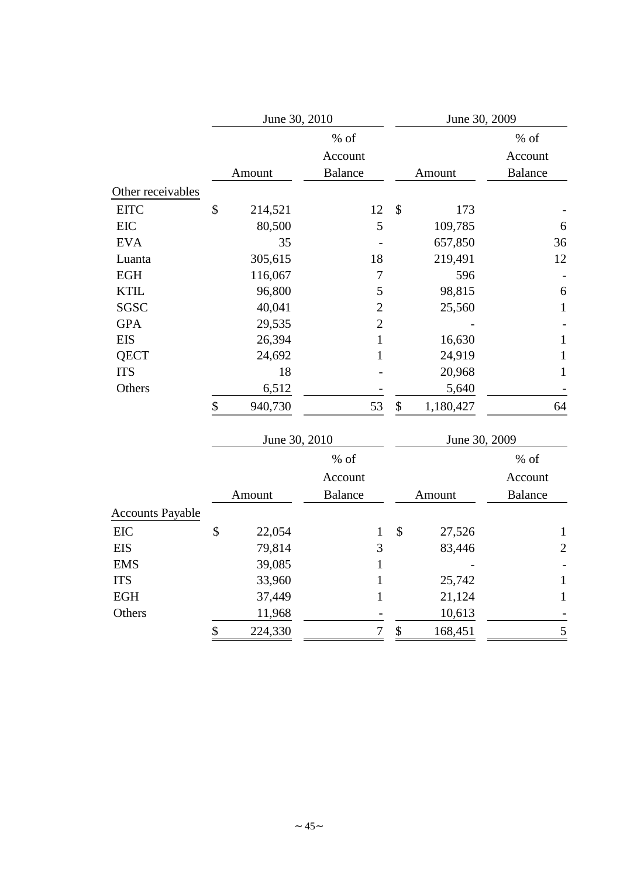|                   | June 30, 2010 |                | June 30, 2009   |                |  |
|-------------------|---------------|----------------|-----------------|----------------|--|
|                   |               | % of           |                 | $%$ of         |  |
|                   |               | Account        |                 | Account        |  |
|                   | Amount        | <b>Balance</b> | Amount          | <b>Balance</b> |  |
| Other receivables |               |                |                 |                |  |
| <b>EITC</b>       | \$<br>214,521 | 12             | \$<br>173       |                |  |
| EIC               | 80,500        | 5              | 109,785         | 6              |  |
| <b>EVA</b>        | 35            |                | 657,850         | 36             |  |
| Luanta            | 305,615       | 18             | 219,491         | 12             |  |
| <b>EGH</b>        | 116,067       | 7              | 596             |                |  |
| <b>KTIL</b>       | 96,800        | 5              | 98,815          | 6              |  |
| SGSC              | 40,041        | $\mathbf{2}$   | 25,560          | $\mathbf{1}$   |  |
| <b>GPA</b>        | 29,535        | $\overline{2}$ |                 |                |  |
| <b>EIS</b>        | 26,394        | 1              | 16,630          | $\mathbf{1}$   |  |
| <b>QECT</b>       | 24,692        | 1              | 24,919          | $\mathbf{1}$   |  |
| <b>ITS</b>        | 18            |                | 20,968          | 1              |  |
| Others            | 6,512         |                | 5,640           |                |  |
|                   | \$<br>940,730 | 53             | \$<br>1,180,427 | 64             |  |
|                   | June 30, 2010 |                | June 30, 2009   |                |  |

|                         | Julie $30, 2010$ |                |   | JUIIE JU, ZUUY |         |                |  |
|-------------------------|------------------|----------------|---|----------------|---------|----------------|--|
|                         |                  | $%$ of         |   |                |         | $%$ of         |  |
|                         |                  | Account        |   |                |         | Account        |  |
|                         | Amount           | <b>Balance</b> |   |                | Amount  | <b>Balance</b> |  |
| <b>Accounts Payable</b> |                  |                |   |                |         |                |  |
| <b>EIC</b>              | \$<br>22,054     |                |   | \$             | 27,526  | $\mathbf 1$    |  |
| <b>EIS</b>              | 79,814           |                | 3 |                | 83,446  | $\overline{2}$ |  |
| <b>EMS</b>              | 39,085           |                |   |                |         |                |  |
| <b>ITS</b>              | 33,960           |                |   |                | 25,742  | $\mathbf 1$    |  |
| <b>EGH</b>              | 37,449           |                |   |                | 21,124  | $\mathbf{1}$   |  |
| Others                  | 11,968           |                |   |                | 10,613  |                |  |
|                         | 224,330          |                |   | \$             | 168,451 | 5              |  |
|                         |                  |                |   |                |         |                |  |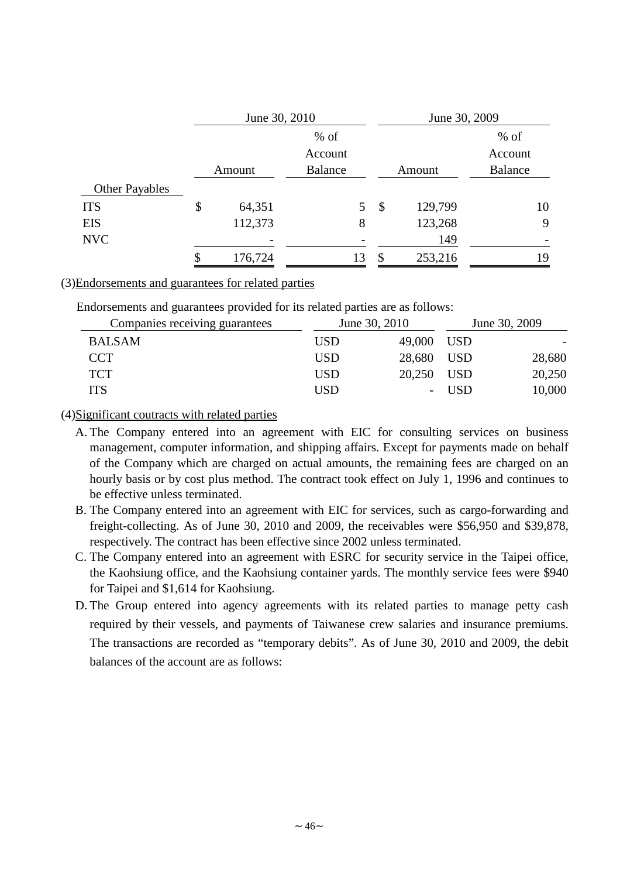|                       | June 30, 2010 |         |                           | June 30, 2009 |                |  |
|-----------------------|---------------|---------|---------------------------|---------------|----------------|--|
|                       |               | $%$ of  |                           |               | $%$ of         |  |
|                       |               | Account |                           |               | Account        |  |
|                       | Amount        | Balance | Amount                    |               | <b>Balance</b> |  |
| <b>Other Payables</b> |               |         |                           |               |                |  |
| <b>ITS</b>            | \$<br>64,351  | 5       | $\boldsymbol{\mathsf{S}}$ | 129,799       | 10             |  |
| <b>EIS</b>            | 112,373       | 8       |                           | 123,268       | 9              |  |
| <b>NVC</b>            |               |         |                           | 149           |                |  |
|                       | 176,724       | 13      | \$                        | 253,216       | 19             |  |

#### (3)Endorsements and guarantees for related parties

Endorsements and guarantees provided for its related parties are as follows:

| Companies receiving guarantees |            | June 30, 2010 | June 30, 2009    |        |
|--------------------------------|------------|---------------|------------------|--------|
| <b>BALSAM</b>                  | <b>USD</b> | 49,000 USD    |                  |        |
| <b>CCT</b>                     | <b>USD</b> | 28,680 USD    |                  | 28,680 |
| <b>TCT</b>                     | <b>USD</b> | 20,250 USD    |                  | 20,250 |
| <b>ITS</b>                     | <b>USD</b> |               | USD <sub>2</sub> | 10,000 |

## (4)Significant coutracts with related parties

- A. The Company entered into an agreement with EIC for consulting services on business management, computer information, and shipping affairs. Except for payments made on behalf of the Company which are charged on actual amounts, the remaining fees are charged on an hourly basis or by cost plus method. The contract took effect on July 1, 1996 and continues to be effective unless terminated.
- B. The Company entered into an agreement with EIC for services, such as cargo-forwarding and freight-collecting. As of June 30, 2010 and 2009, the receivables were \$56,950 and \$39,878, respectively. The contract has been effective since 2002 unless terminated.
- C. The Company entered into an agreement with ESRC for security service in the Taipei office, the Kaohsiung office, and the Kaohsiung container yards. The monthly service fees were \$940 for Taipei and \$1,614 for Kaohsiung.
- D. The Group entered into agency agreements with its related parties to manage petty cash required by their vessels, and payments of Taiwanese crew salaries and insurance premiums. The transactions are recorded as "temporary debits". As of June 30, 2010 and 2009, the debit balances of the account are as follows: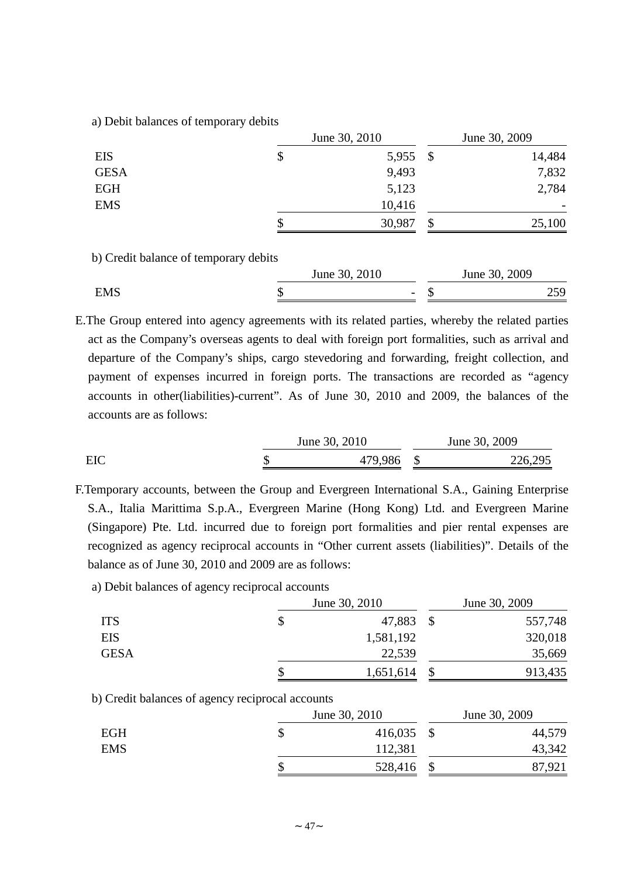a) Debit balances of temporary debits

|             | June 30, 2010 |               |        |  |
|-------------|---------------|---------------|--------|--|
| <b>EIS</b>  | \$<br>5,955   | $\mathcal{S}$ | 14,484 |  |
| <b>GESA</b> | 9,493         |               | 7,832  |  |
| <b>EGH</b>  | 5,123         |               | 2,784  |  |
| <b>EMS</b>  | 10,416        |               |        |  |
|             | 30,987        | \$            | 25,100 |  |

b) Credit balance of temporary debits

|            | June 30, 2010            | June 30, 2009 |       |  |
|------------|--------------------------|---------------|-------|--|
| <b>EMS</b> | $\overline{\phantom{0}}$ |               | ر ب ک |  |

E.The Group entered into agency agreements with its related parties, whereby the related parties act as the Company's overseas agents to deal with foreign port formalities, such as arrival and departure of the Company's ships, cargo stevedoring and forwarding, freight collection, and payment of expenses incurred in foreign ports. The transactions are recorded as "agency accounts in other(liabilities)-current". As of June 30, 2010 and 2009, the balances of the accounts are as follows:

June 30, 2010 June 30, 2009 EIC \$ 479,986 \$ 226,295

F.Temporary accounts, between the Group and Evergreen International S.A., Gaining Enterprise S.A., Italia Marittima S.p.A., Evergreen Marine (Hong Kong) Ltd. and Evergreen Marine (Singapore) Pte. Ltd. incurred due to foreign port formalities and pier rental expenses are recognized as agency reciprocal accounts in "Other current assets (liabilities)". Details of the balance as of June 30, 2010 and 2009 are as follows:

a) Debit balances of agency reciprocal accounts

|             | June 30, 2010 | June 30, 2009 |         |  |
|-------------|---------------|---------------|---------|--|
| <b>ITS</b>  | 47,883        |               | 557,748 |  |
| <b>EIS</b>  | 1,581,192     |               | 320,018 |  |
| <b>GESA</b> | 22,539        |               | 35,669  |  |
|             | 1,651,614     |               | 913,435 |  |

## b) Credit balances of agency reciprocal accounts

|            | June 30, 2010 |         |  | June 30, 2009 |  |  |  |
|------------|---------------|---------|--|---------------|--|--|--|
| <b>EGH</b> |               | 416,035 |  | 44,579        |  |  |  |
| <b>EMS</b> |               | 112,381 |  | 43,342        |  |  |  |
|            |               | 528,416 |  | 87,921        |  |  |  |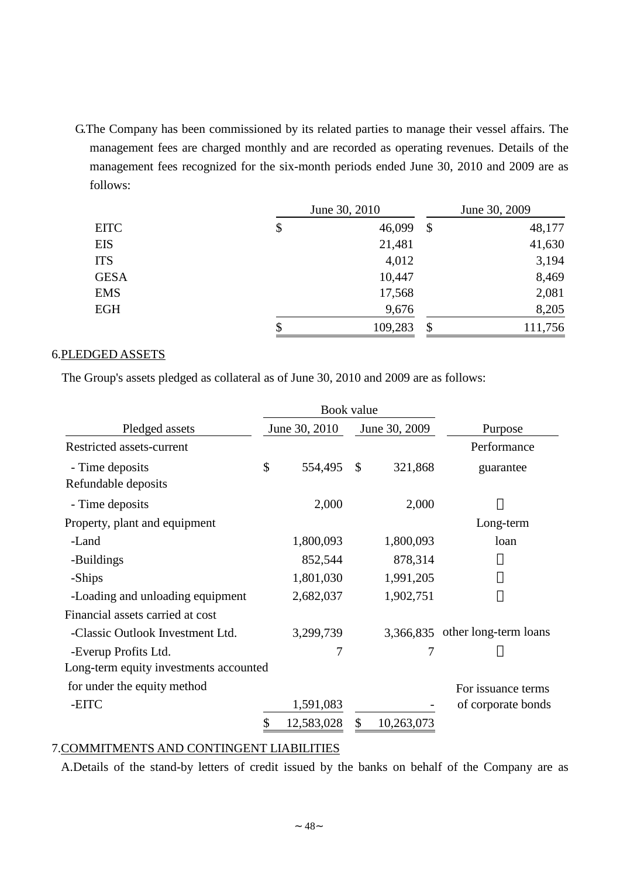G.The Company has been commissioned by its related parties to manage their vessel affairs. The management fees are charged monthly and are recorded as operating revenues. Details of the management fees recognized for the six-month periods ended June 30, 2010 and 2009 are as follows:

|             | June 30, 2010 | June 30, 2009 |         |  |
|-------------|---------------|---------------|---------|--|
| <b>EITC</b> | \$<br>46,099  | \$            | 48,177  |  |
| <b>EIS</b>  | 21,481        |               | 41,630  |  |
| <b>ITS</b>  | 4,012         |               | 3,194   |  |
| <b>GESA</b> | 10,447        |               | 8,469   |  |
| <b>EMS</b>  | 17,568        |               | 2,081   |  |
| <b>EGH</b>  | 9,676         |               | 8,205   |  |
|             | \$<br>109,283 | \$            | 111,756 |  |

## 6.PLEDGED ASSETS

The Group's assets pledged as collateral as of June 30, 2010 and 2009 are as follows:

|                                        | Book value       |          |               |                                 |
|----------------------------------------|------------------|----------|---------------|---------------------------------|
| Pledged assets                         | June 30, 2010    |          | June 30, 2009 | Purpose                         |
| Restricted assets-current              |                  |          |               | Performance                     |
| - Time deposits                        | \$<br>554,495    | <b>S</b> | 321,868       | guarantee                       |
| Refundable deposits                    |                  |          |               |                                 |
| - Time deposits                        | 2,000            |          | 2,000         |                                 |
| Property, plant and equipment          |                  |          |               | Long-term                       |
| -Land                                  | 1,800,093        |          | 1,800,093     | loan                            |
| -Buildings                             | 852,544          |          | 878,314       |                                 |
| -Ships                                 | 1,801,030        |          | 1,991,205     |                                 |
| -Loading and unloading equipment       | 2,682,037        |          | 1,902,751     |                                 |
| Financial assets carried at cost       |                  |          |               |                                 |
| -Classic Outlook Investment Ltd.       | 3,299,739        |          |               | 3,366,835 other long-term loans |
| -Everup Profits Ltd.                   | 7                |          | 7             |                                 |
| Long-term equity investments accounted |                  |          |               |                                 |
| for under the equity method            |                  |          |               | For issuance terms              |
| -EITC                                  | 1,591,083        |          |               | of corporate bonds              |
|                                        | \$<br>12,583,028 | \$       | 10,263,073    |                                 |

## 7.COMMITMENTS AND CONTINGENT LIABILITIES

A.Details of the stand-by letters of credit issued by the banks on behalf of the Company are as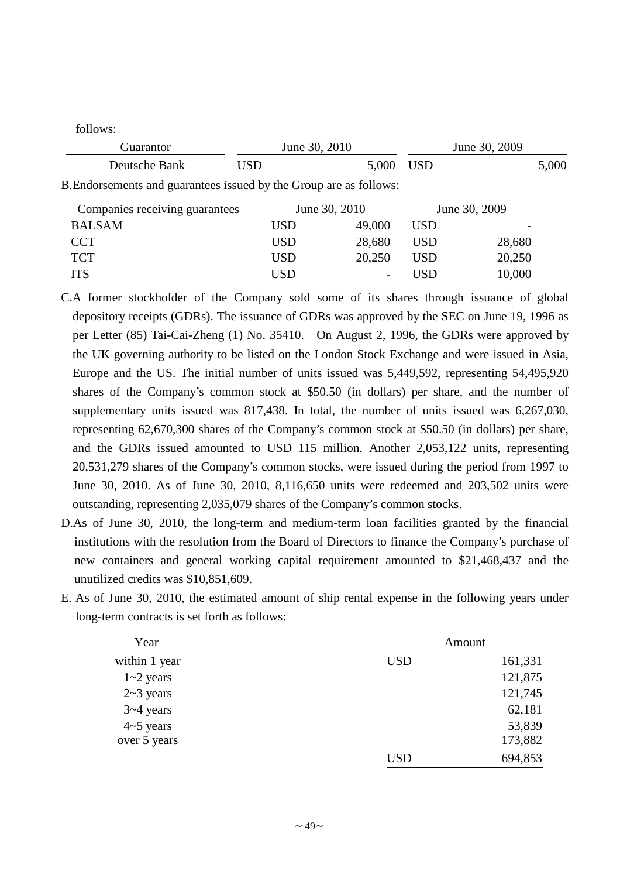follows:

| Guarantor                                                          | June 30, 2010 |               | June 30, 2009 |               |  |  |
|--------------------------------------------------------------------|---------------|---------------|---------------|---------------|--|--|
| Deutsche Bank                                                      | USD           | 5,000         | <b>USD</b>    | 5,000         |  |  |
| B. Endorsements and guarantees issued by the Group are as follows: |               |               |               |               |  |  |
| Companies receiving guarantees                                     |               | June 30, 2010 |               | June 30, 2009 |  |  |
| <b>BALSAM</b>                                                      | <b>USD</b>    | 49,000        | <b>USD</b>    |               |  |  |
| <b>CCT</b>                                                         | <b>USD</b>    | 28,680        | <b>USD</b>    | 28,680        |  |  |
| <b>TCT</b>                                                         | <b>USD</b>    | 20,250        | <b>USD</b>    | 20,250        |  |  |
| <b>ITS</b>                                                         | USD           |               | USD           | 10,000        |  |  |

- C.A former stockholder of the Company sold some of its shares through issuance of global depository receipts (GDRs). The issuance of GDRs was approved by the SEC on June 19, 1996 as per Letter (85) Tai-Cai-Zheng (1) No. 35410. On August 2, 1996, the GDRs were approved by the UK governing authority to be listed on the London Stock Exchange and were issued in Asia, Europe and the US. The initial number of units issued was 5,449,592, representing 54,495,920 shares of the Company's common stock at \$50.50 (in dollars) per share, and the number of supplementary units issued was 817,438. In total, the number of units issued was 6,267,030, representing 62,670,300 shares of the Company's common stock at \$50.50 (in dollars) per share, and the GDRs issued amounted to USD 115 million. Another 2,053,122 units, representing 20,531,279 shares of the Company's common stocks, were issued during the period from 1997 to June 30, 2010. As of June 30, 2010, 8,116,650 units were redeemed and 203,502 units were outstanding, representing 2,035,079 shares of the Company's common stocks.
- D.As of June 30, 2010, the long-term and medium-term loan facilities granted by the financial institutions with the resolution from the Board of Directors to finance the Company's purchase of new containers and general working capital requirement amounted to \$21,468,437 and the unutilized credits was \$10,851,609.
- E. As of June 30, 2010, the estimated amount of ship rental expense in the following years under long-term contracts is set forth as follows:

| Year             |            | Amount  |
|------------------|------------|---------|
| within 1 year    | <b>USD</b> | 161,331 |
| $1 - 2$ years    |            | 121,875 |
| $2 \sim 3$ years |            | 121,745 |
| $3 - 4$ years    |            | 62,181  |
| $4-5$ years      |            | 53,839  |
| over 5 years     |            | 173,882 |
|                  | <b>USD</b> | 694,853 |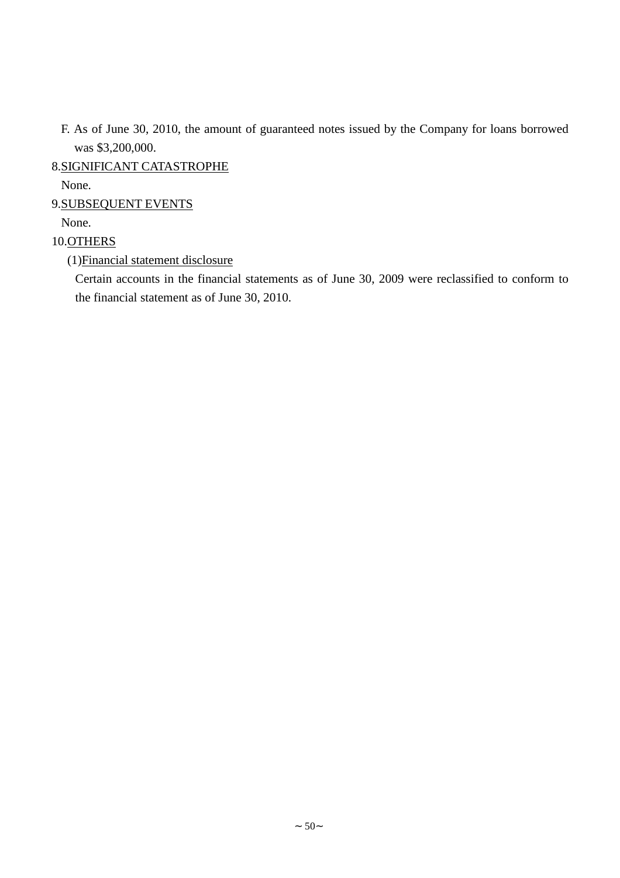F. As of June 30, 2010, the amount of guaranteed notes issued by the Company for loans borrowed was \$3,200,000.

8.SIGNIFICANT CATASTROPHE

None.

9.SUBSEQUENT EVENTS

None.

## 10.OTHERS

(1)Financial statement disclosure

Certain accounts in the financial statements as of June 30, 2009 were reclassified to conform to the financial statement as of June 30, 2010.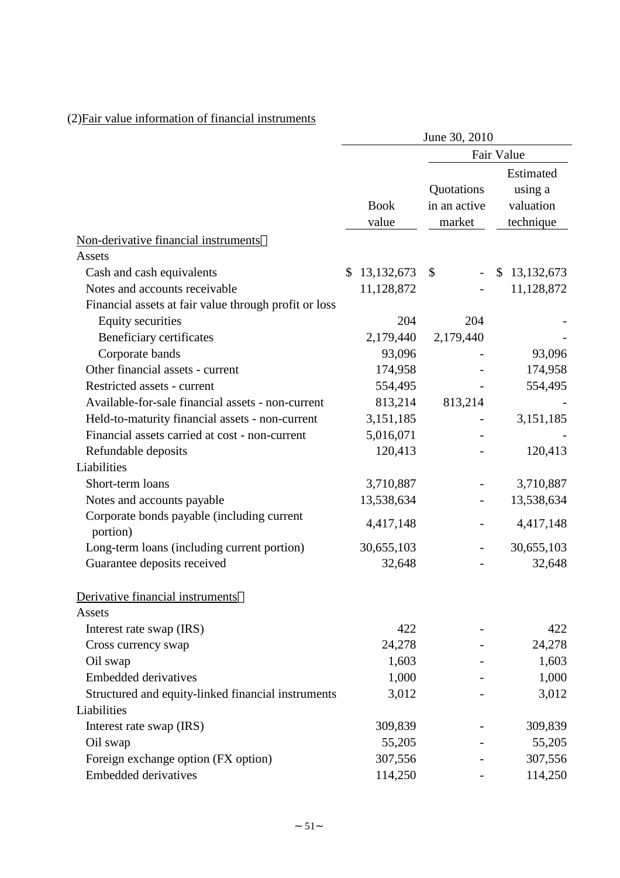|                                                        | June 30, 2010        |                                      |                                                |  |  |
|--------------------------------------------------------|----------------------|--------------------------------------|------------------------------------------------|--|--|
|                                                        |                      |                                      | Fair Value                                     |  |  |
|                                                        | <b>Book</b><br>value | Quotations<br>in an active<br>market | Estimated<br>using a<br>valuation<br>technique |  |  |
| Non-derivative financial instruments                   |                      |                                      |                                                |  |  |
| Assets                                                 |                      |                                      |                                                |  |  |
| Cash and cash equivalents                              | 13, 132, 673<br>\$   | \$<br>$\overline{\phantom{a}}$       | \$13,132,673                                   |  |  |
| Notes and accounts receivable                          | 11,128,872           |                                      | 11,128,872                                     |  |  |
| Financial assets at fair value through profit or loss  |                      |                                      |                                                |  |  |
| <b>Equity securities</b>                               | 204                  | 204                                  |                                                |  |  |
| Beneficiary certificates                               | 2,179,440            | 2,179,440                            |                                                |  |  |
| Corporate bands                                        | 93,096               |                                      | 93,096                                         |  |  |
| Other financial assets - current                       | 174,958              |                                      | 174,958                                        |  |  |
| Restricted assets - current                            | 554,495              |                                      | 554,495                                        |  |  |
| Available-for-sale financial assets - non-current      | 813,214              | 813,214                              |                                                |  |  |
| Held-to-maturity financial assets - non-current        | 3,151,185            |                                      | 3,151,185                                      |  |  |
| Financial assets carried at cost - non-current         | 5,016,071            |                                      |                                                |  |  |
| Refundable deposits                                    | 120,413              |                                      | 120,413                                        |  |  |
| Liabilities                                            |                      |                                      |                                                |  |  |
| Short-term loans                                       | 3,710,887            |                                      | 3,710,887                                      |  |  |
| Notes and accounts payable                             | 13,538,634           |                                      | 13,538,634                                     |  |  |
| Corporate bonds payable (including current<br>portion) | 4,417,148            |                                      | 4,417,148                                      |  |  |
| Long-term loans (including current portion)            | 30,655,103           |                                      | 30,655,103                                     |  |  |
| Guarantee deposits received                            | 32,648               |                                      | 32,648                                         |  |  |
| Derivative financial instruments                       |                      |                                      |                                                |  |  |
| Assets                                                 |                      |                                      |                                                |  |  |
| Interest rate swap (IRS)                               | 422                  |                                      | 422                                            |  |  |
| Cross currency swap                                    | 24,278               |                                      | 24,278                                         |  |  |
| Oil swap                                               | 1,603                |                                      | 1,603                                          |  |  |
| <b>Embedded derivatives</b>                            | 1,000                |                                      | 1,000                                          |  |  |
| Structured and equity-linked financial instruments     | 3,012                |                                      | 3,012                                          |  |  |
| Liabilities                                            |                      |                                      |                                                |  |  |
| Interest rate swap (IRS)                               | 309,839              |                                      | 309,839                                        |  |  |
| Oil swap                                               | 55,205               |                                      | 55,205                                         |  |  |
| Foreign exchange option (FX option)                    | 307,556              |                                      | 307,556                                        |  |  |
| Embedded derivatives                                   | 114,250              |                                      | 114,250                                        |  |  |

## (2)Fair value information of financial instruments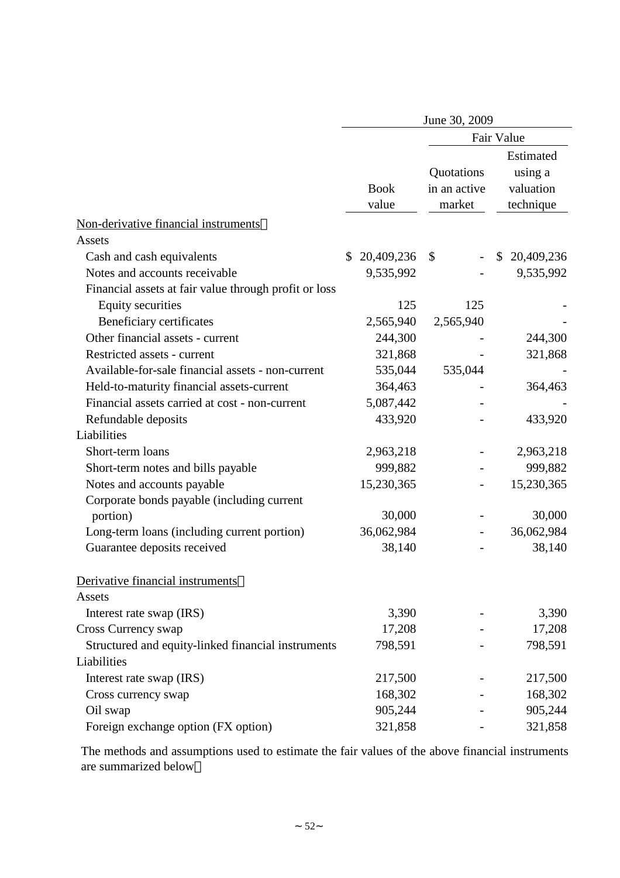|                                                                                   | June 30, 2009        |                                      |                                                |  |  |
|-----------------------------------------------------------------------------------|----------------------|--------------------------------------|------------------------------------------------|--|--|
|                                                                                   | Fair Value           |                                      |                                                |  |  |
|                                                                                   | <b>Book</b><br>value | Quotations<br>in an active<br>market | Estimated<br>using a<br>valuation<br>technique |  |  |
| Non-derivative financial instruments                                              |                      |                                      |                                                |  |  |
| Assets<br>Cash and cash equivalents                                               | 20,409,236<br>\$     | \$                                   | 20,409,236<br>\$                               |  |  |
| Notes and accounts receivable                                                     | 9,535,992            |                                      | 9,535,992                                      |  |  |
|                                                                                   |                      |                                      |                                                |  |  |
| Financial assets at fair value through profit or loss<br><b>Equity securities</b> | 125                  | 125                                  |                                                |  |  |
| Beneficiary certificates                                                          | 2,565,940            | 2,565,940                            |                                                |  |  |
| Other financial assets - current                                                  | 244,300              |                                      | 244,300                                        |  |  |
| Restricted assets - current                                                       | 321,868              |                                      | 321,868                                        |  |  |
| Available-for-sale financial assets - non-current                                 | 535,044              | 535,044                              |                                                |  |  |
| Held-to-maturity financial assets-current                                         | 364,463              |                                      | 364,463                                        |  |  |
| Financial assets carried at cost - non-current                                    | 5,087,442            |                                      |                                                |  |  |
| Refundable deposits                                                               | 433,920              |                                      | 433,920                                        |  |  |
| Liabilities                                                                       |                      |                                      |                                                |  |  |
| Short-term loans                                                                  | 2,963,218            |                                      | 2,963,218                                      |  |  |
| Short-term notes and bills payable                                                | 999,882              |                                      | 999,882                                        |  |  |
| Notes and accounts payable                                                        | 15,230,365           |                                      | 15,230,365                                     |  |  |
| Corporate bonds payable (including current                                        |                      |                                      |                                                |  |  |
| portion)                                                                          | 30,000               |                                      | 30,000                                         |  |  |
| Long-term loans (including current portion)                                       | 36,062,984           |                                      | 36,062,984                                     |  |  |
| Guarantee deposits received                                                       | 38,140               |                                      | 38,140                                         |  |  |
| Derivative financial instruments<br>Assets                                        |                      |                                      |                                                |  |  |
| Interest rate swap (IRS)                                                          | 3,390                |                                      | 3,390                                          |  |  |
| Cross Currency swap                                                               | 17,208               |                                      | 17,208                                         |  |  |
| Structured and equity-linked financial instruments                                | 798,591              |                                      | 798,591                                        |  |  |
| Liabilities                                                                       |                      |                                      |                                                |  |  |
| Interest rate swap (IRS)                                                          | 217,500              |                                      | 217,500                                        |  |  |
| Cross currency swap                                                               | 168,302              |                                      | 168,302                                        |  |  |
| Oil swap                                                                          | 905,244              |                                      | 905,244                                        |  |  |
| Foreign exchange option (FX option)                                               | 321,858              |                                      | 321,858                                        |  |  |

The methods and assumptions used to estimate the fair values of the above financial instruments are summarized below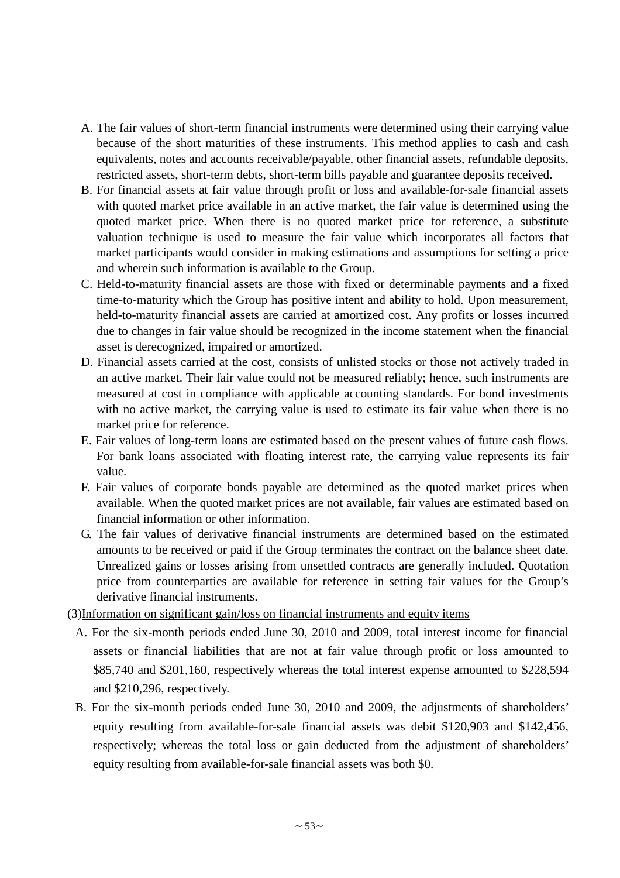- A. The fair values of short-term financial instruments were determined using their carrying value because of the short maturities of these instruments. This method applies to cash and cash equivalents, notes and accounts receivable/payable, other financial assets, refundable deposits, restricted assets, short-term debts, short-term bills payable and guarantee deposits received.
- B. For financial assets at fair value through profit or loss and available-for-sale financial assets with quoted market price available in an active market, the fair value is determined using the quoted market price. When there is no quoted market price for reference, a substitute valuation technique is used to measure the fair value which incorporates all factors that market participants would consider in making estimations and assumptions for setting a price and wherein such information is available to the Group.
- C. Held-to-maturity financial assets are those with fixed or determinable payments and a fixed time-to-maturity which the Group has positive intent and ability to hold. Upon measurement, held-to-maturity financial assets are carried at amortized cost. Any profits or losses incurred due to changes in fair value should be recognized in the income statement when the financial asset is derecognized, impaired or amortized.
- D. Financial assets carried at the cost, consists of unlisted stocks or those not actively traded in an active market. Their fair value could not be measured reliably; hence, such instruments are measured at cost in compliance with applicable accounting standards. For bond investments with no active market, the carrying value is used to estimate its fair value when there is no market price for reference.
- E. Fair values of long-term loans are estimated based on the present values of future cash flows. For bank loans associated with floating interest rate, the carrying value represents its fair value.
- F. Fair values of corporate bonds payable are determined as the quoted market prices when available. When the quoted market prices are not available, fair values are estimated based on financial information or other information.
- G. The fair values of derivative financial instruments are determined based on the estimated amounts to be received or paid if the Group terminates the contract on the balance sheet date. Unrealized gains or losses arising from unsettled contracts are generally included. Quotation price from counterparties are available for reference in setting fair values for the Group's derivative financial instruments.
- (3)Information on significant gain/loss on financial instruments and equity items
	- A. For the six-month periods ended June 30, 2010 and 2009, total interest income for financial assets or financial liabilities that are not at fair value through profit or loss amounted to \$85,740 and \$201,160, respectively whereas the total interest expense amounted to \$228,594 and \$210,296, respectively.
	- B. For the six-month periods ended June 30, 2010 and 2009, the adjustments of shareholders' equity resulting from available-for-sale financial assets was debit \$120,903 and \$142,456, respectively; whereas the total loss or gain deducted from the adjustment of shareholders' equity resulting from available-for-sale financial assets was both \$0.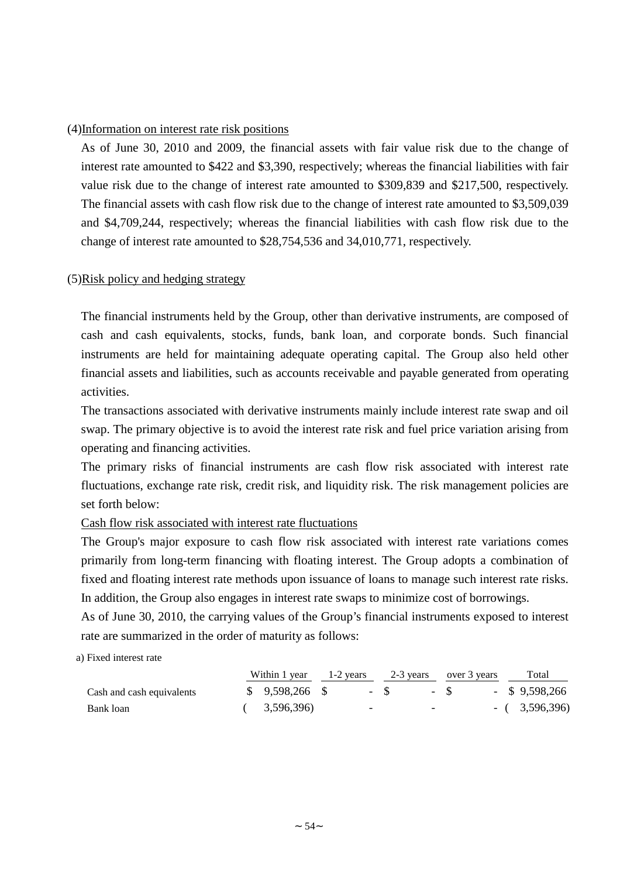### (4)Information on interest rate risk positions

As of June 30, 2010 and 2009, the financial assets with fair value risk due to the change of interest rate amounted to \$422 and \$3,390, respectively; whereas the financial liabilities with fair value risk due to the change of interest rate amounted to \$309,839 and \$217,500, respectively. The financial assets with cash flow risk due to the change of interest rate amounted to \$3,509,039 and \$4,709,244, respectively; whereas the financial liabilities with cash flow risk due to the change of interest rate amounted to \$28,754,536 and 34,010,771, respectively.

## (5)Risk policy and hedging strategy

The financial instruments held by the Group, other than derivative instruments, are composed of cash and cash equivalents, stocks, funds, bank loan, and corporate bonds. Such financial instruments are held for maintaining adequate operating capital. The Group also held other financial assets and liabilities, such as accounts receivable and payable generated from operating activities.

The transactions associated with derivative instruments mainly include interest rate swap and oil swap. The primary objective is to avoid the interest rate risk and fuel price variation arising from operating and financing activities.

The primary risks of financial instruments are cash flow risk associated with interest rate fluctuations, exchange rate risk, credit risk, and liquidity risk. The risk management policies are set forth below:

#### Cash flow risk associated with interest rate fluctuations

The Group's major exposure to cash flow risk associated with interest rate variations comes primarily from long-term financing with floating interest. The Group adopts a combination of fixed and floating interest rate methods upon issuance of loans to manage such interest rate risks. In addition, the Group also engages in interest rate swaps to minimize cost of borrowings.

As of June 30, 2010, the carrying values of the Group's financial instruments exposed to interest rate are summarized in the order of maturity as follows:

a) Fixed interest rate

|                           | Within 1 year $1-2$ years $2-3$ years over 3 years |   |       |                          |           |  | Total            |
|---------------------------|----------------------------------------------------|---|-------|--------------------------|-----------|--|------------------|
| Cash and cash equivalents | $$9,598,266$ \, \$                                 |   | $-$ S |                          | $-$ S $-$ |  | $-$ \$ 9,598,266 |
| Bank loan                 | 3,596,396)                                         | - |       | $\overline{\phantom{0}}$ |           |  | $-$ ( 3,596,396) |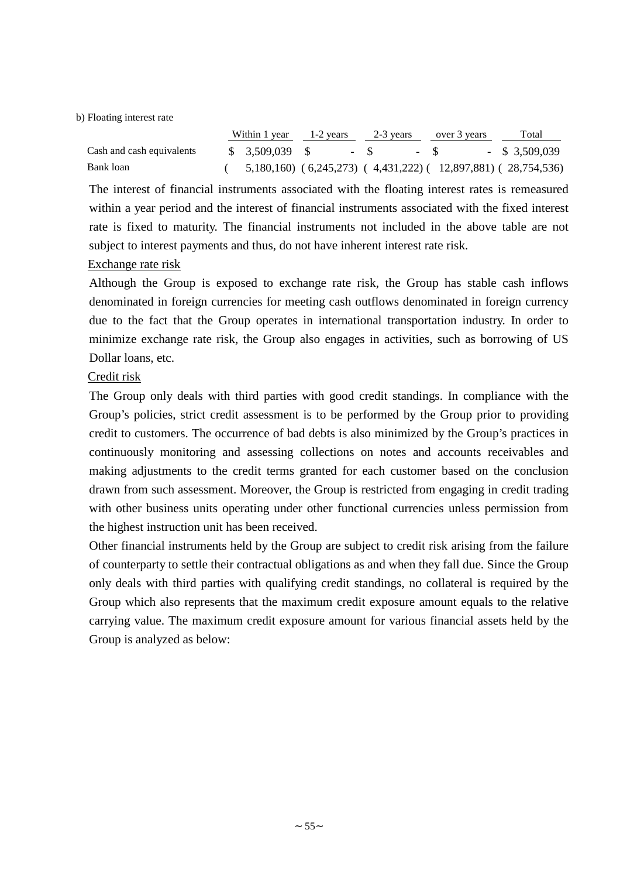b) Floating interest rate

|                           | Within 1 year $1-2$ years $2-3$ years                               |  |  | over 3 years | Total                                                                   |
|---------------------------|---------------------------------------------------------------------|--|--|--------------|-------------------------------------------------------------------------|
| Cash and cash equivalents | $\text{\$} \quad 3.509.039 \quad \text{\$} \quad - \quad \text{\$}$ |  |  | $-$ S        | $-$ \$ 3,509,039                                                        |
| Bank loan                 |                                                                     |  |  |              | $(5,180,160)$ $(6,245,273)$ $(4,431,222)$ $(12,897,881)$ $(28,754,536)$ |

The interest of financial instruments associated with the floating interest rates is remeasured within a year period and the interest of financial instruments associated with the fixed interest rate is fixed to maturity. The financial instruments not included in the above table are not subject to interest payments and thus, do not have inherent interest rate risk.

## Exchange rate risk

Although the Group is exposed to exchange rate risk, the Group has stable cash inflows denominated in foreign currencies for meeting cash outflows denominated in foreign currency due to the fact that the Group operates in international transportation industry. In order to minimize exchange rate risk, the Group also engages in activities, such as borrowing of US Dollar loans, etc.

## Credit risk

The Group only deals with third parties with good credit standings. In compliance with the Group's policies, strict credit assessment is to be performed by the Group prior to providing credit to customers. The occurrence of bad debts is also minimized by the Group's practices in continuously monitoring and assessing collections on notes and accounts receivables and making adjustments to the credit terms granted for each customer based on the conclusion drawn from such assessment. Moreover, the Group is restricted from engaging in credit trading with other business units operating under other functional currencies unless permission from the highest instruction unit has been received.

Other financial instruments held by the Group are subject to credit risk arising from the failure of counterparty to settle their contractual obligations as and when they fall due. Since the Group only deals with third parties with qualifying credit standings, no collateral is required by the Group which also represents that the maximum credit exposure amount equals to the relative carrying value. The maximum credit exposure amount for various financial assets held by the Group is analyzed as below: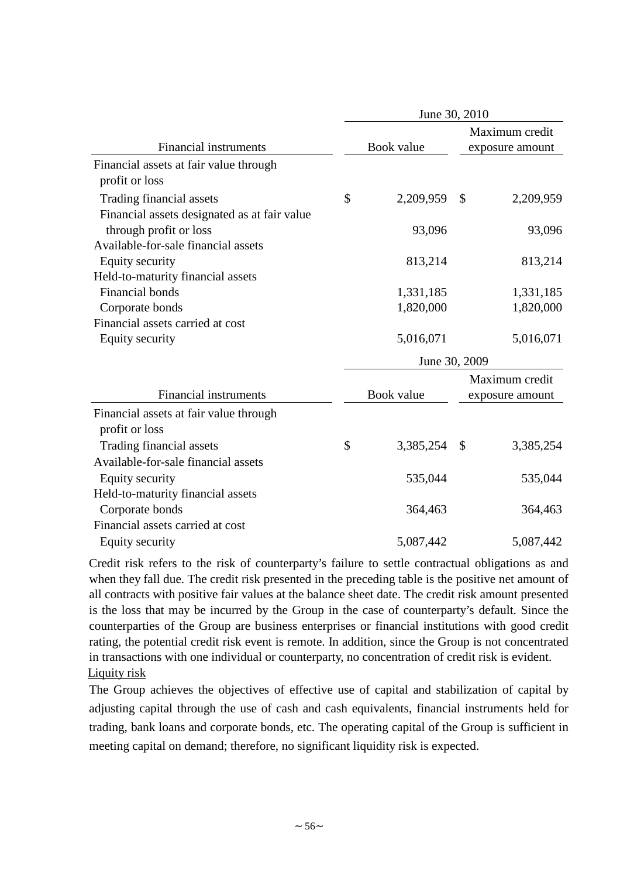|                                              | June 30, 2010 |            |               |                 |  |  |  |
|----------------------------------------------|---------------|------------|---------------|-----------------|--|--|--|
|                                              |               |            |               | Maximum credit  |  |  |  |
| <b>Financial instruments</b>                 |               | Book value |               | exposure amount |  |  |  |
| Financial assets at fair value through       |               |            |               |                 |  |  |  |
| profit or loss                               |               |            |               |                 |  |  |  |
| Trading financial assets                     | \$            | 2,209,959  | \$            | 2,209,959       |  |  |  |
| Financial assets designated as at fair value |               |            |               |                 |  |  |  |
| through profit or loss                       |               | 93,096     |               | 93,096          |  |  |  |
| Available-for-sale financial assets          |               |            |               |                 |  |  |  |
| Equity security                              |               | 813,214    |               | 813,214         |  |  |  |
| Held-to-maturity financial assets            |               |            |               |                 |  |  |  |
| <b>Financial bonds</b>                       |               | 1,331,185  |               | 1,331,185       |  |  |  |
| Corporate bonds                              |               | 1,820,000  |               | 1,820,000       |  |  |  |
| Financial assets carried at cost             |               |            |               |                 |  |  |  |
| Equity security                              |               | 5,016,071  |               | 5,016,071       |  |  |  |
|                                              |               |            | June 30, 2009 |                 |  |  |  |
|                                              |               |            |               | Maximum credit  |  |  |  |
| <b>Financial instruments</b>                 |               | Book value |               | exposure amount |  |  |  |
| Financial assets at fair value through       |               |            |               |                 |  |  |  |
| profit or loss                               |               |            |               |                 |  |  |  |
| Trading financial assets                     | \$            | 3,385,254  | \$            | 3,385,254       |  |  |  |
| Available-for-sale financial assets          |               |            |               |                 |  |  |  |
| Equity security                              |               | 535,044    |               | 535,044         |  |  |  |
| Held-to-maturity financial assets            |               |            |               |                 |  |  |  |
| Corporate bonds                              |               | 364,463    |               | 364,463         |  |  |  |
| Financial assets carried at cost             |               |            |               |                 |  |  |  |
| Equity security                              |               | 5,087,442  |               | 5,087,442       |  |  |  |

Credit risk refers to the risk of counterparty's failure to settle contractual obligations as and when they fall due. The credit risk presented in the preceding table is the positive net amount of all contracts with positive fair values at the balance sheet date. The credit risk amount presented is the loss that may be incurred by the Group in the case of counterparty's default. Since the counterparties of the Group are business enterprises or financial institutions with good credit rating, the potential credit risk event is remote. In addition, since the Group is not concentrated in transactions with one individual or counterparty, no concentration of credit risk is evident. Liquity risk

The Group achieves the objectives of effective use of capital and stabilization of capital by adjusting capital through the use of cash and cash equivalents, financial instruments held for trading, bank loans and corporate bonds, etc. The operating capital of the Group is sufficient in meeting capital on demand; therefore, no significant liquidity risk is expected.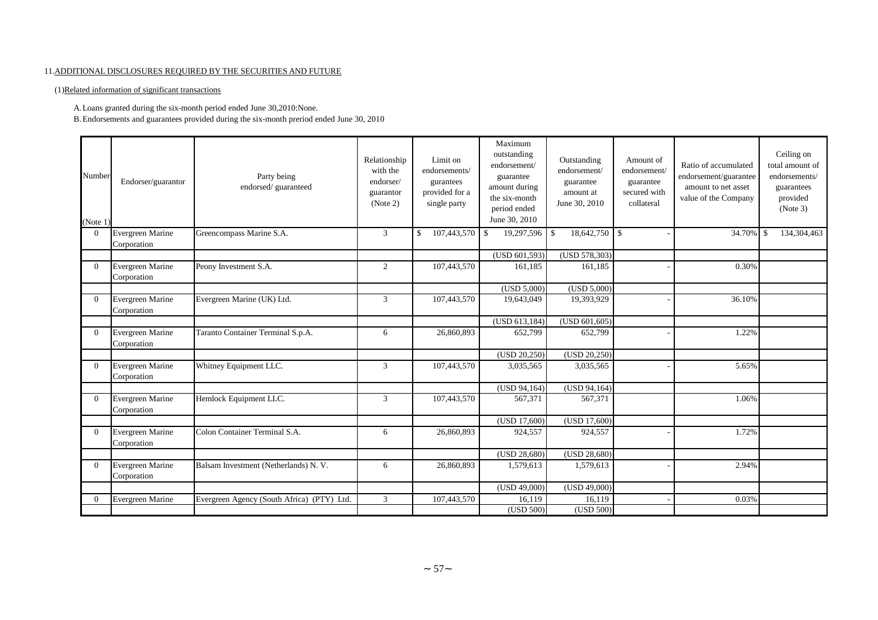#### 11.ADDITIONAL DISCLOSURES REQUIRED BY THE SECURITIES AND FUTURE

(1)Related information of significant transactions

A.Loans granted during the six-month period ended June 30,2010:None.

B.Endorsements and guarantees provided during the six-month preriod ended June 30, 2010

| Number<br>(Note 1 | Endorser/guarantor                     | Party being<br>endorsed/guaranteed         | Relationship<br>with the<br>endorser/<br>guarantor<br>(Note 2) | Limit on<br>endorsements/<br>gurantees<br>provided for a<br>single party | Maximum<br>outstanding<br>endorsement/<br>guarantee<br>amount during<br>the six-month<br>period ended<br>June 30, 2010 | Outstanding<br>endorsement/<br>guarantee<br>amount at<br>June 30, 2010 | Amount of<br>endorsement/<br>guarantee<br>secured with<br>collateral | Ratio of accumulated<br>endorsement/guarantee<br>amount to net asset<br>value of the Company | Ceiling on<br>total amount of<br>endorsements/<br>guarantees<br>provided<br>(Note 3) |
|-------------------|----------------------------------------|--------------------------------------------|----------------------------------------------------------------|--------------------------------------------------------------------------|------------------------------------------------------------------------------------------------------------------------|------------------------------------------------------------------------|----------------------------------------------------------------------|----------------------------------------------------------------------------------------------|--------------------------------------------------------------------------------------|
| $\Omega$          | Evergreen Marine                       | Greencompass Marine S.A.                   | 3                                                              | 107,443,570<br>\$                                                        | 19,297,596<br>$\mathbf{s}$                                                                                             | $18,642,750$ \$<br>$\mathbb{S}$                                        |                                                                      | 34.70%                                                                                       | 134,304,463<br><sup>\$</sup>                                                         |
|                   | Corporation                            |                                            |                                                                |                                                                          |                                                                                                                        |                                                                        |                                                                      |                                                                                              |                                                                                      |
|                   |                                        |                                            |                                                                |                                                                          | (USD 601,593)                                                                                                          | (USD 578,303)                                                          |                                                                      |                                                                                              |                                                                                      |
| $\Omega$          | Evergreen Marine<br>Corporation        | Peony Investment S.A.                      | $\overline{2}$                                                 | 107,443,570                                                              | 161,185                                                                                                                | 161,185                                                                |                                                                      | 0.30%                                                                                        |                                                                                      |
|                   |                                        |                                            |                                                                |                                                                          | (USD 5,000)                                                                                                            | (USD 5,000)                                                            |                                                                      |                                                                                              |                                                                                      |
| $\Omega$          | Evergreen Marine<br>Corporation        | Evergreen Marine (UK) Ltd.                 | 3                                                              | 107,443,570                                                              | 19,643,049                                                                                                             | 19,393,929                                                             |                                                                      | 36.10%                                                                                       |                                                                                      |
|                   |                                        |                                            |                                                                |                                                                          | (USD 613,184)                                                                                                          | (USD 601, 605)                                                         |                                                                      |                                                                                              |                                                                                      |
| $\Omega$          | Evergreen Marine<br>Corporation        | Taranto Container Terminal S.p.A.          | 6                                                              | 26,860,893                                                               | 652,799                                                                                                                | 652,799                                                                |                                                                      | 1.22%                                                                                        |                                                                                      |
|                   |                                        |                                            |                                                                |                                                                          | (USD 20,250)                                                                                                           | (USD 20,250)                                                           |                                                                      |                                                                                              |                                                                                      |
| $\Omega$          | <b>Evergreen Marine</b><br>Corporation | Whitney Equipment LLC.                     | 3                                                              | 107,443,570                                                              | 3,035,565                                                                                                              | 3,035,565                                                              |                                                                      | 5.65%                                                                                        |                                                                                      |
|                   |                                        |                                            |                                                                |                                                                          | (USD 94,164)                                                                                                           | $\overline{\text{(USD 94,164)}}$                                       |                                                                      |                                                                                              |                                                                                      |
| $\overline{0}$    | Evergreen Marine<br>Corporation        | Hemlock Equipment LLC.                     | $\overline{3}$                                                 | 107,443,570                                                              | 567,371                                                                                                                | 567,371                                                                |                                                                      | 1.06%                                                                                        |                                                                                      |
|                   |                                        |                                            |                                                                |                                                                          | (USD 17,600)                                                                                                           | (USD 17,600)                                                           |                                                                      |                                                                                              |                                                                                      |
| $\Omega$          | Evergreen Marine<br>Corporation        | Colon Container Terminal S.A.              | 6                                                              | 26,860,893                                                               | 924,557                                                                                                                | 924,557                                                                |                                                                      | 1.72%                                                                                        |                                                                                      |
|                   |                                        |                                            |                                                                |                                                                          | (USD 28,680)                                                                                                           | $\overline{\text{(USD 28,680)}}$                                       |                                                                      |                                                                                              |                                                                                      |
| $\Omega$          | Evergreen Marine<br>Corporation        | Balsam Investment (Netherlands) N. V.      | 6                                                              | 26,860,893                                                               | 1,579,613                                                                                                              | 1,579,613                                                              |                                                                      | 2.94%                                                                                        |                                                                                      |
|                   |                                        |                                            |                                                                |                                                                          | (USD 49,000)                                                                                                           | (USD 49,000)                                                           |                                                                      |                                                                                              |                                                                                      |
| $\overline{0}$    | <b>Evergreen Marine</b>                | Evergreen Agency (South Africa) (PTY) Ltd. | 3                                                              | 107,443,570                                                              | 16.119                                                                                                                 | 16,119                                                                 |                                                                      | 0.03%                                                                                        |                                                                                      |
|                   |                                        |                                            |                                                                |                                                                          | (USD 500)                                                                                                              | (USD 500)                                                              |                                                                      |                                                                                              |                                                                                      |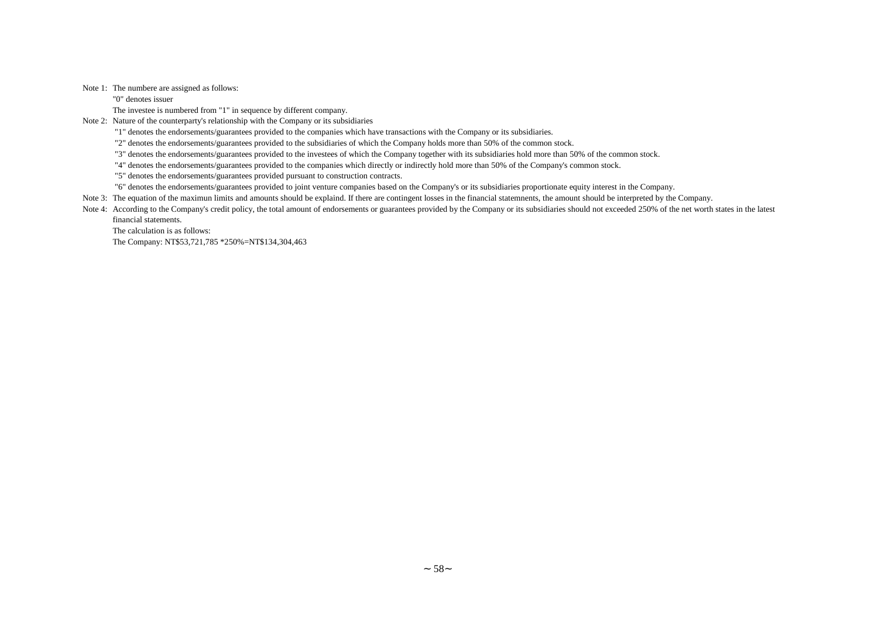Note 1: The numbere are assigned as follows:

"0" denotes issuer

The investee is numbered from "1" in sequence by different company.

Note 2: Nature of the counterparty's relationship with the Company or its subsidiaries

"1" denotes the endorsements/guarantees provided to the companies which have transactions with the Company or its subsidiaries.

"2" denotes the endorsements/guarantees provided to the subsidiaries of which the Company holds more than 50% of the common stock.

"3" denotes the endorsements/guarantees provided to the investees of which the Company together with its subsidiaries hold more than 50% of the common stock.

"4" denotes the endorsements/guarantees provided to the companies which directly or indirectly hold more than 50% of the Company's common stock.

"5" denotes the endorsements/guarantees provided pursuant to construction contracts.

"6" denotes the endorsements/guarantees provided to joint venture companies based on the Company's or its subsidiaries proportionate equity interest in the Company.

Note 3: The equation of the maximun limits and amounts should be explaind. If there are contingent losses in the financial statemnents, the amount should be interpreted by the Company.

Note 4: According to the Company's credit policy, the total amount of endorsements or guarantees provided by the Company or its subsidiaries should not exceeded 250% of the net worth states in the latest financial statements.

The calculation is as follows:

The Company: NT\$53,721,785 \*250%=NT\$134,304,463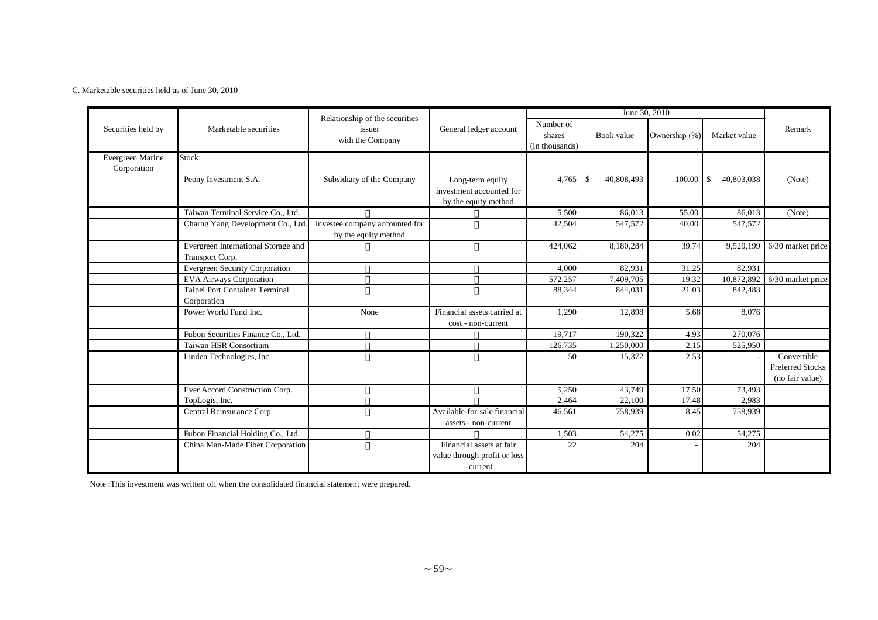#### C. Marketable securities held as of June 30, 2010

|                    |                                       |                                                              |                              |                                       | June 30, 2010               |               |                   |                         |
|--------------------|---------------------------------------|--------------------------------------------------------------|------------------------------|---------------------------------------|-----------------------------|---------------|-------------------|-------------------------|
| Securities held by | Marketable securities                 | Relationship of the securities<br>issuer<br>with the Company | General ledger account       | Number of<br>shares<br>(in thousands) | Book value                  | Ownership (%) | Market value      | Remark                  |
| Evergreen Marine   | Stock:                                |                                                              |                              |                                       |                             |               |                   |                         |
| Corporation        |                                       |                                                              |                              |                                       |                             |               |                   |                         |
|                    | Peony Investment S.A.                 | Subsidiary of the Company                                    | Long-term equity             | 4,765                                 | 40,808,493<br>$\mathcal{S}$ | 100.00        | 40,803,038<br>-\$ | (Note)                  |
|                    |                                       |                                                              | investment accounted for     |                                       |                             |               |                   |                         |
|                    |                                       |                                                              | by the equity method         |                                       |                             |               |                   |                         |
|                    | Taiwan Terminal Service Co., Ltd.     |                                                              |                              | 5,500                                 | 86,013                      | 55.00         | 86,013            | (Note)                  |
|                    | Charng Yang Development Co., Ltd      | Investee company accounted for                               |                              | 42,504                                | 547,572                     | 40.00         | 547,572           |                         |
|                    |                                       | by the equity method                                         |                              |                                       |                             |               |                   |                         |
|                    | Evergreen International Storage and   |                                                              |                              | 424,062                               | 8,180,284                   | 39.74         | 9,520,199         | 6/30 market price       |
|                    | Transport Corp.                       |                                                              |                              |                                       |                             |               |                   |                         |
|                    | <b>Evergreen Security Corporation</b> |                                                              |                              | 4,000                                 | 82,931                      | 31.25         | 82,931            |                         |
|                    | <b>EVA Airways Corporation</b>        |                                                              |                              | 572,257                               | 7,409,705                   | 19.32         | 10,872,892        | 6/30 market price       |
|                    | Taipei Port Container Terminal        |                                                              |                              | 88,344                                | 844,031                     | 21.03         | 842,483           |                         |
|                    | Corporation                           |                                                              |                              |                                       |                             |               |                   |                         |
|                    | Power World Fund Inc.                 | None                                                         | Financial assets carried at  | 1,290                                 | 12,898                      | 5.68          | 8,076             |                         |
|                    |                                       |                                                              | cost - non-current           |                                       |                             |               |                   |                         |
|                    | Fubon Securities Finance Co., Ltd.    |                                                              |                              | 19,717                                | 190,322                     | 4.93          | 270,076           |                         |
|                    | <b>Taiwan HSR Consortium</b>          |                                                              |                              | 126,735                               | 1,250,000                   | 2.15          | 525,950           |                         |
|                    | Linden Technologies, Inc.             |                                                              |                              | 50                                    | 15,372                      | 2.53          |                   | Convertible             |
|                    |                                       |                                                              |                              |                                       |                             |               |                   | <b>Preferred Stocks</b> |
|                    |                                       |                                                              |                              |                                       |                             |               |                   | (no fair value)         |
|                    | Ever Accord Construction Corp.        |                                                              |                              | 5,250                                 | 43,749                      | 17.50         | 73,493            |                         |
|                    | TopLogis, Inc.                        |                                                              |                              | 2,464                                 | 22,100                      | 17.48         | 2,983             |                         |
|                    | Central Reinsurance Corp.             |                                                              | Available-for-sale financial | 46,561                                | 758,939                     | 8.45          | 758,939           |                         |
|                    |                                       |                                                              | assets - non-current         |                                       |                             |               |                   |                         |
|                    | Fubon Financial Holding Co., Ltd.     |                                                              |                              | 1,503                                 | 54,275                      | 0.02          | 54,275            |                         |
|                    | China Man-Made Fiber Corporation      |                                                              | Financial assets at fair     | 22                                    | 204                         |               | 204               |                         |
|                    |                                       |                                                              | value through profit or loss |                                       |                             |               |                   |                         |
|                    |                                       |                                                              | - current                    |                                       |                             |               |                   |                         |

Note :This investment was written off when the consolidated financial statement were prepared.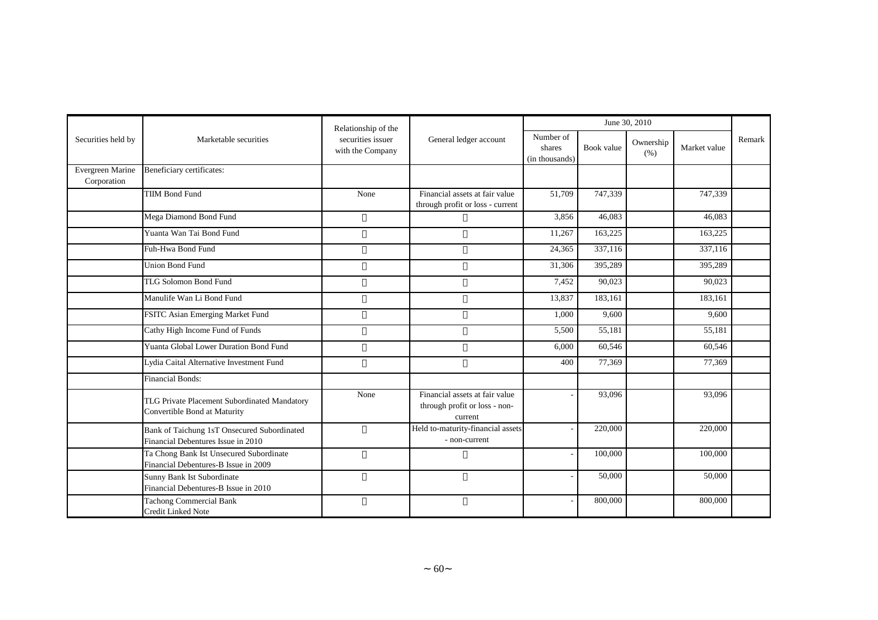|                                 |                                                                                   | Relationship of the                   |                                                                            |                                       |            | June 30, 2010     |              |        |
|---------------------------------|-----------------------------------------------------------------------------------|---------------------------------------|----------------------------------------------------------------------------|---------------------------------------|------------|-------------------|--------------|--------|
| Securities held by              | Marketable securities                                                             | securities issuer<br>with the Company | General ledger account                                                     | Number of<br>shares<br>(in thousands) | Book value | Ownership<br>(% ) | Market value | Remark |
| Evergreen Marine<br>Corporation | Beneficiary certificates:                                                         |                                       |                                                                            |                                       |            |                   |              |        |
|                                 | <b>TIIM Bond Fund</b>                                                             | None                                  | Financial assets at fair value<br>through profit or loss - current         | 51,709                                | 747,339    |                   | 747,339      |        |
|                                 | Mega Diamond Bond Fund                                                            |                                       |                                                                            | 3,856                                 | 46,083     |                   | 46.083       |        |
|                                 | Yuanta Wan Tai Bond Fund                                                          |                                       |                                                                            | 11,267                                | 163,225    |                   | 163,225      |        |
|                                 | Fuh-Hwa Bond Fund                                                                 |                                       |                                                                            | 24,365                                | 337,116    |                   | 337,116      |        |
|                                 | <b>Union Bond Fund</b>                                                            |                                       |                                                                            | 31,306                                | 395,289    |                   | 395,289      |        |
|                                 | <b>TLG Solomon Bond Fund</b>                                                      |                                       |                                                                            | 7,452                                 | 90,023     |                   | 90,023       |        |
|                                 | Manulife Wan Li Bond Fund                                                         |                                       |                                                                            | 13,837                                | 183,161    |                   | 183,161      |        |
|                                 | FSITC Asian Emerging Market Fund                                                  |                                       |                                                                            | 1,000                                 | 9,600      |                   | 9,600        |        |
|                                 | Cathy High Income Fund of Funds                                                   |                                       |                                                                            | 5,500                                 | 55,181     |                   | 55,181       |        |
|                                 | <b>Yuanta Global Lower Duration Bond Fund</b>                                     |                                       |                                                                            | 6,000                                 | 60,546     |                   | 60,546       |        |
|                                 | Lydia Caital Alternative Investment Fund                                          |                                       |                                                                            | 400                                   | 77,369     |                   | 77,369       |        |
|                                 | <b>Financial Bonds:</b>                                                           |                                       |                                                                            |                                       |            |                   |              |        |
|                                 | TLG Private Placement Subordinated Mandatory<br>Convertible Bond at Maturity      | None                                  | Financial assets at fair value<br>through profit or loss - non-<br>current |                                       | 93,096     |                   | 93,096       |        |
|                                 | Bank of Taichung 1sT Onsecured Subordinated<br>Financial Debentures Issue in 2010 |                                       | Held to-maturity-financial assets<br>- non-current                         |                                       | 220,000    |                   | 220,000      |        |
|                                 | Ta Chong Bank Ist Unsecured Subordinate<br>Financial Debentures-B Issue in 2009   |                                       |                                                                            |                                       | 100,000    |                   | 100,000      |        |
|                                 | Sunny Bank Ist Subordinate<br>Financial Debentures-B Issue in 2010                |                                       |                                                                            |                                       | 50,000     |                   | 50,000       |        |
|                                 | <b>Tachong Commercial Bank</b><br><b>Credit Linked Note</b>                       |                                       |                                                                            |                                       | 800,000    |                   | 800,000      |        |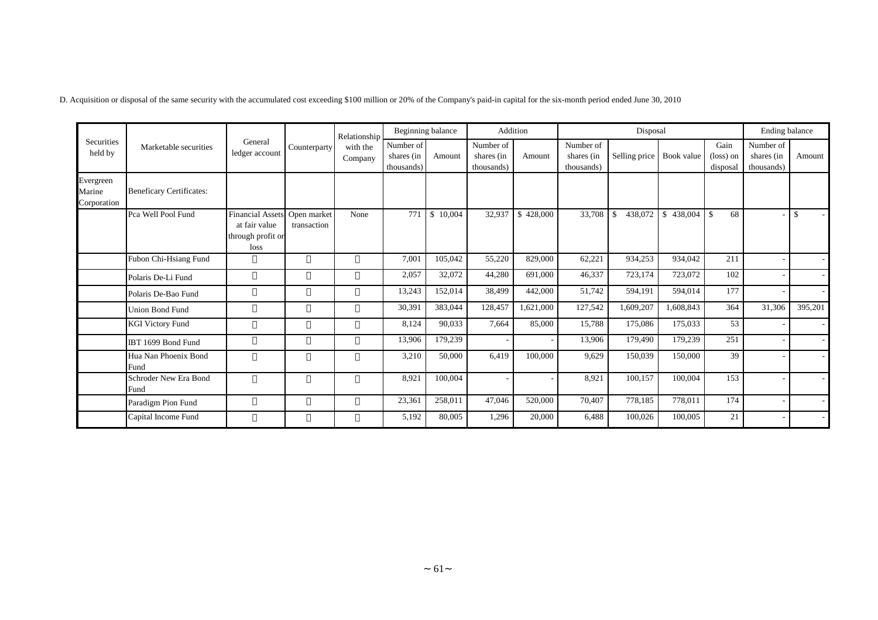|                                    |                                 |                                                                       |                            | Relationship        |                                       | Beginning balance |                                       | Addition  |                                       | Disposal      |                         |                                        | Ending balance                        |                          |
|------------------------------------|---------------------------------|-----------------------------------------------------------------------|----------------------------|---------------------|---------------------------------------|-------------------|---------------------------------------|-----------|---------------------------------------|---------------|-------------------------|----------------------------------------|---------------------------------------|--------------------------|
| Securities<br>held by              | Marketable securities           | General<br>ledger account                                             | Counterparty               | with the<br>Company | Number of<br>shares (in<br>thousands) | Amount            | Number of<br>shares (in<br>thousands) | Amount    | Number of<br>shares (in<br>thousands) | Selling price | Book value              | Gain<br>$(\text{loss})$ on<br>disposal | Number of<br>shares (in<br>thousands) | Amount                   |
| Evergreen<br>Marine<br>Corporation | <b>Beneficary Certificates:</b> |                                                                       |                            |                     |                                       |                   |                                       |           |                                       |               |                         |                                        |                                       |                          |
|                                    | Pca Well Pool Fund              | <b>Financial Assets</b><br>at fair value<br>through profit or<br>loss | Open market<br>transaction | None                | 771                                   | \$10,004          | 32,937                                | \$428,000 | 33,708                                | 438,072<br>S. | 438,004<br>$\mathbb{S}$ | -\$<br>68                              |                                       | $\mathbf{\$}$            |
|                                    | Fubon Chi-Hsiang Fund           |                                                                       |                            |                     | 7,001                                 | 105,042           | 55,220                                | 829,000   | 62,221                                | 934,253       | 934,042                 | 211                                    |                                       |                          |
|                                    | Polaris De-Li Fund              |                                                                       |                            |                     | 2,057                                 | 32,072            | 44,280                                | 691,000   | 46,337                                | 723,174       | 723,072                 | 102                                    |                                       |                          |
|                                    | Polaris De-Bao Fund             |                                                                       |                            |                     | 13,243                                | 152,014           | 38,499                                | 442,000   | 51,742                                | 594,191       | 594,014                 | 177                                    |                                       |                          |
|                                    | <b>Union Bond Fund</b>          |                                                                       |                            |                     | 30,391                                | 383,044           | 128,457                               | 1,621,000 | 127,542                               | 1,609,207     | 1,608,843               | 364                                    | 31,306                                | 395,201                  |
|                                    | <b>KGI Victory Fund</b>         |                                                                       |                            |                     | 8,124                                 | 90,033            | 7,664                                 | 85,000    | 15,788                                | 175,086       | 175,033                 | 53                                     |                                       |                          |
|                                    | IBT 1699 Bond Fund              |                                                                       |                            |                     | 13,906                                | 179,239           |                                       |           | 13,906                                | 179,490       | 179,239                 | 251                                    |                                       |                          |
|                                    | Hua Nan Phoenix Bond<br>Fund    |                                                                       |                            |                     | 3,210                                 | 50,000            | 6,419                                 | 100,000   | 9,629                                 | 150,039       | 150,000                 | 39                                     |                                       | $\overline{\phantom{a}}$ |
|                                    | Schroder New Era Bond<br>Fund   |                                                                       |                            |                     | 8,921                                 | 100,004           |                                       |           | 8,921                                 | 100,157       | 100,004                 | 153                                    |                                       |                          |
|                                    | Paradigm Pion Fund              |                                                                       |                            |                     | 23,361                                | 258,011           | 47,046                                | 520,000   | 70,407                                | 778,185       | 778,011                 | 174                                    |                                       |                          |
|                                    | Capital Income Fund             |                                                                       |                            |                     | 5,192                                 | 80,005            | 1,296                                 | 20,000    | 6,488                                 | 100,026       | 100,005                 | 21                                     |                                       |                          |

D. Acquisition or disposal of the same security with the accumulated cost exceeding \$100 million or 20% of the Company's paid-in capital for the six-month period ended June 30, 2010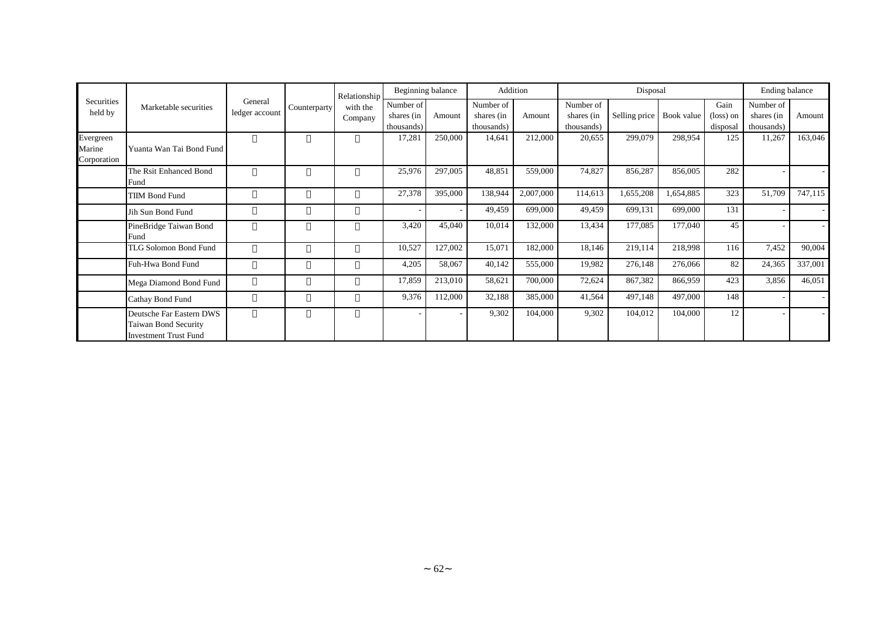|                                    |                                                                                  |                           |              | Relationship        | Beginning balance                     |         | Addition                              |           |                                       | Disposal      |            |                               | Ending balance                        |         |
|------------------------------------|----------------------------------------------------------------------------------|---------------------------|--------------|---------------------|---------------------------------------|---------|---------------------------------------|-----------|---------------------------------------|---------------|------------|-------------------------------|---------------------------------------|---------|
| Securities<br>held by              | Marketable securities                                                            | General<br>ledger account | Counterparty | with the<br>Company | Number of<br>shares (in<br>thousands) | Amount  | Number of<br>shares (in<br>thousands) | Amount    | Number of<br>shares (in<br>thousands) | Selling price | Book value | Gain<br>(loss) on<br>disposal | Number of<br>shares (in<br>thousands) | Amount  |
| Evergreen<br>Marine<br>Corporation | Yuanta Wan Tai Bond Fund                                                         |                           |              |                     | 17,281                                | 250,000 | 14,641                                | 212,000   | 20,655                                | 299,079       | 298,954    | 125                           | 11,267                                | 163,046 |
|                                    | The Rsit Enhanced Bond<br>Fund                                                   |                           |              |                     | 25,976                                | 297,005 | 48,851                                | 559,000   | 74,827                                | 856,287       | 856,005    | 282                           |                                       |         |
|                                    | TIIM Bond Fund                                                                   |                           |              |                     | 27,378                                | 395,000 | 138,944                               | 2,007,000 | 114,613                               | 1,655,208     | 1,654,885  | 323                           | 51,709                                | 747,115 |
|                                    | Jih Sun Bond Fund                                                                |                           |              |                     |                                       |         | 49,459                                | 699,000   | 49,459                                | 699,131       | 699,000    | 131                           |                                       |         |
|                                    | PineBridge Taiwan Bond<br>Fund                                                   |                           |              |                     | 3,420                                 | 45,040  | 10,014                                | 132,000   | 13,434                                | 177,085       | 177,040    | 45                            |                                       |         |
|                                    | TLG Solomon Bond Fund                                                            |                           |              |                     | 10,527                                | 127,002 | 15,071                                | 182,000   | 18,146                                | 219,114       | 218,998    | 116                           | 7,452                                 | 90,004  |
|                                    | Fuh-Hwa Bond Fund                                                                |                           |              |                     | 4,205                                 | 58,067  | 40,142                                | 555,000   | 19,982                                | 276,148       | 276,066    | 82                            | 24,365                                | 337,001 |
|                                    | Mega Diamond Bond Fund                                                           |                           |              |                     | 17,859                                | 213,010 | 58,621                                | 700,000   | 72,624                                | 867,382       | 866,959    | 423                           | 3,856                                 | 46,051  |
|                                    | Cathay Bond Fund                                                                 |                           |              |                     | 9,376                                 | 112,000 | 32,188                                | 385,000   | 41,564                                | 497,148       | 497,000    | 148                           |                                       | $\sim$  |
|                                    | Deutsche Far Eastern DWS<br>Taiwan Bond Security<br><b>Investment Trust Fund</b> |                           |              |                     |                                       |         | 9,302                                 | 104,000   | 9,302                                 | 104,012       | 104,000    | 12                            |                                       |         |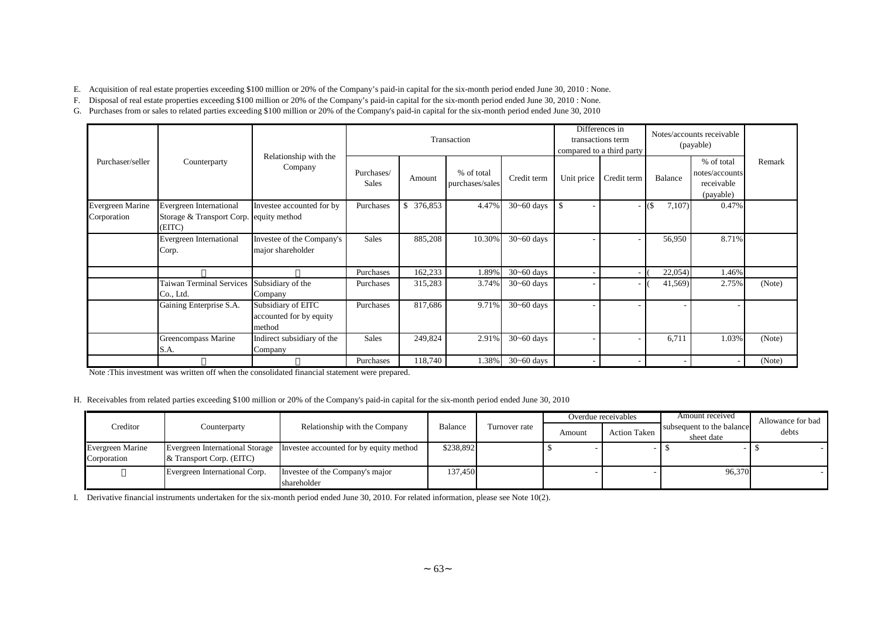E. Acquisition of real estate properties exceeding \$100 million or 20% of the Company's paid-in capital for the six-month period ended June 30, 2010 : None.

F. Disposal of real estate properties exceeding \$100 million or 20% of the Company's paid-in capital for the six-month period ended June 30, 2010 : None.

G. Purchases from or sales to related parties exceeding \$100 million or 20% of the Company's paid-in capital for the six-month period ended June 30, 2010

|                                        |                                                                              |                                                         |                            |               | Transaction                   |                |                          | Differences in<br>transactions term<br>compared to a third party |         | Notes/accounts receivable<br>(payable)                  |        |
|----------------------------------------|------------------------------------------------------------------------------|---------------------------------------------------------|----------------------------|---------------|-------------------------------|----------------|--------------------------|------------------------------------------------------------------|---------|---------------------------------------------------------|--------|
| Purchaser/seller                       | Counterparty                                                                 | Relationship with the<br>Company                        | Purchases/<br><b>Sales</b> | Amount        | % of total<br>purchases/sales | Credit term    | Unit price               | Credit term                                                      | Balance | % of total<br>notes/accounts<br>receivable<br>(payable) | Remark |
| <b>Evergreen Marine</b><br>Corporation | Evergreen International<br>Storage & Transport Corp. equity method<br>(EITC) | Investee accounted for by                               | Purchases                  | \$<br>376,853 | 4.47%                         | $30 - 60$ days | $\mathbf{\hat{S}}$       |                                                                  | 7,107   | 0.47%                                                   |        |
|                                        | Evergreen International<br>Corp.                                             | Investee of the Company's<br>major shareholder          | Sales                      | 885,208       | 10.30%                        | $30 - 60$ days |                          |                                                                  | 56,950  | 8.71%                                                   |        |
|                                        |                                                                              |                                                         | Purchases                  | 162,233       | 1.89%                         | $30 - 60$ days | $\overline{\phantom{a}}$ |                                                                  | 22,054  | 1.46%                                                   |        |
|                                        | Taiwan Terminal Services<br>Co., Ltd.                                        | Subsidiary of the<br>Company                            | Purchases                  | 315,283       | 3.74%                         | $30 - 60$ days |                          |                                                                  | 41,569) | 2.75%                                                   | (Note) |
|                                        | Gaining Enterprise S.A.                                                      | Subsidiary of EITC<br>accounted for by equity<br>method | Purchases                  | 817,686       | 9.71%                         | $30 - 60$ days |                          |                                                                  |         |                                                         |        |
|                                        | Greencompass Marine<br>S.A.                                                  | Indirect subsidiary of the<br>Company                   | Sales                      | 249,824       | 2.91%                         | $30 - 60$ days |                          |                                                                  | 6,711   | 1.03%                                                   | (Note) |
|                                        |                                                                              |                                                         | Purchases                  | 118,740       | 1.38%                         | $30 - 60$ days |                          |                                                                  |         |                                                         | (Note) |

Note :This investment was written off when the consolidated financial statement were prepared.

#### H. Receivables from related parties exceeding \$100 million or 20% of the Company's paid-in capital for the six-month period ended June 30, 2010

|                                 |                                                                                 |                                                                         |           |               |        | Overdue receivables | Amount received                         | Allowance for bad |
|---------------------------------|---------------------------------------------------------------------------------|-------------------------------------------------------------------------|-----------|---------------|--------|---------------------|-----------------------------------------|-------------------|
| Creditor                        | Counterparty                                                                    | Relationship with the Company                                           | Balance   | Turnover rate | Amount | <b>Action Taken</b> | subsequent to the balance<br>sheet date | debts             |
| Evergreen Marine<br>Corporation | $\&$ Transport Corp. (EITC)                                                     | Evergreen International Storage Investee accounted for by equity method | \$238,892 |               |        |                     |                                         |                   |
|                                 | Evergreen International Corp.<br>Investee of the Company's major<br>shareholder |                                                                         | 137,450   |               |        |                     | 96,370                                  |                   |

I. Derivative financial instruments undertaken for the six-month period ended June 30, 2010. For related information, please see Note 10(2).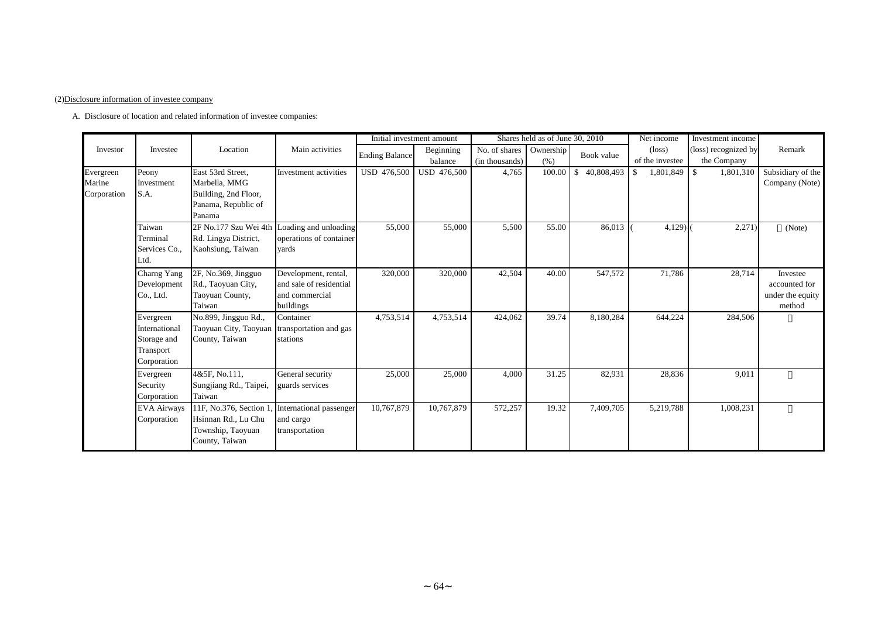#### (2)Disclosure information of investee company

A. Disclosure of location and related information of investee companies:

|                                    |                                                                       |                                                                                             |                                                                                |                       | Initial investment amount |                                 | Shares held as of June 30, 2010 |                            | Net income                         | Investment income                   |                                                         |
|------------------------------------|-----------------------------------------------------------------------|---------------------------------------------------------------------------------------------|--------------------------------------------------------------------------------|-----------------------|---------------------------|---------------------------------|---------------------------------|----------------------------|------------------------------------|-------------------------------------|---------------------------------------------------------|
| Investor                           | Investee                                                              | Location                                                                                    | Main activities                                                                | <b>Ending Balance</b> | Beginning<br>balance      | No. of shares<br>(in thousands) | Ownership<br>(% )               | Book value                 | $(\text{loss})$<br>of the investee | (loss) recognized by<br>the Company | Remark                                                  |
| Evergreen<br>Marine<br>Corporation | Peony<br>Investment<br>S.A.                                           | East 53rd Street.<br>Marbella, MMG<br>Building, 2nd Floor,<br>Panama, Republic of<br>Panama | Investment activities                                                          | <b>USD 476,500</b>    | <b>USD 476,500</b>        | 4,765                           | 100.00                          | 40,808,493<br>$\mathbb{S}$ | 1,801,849<br>\$                    | $\mathbb{S}$<br>1,801,310           | Subsidiary of the<br>Company (Note)                     |
|                                    | Taiwan<br>Terminal<br>Services Co.,<br>Ltd.                           | 2F No.177 Szu Wei 4th<br>Rd. Lingya District,<br>Kaohsiung, Taiwan                          | Loading and unloading<br>operations of container<br>vards                      | 55,000                | 55,000                    | 5,500                           | 55.00                           | 86,013                     | $4,129$ $($                        | 2,271)                              | (Note)                                                  |
|                                    | Charng Yang<br>Development<br>Co., Ltd.                               | 2F, No.369, Jingguo<br>Rd., Taoyuan City,<br>Taoyuan County,<br>Taiwan                      | Development, rental,<br>and sale of residential<br>and commercial<br>buildings | 320,000               | 320,000                   | 42,504                          | 40.00                           | 547,572                    | 71,786                             | 28,714                              | Investee<br>accounted for<br>under the equity<br>method |
|                                    | Evergreen<br>International<br>Storage and<br>Transport<br>Corporation | No.899, Jingguo Rd.,<br>Taoyuan City, Taoyuan transportation and gas<br>County, Taiwan      | Container<br>stations                                                          | 4,753,514             | 4,753,514                 | 424,062                         | 39.74                           | 8,180,284                  | 644,224                            | 284,506                             |                                                         |
|                                    | Evergreen<br>Security<br>Corporation                                  | 4&5F, No.111,<br>Sungjiang Rd., Taipei,<br>Taiwan                                           | General security<br>guards services                                            | 25,000                | 25,000                    | 4,000                           | 31.25                           | 82,931                     | 28,836                             | 9,011                               |                                                         |
|                                    | <b>EVA Airways</b><br>Corporation                                     | $11F$ , No.376, Section 1.<br>Hsinnan Rd., Lu Chu<br>Township, Taoyuan<br>County, Taiwan    | International passenger<br>and cargo<br>transportation                         | 10,767,879            | 10,767,879                | 572,257                         | 19.32                           | 7,409,705                  | 5,219,788                          | 1,008,231                           |                                                         |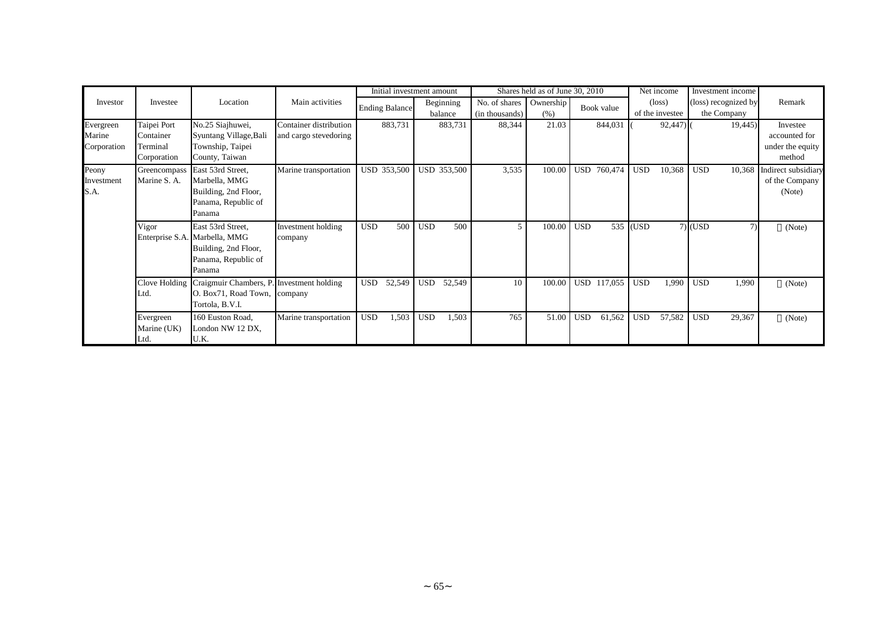|                                    |                                                     |                                                                                                             |                                                 |                       | Initial investment amount |                                 | Shares held as of June 30, 2010 |                       | Net income                         | Investment income                   |                                                         |
|------------------------------------|-----------------------------------------------------|-------------------------------------------------------------------------------------------------------------|-------------------------------------------------|-----------------------|---------------------------|---------------------------------|---------------------------------|-----------------------|------------------------------------|-------------------------------------|---------------------------------------------------------|
| Investor                           | Investee                                            | Location                                                                                                    | Main activities                                 | <b>Ending Balance</b> | Beginning<br>balance      | No. of shares<br>(in thousands) | Ownership<br>(% )               | Book value            | $(\text{loss})$<br>of the investee | (loss) recognized by<br>the Company | Remark                                                  |
| Evergreen<br>Marine<br>Corporation | Taipei Port<br>Container<br>Terminal<br>Corporation | No.25 Siajhuwei,<br>Syuntang Village, Bali<br>Township, Taipei<br>County, Taiwan                            | Container distribution<br>and cargo stevedoring | 883,731               | 883,731                   | 88,344                          | 21.03                           | 844,031               | $92,447$ )                         | 19,445)                             | Investee<br>accounted for<br>under the equity<br>method |
| Peony<br>Investment<br>S.A.        | Greencompass<br>Marine S. A.                        | East 53rd Street,<br>Marbella, MMG<br>Building, 2nd Floor,<br>Panama, Republic of<br>Panama                 | Marine transportation                           | USD 353,500           | USD 353,500               | 3,535                           | 100.00                          | USD<br>760,474        | 10,368<br><b>USD</b>               | <b>USD</b><br>10,368                | Indirect subsidiary<br>of the Company<br>(Note)         |
|                                    | Vigor                                               | East 53rd Street,<br>Enterprise S.A. Marbella, MMG<br>Building, 2nd Floor,<br>Panama, Republic of<br>Panama | Investment holding<br>company                   | <b>USD</b><br>500     | <b>USD</b><br>500         | 5                               | 100.00                          | <b>USD</b>            | 535 (USD                           | $7)$ (USD<br>(7)                    | (Note)                                                  |
|                                    | Clove Holding<br>Ltd.                               | Craigmuir Chambers, P. Investment holding<br>O. Box71, Road Town, company<br>Tortola, B.V.I.                |                                                 | 52,549<br><b>USD</b>  | <b>USD</b><br>52,549      | 10                              | 100.00                          | <b>USD</b><br>117,055 | <b>USD</b><br>1,990                | <b>USD</b><br>1,990                 | (Note)                                                  |
|                                    | Evergreen<br>Marine (UK)<br>Ltd.                    | 160 Euston Road,<br>London NW 12 DX,<br>U.K.                                                                | Marine transportation                           | <b>USD</b><br>1,503   | <b>USD</b><br>1,503       | 765                             | 51.00                           | <b>USD</b><br>61,562  | <b>USD</b><br>57,582               | <b>USD</b><br>29,367                | (Note)                                                  |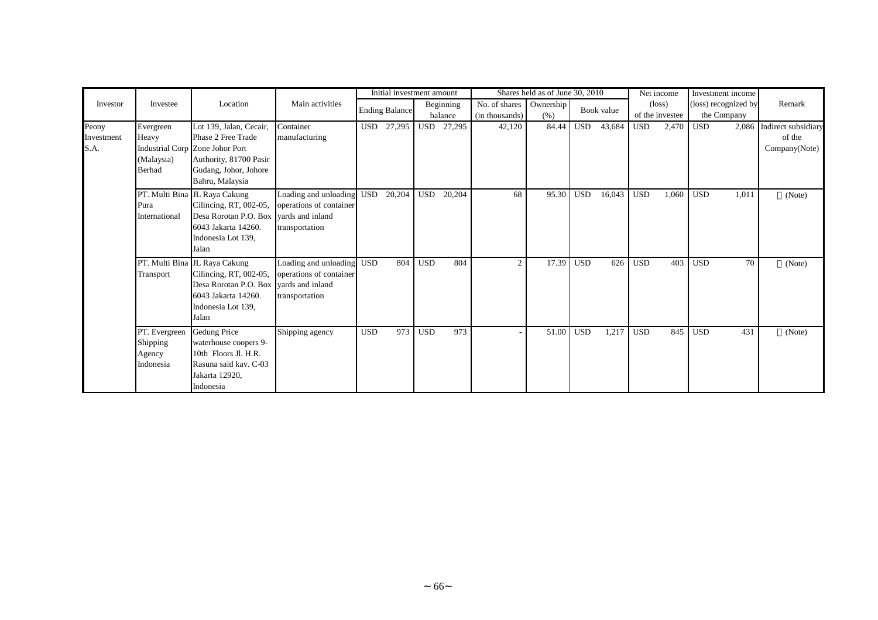|            |               |                                        |                           |            | Initial investment amount |            |           |                | Shares held as of June 30, 2010 |            |            |            | Net income      |            | Investment income    |                           |
|------------|---------------|----------------------------------------|---------------------------|------------|---------------------------|------------|-----------|----------------|---------------------------------|------------|------------|------------|-----------------|------------|----------------------|---------------------------|
| Investor   | Investee      | Location                               | Main activities           |            | <b>Ending Balance</b>     |            | Beginning | No. of shares  | Ownership                       |            | Book value |            | $(\text{loss})$ |            | (loss) recognized by | Remark                    |
|            |               |                                        |                           |            |                           |            | balance   | (in thousands) | (% )                            |            |            |            | of the investee |            | the Company          |                           |
| Peony      | Evergreen     | Lot 139, Jalan, Cecair,                | Container                 | <b>USD</b> | 27,295                    | USD        | 27,295    | 42,120         | 84.44                           | <b>USD</b> | 43,684     | <b>USD</b> | 2,470           | <b>USD</b> |                      | 2,086 Indirect subsidiary |
| Investment | Heavy         | Phase 2 Free Trade                     | manufacturing             |            |                           |            |           |                |                                 |            |            |            |                 |            |                      | of the                    |
| S.A.       |               | Industrial Corp Zone Johor Port        |                           |            |                           |            |           |                |                                 |            |            |            |                 |            |                      | Company(Note)             |
|            | (Malaysia)    | Authority, 81700 Pasir                 |                           |            |                           |            |           |                |                                 |            |            |            |                 |            |                      |                           |
|            | Berhad        | Gudang, Johor, Johore                  |                           |            |                           |            |           |                |                                 |            |            |            |                 |            |                      |                           |
|            |               | Bahru, Malaysia                        |                           |            |                           |            |           |                |                                 |            |            |            |                 |            |                      |                           |
|            |               | PT. Multi Bina JL Raya Cakung          | Loading and unloading     | <b>USD</b> | 20,204                    | <b>USD</b> | 20,204    | 68             | 95.30                           | <b>USD</b> | 16,043     | <b>USD</b> | 1,060           | <b>USD</b> | 1,011                | (Note)                    |
|            | Pura          | Cilincing, RT, 002-05,                 | operations of container   |            |                           |            |           |                |                                 |            |            |            |                 |            |                      |                           |
|            | International | Desa Rorotan P.O. Box                  | vards and inland          |            |                           |            |           |                |                                 |            |            |            |                 |            |                      |                           |
|            |               | 6043 Jakarta 14260.                    | transportation            |            |                           |            |           |                |                                 |            |            |            |                 |            |                      |                           |
|            |               | Indonesia Lot 139,                     |                           |            |                           |            |           |                |                                 |            |            |            |                 |            |                      |                           |
|            |               | Jalan                                  |                           |            |                           |            |           |                |                                 |            |            |            |                 |            |                      |                           |
|            |               | PT. Multi Bina JL Raya Cakung          | Loading and unloading USD |            | 804                       | <b>USD</b> | 804       | $\overline{2}$ | 17.39                           | <b>USD</b> | 626        | <b>USD</b> | 403             | <b>USD</b> | 70                   | (Note)                    |
|            | Transport     | Cilincing, RT, 002-05,                 | operations of container   |            |                           |            |           |                |                                 |            |            |            |                 |            |                      |                           |
|            |               | Desa Rorotan P.O. Box vards and inland |                           |            |                           |            |           |                |                                 |            |            |            |                 |            |                      |                           |
|            |               | 6043 Jakarta 14260.                    | transportation            |            |                           |            |           |                |                                 |            |            |            |                 |            |                      |                           |
|            |               | Indonesia Lot 139,                     |                           |            |                           |            |           |                |                                 |            |            |            |                 |            |                      |                           |
|            |               | Jalan                                  |                           |            |                           |            |           |                |                                 |            |            |            |                 |            |                      |                           |
|            | PT. Evergreen | Gedung Price                           | Shipping agency           | <b>USD</b> | 973                       | <b>USD</b> | 973       |                | 51.00                           | <b>USD</b> | 1,217      | <b>USD</b> | 845             | <b>USD</b> | 431                  | (Note)                    |
|            | Shipping      | waterhouse coopers 9-                  |                           |            |                           |            |           |                |                                 |            |            |            |                 |            |                      |                           |
|            | Agency        | 10th Floors Jl. H.R.                   |                           |            |                           |            |           |                |                                 |            |            |            |                 |            |                      |                           |
|            | Indonesia     | Rasuna said kav. C-03                  |                           |            |                           |            |           |                |                                 |            |            |            |                 |            |                      |                           |
|            |               | Jakarta 12920,                         |                           |            |                           |            |           |                |                                 |            |            |            |                 |            |                      |                           |
|            |               | Indonesia                              |                           |            |                           |            |           |                |                                 |            |            |            |                 |            |                      |                           |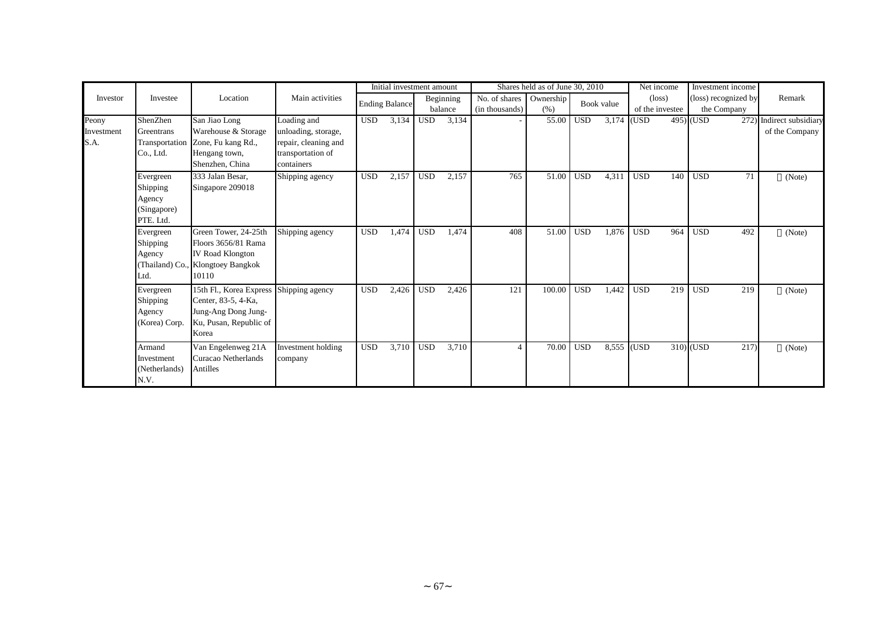|                             |                                                             |                                                                                                                          |                                                                                               |            | Initial investment amount |            |                      |                                 | Shares held as of June 30, 2010 |            |            | Net income                         |             | Investment income                   |                                       |
|-----------------------------|-------------------------------------------------------------|--------------------------------------------------------------------------------------------------------------------------|-----------------------------------------------------------------------------------------------|------------|---------------------------|------------|----------------------|---------------------------------|---------------------------------|------------|------------|------------------------------------|-------------|-------------------------------------|---------------------------------------|
| Investor                    | Investee                                                    | Location                                                                                                                 | Main activities                                                                               |            | <b>Ending Balance</b>     |            | Beginning<br>balance | No. of shares<br>(in thousands) | Ownership<br>(% )               |            | Book value | $(\text{loss})$<br>of the investee |             | (loss) recognized by<br>the Company | Remark                                |
| Peony<br>Investment<br>S.A. | ShenZhen<br>Greentrans<br>Co., Ltd.                         | San Jiao Long<br>Warehouse & Storage<br>Transportation Zone, Fu kang Rd.,<br>Hengang town,<br>Shenzhen, China            | Loading and<br>unloading, storage,<br>repair, cleaning and<br>transportation of<br>containers | <b>USD</b> | 3,134                     | <b>USD</b> | 3,134                |                                 | 55.00                           | <b>USD</b> | 3,174      | (USD                               | $495)$ (USD | 272)                                | Indirect subsidiary<br>of the Company |
|                             | Evergreen<br>Shipping<br>Agency<br>(Singapore)<br>PTE. Ltd. | 333 Jalan Besar,<br>Singapore 209018                                                                                     | Shipping agency                                                                               | <b>USD</b> | 2,157                     | <b>USD</b> | 2,157                | 765                             | 51.00                           | <b>USD</b> | 4,311      | <b>USD</b><br>140                  | <b>USD</b>  | 71                                  | (Note)                                |
|                             | Evergreen<br>Shipping<br>Agency<br>Ltd.                     | Green Tower, 24-25th<br>Floors 3656/81 Rama<br><b>IV Road Klongton</b><br>(Thailand) Co., Klongtoey Bangkok<br>10110     | Shipping agency                                                                               | <b>USD</b> | 1,474                     | <b>USD</b> | 1,474                | 408                             | 51.00                           | <b>USD</b> | 1,876      | <b>USD</b><br>964                  | <b>USD</b>  | 492                                 | (Note)                                |
|                             | Evergreen<br>Shipping<br>Agency<br>(Korea) Corp.            | 15th Fl., Korea Express Shipping agency<br>Center, 83-5, 4-Ka,<br>Jung-Ang Dong Jung-<br>Ku, Pusan, Republic of<br>Korea |                                                                                               | <b>USD</b> | 2,426                     | <b>USD</b> | 2,426                | 121                             | 100.00                          | <b>USD</b> | 1,442      | <b>USD</b><br>219                  | <b>USD</b>  | 219                                 | (Note)                                |
|                             | Armand<br>Investment<br>(Netherlands)<br>N.V.               | Van Engelenweg 21A<br>Curacao Netherlands<br>Antilles                                                                    | Investment holding<br>company                                                                 | <b>USD</b> | 3,710                     | <b>USD</b> | 3,710                |                                 | 70.00                           | <b>USD</b> |            | 8,555 (USD                         | $310)$ (USD | 217                                 | (Note)                                |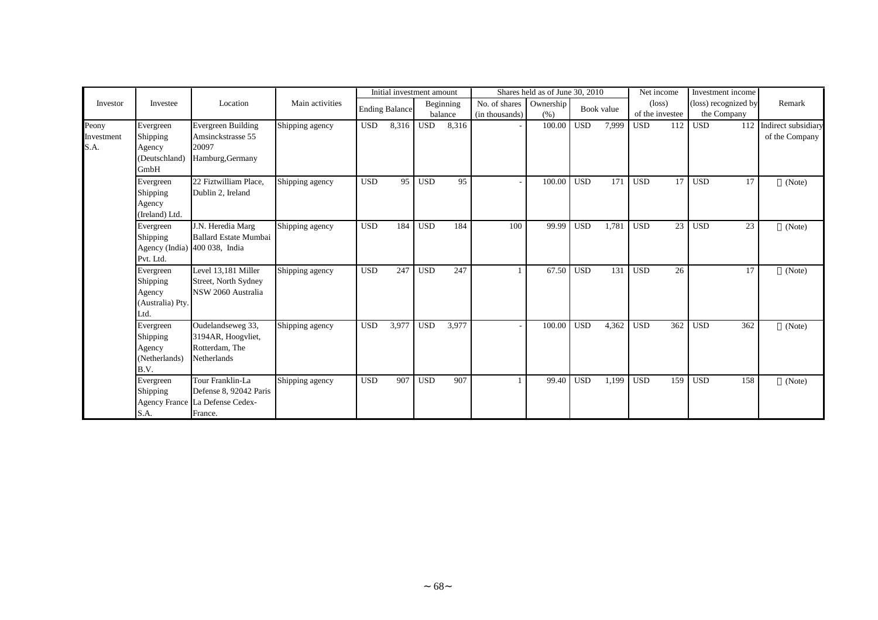|            |                            |                                 |                 |            | Initial investment amount |            |           |                | Shares held as of June 30, 2010 |            |            |            | Net income      | Investment income    |                         |
|------------|----------------------------|---------------------------------|-----------------|------------|---------------------------|------------|-----------|----------------|---------------------------------|------------|------------|------------|-----------------|----------------------|-------------------------|
| Investor   | Investee                   | Location                        | Main activities |            | <b>Ending Balance</b>     |            | Beginning | No. of shares  | Ownership                       |            | Book value |            | $(\text{loss})$ | (loss) recognized by | Remark                  |
|            |                            |                                 |                 |            |                           |            | balance   | (in thousands) | (% )                            |            |            |            | of the investee | the Company          |                         |
| Peony      | Evergreen                  | <b>Evergreen Building</b>       | Shipping agency | <b>USD</b> | 8,316                     | <b>USD</b> | 8,316     |                | 100.00                          | <b>USD</b> | 7,999      | <b>USD</b> | 112             | <b>USD</b>           | 112 Indirect subsidiary |
| Investment | Shipping                   | Amsinckstrasse 55               |                 |            |                           |            |           |                |                                 |            |            |            |                 |                      | of the Company          |
| S.A.       | Agency<br>(Deutschland)    | 20097                           |                 |            |                           |            |           |                |                                 |            |            |            |                 |                      |                         |
|            | GmbH                       | Hamburg, Germany                |                 |            |                           |            |           |                |                                 |            |            |            |                 |                      |                         |
|            | Evergreen                  | 22 Fiztwilliam Place,           | Shipping agency | <b>USD</b> | 95                        | <b>USD</b> | 95        |                | 100.00                          | <b>USD</b> | 171        | <b>USD</b> | 17 <sup>1</sup> | <b>USD</b><br>17     | (Note)                  |
|            | Shipping                   | Dublin 2, Ireland               |                 |            |                           |            |           |                |                                 |            |            |            |                 |                      |                         |
|            | Agency<br>(Ireland) Ltd.   |                                 |                 |            |                           |            |           |                |                                 |            |            |            |                 |                      |                         |
|            | Evergreen                  | J.N. Heredia Marg               | Shipping agency | <b>USD</b> | 184                       | <b>USD</b> | 184       | 100            | 99.99                           | <b>USD</b> | 1,781      | <b>USD</b> | 23              | <b>USD</b><br>23     | (Note)                  |
|            | Shipping                   | <b>Ballard Estate Mumbai</b>    |                 |            |                           |            |           |                |                                 |            |            |            |                 |                      |                         |
|            |                            | Agency (India) 400 038, India   |                 |            |                           |            |           |                |                                 |            |            |            |                 |                      |                         |
|            | Pvt. Ltd.                  |                                 |                 |            |                           |            |           |                |                                 |            |            |            |                 |                      |                         |
|            | Evergreen                  | Level 13,181 Miller             | Shipping agency | <b>USD</b> | 247                       | <b>USD</b> | 247       |                | 67.50                           | <b>USD</b> | 131        | <b>USD</b> | 26              | 17                   | (Note)                  |
|            | Shipping                   | Street, North Sydney            |                 |            |                           |            |           |                |                                 |            |            |            |                 |                      |                         |
|            | Agency<br>(Australia) Pty. | NSW 2060 Australia              |                 |            |                           |            |           |                |                                 |            |            |            |                 |                      |                         |
|            | Ltd.                       |                                 |                 |            |                           |            |           |                |                                 |            |            |            |                 |                      |                         |
|            | Evergreen                  | Oudelandseweg 33,               | Shipping agency | <b>USD</b> | 3,977                     | <b>USD</b> | 3,977     |                | 100.00                          | <b>USD</b> | 4,362      | <b>USD</b> | 362             | <b>USD</b><br>362    | (Note)                  |
|            | Shipping                   | 3194AR, Hoogyliet,              |                 |            |                           |            |           |                |                                 |            |            |            |                 |                      |                         |
|            | Agency                     | Rotterdam, The<br>Netherlands   |                 |            |                           |            |           |                |                                 |            |            |            |                 |                      |                         |
|            | (Netherlands)<br>B.V.      |                                 |                 |            |                           |            |           |                |                                 |            |            |            |                 |                      |                         |
|            | Evergreen                  | Tour Franklin-La                | Shipping agency | <b>USD</b> | 907                       | <b>USD</b> | 907       |                | 99.40                           | <b>USD</b> | 1,199      | <b>USD</b> | 159             | <b>USD</b><br>158    | (Note)                  |
|            | Shipping                   | Defense 8, 92042 Paris          |                 |            |                           |            |           |                |                                 |            |            |            |                 |                      |                         |
|            |                            | Agency France La Defense Cedex- |                 |            |                           |            |           |                |                                 |            |            |            |                 |                      |                         |
|            | S.A.                       | France.                         |                 |            |                           |            |           |                |                                 |            |            |            |                 |                      |                         |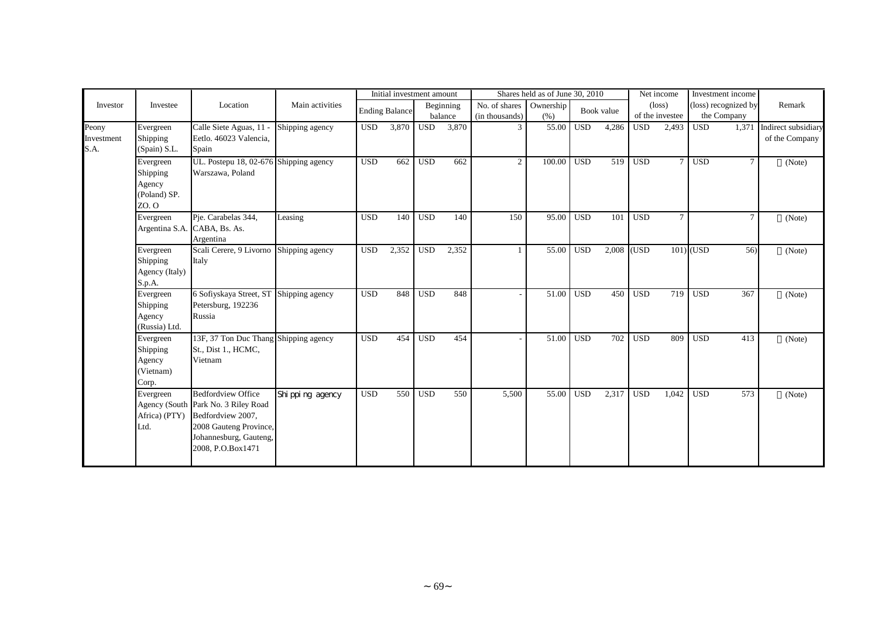|                             | Investee                                                 | Location                                                                                                                                                       | Main activities   | Initial investment amount |                       |              |                      | Shares held as of June 30, 2010 |                   |            |            |              | Net income                         |             | Investment income                   |                                             |
|-----------------------------|----------------------------------------------------------|----------------------------------------------------------------------------------------------------------------------------------------------------------------|-------------------|---------------------------|-----------------------|--------------|----------------------|---------------------------------|-------------------|------------|------------|--------------|------------------------------------|-------------|-------------------------------------|---------------------------------------------|
| Investor                    |                                                          |                                                                                                                                                                |                   |                           | <b>Ending Balance</b> |              | Beginning<br>balance | No. of shares<br>(in thousands) | Ownership<br>(% ) |            | Book value |              | $(\text{loss})$<br>of the investee |             | (loss) recognized by<br>the Company | Remark                                      |
| Peony<br>Investment<br>S.A. | Evergreen<br>Shipping<br>(Spain) S.L.                    | Calle Siete Aguas, 11 -<br>Eetlo. 46023 Valencia,<br>Spain                                                                                                     | Shipping agency   | <b>USD</b>                | 3,870                 | <b>USD</b>   | 3,870                | 3                               | 55.00             | <b>USD</b> | 4,286      | <b>USD</b>   | 2,493                              | <b>USD</b>  |                                     | 1,371 Indirect subsidiary<br>of the Company |
|                             | Evergreen<br>Shipping<br>Agency<br>(Poland) SP.<br>ZO. O | UL. Postepu 18, 02-676 Shipping agency<br>Warszawa, Poland                                                                                                     |                   | <b>USD</b>                | 662                   | <b>USD</b>   | 662                  | $\overline{2}$                  | 100.00            | <b>USD</b> | 519        | <b>USD</b>   | $\tau$                             | <b>USD</b>  | $\tau$                              | (Note)                                      |
|                             | Evergreen                                                | Pie. Carabelas 344,<br>Argentina S.A. CABA, Bs. As.<br>Argentina                                                                                               | Leasing           | <b>USD</b>                | 140                   | <b>USD</b>   | 140                  | 150                             | 95.00             | <b>USD</b> | 101        | <b>USD</b>   | $\tau$                             |             | $\tau$                              | (Note)                                      |
|                             | Evergreen<br>Shipping<br>Agency (Italy)<br>S.p.A.        | Scali Cerere, 9 Livorno Shipping agency<br>Italy                                                                                                               |                   | $_{\rm USD}$              | 2,352                 | $_{\rm USD}$ | 2,352                |                                 | 55.00             | <b>USD</b> |            | $2,008$ (USD |                                    | $101)$ (USD | 56)                                 | (Note)                                      |
|                             | Evergreen<br>Shipping<br>Agency<br>(Russia) Ltd.         | 6 Sofiyskaya Street, ST Shipping agency<br>Petersburg, 192236<br>Russia                                                                                        |                   | <b>USD</b>                | 848                   | <b>USD</b>   | 848                  |                                 | 51.00             | <b>USD</b> | 450        | <b>USD</b>   | 719                                | <b>USD</b>  | 367                                 | (Note)                                      |
|                             | Evergreen<br>Shipping<br>Agency<br>(Vietnam)<br>Corp.    | 13F, 37 Ton Duc Thang Shipping agency<br>St., Dist 1., HCMC,<br>Vietnam                                                                                        |                   | <b>USD</b>                | 454                   | <b>USD</b>   | 454                  |                                 | 51.00             | <b>USD</b> | 702        | <b>USD</b>   | 809                                | <b>USD</b>  | 413                                 | (Note)                                      |
|                             | Evergreen<br>Africa) (PTY)<br>Ltd.                       | <b>Bedfordview Office</b><br>Agency (South Park No. 3 Riley Road<br>Bedfordview 2007,<br>2008 Gauteng Province,<br>Johannesburg, Gauteng,<br>2008, P.O.Box1471 | Shi ppi ng agency | <b>USD</b>                | 550                   | <b>USD</b>   | 550                  | 5,500                           | 55.00             | <b>USD</b> | 2,317      | <b>USD</b>   | 1.042                              | <b>USD</b>  | 573                                 | (Note)                                      |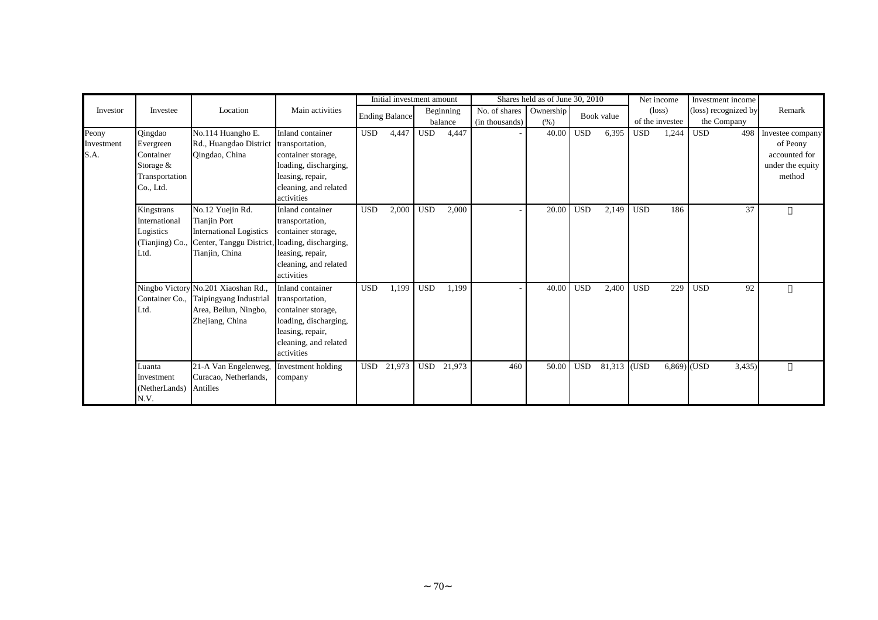|                             | Investee                                                                        | Location                                                                                                                                                      | Main activities                                                                                                                               | Initial investment amount |                       |            |                      | Shares held as of June 30, 2010 |                   |            | Net income  |            | Investment income                  |                                     |                                                                             |
|-----------------------------|---------------------------------------------------------------------------------|---------------------------------------------------------------------------------------------------------------------------------------------------------------|-----------------------------------------------------------------------------------------------------------------------------------------------|---------------------------|-----------------------|------------|----------------------|---------------------------------|-------------------|------------|-------------|------------|------------------------------------|-------------------------------------|-----------------------------------------------------------------------------|
| Investor                    |                                                                                 |                                                                                                                                                               |                                                                                                                                               |                           | <b>Ending Balance</b> |            | Beginning<br>balance | No. of shares<br>(in thousands) | Ownership<br>(% ) |            | Book value  |            | $(\text{loss})$<br>of the investee | (loss) recognized by<br>the Company | Remark                                                                      |
| Peony<br>Investment<br>S.A. | Qingdao<br>Evergreen<br>Container<br>Storage $&$<br>Transportation<br>Co., Ltd. | No.114 Huangho E.<br>Rd., Huangdao District<br>Qingdao, China                                                                                                 | Inland container<br>transportation,<br>container storage,<br>loading, discharging,<br>leasing, repair,<br>cleaning, and related<br>activities | <b>USD</b>                | 4,447                 | <b>USD</b> | 4,447                |                                 | 40.00             | <b>USD</b> | 6,395       | <b>USD</b> | 1,244                              | 498<br><b>USD</b>                   | Investee company<br>of Peony<br>accounted for<br>under the equity<br>method |
|                             | Kingstrans<br>International<br>Logistics<br>Ltd.                                | No.12 Yuejin Rd.<br><b>Tianjin Port</b><br><b>International Logistics</b><br>(Tianjing) Co., Center, Tanggu District, loading, discharging,<br>Tianjin, China | Inland container<br>transportation,<br>container storage,<br>leasing, repair,<br>cleaning, and related<br>activities                          | <b>USD</b>                | 2,000                 | <b>USD</b> | 2,000                |                                 | 20.00             | <b>USD</b> | 2,149       | <b>USD</b> | 186                                | 37                                  |                                                                             |
|                             | Ltd.                                                                            | Ningbo Victory No.201 Xiaoshan Rd.,<br>Container Co., Taipingyang Industrial<br>Area, Beilun, Ningbo,<br>Zhejiang, China                                      | Inland container<br>transportation,<br>container storage,<br>loading, discharging,<br>leasing, repair,<br>cleaning, and related<br>activities | <b>USD</b>                | 1,199                 | <b>USD</b> | 1,199                |                                 | 40.00             | <b>USD</b> | 2,400       | <b>USD</b> | 229                                | 92<br><b>USD</b>                    |                                                                             |
|                             | Luanta<br>Investment<br>(NetherLands)<br>N.V.                                   | 21-A Van Engelenweg,<br>Curacao, Netherlands,<br>Antilles                                                                                                     | Investment holding<br>company                                                                                                                 | <b>USD</b>                | 21,973                | <b>USD</b> | 21,973               | 460                             | 50.00             | <b>USD</b> | 81,313 (USD |            | 6,869) (USD                        | 3,435)                              |                                                                             |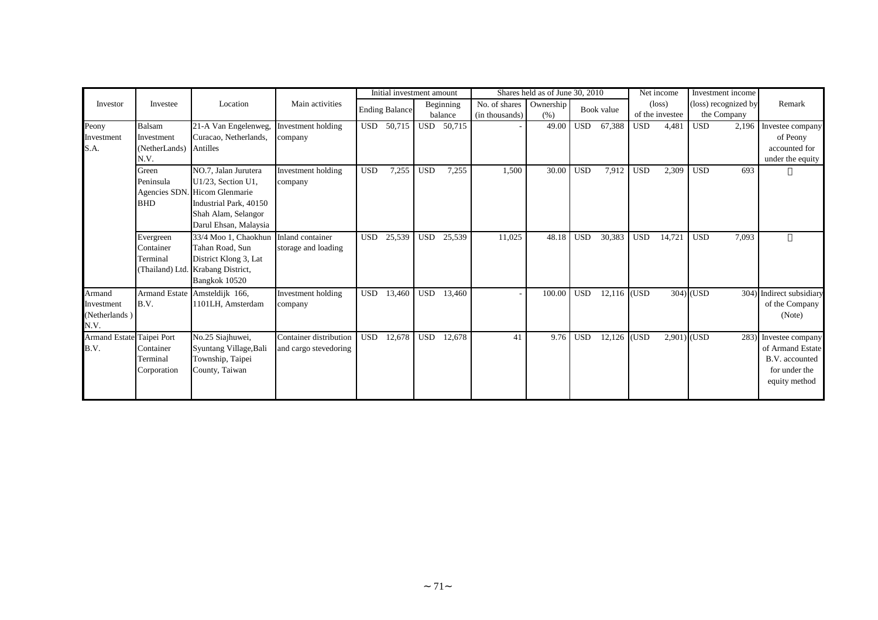|                                               | Investee                                      | Location                                                                                                                                              | Main activities                                 | Initial investment amount |                       |            |           | Shares held as of June 30, 2010 |           |              |               |                 | Net income      |             | Investment income    |                                                                                          |
|-----------------------------------------------|-----------------------------------------------|-------------------------------------------------------------------------------------------------------------------------------------------------------|-------------------------------------------------|---------------------------|-----------------------|------------|-----------|---------------------------------|-----------|--------------|---------------|-----------------|-----------------|-------------|----------------------|------------------------------------------------------------------------------------------|
| Investor                                      |                                               |                                                                                                                                                       |                                                 |                           | <b>Ending Balance</b> |            | Beginning | No. of shares                   | Ownership |              | Book value    |                 | $(\text{loss})$ |             | (loss) recognized by | Remark                                                                                   |
|                                               |                                               |                                                                                                                                                       |                                                 |                           |                       | balance    |           | (in thousands)                  | (% )      |              |               | of the investee |                 | the Company |                      |                                                                                          |
| Peony<br>Investment<br>S.A.                   | Balsam<br>Investment<br>(NetherLands)<br>N.V. | 21-A Van Engelenweg,<br>Curacao, Netherlands,<br>Antilles                                                                                             | Investment holding<br>company                   |                           | USD 50,715            | <b>USD</b> | 50,715    |                                 | 49.00     | <b>USD</b>   | 67,388        | <b>USD</b>      | 4,481           | <b>USD</b>  | 2,196                | Investee company<br>of Peony<br>accounted for<br>under the equity                        |
|                                               | Green<br>Peninsula<br><b>BHD</b>              | NO.7, Jalan Jurutera<br>U1/23, Section U1,<br>Agencies SDN. Hicom Glenmarie<br>Industrial Park, 40150<br>Shah Alam, Selangor<br>Darul Ehsan, Malaysia | Investment holding<br>company                   | <b>USD</b>                | 7,255                 | <b>USD</b> | 7,255     | 1,500                           | 30.00     | <b>USD</b>   | 7,912         | <b>USD</b>      | 2,309           | <b>USD</b>  | 693                  |                                                                                          |
|                                               | Evergreen<br>Container<br>Terminal            | 33/4 Moo 1, Chaokhun<br>Tahan Road, Sun<br>District Klong 3, Lat<br>(Thailand) Ltd. Krabang District,<br>Bangkok 10520                                | Inland container<br>storage and loading         | <b>USD</b>                | 25,539                | <b>USD</b> | 25,539    | 11,025                          | 48.18     | <b>USD</b>   | 30,383        | <b>USD</b>      | 14,721          | <b>USD</b>  | 7,093                |                                                                                          |
| Armand<br>Investment<br>(Netherlands)<br>N.V. | B.V.                                          | Armand Estate Amsteldijk 166,<br>1101LH, Amsterdam                                                                                                    | Investment holding<br>company                   | <b>USD</b>                | 13,460                | <b>USD</b> | 13,460    |                                 | 100.00    | <b>USD</b>   | $12,116$ (USD |                 |                 | $304)$ (USD |                      | 304) Indirect subsidiary<br>of the Company<br>(Note)                                     |
| Armand Estate Taipei Port<br>B.V.             | Container<br>Terminal<br>Corporation          | No.25 Siajhuwei,<br>Syuntang Village, Bali<br>Township, Taipei<br>County, Taiwan                                                                      | Container distribution<br>and cargo stevedoring | <b>USD</b>                | 12,678                | <b>USD</b> | 12,678    | 41                              | 9.76      | $_{\rm USD}$ | $12,126$ (USD |                 | $2,901)$ (USD   |             | 283)                 | Investee company<br>of Armand Estate<br>B.V. accounted<br>for under the<br>equity method |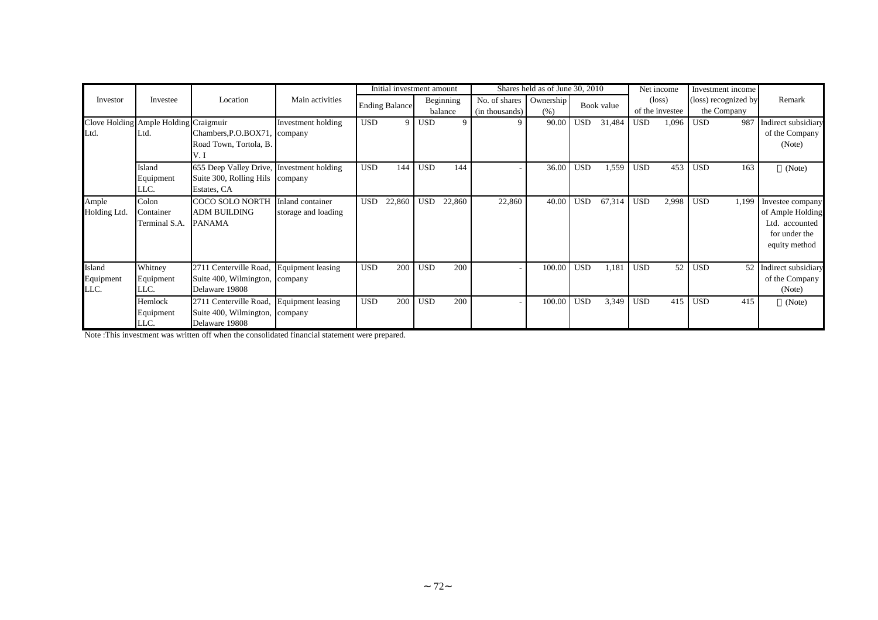|                             |                                               |                                                                                              |                                         |            | Initial investment amount |            |                      |                                 | Shares held as of June 30, 2010 |            |            |            | Net income                         | Investment income                   |                                                                                          |
|-----------------------------|-----------------------------------------------|----------------------------------------------------------------------------------------------|-----------------------------------------|------------|---------------------------|------------|----------------------|---------------------------------|---------------------------------|------------|------------|------------|------------------------------------|-------------------------------------|------------------------------------------------------------------------------------------|
| Investor                    | Investee                                      | Location                                                                                     | Main activities                         |            | <b>Ending Balance</b>     |            | Beginning<br>balance | No. of shares<br>(in thousands) | Ownership<br>(% )               |            | Book value |            | $(\text{loss})$<br>of the investee | (loss) recognized by<br>the Company | Remark                                                                                   |
| Ltd.                        | Clove Holding Ample Holding Craigmuir<br>Ltd. | Chambers, P.O.BOX71, company<br>Road Town, Tortola, B.<br>V.I                                | Investment holding                      | <b>USD</b> | 9                         | <b>USD</b> | 9                    | 9                               | 90.00                           | <b>USD</b> | 31,484     | <b>USD</b> | 1,096                              | <b>USD</b><br>987                   | Indirect subsidiary<br>of the Company<br>(Note)                                          |
|                             | Island<br>Equipment<br>LLC.                   | 655 Deep Valley Drive, Investment holding<br>Suite 300, Rolling Hils company<br>Estates, CA  |                                         | <b>USD</b> | 144                       | <b>USD</b> | 144                  |                                 | 36.00                           | <b>USD</b> | 1,559      | <b>USD</b> | 453                                | <b>USD</b><br>163                   | (Note)                                                                                   |
| Ample<br>Holding Ltd.       | Colon<br>Container<br>Terminal S.A.           | <b>COCO SOLO NORTH</b><br><b>ADM BUILDING</b><br><b>PANAMA</b>                               | Inland container<br>storage and loading | USD.       | 22,860                    | <b>USD</b> | 22,860               | 22,860                          | 40.00                           | <b>USD</b> | 67,314     | <b>USD</b> | 2,998                              | <b>USD</b><br>1,199                 | Investee company<br>of Ample Holding<br>Ltd. accounted<br>for under the<br>equity method |
| Island<br>Equipment<br>LLC. | Whitney<br>Equipment<br>LLC.                  | 2711 Centerville Road, Equipment leasing<br>Suite 400, Wilmington, company<br>Delaware 19808 |                                         | <b>USD</b> | 200                       | <b>USD</b> | 200                  |                                 | 100.00                          | <b>USD</b> | 1,181      | <b>USD</b> | 52                                 | <b>USD</b><br>52 <sub>1</sub>       | Indirect subsidiary<br>of the Company<br>(Note)                                          |
|                             | Hemlock<br>Equipment<br>LLC.                  | 2711 Centerville Road, Equipment leasing<br>Suite 400, Wilmington, company<br>Delaware 19808 |                                         | <b>USD</b> | 200                       | <b>USD</b> | 200                  |                                 | 100.00                          | <b>USD</b> | 3,349      | <b>USD</b> | 415                                | <b>USD</b><br>415                   | (Note)                                                                                   |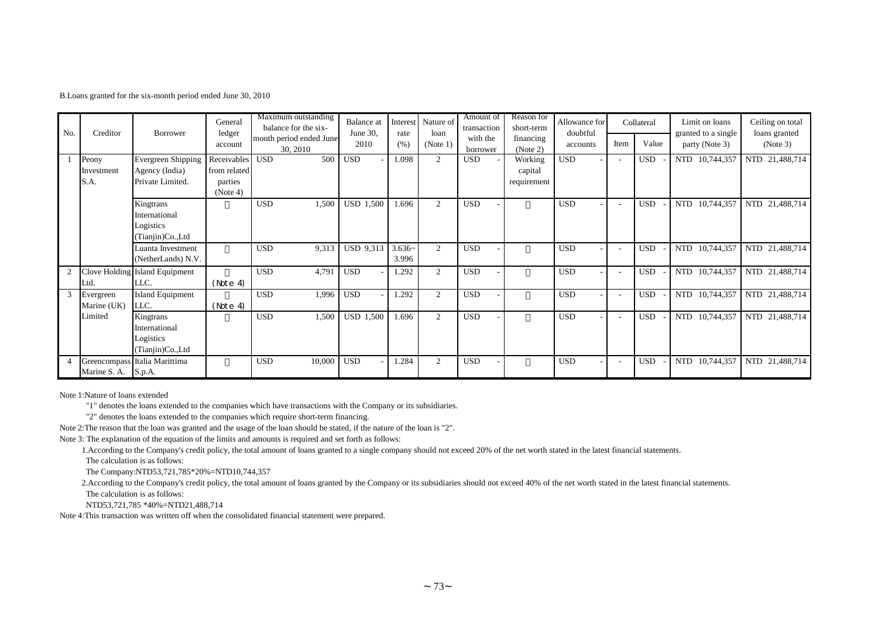B.Loans granted for the six-month period ended June 30, 2010

| No. | Creditor                    | Borrower                                                        | General<br>ledger<br>account                       | Maximum outstanding<br>balance for the six-<br>month period ended June<br>30, 2010 | <b>Balance</b> at<br>June 30,<br>2010 | Interest<br>rate<br>(% ) | Nature of<br>loan<br>(Note 1) | Amount of<br>transaction<br>with the<br>borrower | Reason for<br>short-term<br>financing<br>(Note 2) | Allowance for<br>doubtful<br>accounts  | Item | Collateral<br>Value | Limit on loans<br>granted to a single<br>party (Note 3) | Ceiling on total<br>loans granted<br>(Note 3) |
|-----|-----------------------------|-----------------------------------------------------------------|----------------------------------------------------|------------------------------------------------------------------------------------|---------------------------------------|--------------------------|-------------------------------|--------------------------------------------------|---------------------------------------------------|----------------------------------------|------|---------------------|---------------------------------------------------------|-----------------------------------------------|
|     | Peony<br>Investment<br>S.A. | <b>Evergreen Shipping</b><br>Agency (India)<br>Private Limited. | Receivables<br>from related<br>parties<br>(Note 4) | <b>USD</b><br>500                                                                  | <b>USD</b>                            | 1.098                    | $\overline{2}$                | <b>USD</b>                                       | Working<br>capital<br>requirement                 | <b>USD</b>                             |      | <b>USD</b>          | NTD 10,744,357                                          | NTD 21,488,714                                |
|     |                             | Kingtrans<br>International<br>Logistics<br>(Tianjin)Co.,Ltd     |                                                    | <b>USD</b><br>1,500                                                                | <b>USD 1,500</b>                      | 1.696                    | $\overline{2}$                | <b>USD</b>                                       |                                                   | <b>USD</b>                             |      | <b>USD</b>          | <b>NTD</b><br>10,744,357                                | NTD 21,488,714                                |
|     |                             | Luanta Investment<br>(NetherLands) N.V.                         |                                                    | <b>USD</b><br>9,313                                                                | <b>USD 9,313</b>                      | $3.636-$<br>3.996        | $\overline{2}$                | <b>USD</b>                                       |                                                   | <b>USD</b>                             |      | <b>USD</b>          | 10,744,357<br><b>NTD</b>                                | NTD 21,488,714                                |
|     | Ltd.                        | Clove Holding Island Equipment<br>LLC.                          | (Note 4)                                           | <b>USD</b><br>4,791                                                                | <b>USD</b>                            | 1.292                    | 2                             | <b>USD</b>                                       |                                                   | <b>USD</b>                             |      | <b>USD</b>          | NTD 10,744,357                                          | NTD 21,488,714                                |
| 3   | Evergreen<br>Marine (UK)    | <b>Island Equipment</b><br>LLC.                                 | (Note 4)                                           | <b>USD</b><br>1,996                                                                | <b>USD</b>                            | 1.292                    | $\overline{2}$                | <b>USD</b>                                       |                                                   | <b>USD</b>                             |      | <b>USD</b>          | NTD 10,744,357                                          | NTD 21,488,714                                |
|     | Limited                     | Kingtrans<br>International<br>Logistics<br>(Tianjin)Co.,Ltd     |                                                    | <b>USD</b><br>1,500                                                                | <b>USD 1,500</b>                      | 1.696                    | $\overline{2}$                | <b>USD</b>                                       |                                                   | <b>USD</b><br>$\overline{\phantom{a}}$ |      | <b>USD</b>          | NTD 10,744,357                                          | NTD 21,488,714                                |
|     | Marine S. A. S.p.A.         | Greencompass Italia Marittima                                   |                                                    | 10,000<br><b>USD</b>                                                               | <b>USD</b>                            | 1.284                    | 2                             | <b>USD</b>                                       |                                                   | <b>USD</b>                             |      | <b>USD</b>          | 10,744,357<br>NTD                                       | NTD 21,488,714                                |

Note 1:Nature of loans extended

"1" denotes the loans extended to the companies which have transactions with the Company or its subsidiaries.

"2" denotes the loans extended to the companies which require short-term financing.

Note 2:The reason that the loan was granted and the usage of the loan should be stated, if the nature of the loan is "2".

Note 3: The explanation of the equation of the limits and amounts is required and set forth as follows:

1.According to the Company's credit policy, the total amount of loans granted to a single company should not exceed 20% of the net worth stated in the latest financial statements.

The calculation is as follows:

The Company:NTD53,721,785\*20%=NTD10,744,357

2.According to the Company's credit policy, the total amount of loans granted by the Company or its subsidiaries should not exceed 40% of the net worth stated in the latest financial statements. The calculation is as follows:

NTD53,721,785 \*40%=NTD21,488,714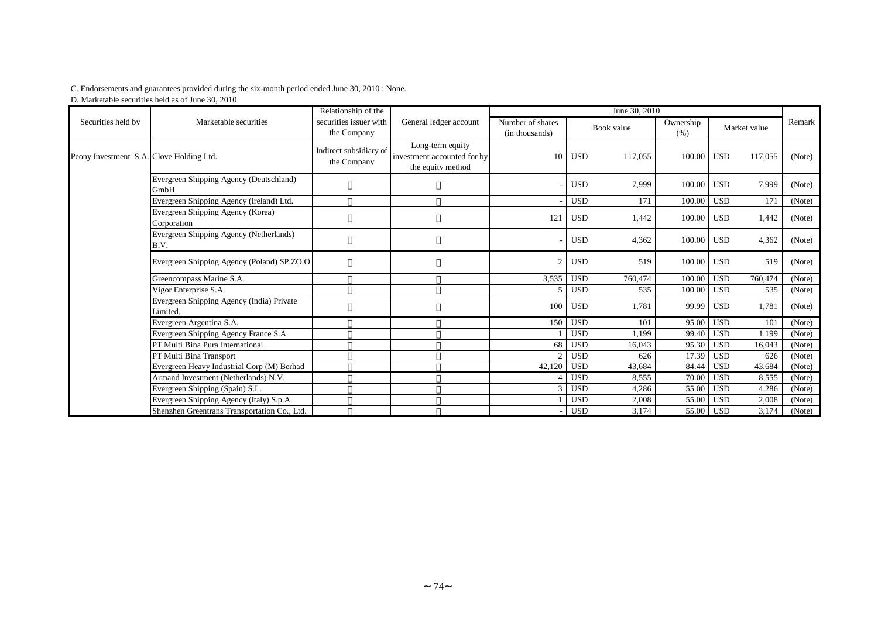## C. Endorsements and guarantees provided during the six-month period ended June 30, 2010 : None.

D. Marketable securities held as of June 30, 2010

|                                          |                                                       | Relationship of the                   |                                                                      |                                    |                  | June 30, 2010 |                   |                  |              |        |
|------------------------------------------|-------------------------------------------------------|---------------------------------------|----------------------------------------------------------------------|------------------------------------|------------------|---------------|-------------------|------------------|--------------|--------|
| Securities held by                       | Marketable securities                                 | securities issuer with<br>the Company | General ledger account                                               | Number of shares<br>(in thousands) |                  | Book value    | Ownership<br>(% ) |                  | Market value | Remark |
| Peony Investment S.A. Clove Holding Ltd. |                                                       | Indirect subsidiary of<br>the Company | Long-term equity<br>investment accounted for by<br>the equity method |                                    | $10$ USD         | 117,055       | 100.00            | USD <sup>1</sup> | 117,055      | (Note) |
|                                          | Evergreen Shipping Agency (Deutschland)<br>GmbH       |                                       |                                                                      |                                    | <b>USD</b>       | 7,999         | 100.00            | <b>USD</b>       | 7,999        | (Note) |
|                                          | Evergreen Shipping Agency (Ireland) Ltd.              |                                       |                                                                      |                                    | <b>USD</b>       | 171           | 100.00            | <b>USD</b>       | 171          | (Note) |
|                                          | Evergreen Shipping Agency (Korea)<br>Corporation      |                                       |                                                                      | 121                                | <b>USD</b>       | 1,442         | 100.00            | <b>USD</b>       | 1,442        | (Note) |
|                                          | Evergreen Shipping Agency (Netherlands)<br>B.V.       |                                       |                                                                      |                                    | <b>USD</b>       | 4,362         | 100.00            | <b>USD</b>       | 4,362        | (Note) |
|                                          | Evergreen Shipping Agency (Poland) SP.ZO.O            |                                       |                                                                      | $\mathfrak{D}$                     | <b>USD</b>       | 519           | 100.00            | <b>USD</b>       | 519          | (Note) |
|                                          | Greencompass Marine S.A.                              |                                       |                                                                      | 3,535                              | USD <sub>1</sub> | 760,474       | 100.00            | <b>USD</b>       | 760,474      | (Note) |
|                                          | Vigor Enterprise S.A.                                 |                                       |                                                                      | 5                                  | <b>USD</b>       | 535           | 100.00            | <b>USD</b>       | 535          | (Note) |
|                                          | Evergreen Shipping Agency (India) Private<br>Limited. |                                       |                                                                      | 100                                | <b>USD</b>       | 1,781         | 99.99             | <b>USD</b>       | 1,781        | (Note) |
|                                          | Evergreen Argentina S.A.                              |                                       |                                                                      |                                    | 150 USD          | 101           | 95.00             | <b>USD</b>       | 101          | (Note) |
|                                          | Evergreen Shipping Agency France S.A.                 |                                       |                                                                      |                                    | <b>USD</b>       | 1.199         | 99.40             | <b>USD</b>       | 1.199        | (Note) |
|                                          | PT Multi Bina Pura International                      |                                       |                                                                      | 68                                 | <b>USD</b>       | 16,043        | 95.30             | <b>USD</b>       | 16,043       | (Note) |
|                                          | PT Multi Bina Transport                               |                                       |                                                                      |                                    | <b>USD</b>       | 626           | 17.39             | <b>USD</b>       | 626          | (Note) |
|                                          | Evergreen Heavy Industrial Corp (M) Berhad            |                                       |                                                                      | 42,120                             | <b>USD</b>       | 43,684        | 84.44             | <b>USD</b>       | 43,684       | (Note) |
|                                          | Armand Investment (Netherlands) N.V.                  |                                       |                                                                      |                                    | USD <sup>1</sup> | 8,555         | 70.00             | <b>USD</b>       | 8,555        | (Note) |
|                                          | Evergreen Shipping (Spain) S.L.                       |                                       |                                                                      | 3                                  | l USD            | 4,286         | 55.00             | <b>USD</b>       | 4,286        | (Note) |
|                                          | Evergreen Shipping Agency (Italy) S.p.A.              |                                       |                                                                      |                                    | <b>USD</b>       | 2,008         | 55.00             | <b>USD</b>       | 2,008        | (Note) |
|                                          | Shenzhen Greentrans Transportation Co., Ltd.          |                                       |                                                                      |                                    | <b>USD</b>       | 3,174         |                   | 55.00 USD        | 3,174        | (Note) |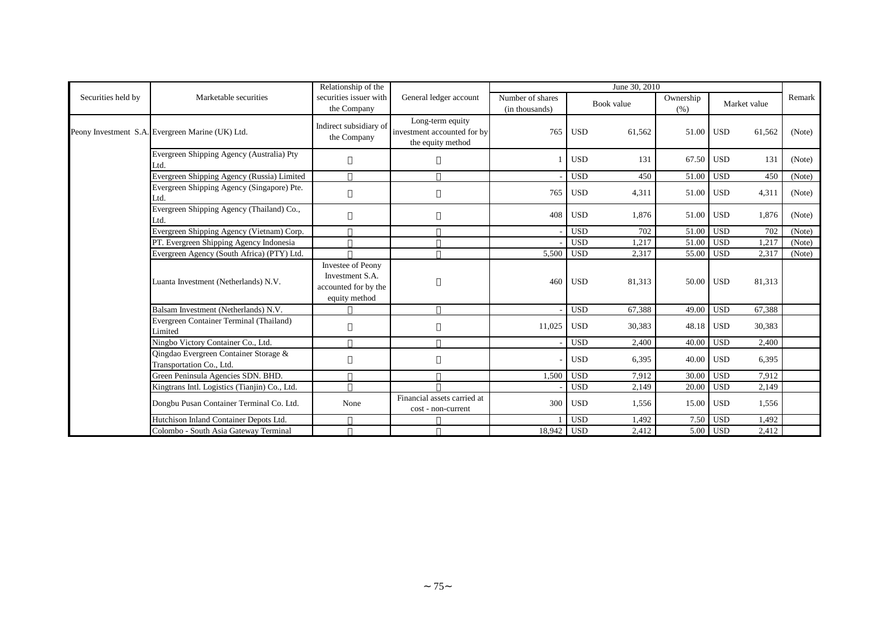|                    |                                                                   | Relationship of the                                                           |                                                                      |                                    |            | June 30, 2010 |                   |                  |              |        |
|--------------------|-------------------------------------------------------------------|-------------------------------------------------------------------------------|----------------------------------------------------------------------|------------------------------------|------------|---------------|-------------------|------------------|--------------|--------|
| Securities held by | Marketable securities                                             | securities issuer with<br>the Company                                         | General ledger account                                               | Number of shares<br>(in thousands) |            | Book value    | Ownership<br>(% ) |                  | Market value | Remark |
|                    | Peony Investment S.A. Evergreen Marine (UK) Ltd.                  | Indirect subsidiary of<br>the Company                                         | Long-term equity<br>investment accounted for by<br>the equity method | 765                                | <b>USD</b> | 61,562        | 51.00             | <b>USD</b>       | 61,562       | (Note) |
|                    | Evergreen Shipping Agency (Australia) Pty<br>.td.                 |                                                                               |                                                                      |                                    | <b>USD</b> | 131           | 67.50             | <b>USD</b>       | 131          | (Note) |
|                    | Evergreen Shipping Agency (Russia) Limited                        |                                                                               |                                                                      |                                    | <b>USD</b> | 450           | 51.00             | <b>USD</b>       | 450          | (Note) |
|                    | Evergreen Shipping Agency (Singapore) Pte.<br>Ltd.                |                                                                               |                                                                      | 765                                | <b>USD</b> | 4,311         | 51.00             | <b>USD</b>       | 4,311        | (Note) |
|                    | Evergreen Shipping Agency (Thailand) Co.,<br>.td.                 |                                                                               |                                                                      | 408                                | <b>USD</b> | 1.876         | 51.00             | l USD            | 1,876        | (Note) |
|                    | Evergreen Shipping Agency (Vietnam) Corp.                         |                                                                               |                                                                      |                                    | <b>USD</b> | 702           | 51.00             | <b>USD</b>       | 702          | (Note) |
|                    | PT. Evergreen Shipping Agency Indonesia                           |                                                                               |                                                                      |                                    | <b>USD</b> | 1,217         | 51.00             | <b>USD</b>       | 1,217        | (Note) |
|                    | Evergreen Agency (South Africa) (PTY) Ltd.                        |                                                                               |                                                                      | 5,500                              | <b>USD</b> | 2,317         | 55.00             | <b>USD</b>       | 2,317        | (Note) |
|                    | Luanta Investment (Netherlands) N.V.                              | Investee of Peony<br>Investment S.A.<br>accounted for by the<br>equity method |                                                                      | 460                                | <b>USD</b> | 81,313        | 50.00 USD         |                  | 81,313       |        |
|                    | Balsam Investment (Netherlands) N.V.                              |                                                                               |                                                                      |                                    | <b>USD</b> | 67,388        | 49.00             | <b>USD</b>       | 67,388       |        |
|                    | Evergreen Container Terminal (Thailand)<br>Limited                |                                                                               |                                                                      | 11,025                             | <b>USD</b> | 30,383        | 48.18             | <b>USD</b>       | 30,383       |        |
|                    | Ningbo Victory Container Co., Ltd.                                |                                                                               |                                                                      |                                    | <b>USD</b> | 2,400         | 40.00             | <b>USD</b>       | 2.400        |        |
|                    | Qingdao Evergreen Container Storage &<br>Transportation Co., Ltd. |                                                                               |                                                                      |                                    | <b>USD</b> | 6,395         | 40.00             | USD <sub>1</sub> | 6,395        |        |
|                    | Green Peninsula Agencies SDN. BHD.                                |                                                                               |                                                                      | 1,500                              | <b>USD</b> | 7,912         | 30.00             | <b>USD</b>       | 7,912        |        |
|                    | Kingtrans Intl. Logistics (Tianjin) Co., Ltd.                     |                                                                               |                                                                      |                                    | <b>USD</b> | 2,149         | 20.00             | <b>USD</b>       | 2,149        |        |
|                    | Dongbu Pusan Container Terminal Co. Ltd.                          | None                                                                          | Financial assets carried at<br>cost - non-current                    | 300                                | <b>USD</b> | 1,556         | 15.00             | <b>USD</b>       | 1,556        |        |
|                    | Hutchison Inland Container Depots Ltd.                            |                                                                               |                                                                      |                                    | <b>USD</b> | 1,492         | 7.50              | <b>USD</b>       | 1,492        |        |
|                    | Colombo - South Asia Gateway Terminal                             |                                                                               |                                                                      | 18,942 USD                         |            | 2,412         |                   | 5.00 USD         | 2,412        |        |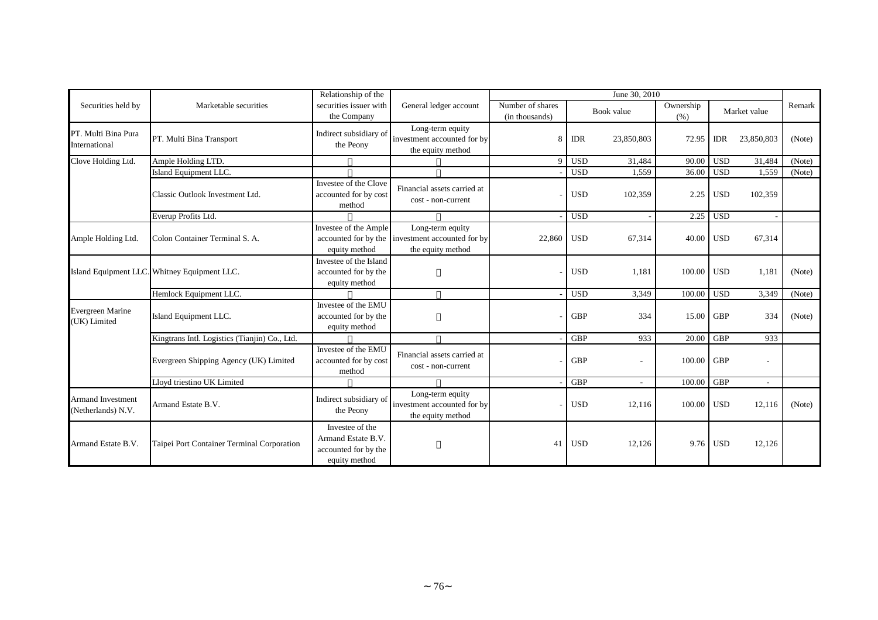|                                                |                                               | Relationship of the                                                            |                                                                      |                                    |            | June 30, 2010 |                   |            |                          |        |
|------------------------------------------------|-----------------------------------------------|--------------------------------------------------------------------------------|----------------------------------------------------------------------|------------------------------------|------------|---------------|-------------------|------------|--------------------------|--------|
| Securities held by                             | Marketable securities                         | securities issuer with<br>the Company                                          | General ledger account                                               | Number of shares<br>(in thousands) |            | Book value    | Ownership<br>(% ) |            | Market value             | Remark |
| PT. Multi Bina Pura<br>International           | PT. Multi Bina Transport                      | Indirect subsidiary of<br>the Peony                                            | Long-term equity<br>investment accounted for by<br>the equity method | 8                                  | <b>IDR</b> | 23,850,803    | 72.95             | <b>IDR</b> | 23,850,803               | (Note) |
| Clove Holding Ltd.                             | Ample Holding LTD.                            |                                                                                |                                                                      | $\Omega$                           | <b>USD</b> | 31,484        | 90.00             | <b>USD</b> | 31,484                   | (Note) |
|                                                | Island Equipment LLC.                         |                                                                                |                                                                      |                                    | <b>USD</b> | 1,559         | 36.00             | <b>USD</b> | 1,559                    | (Note) |
|                                                | Classic Outlook Investment Ltd.               | Investee of the Clove<br>accounted for by cost<br>method                       | Financial assets carried at<br>cost - non-current                    |                                    | <b>USD</b> | 102,359       | 2.25              | <b>USD</b> | 102,359                  |        |
|                                                | Everup Profits Ltd.                           |                                                                                |                                                                      |                                    | <b>USD</b> |               | 2.25              | <b>USD</b> |                          |        |
| Ample Holding Ltd.                             | Colon Container Terminal S. A.                | Investee of the Ample<br>accounted for by the<br>equity method                 | Long-term equity<br>investment accounted for by<br>the equity method | 22,860                             | <b>USD</b> | 67,314        | 40.00             | <b>USD</b> | 67,314                   |        |
|                                                | Island Equipment LLC. Whitney Equipment LLC.  | Investee of the Island<br>accounted for by the<br>equity method                |                                                                      |                                    | <b>USD</b> | 1,181         | 100.00 USD        |            | 1,181                    | (Note) |
|                                                | Hemlock Equipment LLC.                        |                                                                                |                                                                      |                                    | <b>USD</b> | 3,349         | 100.00            | <b>USD</b> | 3,349                    | (Note) |
| Evergreen Marine<br>(UK) Limited               | Island Equipment LLC.                         | Investee of the EMU<br>accounted for by the<br>equity method                   |                                                                      |                                    | <b>GBP</b> | 334           | 15.00             | <b>GBP</b> | 334                      | (Note) |
|                                                | Kingtrans Intl. Logistics (Tianjin) Co., Ltd. |                                                                                |                                                                      |                                    | <b>GBP</b> | 933           | 20.00             | <b>GBP</b> | 933                      |        |
|                                                | Evergreen Shipping Agency (UK) Limited        | Investee of the EMU<br>accounted for by cost<br>method                         | Financial assets carried at<br>cost - non-current                    |                                    | <b>GBP</b> |               | 100.00            | <b>GBP</b> | $\overline{\phantom{a}}$ |        |
|                                                | Lloyd triestino UK Limited                    |                                                                                |                                                                      |                                    | <b>GBP</b> |               | 100.00            | <b>GBP</b> |                          |        |
| <b>Armand Investment</b><br>(Netherlands) N.V. | Armand Estate B.V.                            | Indirect subsidiary of<br>the Peony                                            | Long-term equity<br>investment accounted for by<br>the equity method |                                    | <b>USD</b> | 12,116        | 100.00            | <b>USD</b> | 12,116                   | (Note) |
| Armand Estate B.V.                             | Taipei Port Container Terminal Corporation    | Investee of the<br>Armand Estate B.V.<br>accounted for by the<br>equity method |                                                                      | 41                                 | <b>USD</b> | 12,126        |                   | 9.76 USD   | 12,126                   |        |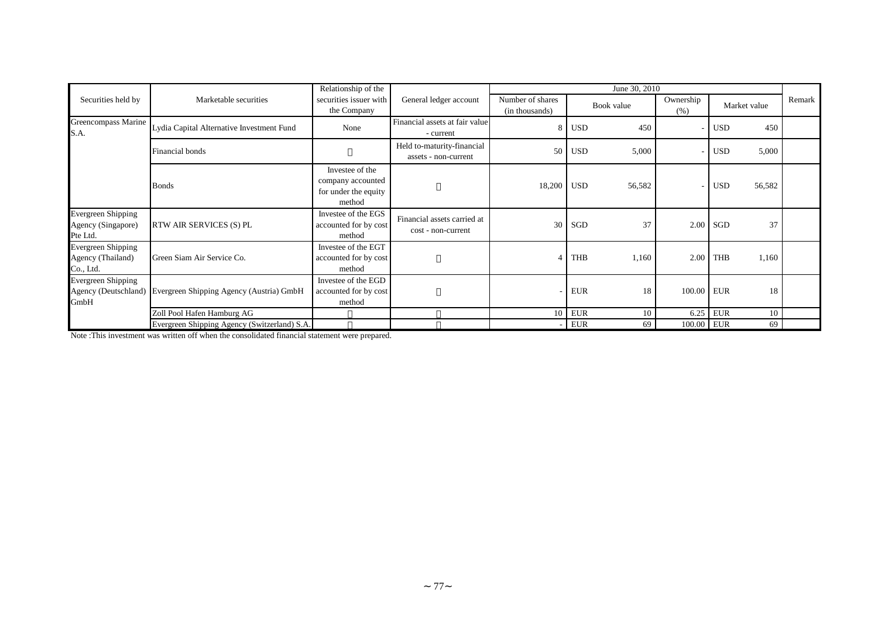|                                                             |                                                               | Relationship of the                                                    |                                                    |                                    |            | June 30, 2010 |                   |            |              |        |
|-------------------------------------------------------------|---------------------------------------------------------------|------------------------------------------------------------------------|----------------------------------------------------|------------------------------------|------------|---------------|-------------------|------------|--------------|--------|
| Securities held by                                          | Marketable securities                                         | securities issuer with<br>the Company                                  | General ledger account                             | Number of shares<br>(in thousands) |            | Book value    | Ownership<br>(% ) |            | Market value | Remark |
| Greencompass Marine<br>S.A.                                 | Lydia Capital Alternative Investment Fund                     | None                                                                   | Financial assets at fair value<br>- current        | 8                                  | <b>USD</b> | 450           |                   | <b>USD</b> | 450          |        |
|                                                             | Financial bonds                                               |                                                                        | Held to-maturity-financial<br>assets - non-current | 50                                 | <b>USD</b> | 5,000         |                   | <b>USD</b> | 5,000        |        |
|                                                             | <b>Bonds</b>                                                  | Investee of the<br>company accounted<br>for under the equity<br>method |                                                    | 18,200                             | <b>USD</b> | 56,582        |                   | <b>USD</b> | 56,582       |        |
| <b>Evergreen Shipping</b><br>Agency (Singapore)<br>Pte Ltd. | <b>RTW AIR SERVICES (S) PL</b>                                | Investee of the EGS<br>accounted for by cost<br>method                 | Financial assets carried at<br>cost - non-current  | 30                                 | SGD        | 37            | 2.00              | <b>SGD</b> | 37           |        |
| <b>Evergreen Shipping</b><br>Agency (Thailand)<br>Co., Ltd. | Green Siam Air Service Co.                                    | Investee of the EGT<br>accounted for by cost<br>method                 |                                                    |                                    | <b>THB</b> | 1,160         | 2.00              | <b>THB</b> | 1,160        |        |
| <b>Evergreen Shipping</b><br>GmbH                           | Agency (Deutschland) Evergreen Shipping Agency (Austria) GmbH | Investee of the EGD<br>accounted for by cost<br>method                 |                                                    |                                    | <b>EUR</b> | 18            | 100.00 EUR        |            | 18           |        |
|                                                             | Zoll Pool Hafen Hamburg AG                                    |                                                                        |                                                    | 10                                 | <b>EUR</b> | 10            | 6.25              | <b>EUR</b> | 10           |        |
|                                                             | Evergreen Shipping Agency (Switzerland) S.A.                  |                                                                        |                                                    |                                    | <b>EUR</b> | 69            | 100.00 EUR        |            | 69           |        |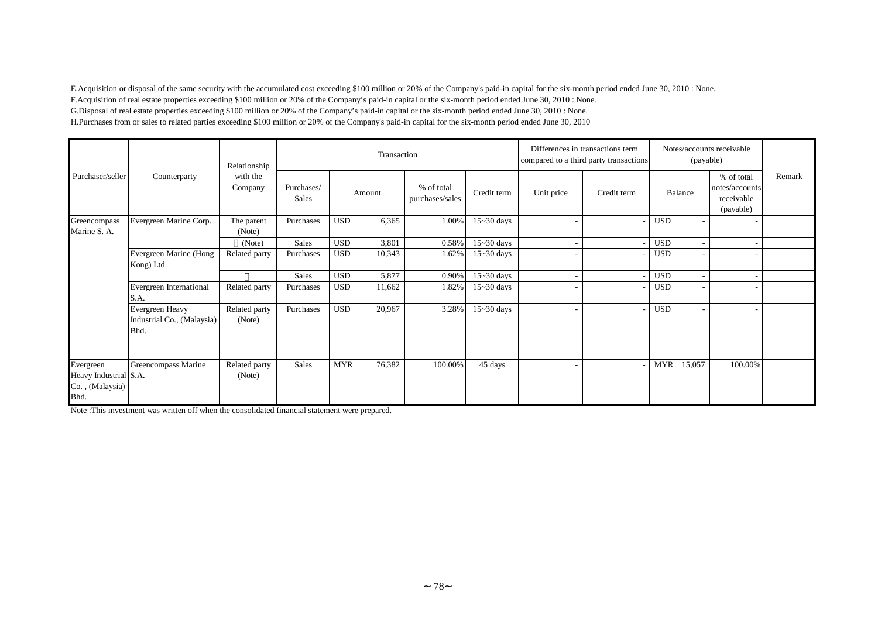E.Acquisition or disposal of the same security with the accumulated cost exceeding \$100 million or 20% of the Company's paid-in capital for the six-month period ended June 30, 2010 : None. F.Acquisition of real estate properties exceeding \$100 million or 20% of the Company's paid-in capital or the six-month period ended June 30, 2010 : None. G.Disposal of real estate properties exceeding \$100 million or 20% of the Company's paid-in capital or the six-month period ended June 30, 2010 : None. H.Purchases from or sales to related parties exceeding \$100 million or 20% of the Company's paid-in capital for the six-month period ended June 30, 2010

|                                                               |                                                       | Relationship            |                     |            | Transaction |                               |                |            | Differences in transactions term<br>compared to a third party transactions | Notes/accounts receivable<br>(payable) |                                                         |        |
|---------------------------------------------------------------|-------------------------------------------------------|-------------------------|---------------------|------------|-------------|-------------------------------|----------------|------------|----------------------------------------------------------------------------|----------------------------------------|---------------------------------------------------------|--------|
| Purchaser/seller                                              | Counterparty                                          | with the<br>Company     | Purchases/<br>Sales |            | Amount      | % of total<br>purchases/sales | Credit term    | Unit price | Credit term                                                                | Balance                                | % of total<br>notes/accounts<br>receivable<br>(payable) | Remark |
| Greencompass<br>Marine S. A.                                  | Evergreen Marine Corp.                                | The parent<br>(Note)    | Purchases           | <b>USD</b> | 6,365       | 1.00%                         | $15 - 30$ days |            |                                                                            | <b>USD</b>                             |                                                         |        |
|                                                               |                                                       | (Note)                  | Sales               | <b>USD</b> | 3,801       | 0.58%                         | $15 - 30$ days |            |                                                                            | <b>USD</b>                             |                                                         |        |
|                                                               | Evergreen Marine (Hong<br>Kong) Ltd.                  | Related party           | Purchases           | <b>USD</b> | 10,343      | 1.62%                         | $15 - 30$ days |            |                                                                            | <b>USD</b>                             |                                                         |        |
|                                                               |                                                       |                         | <b>Sales</b>        | <b>USD</b> | 5,877       | 0.90%                         | $15 - 30$ days |            |                                                                            | <b>USD</b>                             |                                                         |        |
|                                                               | Evergreen International<br>S.A.                       | Related party           | Purchases           | <b>USD</b> | 11,662      | 1.82%                         | $15 - 30$ days |            |                                                                            | <b>USD</b>                             |                                                         |        |
|                                                               | Evergreen Heavy<br>Industrial Co., (Malaysia)<br>Bhd. | Related party<br>(Note) | Purchases           | <b>USD</b> | 20,967      | 3.28%                         | $15 - 30$ days |            |                                                                            | <b>USD</b>                             |                                                         |        |
| Evergreen<br>Heavy Industrial S.A.<br>Co., (Malaysia)<br>Bhd. | Greencompass Marine                                   | Related party<br>(Note) | Sales               | <b>MYR</b> | 76,382      | 100.00%                       | 45 days        |            |                                                                            | 15,057<br>MYR                          | 100.00%                                                 |        |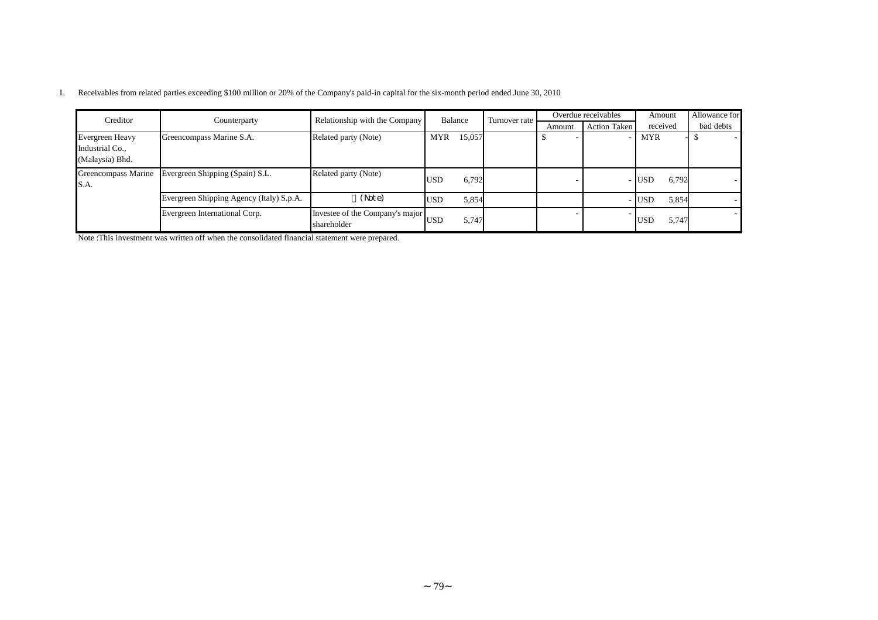|  |  |  |  |  |  | Receivables from related parties exceeding \$100 million or 20% of the Company's paid-in capital for the six-month period ended June 30, 2010 |
|--|--|--|--|--|--|-----------------------------------------------------------------------------------------------------------------------------------------------|
|--|--|--|--|--|--|-----------------------------------------------------------------------------------------------------------------------------------------------|

| Creditor                                              |                                          | Relationship with the Company                  | <b>Balance</b> |        | Turnover rate |        | Overdue receivables | Amount              | Allowance for |
|-------------------------------------------------------|------------------------------------------|------------------------------------------------|----------------|--------|---------------|--------|---------------------|---------------------|---------------|
|                                                       | Counterparty                             |                                                |                |        |               | Amount | Action Taken        | received            | bad debts     |
| Evergreen Heavy<br>Industrial Co.,<br>(Malaysia) Bhd. | Greencompass Marine S.A.                 | Related party (Note)                           | <b>MYR</b>     | 15,057 |               |        |                     | <b>MYR</b>          |               |
| Greencompass Marine<br>S.A.                           | Evergreen Shipping (Spain) S.L.          | Related party (Note)                           | <b>USD</b>     | 6,792  |               |        |                     | 6,792<br>- IUSD     |               |
|                                                       | Evergreen Shipping Agency (Italy) S.p.A. | (Note)                                         | <b>USD</b>     | 5,854  |               |        |                     | 5,854<br>- USD      |               |
|                                                       | Evergreen International Corp.            | Investee of the Company's major<br>shareholder | <b>USD</b>     | 5,747  |               |        |                     | 5,747<br><b>USD</b> |               |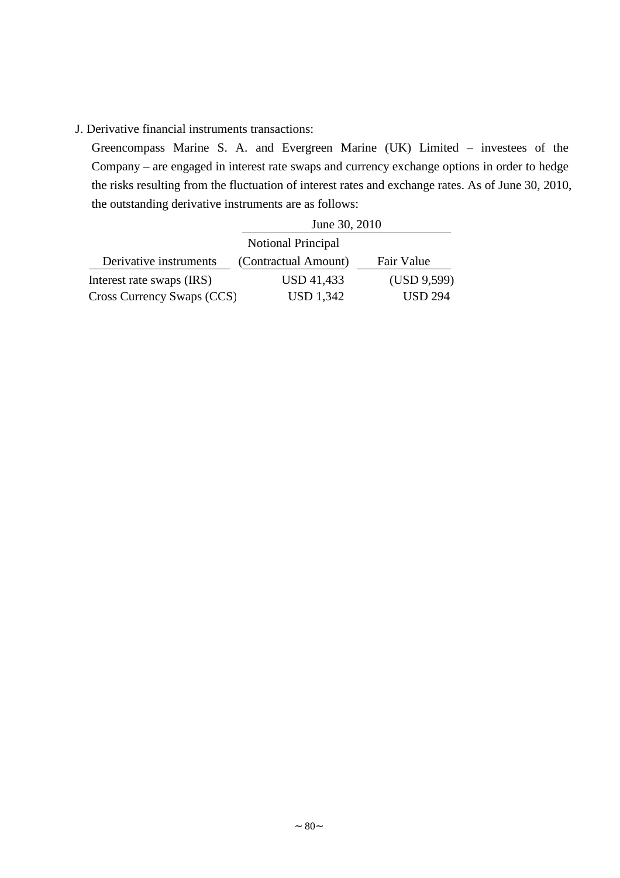## J. Derivative financial instruments transactions:

Greencompass Marine S. A. and Evergreen Marine (UK) Limited – investees of the Company – are engaged in interest rate swaps and currency exchange options in order to hedge the risks resulting from the fluctuation of interest rates and exchange rates. As of June 30, 2010, the outstanding derivative instruments are as follows:

|                            | June 30, 2010             |                |
|----------------------------|---------------------------|----------------|
|                            | <b>Notional Principal</b> |                |
| Derivative instruments     | (Contractual Amount)      | Fair Value     |
| Interest rate swaps (IRS)  | <b>USD 41,433</b>         | (USD 9,599)    |
| Cross Currency Swaps (CCS) | USD 1,342                 | <b>USD 294</b> |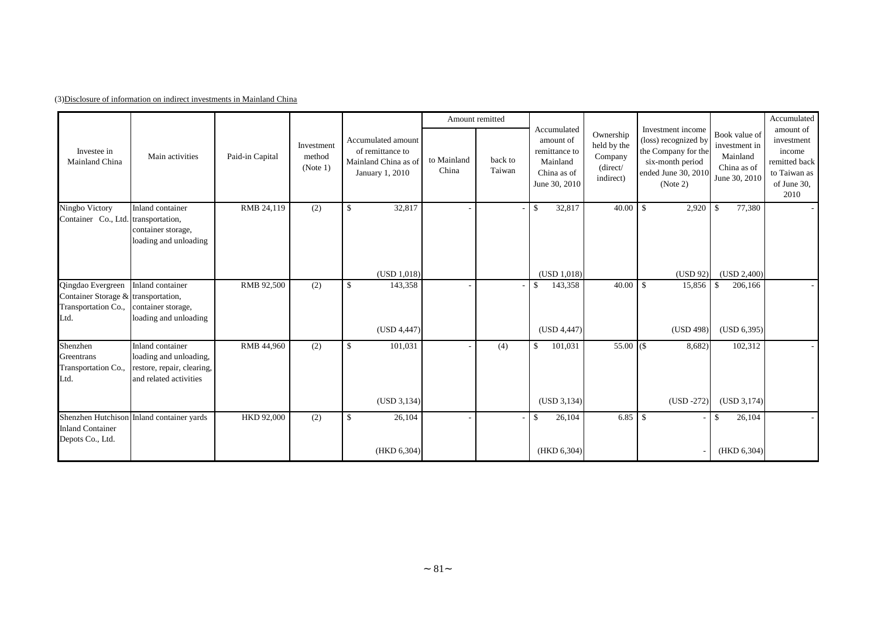|                                                                                         |                                                                                                    |                 |                                  |                                                                                   | Amount remitted      |                   |                                                                                       |                                                              |                                                                                                                         |                                                                            | Accumulated                                                                               |
|-----------------------------------------------------------------------------------------|----------------------------------------------------------------------------------------------------|-----------------|----------------------------------|-----------------------------------------------------------------------------------|----------------------|-------------------|---------------------------------------------------------------------------------------|--------------------------------------------------------------|-------------------------------------------------------------------------------------------------------------------------|----------------------------------------------------------------------------|-------------------------------------------------------------------------------------------|
| Investee in<br>Mainland China                                                           | Main activities                                                                                    | Paid-in Capital | Investment<br>method<br>(Note 1) | Accumulated amount<br>of remittance to<br>Mainland China as of<br>January 1, 2010 | to Mainland<br>China | back to<br>Taiwan | Accumulated<br>amount of<br>remittance to<br>Mainland<br>China as of<br>June 30, 2010 | Ownership<br>held by the<br>Company<br>(direct/<br>indirect) | Investment income<br>(loss) recognized by<br>the Company for the<br>six-month period<br>ended June 30, 2010<br>(Note 2) | Book value of<br>investment in<br>Mainland<br>China as of<br>June 30, 2010 | amount of<br>investment<br>income<br>remitted back<br>to Taiwan as<br>of June 30,<br>2010 |
| Ningbo Victory<br>Container Co., Ltd. transportation,                                   | Inland container<br>container storage,<br>loading and unloading                                    | RMB 24,119      | (2)                              | 32,817<br>$\mathbf{\$}$                                                           |                      |                   | 32,817<br>\$                                                                          | 40.00                                                        | <sup>\$</sup><br>2,920                                                                                                  | $\mathbb{S}$<br>77,380                                                     |                                                                                           |
|                                                                                         |                                                                                                    |                 |                                  | (USD 1,018)                                                                       |                      |                   | (USD 1,018)                                                                           |                                                              | (USD 92)                                                                                                                | (USD 2,400)                                                                |                                                                                           |
| Qingdao Evergreen<br>Container Storage & transportation,<br>Transportation Co.,<br>Ltd. | Inland container<br>container storage,<br>loading and unloading                                    | RMB 92,500      | (2)                              | $\mathbf{\hat{S}}$<br>143,358                                                     |                      |                   | 143,358<br>\$                                                                         | 40.00                                                        | <b>S</b><br>15,856                                                                                                      | -\$<br>206,166                                                             |                                                                                           |
|                                                                                         |                                                                                                    |                 |                                  | (USD 4,447)                                                                       |                      |                   | (USD 4,447)                                                                           |                                                              | (USD 498)                                                                                                               | (USD 6,395)                                                                |                                                                                           |
| Shenzhen<br>Greentrans<br>Transportation Co.,<br>Ltd.                                   | Inland container<br>loading and unloading,<br>restore, repair, clearing,<br>and related activities | RMB 44,960      | (2)                              | $\mathbf{\$}$<br>101,031                                                          |                      | (4)               | \$<br>101,031                                                                         | $55.00$ $($                                                  | 8,682)                                                                                                                  | 102,312                                                                    |                                                                                           |
|                                                                                         |                                                                                                    |                 |                                  | (USD 3, 134)                                                                      |                      |                   | (USD 3, 134)                                                                          |                                                              | $(USD -272)$                                                                                                            | (USD 3,174)                                                                |                                                                                           |
| <b>Inland Container</b><br>Depots Co., Ltd.                                             | Shenzhen Hutchison Inland container yards                                                          | HKD 92,000      | (2)                              | $\mathbf{\$}$<br>26,104                                                           |                      |                   | \$<br>26,104                                                                          | $6.85 \t S$                                                  |                                                                                                                         | 26,104<br>\$                                                               |                                                                                           |
|                                                                                         |                                                                                                    |                 |                                  | (HKD 6,304)                                                                       |                      |                   | (HKD 6,304)                                                                           |                                                              |                                                                                                                         | (HKD 6,304)                                                                |                                                                                           |

(3)Disclosure of information on indirect investments in Mainland China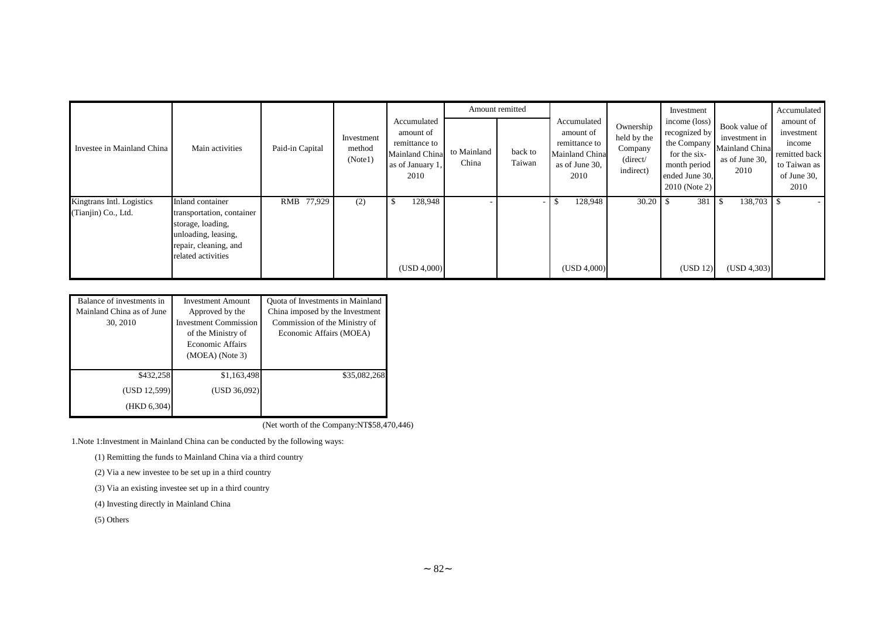|                                                  |                                                                                                                                          |                 |                                 |                                                                                         |                      | Amount remitted          |                                                                                       |                                                              | Investment                                                                                                         |                                                                            | Accumulated                                                                               |
|--------------------------------------------------|------------------------------------------------------------------------------------------------------------------------------------------|-----------------|---------------------------------|-----------------------------------------------------------------------------------------|----------------------|--------------------------|---------------------------------------------------------------------------------------|--------------------------------------------------------------|--------------------------------------------------------------------------------------------------------------------|----------------------------------------------------------------------------|-------------------------------------------------------------------------------------------|
| Investee in Mainland China                       | Main activities                                                                                                                          | Paid-in Capital | Investment<br>method<br>(Note1) | Accumulated<br>amount of<br>remittance to<br>Mainland China<br>as of January 1.<br>2010 | to Mainland<br>China | back to<br>Taiwan        | Accumulated<br>amount of<br>remittance to<br>Mainland China<br>as of June 30,<br>2010 | Ownership<br>held by the<br>Company<br>(direct/<br>indirect) | income (loss)<br>recognized by<br>the Company<br>for the six-<br>month period<br>ended June 30.<br>$2010$ (Note 2) | Book value of<br>investment in<br>Mainland China<br>as of June 30,<br>2010 | amount of<br>investment<br>income<br>remitted back<br>to Taiwan as<br>of June 30,<br>2010 |
| Kingtrans Intl. Logistics<br>(Tianjin) Co., Ltd. | Inland container<br>transportation, container<br>storage, loading,<br>unloading, leasing,<br>repair, cleaning, and<br>related activities | RMB 77,929      | (2)                             | 128,948<br>(USD 4,000)                                                                  |                      | $\overline{\phantom{a}}$ | 128,948<br>(USD 4,000)                                                                |                                                              | 381<br>(USD 12)                                                                                                    | 138,703<br>(USD 4,303)                                                     |                                                                                           |

| Balance of investments in | <b>Investment Amount</b>     | Quota of Investments in Mainland |  |  |
|---------------------------|------------------------------|----------------------------------|--|--|
| Mainland China as of June | Approved by the              | China imposed by the Investment  |  |  |
| 30, 2010                  | <b>Investment Commission</b> | Commission of the Ministry of    |  |  |
|                           | of the Ministry of           | Economic Affairs (MOEA)          |  |  |
|                           | <b>Economic Affairs</b>      |                                  |  |  |
|                           | $(MOEA)$ (Note 3)            |                                  |  |  |
|                           |                              |                                  |  |  |
| \$432,258                 | \$1,163,498                  | \$35,082,268                     |  |  |
| (USD 12,599)              | (USD 36,092)                 |                                  |  |  |
| (HKD 6,304)               |                              |                                  |  |  |

(Net worth of the Company:NT\$58,470,446)

1.Note 1:Investment in Mainland China can be conducted by the following ways:

(1) Remitting the funds to Mainland China via a third country

(2) Via a new investee to be set up in a third country

(3) Via an existing investee set up in a third country

(4) Investing directly in Mainland China

(5) Others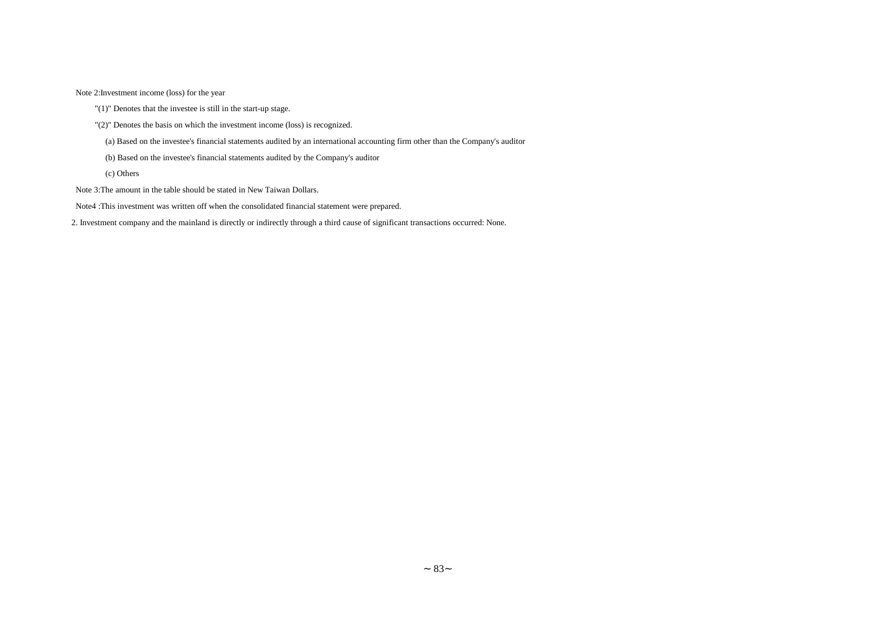Note 2:Investment income (loss) for the year

- "(1)" Denotes that the investee is still in the start-up stage.
- "(2)" Denotes the basis on which the investment income (loss) is recognized.
	- (a) Based on the investee's financial statements audited by an international accounting firm other than the Company's auditor
	- (b) Based on the investee's financial statements audited by the Company's auditor
	- (c) Others
- Note 3:The amount in the table should be stated in New Taiwan Dollars.
- Note4 :This investment was written off when the consolidated financial statement were prepared.

2. Investment company and the mainland is directly or indirectly through a third cause of significant transactions occurred: None.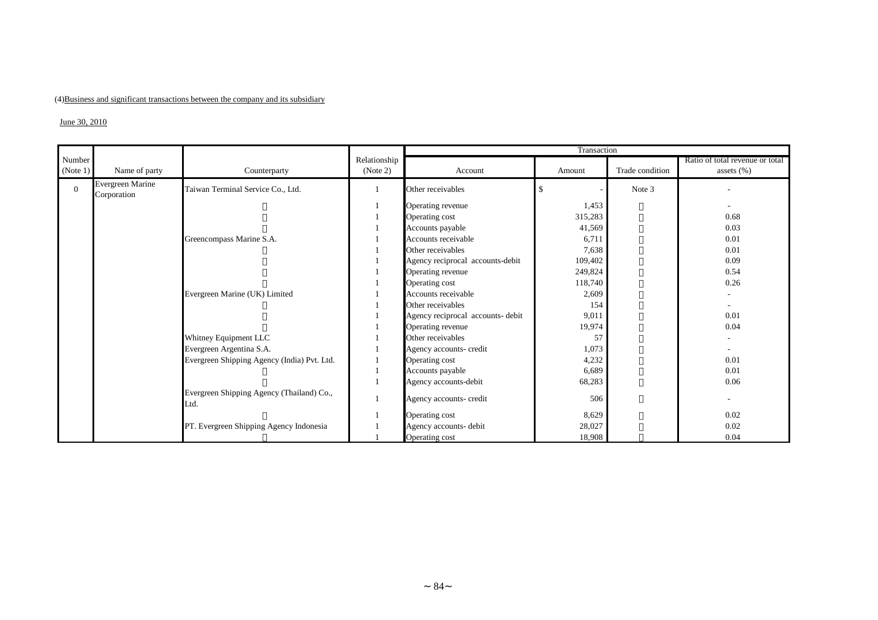### (4)Business and significant transactions between the company and its subsidiary

#### $J$ une 30, 2010

|          |                                        |                                                   |              |                                   | Transaction |                 |                                 |
|----------|----------------------------------------|---------------------------------------------------|--------------|-----------------------------------|-------------|-----------------|---------------------------------|
| Number   |                                        |                                                   | Relationship |                                   |             |                 | Ratio of total revenue or total |
| (Note 1) | Name of party                          | Counterparty                                      | (Note 2)     | Account                           | Amount      | Trade condition | assets $(\% )$                  |
| $\theta$ | <b>Evergreen Marine</b><br>Corporation | Taiwan Terminal Service Co., Ltd.                 |              | Other receivables                 | S           | Note 3          |                                 |
|          |                                        |                                                   |              | Operating revenue                 | 1,453       |                 |                                 |
|          |                                        |                                                   |              | Operating cost                    | 315,283     |                 | 0.68                            |
|          |                                        |                                                   |              | Accounts payable                  | 41,569      |                 | 0.03                            |
|          |                                        | Greencompass Marine S.A.                          |              | Accounts receivable               | 6,711       |                 | 0.01                            |
|          |                                        |                                                   |              | Other receivables                 | 7,638       |                 | 0.01                            |
|          |                                        |                                                   |              | Agency reciprocal accounts-debit  | 109,402     |                 | 0.09                            |
|          |                                        |                                                   |              | Operating revenue                 | 249,824     |                 | 0.54                            |
|          |                                        |                                                   |              | Operating cost                    | 118,740     |                 | 0.26                            |
|          |                                        | Evergreen Marine (UK) Limited                     |              | Accounts receivable               | 2,609       |                 |                                 |
|          |                                        |                                                   |              | Other receivables                 | 154         |                 |                                 |
|          |                                        |                                                   |              | Agency reciprocal accounts- debit | 9,011       |                 | 0.01                            |
|          |                                        |                                                   |              | Operating revenue                 | 19,974      |                 | 0.04                            |
|          |                                        | Whitney Equipment LLC                             |              | Other receivables                 | 57          |                 |                                 |
|          |                                        | Evergreen Argentina S.A.                          |              | Agency accounts- credit           | 1,073       |                 | $\overline{\phantom{a}}$        |
|          |                                        | Evergreen Shipping Agency (India) Pvt. Ltd.       |              | Operating cost                    | 4,232       |                 | 0.01                            |
|          |                                        |                                                   |              | Accounts payable                  | 6,689       |                 | 0.01                            |
|          |                                        |                                                   |              | Agency accounts-debit             | 68,283      |                 | 0.06                            |
|          |                                        | Evergreen Shipping Agency (Thailand) Co.,<br>Ltd. |              | Agency accounts- credit           | 506         |                 |                                 |
|          |                                        |                                                   |              | Operating cost                    | 8,629       |                 | 0.02                            |
|          |                                        | PT. Evergreen Shipping Agency Indonesia           |              | Agency accounts- debit            | 28,027      |                 | 0.02                            |
|          |                                        |                                                   |              | Operating cost                    | 18,908      |                 | 0.04                            |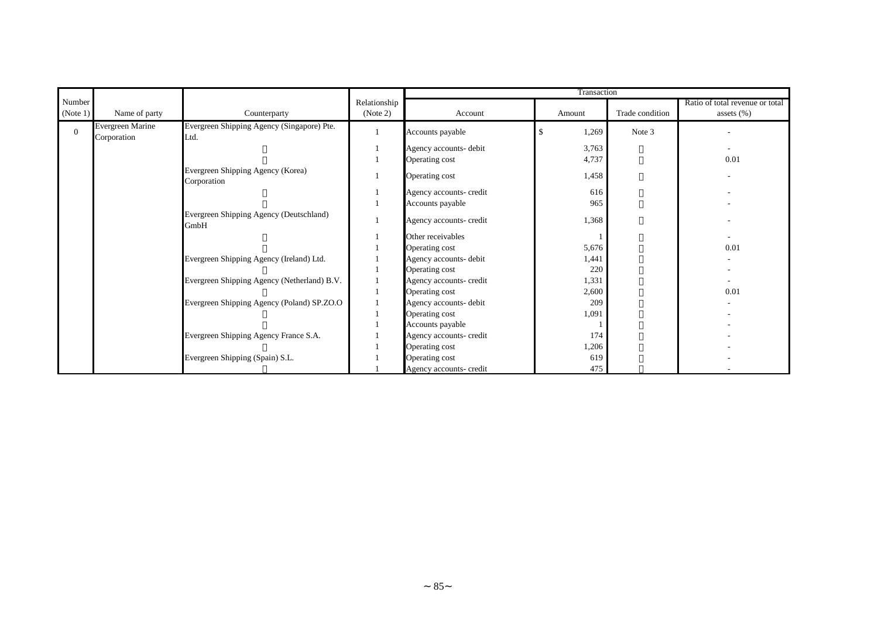|          |                                 |                                                    |              |                         | Transaction |                 |                                 |
|----------|---------------------------------|----------------------------------------------------|--------------|-------------------------|-------------|-----------------|---------------------------------|
| Number   |                                 |                                                    | Relationship |                         |             |                 | Ratio of total revenue or total |
| (Note 1) | Name of party                   | Counterparty                                       | (Note 2)     | Account                 | Amount      | Trade condition | assets $(\%)$                   |
| $\Omega$ | Evergreen Marine<br>Corporation | Evergreen Shipping Agency (Singapore) Pte.<br>Ltd. |              | Accounts payable        | 1,269<br>\$ | Note 3          |                                 |
|          |                                 |                                                    |              | Agency accounts- debit  | 3,763       |                 | $\overline{\phantom{a}}$        |
|          |                                 |                                                    |              | Operating cost          | 4,737       |                 | 0.01                            |
|          |                                 | Evergreen Shipping Agency (Korea)<br>Corporation   |              | Operating cost          | 1,458       |                 |                                 |
|          |                                 |                                                    |              | Agency accounts- credit | 616         |                 |                                 |
|          |                                 |                                                    |              | Accounts payable        | 965         |                 |                                 |
|          |                                 | Evergreen Shipping Agency (Deutschland)<br>GmbH    |              | Agency accounts- credit | 1,368       |                 |                                 |
|          |                                 |                                                    |              | Other receivables       |             |                 |                                 |
|          |                                 |                                                    |              | Operating cost          | 5,676       |                 | 0.01                            |
|          |                                 | Evergreen Shipping Agency (Ireland) Ltd.           |              | Agency accounts- debit  | 1,441       |                 |                                 |
|          |                                 |                                                    |              | Operating cost          | 220         |                 |                                 |
|          |                                 | Evergreen Shipping Agency (Netherland) B.V.        |              | Agency accounts- credit | 1,331       |                 |                                 |
|          |                                 |                                                    |              | Operating cost          | 2,600       |                 | 0.01                            |
|          |                                 | Evergreen Shipping Agency (Poland) SP.ZO.O         |              | Agency accounts- debit  | 209         |                 |                                 |
|          |                                 |                                                    |              | Operating cost          | 1,091       |                 |                                 |
|          |                                 |                                                    |              | Accounts payable        |             |                 |                                 |
|          |                                 | Evergreen Shipping Agency France S.A.              |              | Agency accounts- credit | 174         |                 |                                 |
|          |                                 |                                                    |              | Operating cost          | 1,206       |                 |                                 |
|          |                                 | Evergreen Shipping (Spain) S.L.                    |              | Operating cost          | 619         |                 |                                 |
|          |                                 |                                                    |              | Agency accounts- credit | 475         |                 |                                 |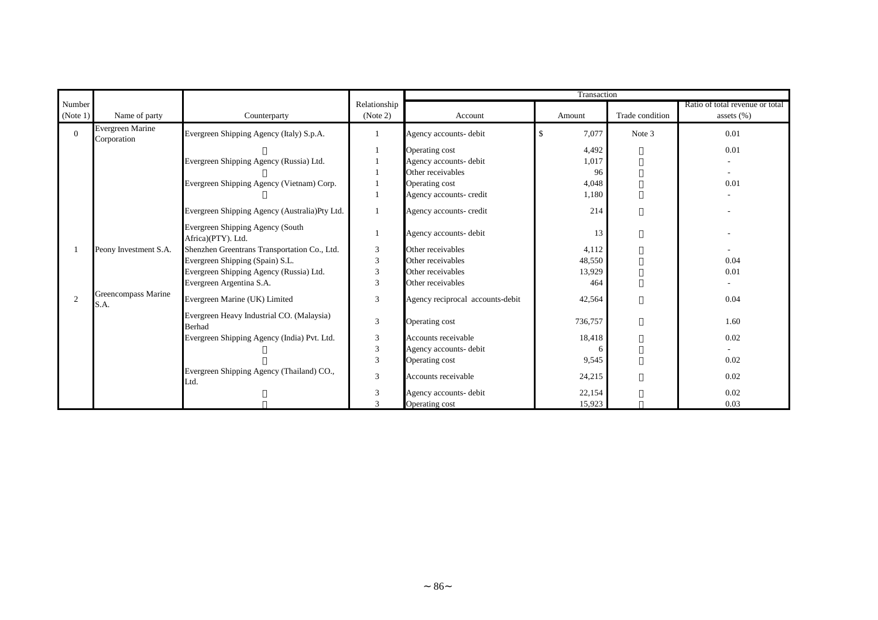|          |                                 |                                                            |                |                                  | Transaction |                 |                                 |
|----------|---------------------------------|------------------------------------------------------------|----------------|----------------------------------|-------------|-----------------|---------------------------------|
| Number   |                                 |                                                            | Relationship   |                                  |             |                 | Ratio of total revenue or total |
| (Note 1) | Name of party                   | Counterparty                                               | (Note 2)       | Account                          | Amount      | Trade condition | assets $(\% )$                  |
| $\theta$ | Evergreen Marine<br>Corporation | Evergreen Shipping Agency (Italy) S.p.A.                   |                | Agency accounts- debit           | \$<br>7,077 | Note 3          | 0.01                            |
|          |                                 |                                                            |                | Operating cost                   | 4,492       |                 | 0.01                            |
|          |                                 | Evergreen Shipping Agency (Russia) Ltd.                    |                | Agency accounts- debit           | 1,017       |                 |                                 |
|          |                                 |                                                            |                | Other receivables                | 96          |                 |                                 |
|          |                                 | Evergreen Shipping Agency (Vietnam) Corp.                  |                | Operating cost                   | 4,048       |                 | 0.01                            |
|          |                                 |                                                            |                | Agency accounts- credit          | 1,180       |                 |                                 |
|          |                                 | Evergreen Shipping Agency (Australia)Pty Ltd.              |                | Agency accounts- credit          | 214         |                 |                                 |
|          |                                 | Evergreen Shipping Agency (South<br>Africa)(PTY). Ltd.     | 1              | Agency accounts- debit           | 13          |                 |                                 |
|          | Peony Investment S.A.           | Shenzhen Greentrans Transportation Co., Ltd.               | 3              | Other receivables                | 4,112       |                 |                                 |
|          |                                 | Evergreen Shipping (Spain) S.L.                            | 3              | Other receivables                | 48,550      |                 | 0.04                            |
|          |                                 | Evergreen Shipping Agency (Russia) Ltd.                    | 3              | Other receivables                | 13,929      |                 | 0.01                            |
|          |                                 | Evergreen Argentina S.A.                                   | 3              | Other receivables                | 464         |                 |                                 |
| 2        | Greencompass Marine<br>S.A.     | Evergreen Marine (UK) Limited                              | 3              | Agency reciprocal accounts-debit | 42,564      |                 | 0.04                            |
|          |                                 | Evergreen Heavy Industrial CO. (Malaysia)<br><b>Berhad</b> | $\mathfrak{Z}$ | Operating cost                   | 736,757     |                 | 1.60                            |
|          |                                 | Evergreen Shipping Agency (India) Pvt. Ltd.                | $\mathfrak{Z}$ | Accounts receivable              | 18,418      |                 | 0.02                            |
|          |                                 |                                                            | $\mathfrak{Z}$ | Agency accounts- debit           | $\epsilon$  |                 |                                 |
|          |                                 |                                                            | 3              | Operating cost                   | 9,545       |                 | 0.02                            |
|          |                                 | Evergreen Shipping Agency (Thailand) CO.,<br>Ltd.          | 3              | Accounts receivable              | 24,215      |                 | 0.02                            |
|          |                                 |                                                            | $\mathfrak{Z}$ | Agency accounts- debit           | 22,154      |                 | 0.02                            |
|          |                                 |                                                            | $\mathcal{R}$  | Operating cost                   | 15,923      |                 | 0.03                            |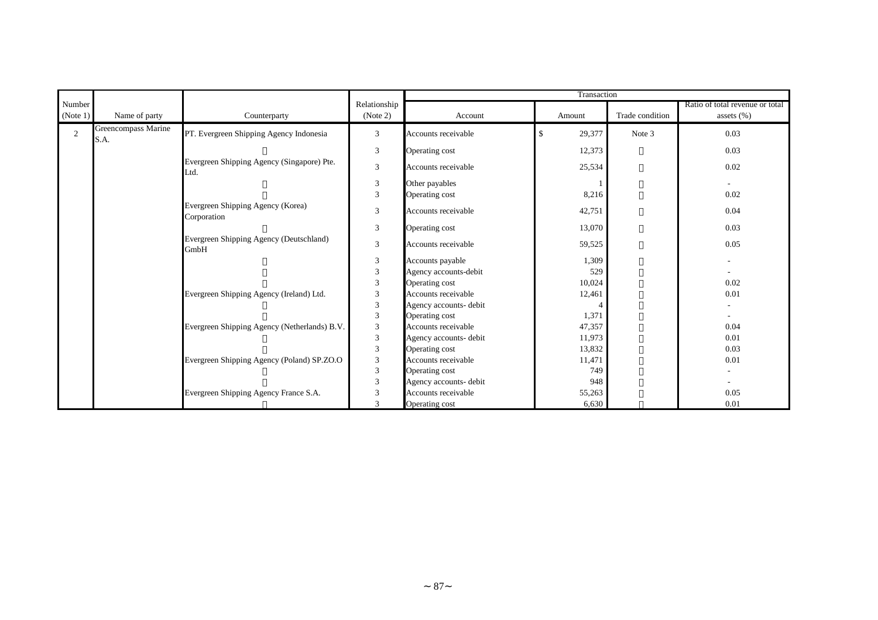|          |                             |                                                    |                             |                        | Transaction  |                 |                                 |
|----------|-----------------------------|----------------------------------------------------|-----------------------------|------------------------|--------------|-----------------|---------------------------------|
| Number   |                             |                                                    | Relationship                |                        |              |                 | Ratio of total revenue or total |
| (Note 1) | Name of party               | Counterparty                                       | (Note 2)                    | Account                | Amount       | Trade condition | assets $(\% )$                  |
| 2        | Greencompass Marine<br>S.A. | PT. Evergreen Shipping Agency Indonesia            | 3                           | Accounts receivable    | 29,377<br>\$ | Note 3          | 0.03                            |
|          |                             |                                                    | $\mathfrak{Z}$              | Operating cost         | 12,373       |                 | 0.03                            |
|          |                             | Evergreen Shipping Agency (Singapore) Pte.<br>Ltd. | 3                           | Accounts receivable    | 25,534       |                 | 0.02                            |
|          |                             |                                                    | $\mathfrak{Z}$              | Other payables         |              |                 | $\sim$                          |
|          |                             |                                                    | $\mathfrak{Z}$              | Operating cost         | 8,216        |                 | 0.02                            |
|          |                             | Evergreen Shipping Agency (Korea)<br>Corporation   | $\sqrt{3}$                  | Accounts receivable    | 42,751       |                 | 0.04                            |
|          |                             |                                                    | $\mathfrak{Z}$              | Operating cost         | 13,070       |                 | 0.03                            |
|          |                             | Evergreen Shipping Agency (Deutschland)<br>GmbH    | 3                           | Accounts receivable    | 59,525       |                 | 0.05                            |
|          |                             |                                                    | $\ensuremath{\mathfrak{Z}}$ | Accounts payable       | 1,309        |                 | $\sim$                          |
|          |                             |                                                    | $\ensuremath{\mathfrak{Z}}$ | Agency accounts-debit  | 529          |                 |                                 |
|          |                             |                                                    | $\mathfrak{Z}$              | Operating cost         | 10,024       |                 | 0.02                            |
|          |                             | Evergreen Shipping Agency (Ireland) Ltd.           | 3                           | Accounts receivable    | 12,461       |                 | 0.01                            |
|          |                             |                                                    | 3                           | Agency accounts- debit | $\Delta$     |                 |                                 |
|          |                             |                                                    | $\mathfrak{Z}$              | Operating cost         | 1,371        |                 |                                 |
|          |                             | Evergreen Shipping Agency (Netherlands) B.V.       | $\ensuremath{\mathfrak{Z}}$ | Accounts receivable    | 47,357       |                 | 0.04                            |
|          |                             |                                                    | $\ensuremath{\mathfrak{Z}}$ | Agency accounts- debit | 11,973       |                 | 0.01                            |
|          |                             |                                                    | $\mathfrak 3$               | Operating cost         | 13,832       |                 | 0.03                            |
|          |                             | Evergreen Shipping Agency (Poland) SP.ZO.O         | $\mathfrak{Z}$              | Accounts receivable    | 11,471       |                 | 0.01                            |
|          |                             |                                                    | $\ensuremath{\mathfrak{Z}}$ | Operating cost         | 749          |                 |                                 |
|          |                             |                                                    | 3                           | Agency accounts- debit | 948          |                 |                                 |
|          |                             | Evergreen Shipping Agency France S.A.              | $\mathfrak{Z}$              | Accounts receivable    | 55,263       |                 | 0.05                            |
|          |                             |                                                    | $\mathbf{3}$                | Operating cost         | 6,630        |                 | 0.01                            |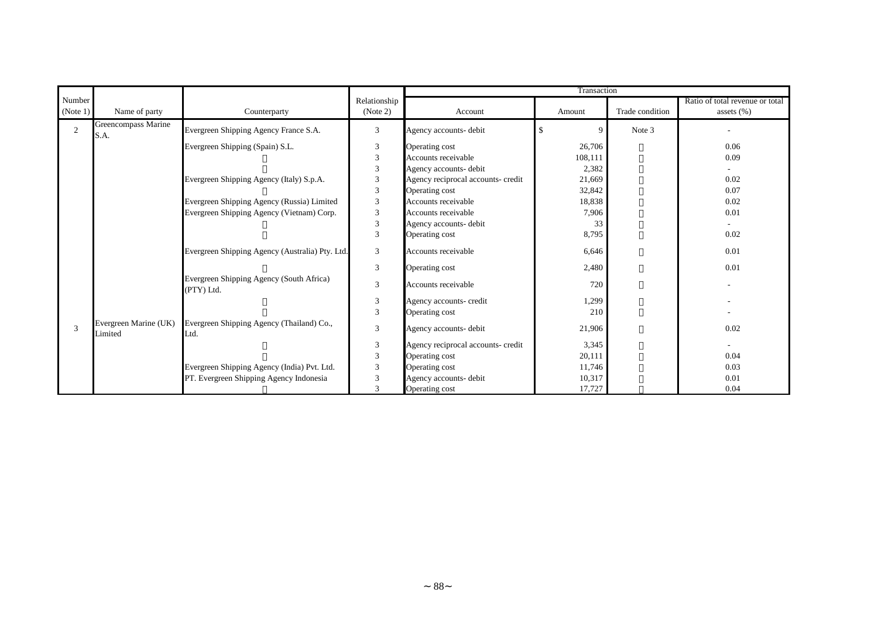|                |                                  |                                                        |                             |                                    | Transaction |                 |                                 |
|----------------|----------------------------------|--------------------------------------------------------|-----------------------------|------------------------------------|-------------|-----------------|---------------------------------|
| Number         |                                  |                                                        | Relationship                |                                    |             |                 | Ratio of total revenue or total |
| (Note 1)       | Name of party                    | Counterparty                                           | (Note 2)                    | Account                            | Amount      | Trade condition | assets $(\% )$                  |
| $\overline{2}$ | Greencompass Marine<br>S.A.      | Evergreen Shipping Agency France S.A.                  | 3                           | Agency accounts- debit             | \$<br>q     | Note 3          |                                 |
|                |                                  | Evergreen Shipping (Spain) S.L.                        | 3                           | Operating cost                     | 26,706      |                 | 0.06                            |
|                |                                  |                                                        | $\ensuremath{\mathfrak{Z}}$ | Accounts receivable                | 108,111     |                 | 0.09                            |
|                |                                  |                                                        | 3                           | Agency accounts- debit             | 2,382       |                 |                                 |
|                |                                  | Evergreen Shipping Agency (Italy) S.p.A.               | 3                           | Agency reciprocal accounts- credit | 21,669      |                 | 0.02                            |
|                |                                  |                                                        | $\mathfrak{Z}$              | Operating cost                     | 32,842      |                 | 0.07                            |
|                |                                  | Evergreen Shipping Agency (Russia) Limited             | 3                           | Accounts receivable                | 18,838      |                 | 0.02                            |
|                |                                  | Evergreen Shipping Agency (Vietnam) Corp.              | 3                           | Accounts receivable                | 7,906       |                 | 0.01                            |
|                |                                  |                                                        | 3                           | Agency accounts- debit             | 33          |                 |                                 |
|                |                                  |                                                        | 3                           | Operating cost                     | 8,795       |                 | 0.02                            |
|                |                                  | Evergreen Shipping Agency (Australia) Pty. Ltd.        | 3                           | Accounts receivable                | 6,646       |                 | 0.01                            |
|                |                                  |                                                        | 3                           | Operating cost                     | 2,480       |                 | 0.01                            |
|                |                                  | Evergreen Shipping Agency (South Africa)<br>(PTY) Ltd. | 3                           | Accounts receivable                | 720         |                 |                                 |
|                |                                  |                                                        | 3                           | Agency accounts- credit            | 1,299       |                 |                                 |
|                |                                  |                                                        | 3                           | Operating cost                     | 210         |                 |                                 |
| 3              | Evergreen Marine (UK)<br>Limited | Evergreen Shipping Agency (Thailand) Co.,<br>Ltd.      | $\mathfrak{Z}$              | Agency accounts- debit             | 21,906      |                 | 0.02                            |
|                |                                  |                                                        | 3                           | Agency reciprocal accounts- credit | 3,345       |                 |                                 |
|                |                                  |                                                        | 3                           | Operating cost                     | 20,111      |                 | 0.04                            |
|                |                                  | Evergreen Shipping Agency (India) Pvt. Ltd.            | 3                           | Operating cost                     | 11,746      |                 | 0.03                            |
|                |                                  | PT. Evergreen Shipping Agency Indonesia                | 3                           | Agency accounts- debit             | 10,317      |                 | 0.01                            |
|                |                                  |                                                        | 3                           | Operating cost                     | 17,727      |                 | 0.04                            |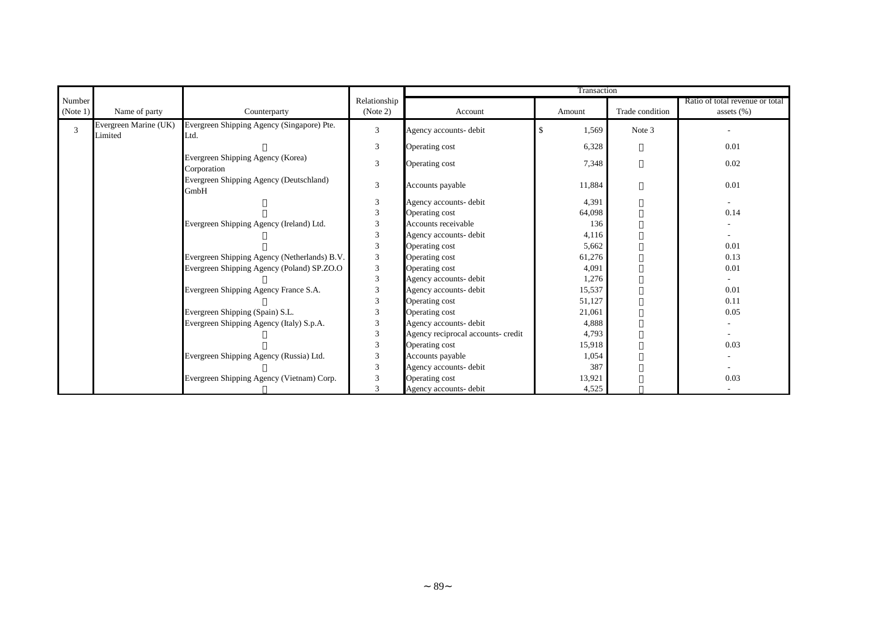|                |                                  |                                                    |                |                                    | Transaction            |                 |                                 |
|----------------|----------------------------------|----------------------------------------------------|----------------|------------------------------------|------------------------|-----------------|---------------------------------|
| Number         |                                  |                                                    | Relationship   |                                    |                        |                 | Ratio of total revenue or total |
| (Note 1)       | Name of party                    | Counterparty                                       | (Note 2)       | Account                            | Amount                 | Trade condition | assets $(\% )$                  |
| $\overline{3}$ | Evergreen Marine (UK)<br>Limited | Evergreen Shipping Agency (Singapore) Pte.<br>Ltd. | 3              | Agency accounts- debit             | $\mathbf{\$}$<br>1,569 | Note 3          |                                 |
|                |                                  |                                                    | 3              | Operating cost                     | 6,328                  |                 | 0.01                            |
|                |                                  | Evergreen Shipping Agency (Korea)<br>Corporation   | 3              | Operating cost                     | 7,348                  |                 | 0.02                            |
|                |                                  | Evergreen Shipping Agency (Deutschland)<br>GmbH    | 3              | Accounts payable                   | 11,884                 |                 | 0.01                            |
|                |                                  |                                                    | 3              | Agency accounts- debit             | 4,391                  |                 | $\sim$                          |
|                |                                  |                                                    | 3              | Operating cost                     | 64,098                 |                 | 0.14                            |
|                |                                  | Evergreen Shipping Agency (Ireland) Ltd.           | 3              | Accounts receivable                | 136                    |                 |                                 |
|                |                                  |                                                    | $\mathfrak{Z}$ | Agency accounts- debit             | 4,116                  |                 |                                 |
|                |                                  |                                                    | 3              | Operating cost                     | 5,662                  |                 | 0.01                            |
|                |                                  | Evergreen Shipping Agency (Netherlands) B.V.       | 3              | Operating cost                     | 61,276                 |                 | 0.13                            |
|                |                                  | Evergreen Shipping Agency (Poland) SP.ZO.O         | 3              | Operating cost                     | 4,091                  |                 | 0.01                            |
|                |                                  |                                                    | $\mathfrak{Z}$ | Agency accounts- debit             | 1,276                  |                 |                                 |
|                |                                  | Evergreen Shipping Agency France S.A.              | 3              | Agency accounts- debit             | 15,537                 |                 | 0.01                            |
|                |                                  |                                                    | $\mathfrak{Z}$ | Operating cost                     | 51,127                 |                 | 0.11                            |
|                |                                  | Evergreen Shipping (Spain) S.L.                    | 3              | Operating cost                     | 21,061                 |                 | 0.05                            |
|                |                                  | Evergreen Shipping Agency (Italy) S.p.A.           | 3              | Agency accounts- debit             | 4,888                  |                 |                                 |
|                |                                  |                                                    | 3              | Agency reciprocal accounts- credit | 4,793                  |                 |                                 |
|                |                                  |                                                    | 3              | Operating cost                     | 15,918                 |                 | 0.03                            |
|                |                                  | Evergreen Shipping Agency (Russia) Ltd.            | 3              | Accounts payable                   | 1,054                  |                 |                                 |
|                |                                  |                                                    | 3              | Agency accounts- debit             | 387                    |                 |                                 |
|                |                                  | Evergreen Shipping Agency (Vietnam) Corp.          | 3              | Operating cost                     | 13,921                 |                 | 0.03                            |
|                |                                  |                                                    | 3              | Agency accounts- debit             | 4,525                  |                 |                                 |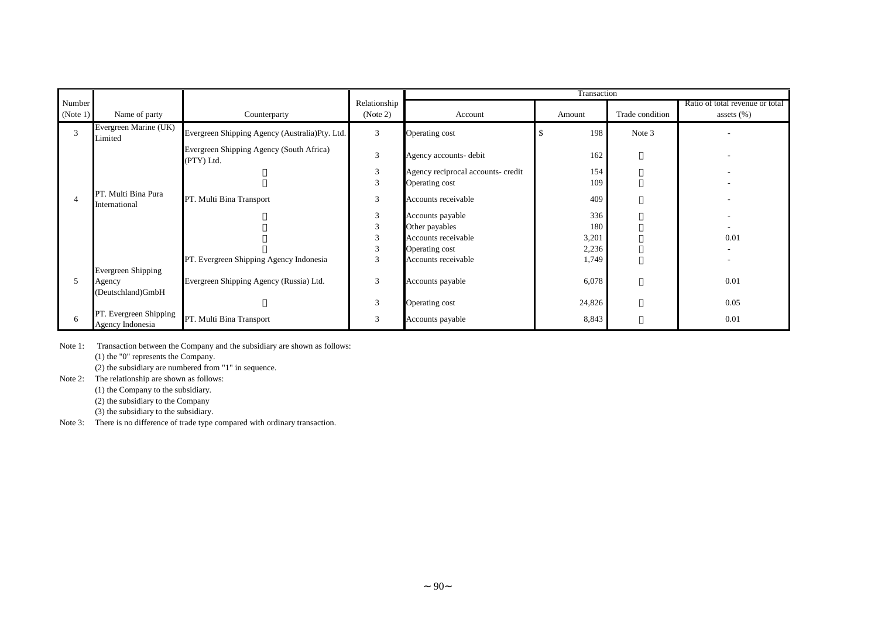|                    |                                            |                                                        |                          |                                    | Transaction |                 |                                                  |
|--------------------|--------------------------------------------|--------------------------------------------------------|--------------------------|------------------------------------|-------------|-----------------|--------------------------------------------------|
| Number<br>(Note 1) | Name of party                              | Counterparty                                           | Relationship<br>(Note 2) | Account                            | Amount      | Trade condition | Ratio of total revenue or total<br>assets $(\%)$ |
| 3                  | Evergreen Marine (UK)<br>Limited           | Evergreen Shipping Agency (Australia)Pty. Ltd.         | 3                        | Operating cost                     | 198         | Note 3          |                                                  |
|                    |                                            | Evergreen Shipping Agency (South Africa)<br>(PTY) Ltd. | 3                        | Agency accounts- debit             | 162         |                 |                                                  |
|                    |                                            |                                                        | 3                        | Agency reciprocal accounts- credit | 154         |                 |                                                  |
|                    |                                            |                                                        | 3                        | Operating cost                     | 109         |                 |                                                  |
|                    | PT. Multi Bina Pura<br>International       | PT. Multi Bina Transport                               | 3                        | Accounts receivable                | 409         |                 |                                                  |
|                    |                                            |                                                        | 3                        | Accounts payable                   | 336         |                 |                                                  |
|                    |                                            |                                                        | 3                        | Other payables                     | 180         |                 |                                                  |
|                    |                                            |                                                        | 3                        | Accounts receivable                | 3,201       |                 | 0.01                                             |
|                    |                                            |                                                        | 3                        | Operating cost                     | 2,236       |                 |                                                  |
|                    |                                            | PT. Evergreen Shipping Agency Indonesia                | 3                        | Accounts receivable                | 1,749       |                 |                                                  |
|                    | Evergreen Shipping                         |                                                        |                          |                                    |             |                 |                                                  |
| 5.                 | Agency                                     | Evergreen Shipping Agency (Russia) Ltd.                | 3                        | Accounts payable                   | 6,078       |                 | 0.01                                             |
|                    | (Deutschland)GmbH                          |                                                        |                          |                                    |             |                 |                                                  |
|                    |                                            |                                                        | 3                        | Operating cost                     | 24,826      |                 | 0.05                                             |
| 6                  | PT. Evergreen Shipping<br>Agency Indonesia | PT. Multi Bina Transport                               | 3                        | Accounts payable                   | 8,843       |                 | 0.01                                             |

Note 1: Transaction between the Company and the subsidiary are shown as follows: (1) the "0" represents the Company.

(2) the subsidiary are numbered from "1" in sequence.

Note 2: The relationship are shown as follows:

(1) the Company to the subsidiary.

(2) the subsidiary to the Company

(3) the subsidiary to the subsidiary.

Note 3: There is no difference of trade type compared with ordinary transaction.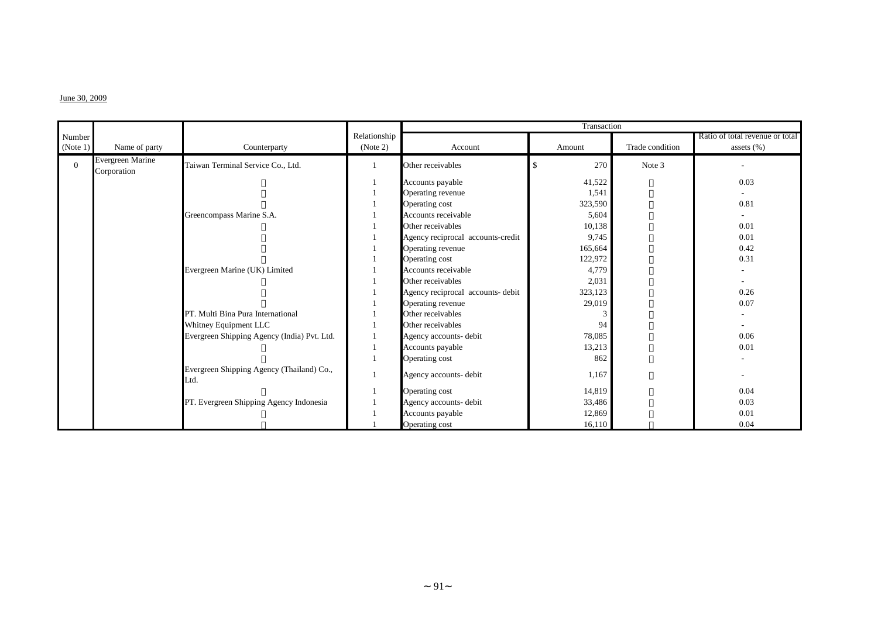#### $J$ une 30, 2009

|          |                                 |                                                   |              |                                   | Transaction          |                 |                                 |
|----------|---------------------------------|---------------------------------------------------|--------------|-----------------------------------|----------------------|-----------------|---------------------------------|
| Number   |                                 |                                                   | Relationship |                                   |                      |                 | Ratio of total revenue or total |
| (Note 1) | Name of party                   | Counterparty                                      | (Note 2)     | Account                           | Amount               | Trade condition | assets $(\%)$                   |
| $\Omega$ | Evergreen Marine<br>Corporation | Taiwan Terminal Service Co., Ltd.                 |              | Other receivables                 | 270<br><sup>\$</sup> | Note 3          | $\overline{\phantom{a}}$        |
|          |                                 |                                                   |              | Accounts payable                  | 41,522               |                 | 0.03                            |
|          |                                 |                                                   |              | Operating revenue                 | 1,541                |                 |                                 |
|          |                                 |                                                   |              | Operating cost                    | 323,590              |                 | 0.81                            |
|          |                                 | Greencompass Marine S.A.                          |              | Accounts receivable               | 5,604                |                 |                                 |
|          |                                 |                                                   |              | Other receivables                 | 10,138               |                 | 0.01                            |
|          |                                 |                                                   |              | Agency reciprocal accounts-credit | 9,745                |                 | 0.01                            |
|          |                                 |                                                   |              | Operating revenue                 | 165,664              |                 | 0.42                            |
|          |                                 |                                                   |              | Operating cost                    | 122,972              |                 | 0.31                            |
|          |                                 | Evergreen Marine (UK) Limited                     |              | Accounts receivable               | 4,779                |                 |                                 |
|          |                                 |                                                   |              | Other receivables                 | 2,031                |                 |                                 |
|          |                                 |                                                   |              | Agency reciprocal accounts- debit | 323,123              |                 | 0.26                            |
|          |                                 |                                                   |              | Operating revenue                 | 29,019               |                 | 0.07                            |
|          |                                 | PT. Multi Bina Pura International                 |              | Other receivables                 |                      |                 |                                 |
|          |                                 | Whitney Equipment LLC                             |              | Other receivables                 | 94                   |                 | $\overline{\phantom{a}}$        |
|          |                                 | Evergreen Shipping Agency (India) Pvt. Ltd.       |              | Agency accounts- debit            | 78,085               |                 | 0.06                            |
|          |                                 |                                                   |              | Accounts payable                  | 13,213               |                 | 0.01                            |
|          |                                 |                                                   |              | Operating cost                    | 862                  |                 |                                 |
|          |                                 | Evergreen Shipping Agency (Thailand) Co.,<br>Ltd. |              | Agency accounts- debit            | 1,167                |                 |                                 |
|          |                                 |                                                   |              | Operating cost                    | 14,819               |                 | 0.04                            |
|          |                                 | PT. Evergreen Shipping Agency Indonesia           |              | Agency accounts- debit            | 33,486               |                 | 0.03                            |
|          |                                 |                                                   |              | Accounts payable                  | 12,869               |                 | 0.01                            |
|          |                                 |                                                   |              | Operating cost                    | 16,110               |                 | 0.04                            |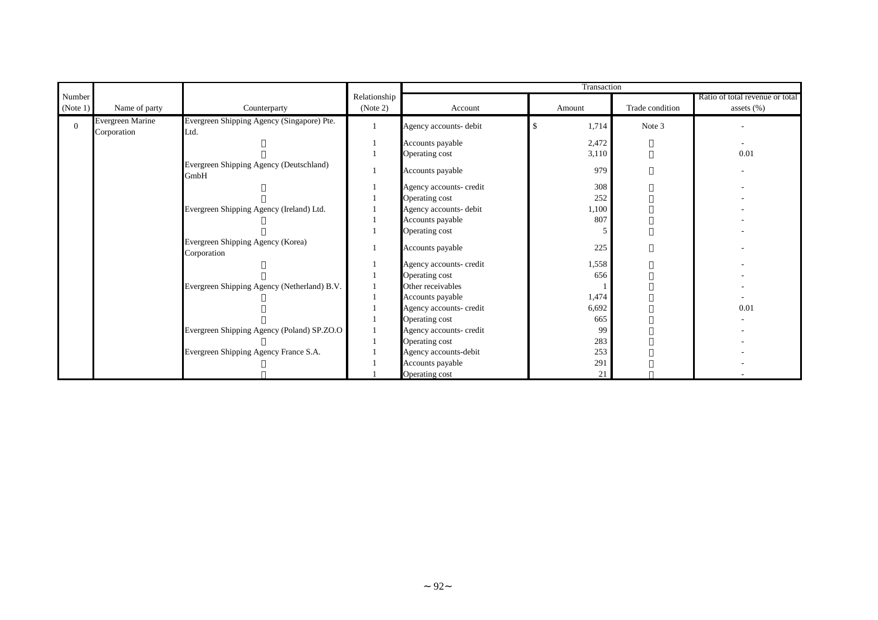|          |                                 |                                                    |              |                         | Transaction |                 |                                 |
|----------|---------------------------------|----------------------------------------------------|--------------|-------------------------|-------------|-----------------|---------------------------------|
| Number   |                                 |                                                    | Relationship |                         |             |                 | Ratio of total revenue or total |
| (Note 1) | Name of party                   | Counterparty                                       | (Note 2)     | Account                 | Amount      | Trade condition | assets $(\% )$                  |
| $\Omega$ | Evergreen Marine<br>Corporation | Evergreen Shipping Agency (Singapore) Pte.<br>Ltd. |              | Agency accounts- debit  | \$<br>1,714 | Note 3          |                                 |
|          |                                 |                                                    |              | Accounts payable        | 2,472       |                 |                                 |
|          |                                 |                                                    |              | Operating cost          | 3,110       |                 | 0.01                            |
|          |                                 | Evergreen Shipping Agency (Deutschland)<br>GmbH    |              | Accounts payable        | 979         |                 |                                 |
|          |                                 |                                                    |              | Agency accounts- credit | 308         |                 |                                 |
|          |                                 |                                                    |              | Operating cost          | 252         |                 |                                 |
|          |                                 | Evergreen Shipping Agency (Ireland) Ltd.           |              | Agency accounts- debit  | 1,100       |                 |                                 |
|          |                                 |                                                    |              | Accounts payable        | 807         |                 |                                 |
|          |                                 |                                                    |              | Operating cost          |             |                 |                                 |
|          |                                 | Evergreen Shipping Agency (Korea)<br>Corporation   |              | Accounts payable        | 225         |                 |                                 |
|          |                                 |                                                    |              | Agency accounts- credit | 1,558       |                 |                                 |
|          |                                 |                                                    |              | Operating cost          | 656         |                 |                                 |
|          |                                 | Evergreen Shipping Agency (Netherland) B.V.        |              | Other receivables       |             |                 |                                 |
|          |                                 |                                                    |              | Accounts payable        | 1,474       |                 |                                 |
|          |                                 |                                                    |              | Agency accounts- credit | 6,692       |                 | 0.01                            |
|          |                                 |                                                    |              | Operating cost          | 665         |                 |                                 |
|          |                                 | Evergreen Shipping Agency (Poland) SP.ZO.O         |              | Agency accounts- credit | 99          |                 |                                 |
|          |                                 |                                                    |              | Operating cost          | 283         |                 |                                 |
|          |                                 | Evergreen Shipping Agency France S.A.              |              | Agency accounts-debit   | 253         |                 |                                 |
|          |                                 |                                                    |              | Accounts payable        | 291         |                 |                                 |
|          |                                 |                                                    |              | Operating cost          | 21          |                 |                                 |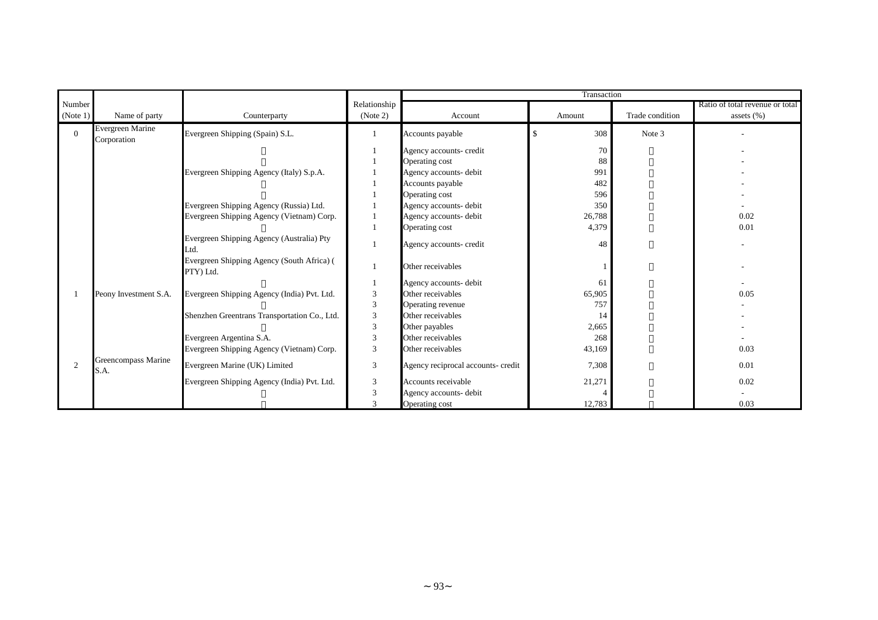|                |                                 |                                                         |                             |                                    | Transaction |                 |                                 |
|----------------|---------------------------------|---------------------------------------------------------|-----------------------------|------------------------------------|-------------|-----------------|---------------------------------|
| Number         |                                 |                                                         | Relationship                |                                    |             |                 | Ratio of total revenue or total |
| (Note 1)       | Name of party                   | Counterparty                                            | (Note 2)                    | Account                            | Amount      | Trade condition | assets $(\%)$                   |
| $\Omega$       | Evergreen Marine<br>Corporation | Evergreen Shipping (Spain) S.L.                         |                             | Accounts payable                   | 308         | Note 3          |                                 |
|                |                                 |                                                         |                             | Agency accounts- credit            | 70          |                 |                                 |
|                |                                 |                                                         |                             | Operating cost                     | 88          |                 |                                 |
|                |                                 | Evergreen Shipping Agency (Italy) S.p.A.                |                             | Agency accounts- debit             | 991         |                 |                                 |
|                |                                 |                                                         |                             | Accounts payable                   | 482         |                 |                                 |
|                |                                 |                                                         |                             | Operating cost                     | 596         |                 |                                 |
|                |                                 | Evergreen Shipping Agency (Russia) Ltd.                 |                             | Agency accounts- debit             | 350         |                 |                                 |
|                |                                 | Evergreen Shipping Agency (Vietnam) Corp.               |                             | Agency accounts- debit             | 26,788      |                 | 0.02                            |
|                |                                 |                                                         |                             | Operating cost                     | 4,379       |                 | 0.01                            |
|                |                                 | Evergreen Shipping Agency (Australia) Pty<br>Ltd.       |                             | Agency accounts- credit            | 48          |                 |                                 |
|                |                                 | Evergreen Shipping Agency (South Africa) (<br>PTY) Ltd. |                             | Other receivables                  |             |                 |                                 |
|                |                                 |                                                         |                             | Agency accounts- debit             | 61          |                 |                                 |
|                | Peony Investment S.A.           | Evergreen Shipping Agency (India) Pvt. Ltd.             | $\ensuremath{\mathfrak{Z}}$ | Other receivables                  | 65,905      |                 | 0.05                            |
|                |                                 |                                                         | 3                           | Operating revenue                  | 757         |                 |                                 |
|                |                                 | Shenzhen Greentrans Transportation Co., Ltd.            | $\overline{3}$              | Other receivables                  | 14          |                 |                                 |
|                |                                 |                                                         | $\mathfrak{Z}$              | Other payables                     | 2,665       |                 |                                 |
|                |                                 | Evergreen Argentina S.A.                                | 3                           | Other receivables                  | 268         |                 |                                 |
|                |                                 | Evergreen Shipping Agency (Vietnam) Corp.               | $\overline{3}$              | Other receivables                  | 43,169      |                 | 0.03                            |
| $\overline{c}$ | Greencompass Marine<br>S.A.     | Evergreen Marine (UK) Limited                           | $\overline{3}$              | Agency reciprocal accounts- credit | 7,308       |                 | 0.01                            |
|                |                                 | Evergreen Shipping Agency (India) Pvt. Ltd.             | 3                           | Accounts receivable                | 21,271      |                 | 0.02                            |
|                |                                 |                                                         | $\overline{3}$              | Agency accounts- debit             |             |                 |                                 |
|                |                                 |                                                         | 3                           | Operating cost                     | 12,783      |                 | 0.03                            |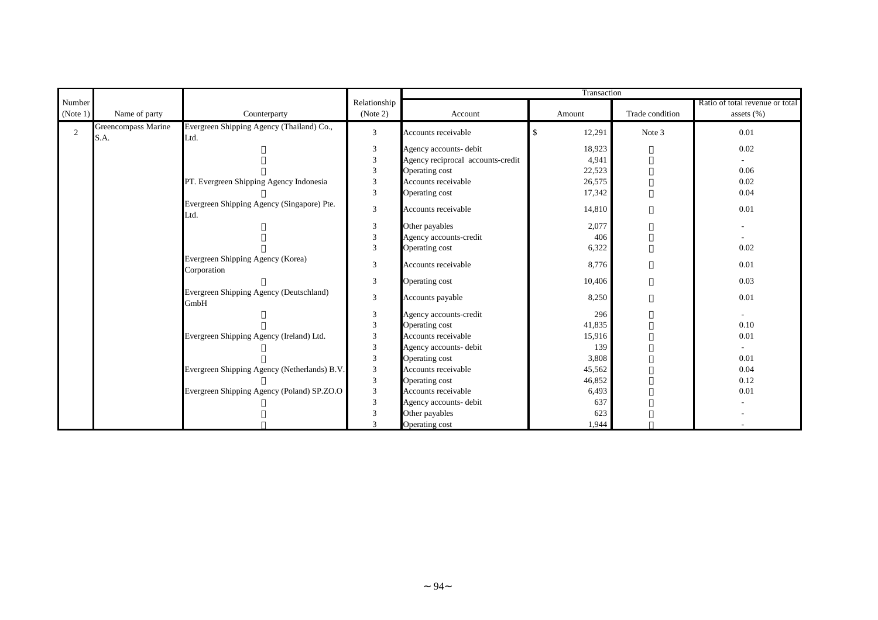|            |                             |                                                    |                         |                                   | Transaction  |                 |                                 |
|------------|-----------------------------|----------------------------------------------------|-------------------------|-----------------------------------|--------------|-----------------|---------------------------------|
| Number     |                             |                                                    | Relationship            |                                   |              |                 | Ratio of total revenue or total |
| (Note 1)   | Name of party               | Counterparty                                       | (Note 2)                | Account                           | Amount       | Trade condition | assets $(\%)$                   |
| $\sqrt{2}$ | Greencompass Marine<br>S.A. | Evergreen Shipping Agency (Thailand) Co.,<br>Ltd.  | $\overline{3}$          | Accounts receivable               | 12,291<br>\$ | Note 3          | 0.01                            |
|            |                             |                                                    | $\mathfrak{Z}$          | Agency accounts- debit            | 18,923       |                 | 0.02                            |
|            |                             |                                                    | $\mathfrak{Z}$          | Agency reciprocal accounts-credit | 4,941        |                 |                                 |
|            |                             |                                                    | $\overline{3}$          | Operating cost                    | 22,523       |                 | 0.06                            |
|            |                             | PT. Evergreen Shipping Agency Indonesia            | $\mathfrak{Z}$          | Accounts receivable               | 26,575       |                 | 0.02                            |
|            |                             |                                                    | 3                       | Operating cost                    | 17,342       |                 | 0.04                            |
|            |                             | Evergreen Shipping Agency (Singapore) Pte.<br>Ltd. | 3                       | Accounts receivable               | 14,810       |                 | 0.01                            |
|            |                             |                                                    | $\mathfrak{Z}$          | Other payables                    | 2,077        |                 | ٠                               |
|            |                             |                                                    | $\mathfrak{Z}$          | Agency accounts-credit            | 406          |                 |                                 |
|            |                             |                                                    | 3                       | Operating cost                    | 6,322        |                 | 0.02                            |
|            |                             | Evergreen Shipping Agency (Korea)<br>Corporation   | 3                       | Accounts receivable               | 8,776        |                 | 0.01                            |
|            |                             |                                                    | 3                       | Operating cost                    | 10,406       |                 | 0.03                            |
|            |                             | Evergreen Shipping Agency (Deutschland)<br>GmbH    | 3                       | Accounts payable                  | 8,250        |                 | 0.01                            |
|            |                             |                                                    | 3                       | Agency accounts-credit            | 296          |                 | $\overline{\phantom{a}}$        |
|            |                             |                                                    | 3                       | Operating cost                    | 41,835       |                 | 0.10                            |
|            |                             | Evergreen Shipping Agency (Ireland) Ltd.           | $\overline{3}$          | Accounts receivable               | 15,916       |                 | 0.01                            |
|            |                             |                                                    | $\sqrt{3}$              | Agency accounts- debit            | 139          |                 |                                 |
|            |                             |                                                    | $\overline{\mathbf{3}}$ | Operating cost                    | 3,808        |                 | 0.01                            |
|            |                             | Evergreen Shipping Agency (Netherlands) B.V.       | $\mathfrak{Z}$          | Accounts receivable               | 45,562       |                 | 0.04                            |
|            |                             |                                                    | $\mathfrak{Z}$          | Operating cost                    | 46,852       |                 | 0.12                            |
|            |                             | Evergreen Shipping Agency (Poland) SP.ZO.O         | 3                       | Accounts receivable               | 6,493        |                 | 0.01                            |
|            |                             |                                                    | $\overline{3}$          | Agency accounts- debit            | 637          |                 |                                 |
|            |                             |                                                    | 3                       | Other payables                    | 623          |                 |                                 |
|            |                             |                                                    | $\mathcal{R}$           | Operating cost                    | 1,944        |                 |                                 |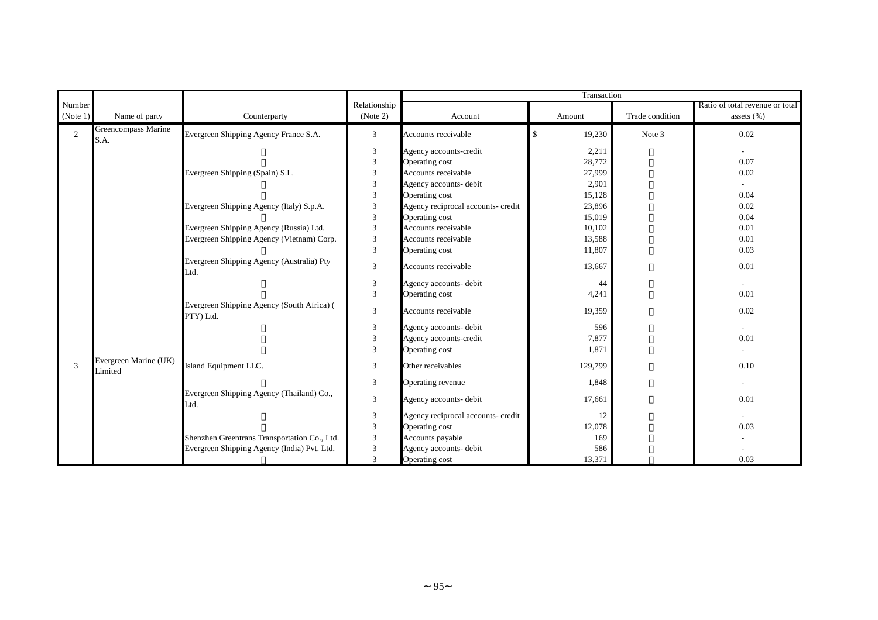|                |                                  |                                                         |                             | Transaction                        |              |                 |                                 |
|----------------|----------------------------------|---------------------------------------------------------|-----------------------------|------------------------------------|--------------|-----------------|---------------------------------|
| Number         |                                  |                                                         | Relationship                |                                    |              |                 | Ratio of total revenue or total |
| (Note 1)       | Name of party                    | Counterparty                                            | (Note 2)                    | Account                            | Amount       | Trade condition | assets $(\%)$                   |
| $\overline{2}$ | Greencompass Marine<br>S.A.      | Evergreen Shipping Agency France S.A.                   | $\mathbf{3}$                | Accounts receivable                | \$<br>19,230 | Note 3          | 0.02                            |
|                |                                  |                                                         | 3                           | Agency accounts-credit             | 2,211        |                 | $\sim$                          |
|                |                                  |                                                         | $\overline{3}$              | Operating cost                     | 28,772       |                 | 0.07                            |
|                |                                  | Evergreen Shipping (Spain) S.L.                         | $\ensuremath{\mathfrak{Z}}$ | Accounts receivable                | 27,999       |                 | 0.02                            |
|                |                                  |                                                         | $\overline{3}$              | Agency accounts- debit             | 2,901        |                 |                                 |
|                |                                  |                                                         | $\mathfrak{Z}$              | Operating cost                     | 15,128       |                 | 0.04                            |
|                |                                  | Evergreen Shipping Agency (Italy) S.p.A.                | $\overline{3}$              | Agency reciprocal accounts- credit | 23,896       |                 | 0.02                            |
|                |                                  |                                                         | $\mathfrak{Z}$              | Operating cost                     | 15,019       |                 | 0.04                            |
|                |                                  | Evergreen Shipping Agency (Russia) Ltd.                 | $\sqrt{3}$                  | Accounts receivable                | 10,102       |                 | 0.01                            |
|                |                                  | Evergreen Shipping Agency (Vietnam) Corp.               | $\sqrt{3}$                  | Accounts receivable                | 13,588       |                 | 0.01                            |
|                |                                  |                                                         | $\mathfrak{Z}$              | Operating cost                     | 11,807       |                 | 0.03                            |
|                |                                  | Evergreen Shipping Agency (Australia) Pty<br>Ltd.       | 3                           | Accounts receivable                | 13,667       |                 | 0.01                            |
|                |                                  |                                                         | $\mathfrak{Z}$              | Agency accounts- debit             | 44           |                 | $\sim$                          |
|                |                                  |                                                         | 3                           | Operating cost                     | 4,241        |                 | 0.01                            |
|                |                                  | Evergreen Shipping Agency (South Africa) (<br>PTY) Ltd. | 3                           | Accounts receivable                | 19,359       |                 | 0.02                            |
|                |                                  |                                                         | $\mathfrak{Z}$              | Agency accounts- debit             | 596          |                 | $\sim$                          |
|                |                                  |                                                         | $\overline{3}$              | Agency accounts-credit             | 7,877        |                 | 0.01                            |
|                |                                  |                                                         | $\overline{3}$              | Operating cost                     | 1,871        |                 | $\overline{\phantom{a}}$        |
| 3              | Evergreen Marine (UK)<br>Limited | Island Equipment LLC.                                   | 3                           | Other receivables                  | 129,799      |                 | 0.10                            |
|                |                                  |                                                         | 3                           | Operating revenue                  | 1,848        |                 | ٠                               |
|                |                                  | Evergreen Shipping Agency (Thailand) Co.,<br>Ltd.       | 3                           | Agency accounts- debit             | 17,661       |                 | 0.01                            |
|                |                                  |                                                         | 3                           | Agency reciprocal accounts- credit | 12           |                 |                                 |
|                |                                  |                                                         | $\mathfrak{Z}$              | Operating cost                     | 12,078       |                 | 0.03                            |
|                |                                  | Shenzhen Greentrans Transportation Co., Ltd.            | $\mathfrak{Z}$              | Accounts payable                   | 169          |                 |                                 |
|                |                                  | Evergreen Shipping Agency (India) Pvt. Ltd.             | $\overline{3}$              | Agency accounts- debit             | 586          |                 |                                 |
|                |                                  |                                                         | 3                           | Operating cost                     | 13,371       |                 | 0.03                            |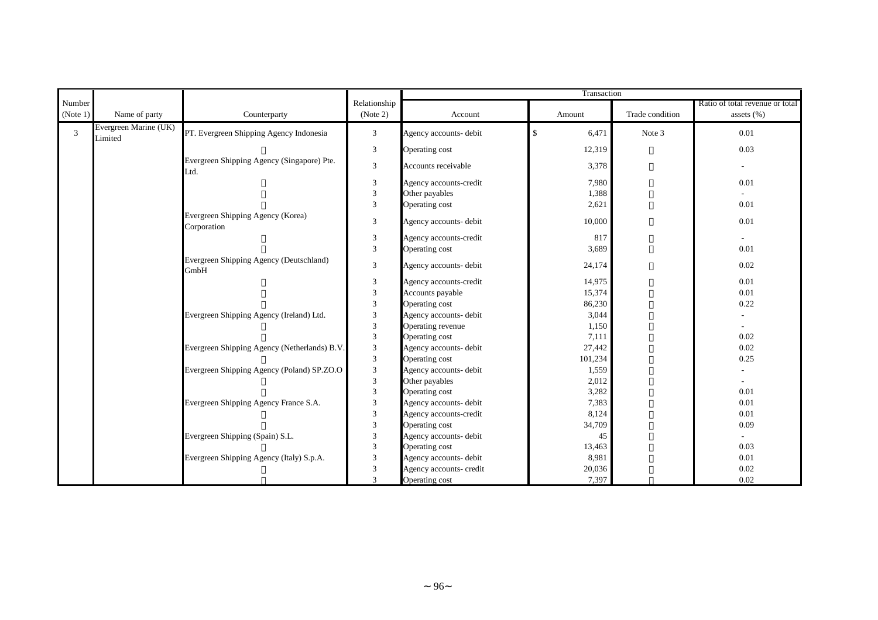|                    |                                  |                                                    |                          | Transaction             |               |                 |                                                  |
|--------------------|----------------------------------|----------------------------------------------------|--------------------------|-------------------------|---------------|-----------------|--------------------------------------------------|
| Number<br>(Note 1) | Name of party                    | Counterparty                                       | Relationship<br>(Note 2) | Account                 | Amount        | Trade condition | Ratio of total revenue or total<br>assets $(\%)$ |
| $\overline{3}$     | Evergreen Marine (UK)<br>Limited | PT. Evergreen Shipping Agency Indonesia            | 3                        | Agency accounts- debit  | $\,$<br>6,471 | Note 3          | 0.01                                             |
|                    |                                  |                                                    | 3                        | Operating cost          | 12,319        |                 | 0.03                                             |
|                    |                                  | Evergreen Shipping Agency (Singapore) Pte.<br>Ltd. | $\sqrt{3}$               | Accounts receivable     | 3,378         |                 | $\sim$                                           |
|                    |                                  |                                                    | $\sqrt{3}$               | Agency accounts-credit  | 7,980         |                 | 0.01                                             |
|                    |                                  |                                                    | $\overline{\mathbf{3}}$  | Other payables          | 1,388         |                 |                                                  |
|                    |                                  |                                                    | $\mathfrak{Z}$           | Operating cost          | 2,621         |                 | 0.01                                             |
|                    |                                  | Evergreen Shipping Agency (Korea)<br>Corporation   | 3                        | Agency accounts- debit  | 10,000        |                 | 0.01                                             |
|                    |                                  |                                                    | $\mathfrak{Z}$           | Agency accounts-credit  | 817           |                 | $\sim$                                           |
|                    |                                  |                                                    | $\overline{3}$           | Operating cost          | 3,689         |                 | 0.01                                             |
|                    |                                  | Evergreen Shipping Agency (Deutschland)<br>GmbH    | $\mathfrak{Z}$           | Agency accounts- debit  | 24,174        |                 | 0.02                                             |
|                    |                                  |                                                    | $\sqrt{3}$               | Agency accounts-credit  | 14,975        |                 | 0.01                                             |
|                    |                                  |                                                    | $\mathfrak{Z}$           | Accounts payable        | 15,374        |                 | 0.01                                             |
|                    |                                  |                                                    | $\overline{3}$           | Operating cost          | 86,230        |                 | 0.22                                             |
|                    |                                  | Evergreen Shipping Agency (Ireland) Ltd.           | 3                        | Agency accounts- debit  | 3,044         |                 |                                                  |
|                    |                                  |                                                    | $\overline{\mathbf{3}}$  | Operating revenue       | 1,150         |                 |                                                  |
|                    |                                  |                                                    | $\overline{\mathbf{3}}$  | Operating cost          | 7,111         |                 | 0.02                                             |
|                    |                                  | Evergreen Shipping Agency (Netherlands) B.V.       | $\sqrt{3}$               | Agency accounts- debit  | 27,442        |                 | 0.02                                             |
|                    |                                  |                                                    | $\overline{\mathbf{3}}$  | Operating cost          | 101,234       |                 | 0.25                                             |
|                    |                                  | Evergreen Shipping Agency (Poland) SP.ZO.O         | $\sqrt{3}$               | Agency accounts- debit  | 1,559         |                 |                                                  |
|                    |                                  |                                                    | 3                        | Other payables          | 2,012         |                 |                                                  |
|                    |                                  |                                                    | $\overline{3}$           | Operating cost          | 3,282         |                 | 0.01                                             |
|                    |                                  | Evergreen Shipping Agency France S.A.              | 3                        | Agency accounts- debit  | 7,383         |                 | 0.01                                             |
|                    |                                  |                                                    | 3                        | Agency accounts-credit  | 8,124         |                 | 0.01                                             |
|                    |                                  |                                                    | 3                        | Operating cost          | 34,709        |                 | 0.09                                             |
|                    |                                  | Evergreen Shipping (Spain) S.L.                    | 3                        | Agency accounts- debit  | 45            |                 |                                                  |
|                    |                                  |                                                    | $\mathfrak{Z}$           | Operating cost          | 13,463        |                 | 0.03                                             |
|                    |                                  | Evergreen Shipping Agency (Italy) S.p.A.           | $\mathfrak{Z}$           | Agency accounts- debit  | 8,981         |                 | 0.01                                             |
|                    |                                  |                                                    | $\overline{3}$           | Agency accounts- credit | 20,036        |                 | 0.02                                             |
|                    |                                  |                                                    | 3                        | Operating cost          | 7,397         |                 | 0.02                                             |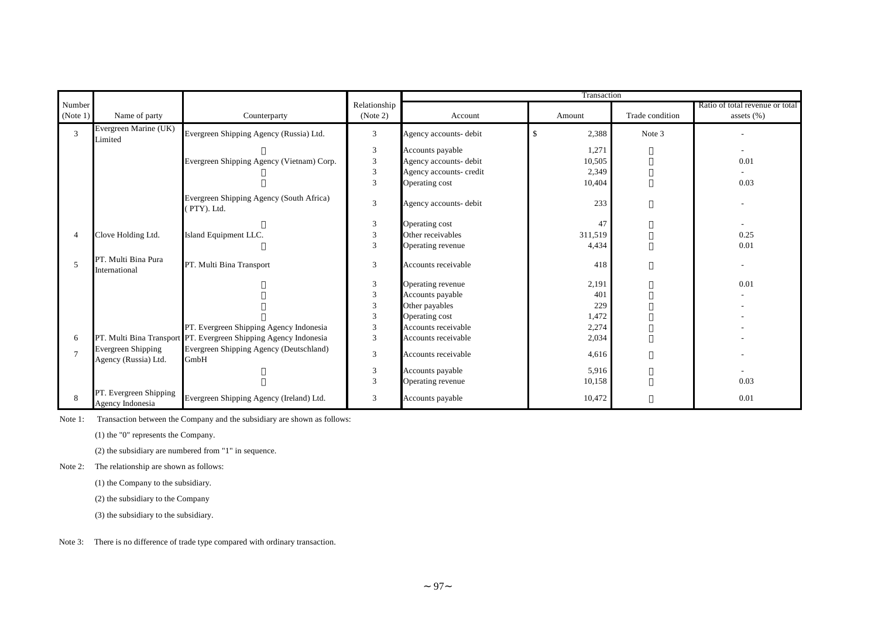|                          |                                            |                                                                  |                | Transaction             |             |                 |                                 |
|--------------------------|--------------------------------------------|------------------------------------------------------------------|----------------|-------------------------|-------------|-----------------|---------------------------------|
| Number                   |                                            |                                                                  | Relationship   |                         |             |                 | Ratio of total revenue or total |
| (Note 1)                 | Name of party                              | Counterparty                                                     | (Note 2)       | Account                 | Amount      | Trade condition | assets $(\% )$                  |
| 3                        | Evergreen Marine (UK)<br>Limited           | Evergreen Shipping Agency (Russia) Ltd.                          | 3              | Agency accounts- debit  | \$<br>2,388 | Note 3          |                                 |
|                          |                                            |                                                                  | 3              | Accounts payable        | 1,271       |                 |                                 |
|                          |                                            | Evergreen Shipping Agency (Vietnam) Corp.                        | 3              | Agency accounts- debit  | 10,505      |                 | 0.01                            |
|                          |                                            |                                                                  | 3              | Agency accounts- credit | 2,349       |                 |                                 |
|                          |                                            |                                                                  | 3              | Operating cost          | 10,404      |                 | 0.03                            |
|                          |                                            | Evergreen Shipping Agency (South Africa)<br>(PTY). Ltd.          | 3              | Agency accounts- debit  | 233         |                 |                                 |
|                          |                                            |                                                                  | 3              | Operating cost          | 47          |                 |                                 |
| 4                        | Clove Holding Ltd.                         | Island Equipment LLC.                                            | 3              | Other receivables       | 311,519     |                 | 0.25                            |
|                          |                                            |                                                                  | 3              | Operating revenue       | 4,434       |                 | 0.01                            |
| $\overline{\phantom{0}}$ | PT. Multi Bina Pura<br>International       | PT. Multi Bina Transport                                         | 3              | Accounts receivable     | 418         |                 |                                 |
|                          |                                            |                                                                  | 3              | Operating revenue       | 2,191       |                 | 0.01                            |
|                          |                                            |                                                                  | 3              | Accounts payable        | 401         |                 |                                 |
|                          |                                            |                                                                  | 3              | Other payables          | 229         |                 |                                 |
|                          |                                            |                                                                  | 3              | Operating cost          | 1,472       |                 |                                 |
|                          |                                            | PT. Evergreen Shipping Agency Indonesia                          | 3              | Accounts receivable     | 2,274       |                 |                                 |
| 6                        |                                            | PT. Multi Bina Transport PT. Evergreen Shipping Agency Indonesia | 3              | Accounts receivable     | 2,034       |                 |                                 |
|                          | Evergreen Shipping<br>Agency (Russia) Ltd. | Evergreen Shipping Agency (Deutschland)<br>GmbH                  | 3              | Accounts receivable     | 4,616       |                 |                                 |
|                          |                                            |                                                                  | $\mathfrak{Z}$ | Accounts payable        | 5,916       |                 |                                 |
|                          |                                            |                                                                  | 3              | Operating revenue       | 10,158      |                 | 0.03                            |
|                          | PT. Evergreen Shipping<br>Agency Indonesia | Evergreen Shipping Agency (Ireland) Ltd.                         | 3              | Accounts payable        | 10,472      |                 | 0.01                            |

Note 1: Transaction between the Company and the subsidiary are shown as follows:

(1) the "0" represents the Company.

(2) the subsidiary are numbered from "1" in sequence.

Note 2: The relationship are shown as follows:

(1) the Company to the subsidiary.

(2) the subsidiary to the Company

(3) the subsidiary to the subsidiary.

Note 3: There is no difference of trade type compared with ordinary transaction.